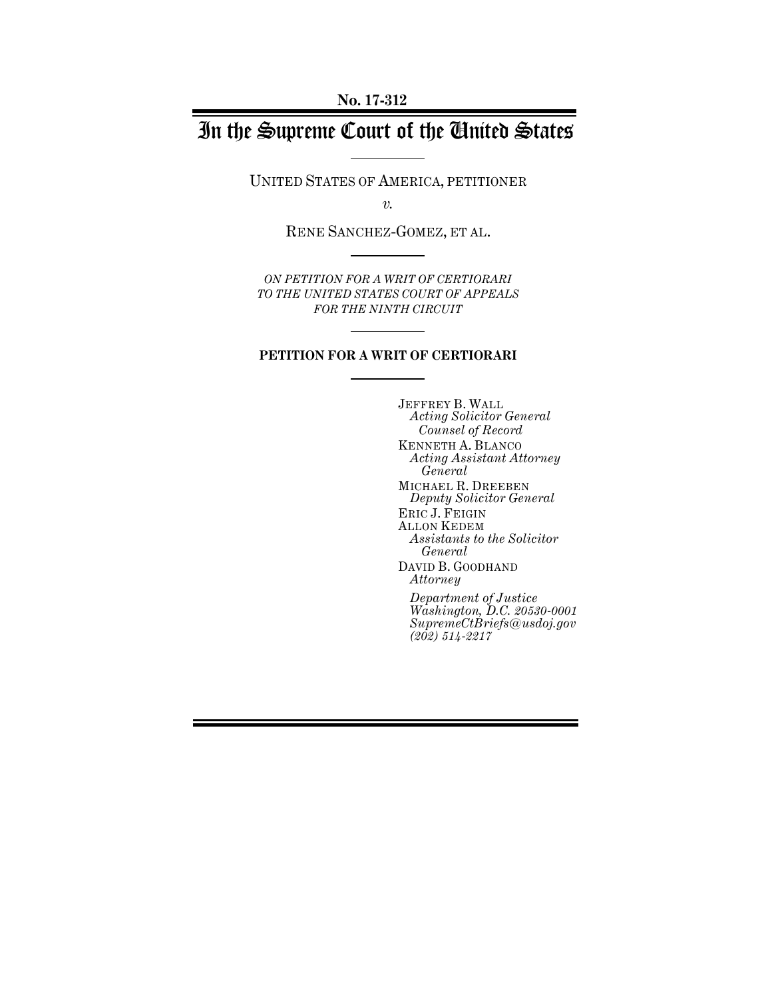# In the Supreme Court of the United States

UNITED STATES OF AMERICA, PETITIONER

*v.*

RENE SANCHEZ-GOMEZ, ET AL.

*ON PETITION FOR A WRIT OF CERTIORARI TO THE UNITED STATES COURT OF APPEALS FOR THE NINTH CIRCUIT* 

### **PETITION FOR A WRIT OF CERTIORARI**

JEFFREY B. WALL *Acting Solicitor General Counsel of Record* KENNETH A. BLANCO *Acting Assistant Attorney General* MICHAEL R. DREEBEN *Deputy Solicitor General* ERIC J. FEIGIN ALLON KEDEM *Assistants to the Solicitor General* DAVID B. GOODHAND *Attorney Department of Justice Washington, D.C. 20530-0001 SupremeCtBriefs@usdoj.gov (202) 514-2217*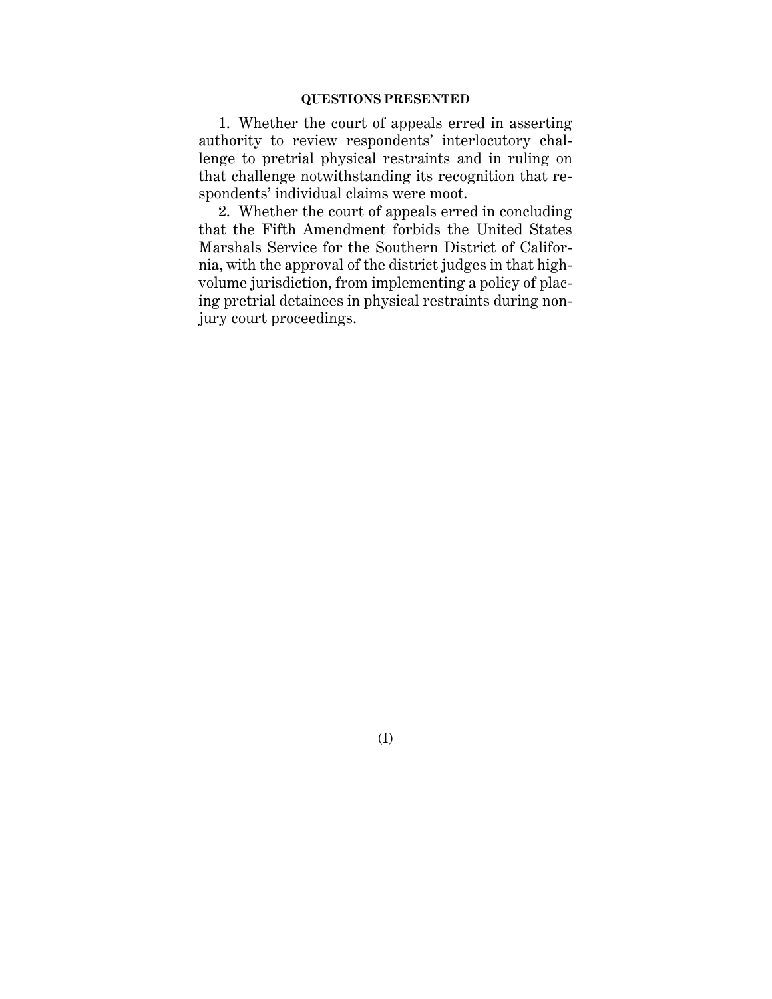1. Whether the court of appeals erred in asserting authority to review respondents' interlocutory challenge to pretrial physical restraints and in ruling on that challenge notwithstanding its recognition that respondents' individual claims were moot.

2. Whether the court of appeals erred in concluding that the Fifth Amendment forbids the United States Marshals Service for the Southern District of California, with the approval of the district judges in that highvolume jurisdiction, from implementing a policy of placing pretrial detainees in physical restraints during nonjury court proceedings.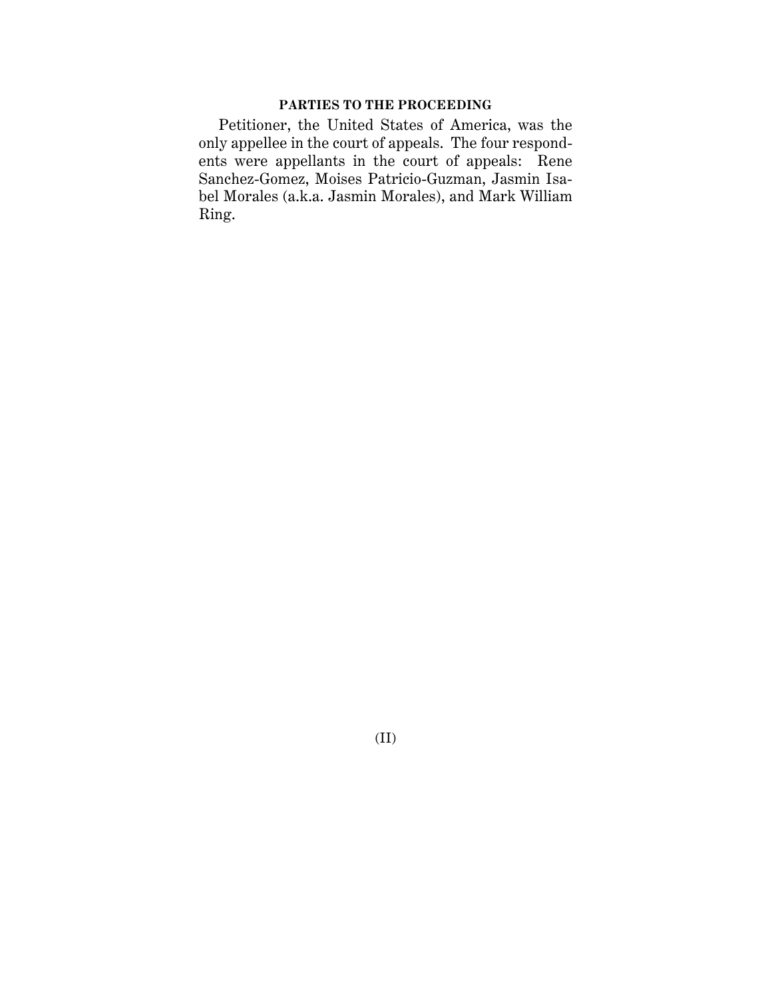### **PARTIES TO THE PROCEEDING**

Petitioner, the United States of America, was the only appellee in the court of appeals. The four respondents were appellants in the court of appeals: Rene Sanchez-Gomez, Moises Patricio-Guzman, Jasmin Isabel Morales (a.k.a. Jasmin Morales), and Mark William Ring.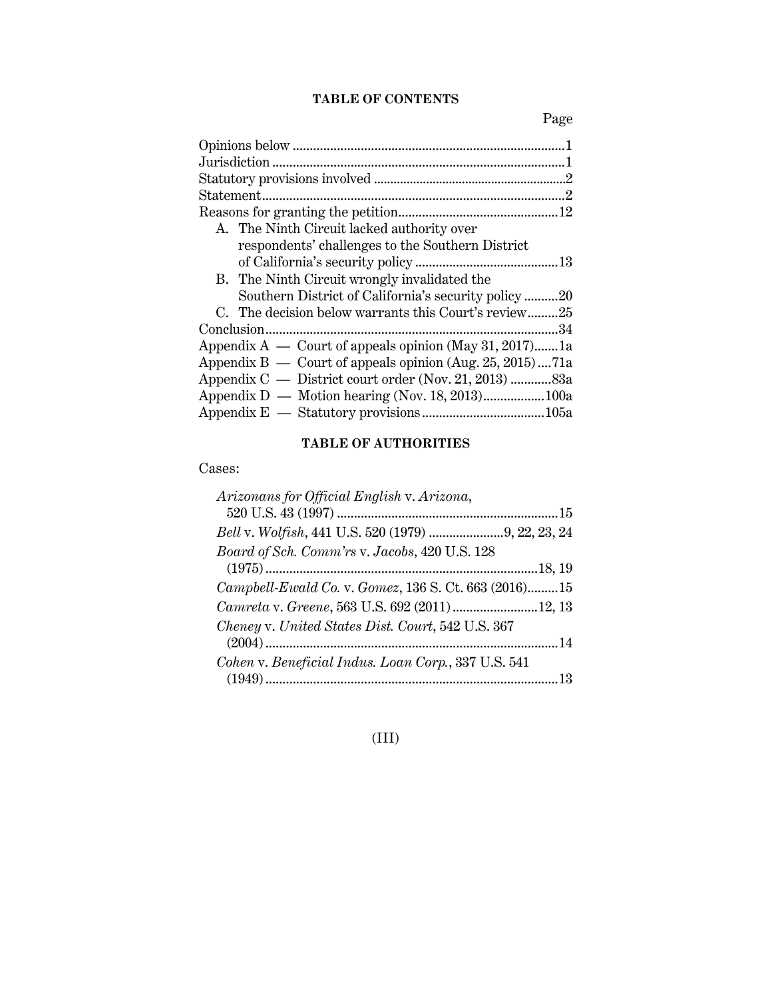# **TABLE OF CONTENTS**

Page

| A. The Ninth Circuit lacked authority over                 |  |
|------------------------------------------------------------|--|
| respondents' challenges to the Southern District           |  |
|                                                            |  |
| B. The Ninth Circuit wrongly invalidated the               |  |
| Southern District of California's security policy20        |  |
| C. The decision below warrants this Court's review25       |  |
| 34                                                         |  |
| Appendix $A$ — Court of appeals opinion (May 31, 2017)1a   |  |
| Appendix $B -$ Court of appeals opinion (Aug. 25, 2015)71a |  |
| Appendix C — District court order (Nov. 21, 2013) 83a      |  |
|                                                            |  |
|                                                            |  |
|                                                            |  |

# **TABLE OF AUTHORITIES**

Cases:

| Arizonans for Official English v. Arizona,           |  |
|------------------------------------------------------|--|
|                                                      |  |
| Bell v. Wolfish, 441 U.S. 520 (1979) 9, 22, 23, 24   |  |
| Board of Sch. Comm'rs v. Jacobs, 420 U.S. 128        |  |
|                                                      |  |
| Campbell-Ewald Co. v. Gomez, 136 S. Ct. 663 (2016)15 |  |
| Camreta v. Greene, 563 U.S. 692 (2011)12, 13         |  |
| Cheney v. United States Dist. Court, 542 U.S. 367    |  |
|                                                      |  |
| Cohen v. Beneficial Indus. Loan Corp., 337 U.S. 541  |  |
|                                                      |  |

# (III)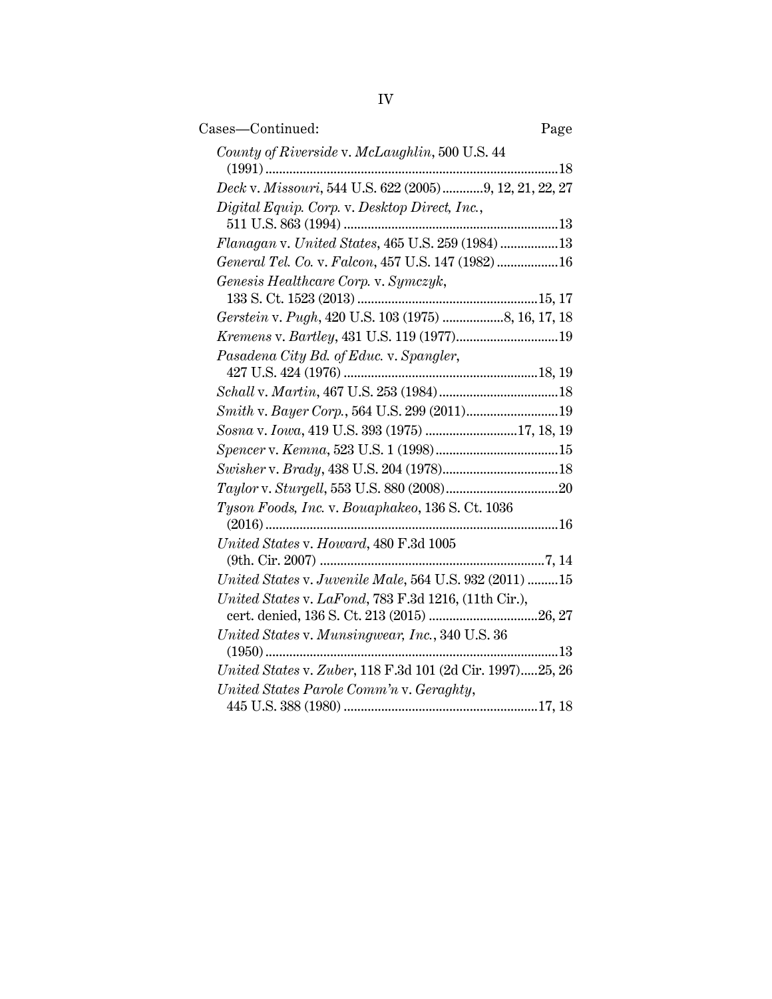| Cases-Continued:                                          | Page |
|-----------------------------------------------------------|------|
| County of Riverside v. McLaughlin, 500 U.S. 44            |      |
|                                                           | 18   |
| Deck v. Missouri, 544 U.S. 622 (2005)9, 12, 21, 22, 27    |      |
| Digital Equip. Corp. v. Desktop Direct, Inc.,             |      |
| Flanagan v. United States, 465 U.S. 259 (1984) 13         |      |
| General Tel. Co. v. Falcon, 457 U.S. 147 (1982)16         |      |
| Genesis Healthcare Corp. v. Symczyk,                      |      |
|                                                           |      |
| Gerstein v. Pugh, 420 U.S. 103 (1975) 8, 16, 17, 18       |      |
| Kremens v. Bartley, 431 U.S. 119 (1977)19                 |      |
| Pasadena City Bd. of Educ. v. Spangler,                   |      |
|                                                           |      |
|                                                           |      |
| Sosna v. Iowa, 419 U.S. 393 (1975) 17, 18, 19             |      |
|                                                           |      |
|                                                           |      |
|                                                           |      |
| Tyson Foods, Inc. v. Bouaphakeo, 136 S. Ct. 1036          | 16   |
| United States v. Howard, 480 F.3d 1005                    |      |
|                                                           |      |
| United States v. Juvenile Male, 564 U.S. 932 (2011) 15    |      |
| United States v. LaFond, 783 F.3d 1216, (11th Cir.),      |      |
|                                                           |      |
| United States v. Munsingwear, Inc., 340 U.S. 36           |      |
| United States v. Zuber, 118 F.3d 101 (2d Cir. 1997)25, 26 |      |
| United States Parole Comm'n v. Geraghty,                  |      |
|                                                           |      |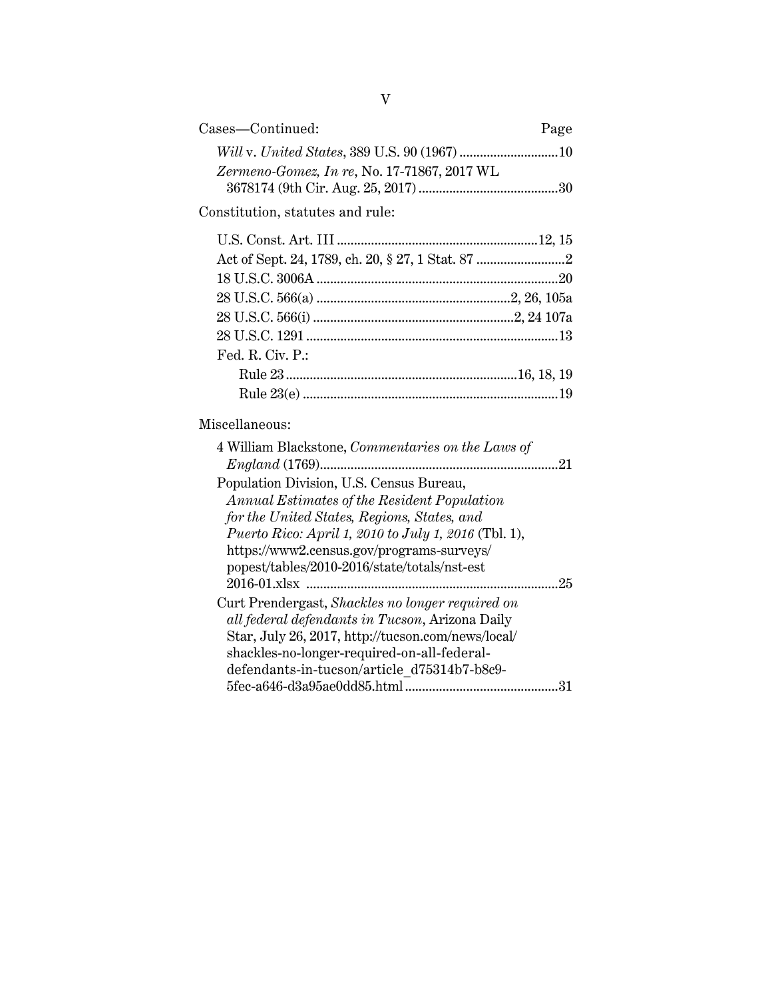| Cases—Continued:                            | Page |
|---------------------------------------------|------|
|                                             |      |
| Zermeno-Gomez, In re, No. 17-71867, 2017 WL |      |
|                                             |      |
|                                             |      |

# Constitution, statutes and rule:

| Fed. R. Civ. P.: |  |
|------------------|--|
|                  |  |
|                  |  |

# Miscellaneous:

| 4 William Blackstone, Commentaries on the Laws of<br>21     |
|-------------------------------------------------------------|
| Population Division, U.S. Census Bureau,                    |
| Annual Estimates of the Resident Population                 |
| for the United States, Regions, States, and                 |
| <i>Puerto Rico: April 1, 2010 to July 1, 2016</i> (Tbl. 1), |
| https://www2.census.gov/programs-surveys/                   |
| popest/tables/2010-2016/state/totals/nst-est                |
| 25                                                          |
| Curt Prendergast, Shackles no longer required on            |
| all federal defendants in Tucson, Arizona Daily             |
| Star, July 26, 2017, http://tucson.com/news/local/          |
| shackles-no-longer-required-on-all-federal-                 |
| defendants-in-tucson/article d75314b7-b8c9-                 |
| 5fec-a646-d3a95ae0dd85.html                                 |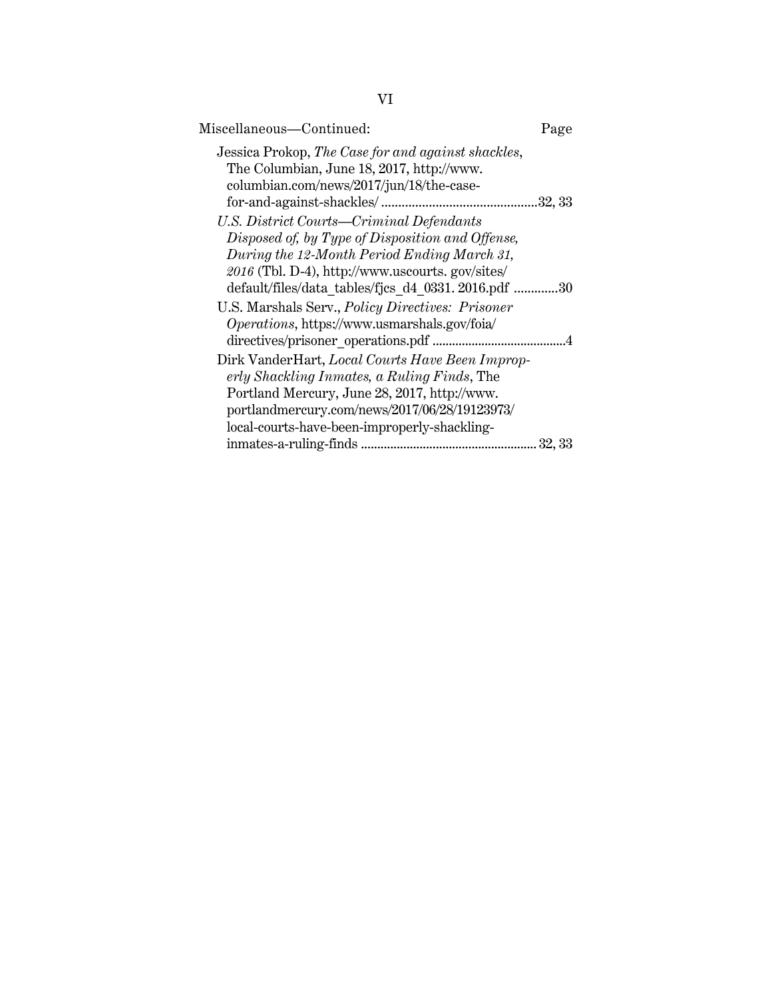| Miscellaneous—Continued:                                                                                                                    | Page    |
|---------------------------------------------------------------------------------------------------------------------------------------------|---------|
| Jessica Prokop, The Case for and against shackles,<br>The Columbian, June 18, 2017, http://www.<br>columbian.com/news/2017/jun/18/the-case- | .32, 33 |
| U.S. District Courts—Criminal Defendants                                                                                                    |         |
| Disposed of, by Type of Disposition and Offense,                                                                                            |         |
| During the 12-Month Period Ending March 31,                                                                                                 |         |
| 2016 (Tbl. D-4), http://www.uscourts.gov/sites/                                                                                             |         |
| default/files/data tables/fjcs d4 0331.2016.pdf 30                                                                                          |         |
| U.S. Marshals Serv., <i>Policy Directives: Prisoner</i>                                                                                     |         |
| Operations, https://www.usmarshals.gov/foia/                                                                                                |         |
| directives/prisoner operations.pdf                                                                                                          |         |
| Dirk VanderHart, Local Courts Have Been Improp-                                                                                             |         |
| erly Shackling Inmates, a Ruling Finds, The                                                                                                 |         |
| Portland Mercury, June 28, 2017, http://www.                                                                                                |         |
| portlandmercury.com/news/2017/06/28/19123973/                                                                                               |         |
| local-courts-have-been-improperly-shackling-                                                                                                |         |
|                                                                                                                                             | 32, 33  |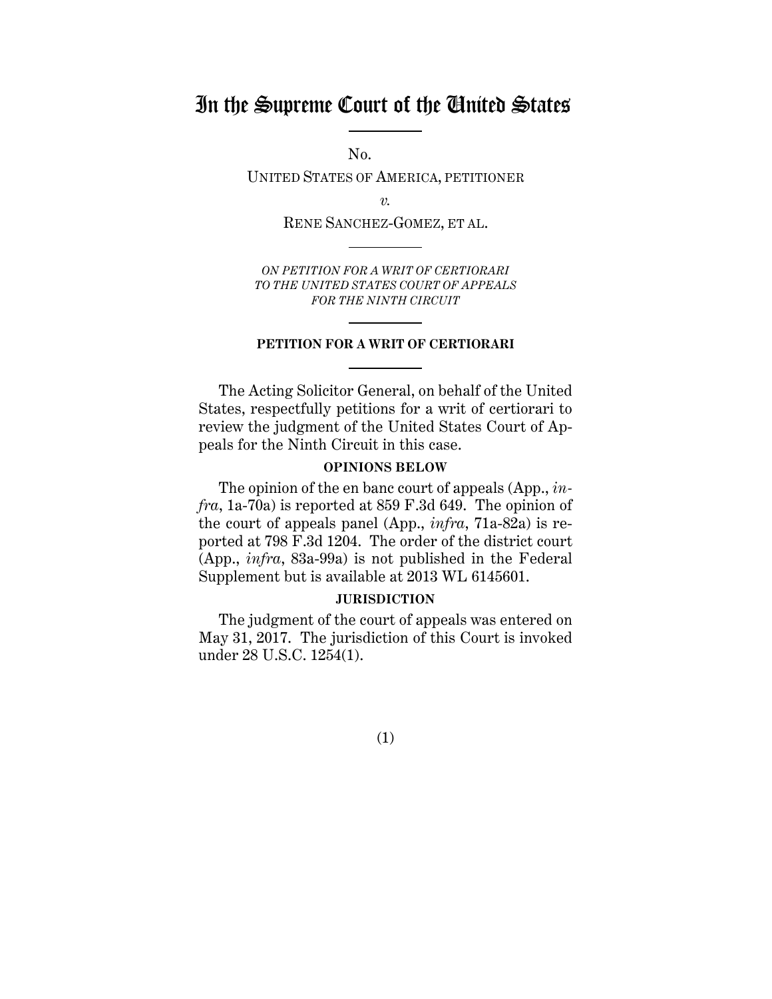# In the Supreme Court of the United States

No.

UNITED STATES OF AMERICA, PETITIONER

*v.*

RENE SANCHEZ-GOMEZ, ET AL.

*ON PETITION FOR A WRIT OF CERTIORARI TO THE UNITED STATES COURT OF APPEALS FOR THE NINTH CIRCUIT* 

#### **PETITION FOR A WRIT OF CERTIORARI**

The Acting Solicitor General, on behalf of the United States, respectfully petitions for a writ of certiorari to review the judgment of the United States Court of Appeals for the Ninth Circuit in this case.

#### **OPINIONS BELOW**

The opinion of the en banc court of appeals (App., *infra*, 1a-70a) is reported at 859 F.3d 649. The opinion of the court of appeals panel (App., *infra*, 71a-82a) is reported at 798 F.3d 1204. The order of the district court (App., *infra*, 83a-99a) is not published in the Federal Supplement but is available at 2013 WL 6145601.

#### **JURISDICTION**

The judgment of the court of appeals was entered on May 31, 2017. The jurisdiction of this Court is invoked under 28 U.S.C. 1254(1).

(1)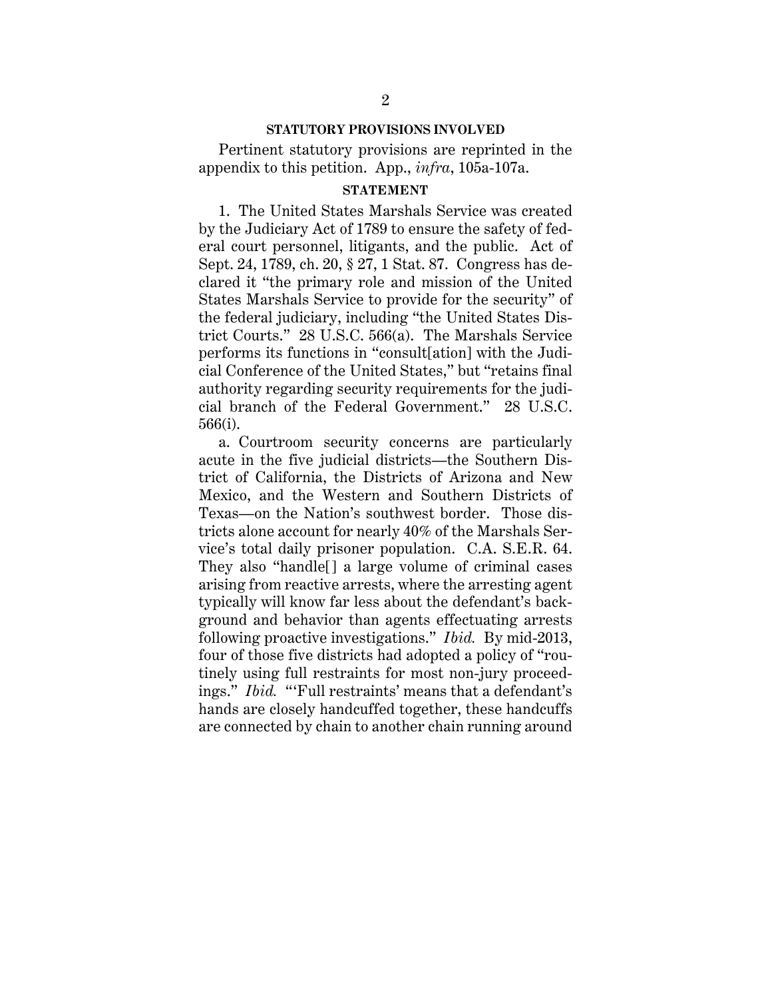#### **STATUTORY PROVISIONS INVOLVED**

Pertinent statutory provisions are reprinted in the appendix to this petition. App., *infra*, 105a-107a.

#### **STATEMENT**

1. The United States Marshals Service was created by the Judiciary Act of 1789 to ensure the safety of federal court personnel, litigants, and the public. Act of Sept. 24, 1789, ch. 20, § 27, 1 Stat. 87. Congress has declared it "the primary role and mission of the United States Marshals Service to provide for the security" of the federal judiciary, including "the United States District Courts." 28 U.S.C. 566(a). The Marshals Service performs its functions in "consult[ation] with the Judicial Conference of the United States," but "retains final authority regarding security requirements for the judicial branch of the Federal Government." 28 U.S.C. 566(i).

a. Courtroom security concerns are particularly acute in the five judicial districts—the Southern District of California, the Districts of Arizona and New Mexico, and the Western and Southern Districts of Texas—on the Nation's southwest border. Those districts alone account for nearly 40% of the Marshals Service's total daily prisoner population. C.A. S.E.R. 64. They also "handle[] a large volume of criminal cases arising from reactive arrests, where the arresting agent typically will know far less about the defendant's background and behavior than agents effectuating arrests following proactive investigations." *Ibid.* By mid-2013, four of those five districts had adopted a policy of "routinely using full restraints for most non-jury proceedings." *Ibid.* "'Full restraints' means that a defendant's hands are closely handcuffed together, these handcuffs are connected by chain to another chain running around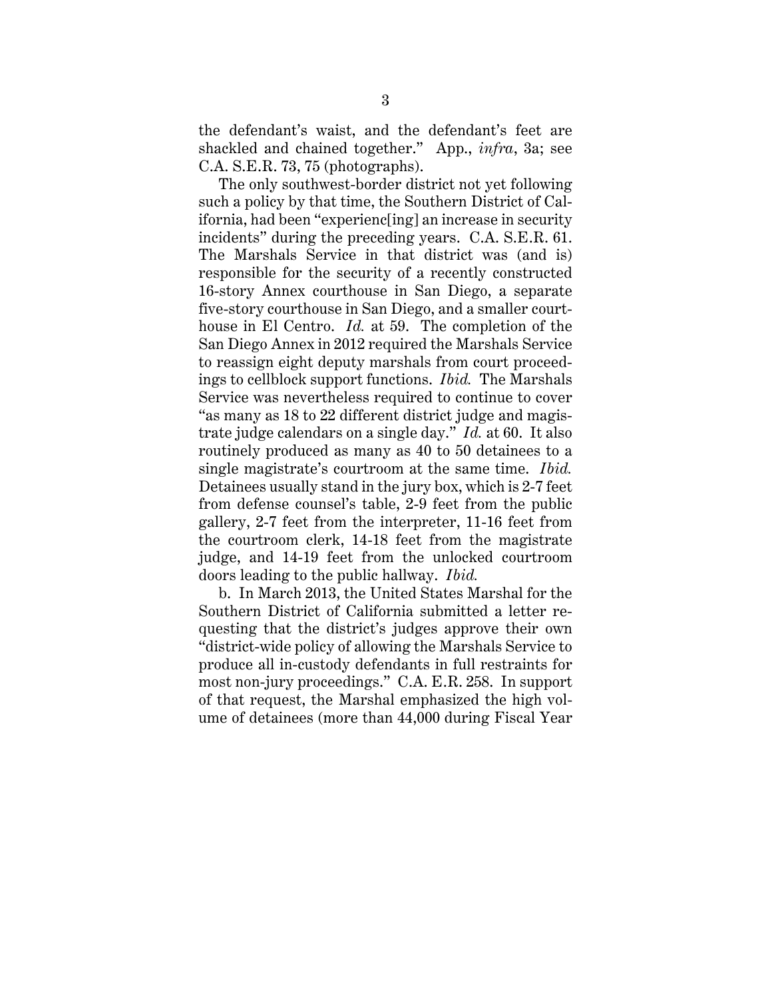the defendant's waist, and the defendant's feet are shackled and chained together." App., *infra*, 3a; see C.A. S.E.R. 73, 75 (photographs).

The only southwest-border district not yet following such a policy by that time, the Southern District of California, had been "experienc[ing] an increase in security incidents" during the preceding years. C.A. S.E.R. 61. The Marshals Service in that district was (and is) responsible for the security of a recently constructed 16-story Annex courthouse in San Diego, a separate five-story courthouse in San Diego, and a smaller courthouse in El Centro. *Id.* at 59. The completion of the San Diego Annex in 2012 required the Marshals Service to reassign eight deputy marshals from court proceedings to cellblock support functions. *Ibid.* The Marshals Service was nevertheless required to continue to cover "as many as 18 to 22 different district judge and magistrate judge calendars on a single day." *Id.* at 60. It also routinely produced as many as 40 to 50 detainees to a single magistrate's courtroom at the same time. *Ibid.* Detainees usually stand in the jury box, which is 2-7 feet from defense counsel's table, 2-9 feet from the public gallery, 2-7 feet from the interpreter, 11-16 feet from the courtroom clerk, 14-18 feet from the magistrate judge, and 14-19 feet from the unlocked courtroom doors leading to the public hallway. *Ibid.*

b. In March 2013, the United States Marshal for the Southern District of California submitted a letter requesting that the district's judges approve their own "district-wide policy of allowing the Marshals Service to produce all in-custody defendants in full restraints for most non-jury proceedings." C.A. E.R. 258. In support of that request, the Marshal emphasized the high volume of detainees (more than 44,000 during Fiscal Year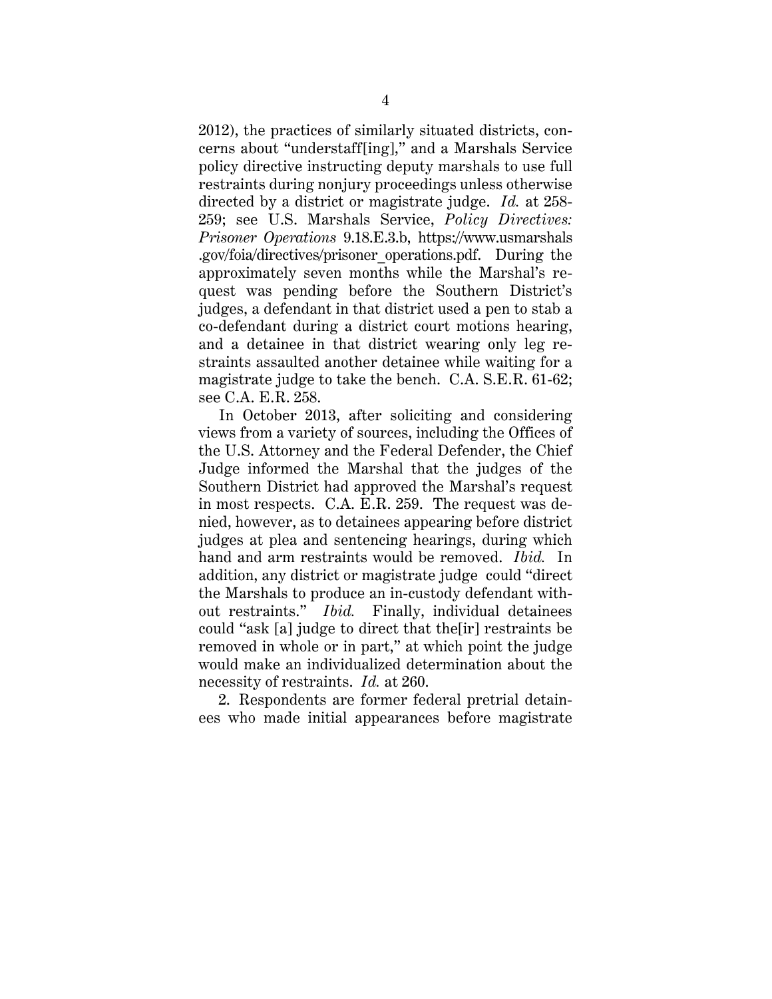2012), the practices of similarly situated districts, concerns about "understaff[ing]," and a Marshals Service policy directive instructing deputy marshals to use full restraints during nonjury proceedings unless otherwise directed by a district or magistrate judge. *Id.* at 258- 259; see U.S. Marshals Service, *Policy Directives: Prisoner Operations* 9.18.E.3.b, https://www.usmarshals .gov/foia/directives/prisoner\_operations.pdf. During the approximately seven months while the Marshal's request was pending before the Southern District's judges, a defendant in that district used a pen to stab a co-defendant during a district court motions hearing, and a detainee in that district wearing only leg restraints assaulted another detainee while waiting for a magistrate judge to take the bench. C.A. S.E.R. 61-62; see C.A. E.R. 258.

In October 2013, after soliciting and considering views from a variety of sources, including the Offices of the U.S. Attorney and the Federal Defender, the Chief Judge informed the Marshal that the judges of the Southern District had approved the Marshal's request in most respects. C.A. E.R. 259. The request was denied, however, as to detainees appearing before district judges at plea and sentencing hearings, during which hand and arm restraints would be removed. *Ibid.* In addition, any district or magistrate judge could "direct the Marshals to produce an in-custody defendant without restraints." *Ibid.* Finally, individual detainees could "ask [a] judge to direct that the[ir] restraints be removed in whole or in part," at which point the judge would make an individualized determination about the necessity of restraints. *Id.* at 260.

2. Respondents are former federal pretrial detainees who made initial appearances before magistrate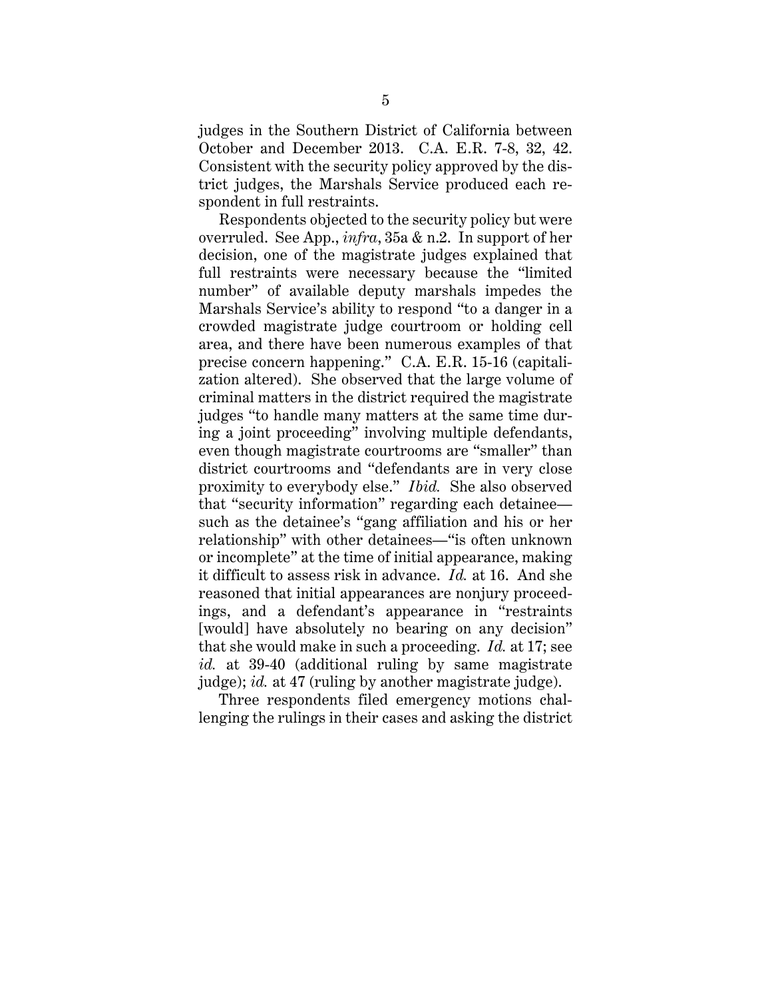judges in the Southern District of California between October and December 2013. C.A. E.R. 7-8, 32, 42. Consistent with the security policy approved by the district judges, the Marshals Service produced each respondent in full restraints.

Respondents objected to the security policy but were overruled. See App., *infra*, 35a & n.2. In support of her decision, one of the magistrate judges explained that full restraints were necessary because the "limited number" of available deputy marshals impedes the Marshals Service's ability to respond "to a danger in a crowded magistrate judge courtroom or holding cell area, and there have been numerous examples of that precise concern happening." C.A. E.R. 15-16 (capitalization altered). She observed that the large volume of criminal matters in the district required the magistrate judges "to handle many matters at the same time during a joint proceeding" involving multiple defendants, even though magistrate courtrooms are "smaller" than district courtrooms and "defendants are in very close proximity to everybody else." *Ibid.* She also observed that "security information" regarding each detainee such as the detainee's "gang affiliation and his or her relationship" with other detainees—"is often unknown or incomplete" at the time of initial appearance, making it difficult to assess risk in advance. *Id.* at 16. And she reasoned that initial appearances are nonjury proceedings, and a defendant's appearance in "restraints [would] have absolutely no bearing on any decision" that she would make in such a proceeding. *Id.* at 17; see *id.* at 39-40 (additional ruling by same magistrate judge); *id.* at 47 (ruling by another magistrate judge).

Three respondents filed emergency motions challenging the rulings in their cases and asking the district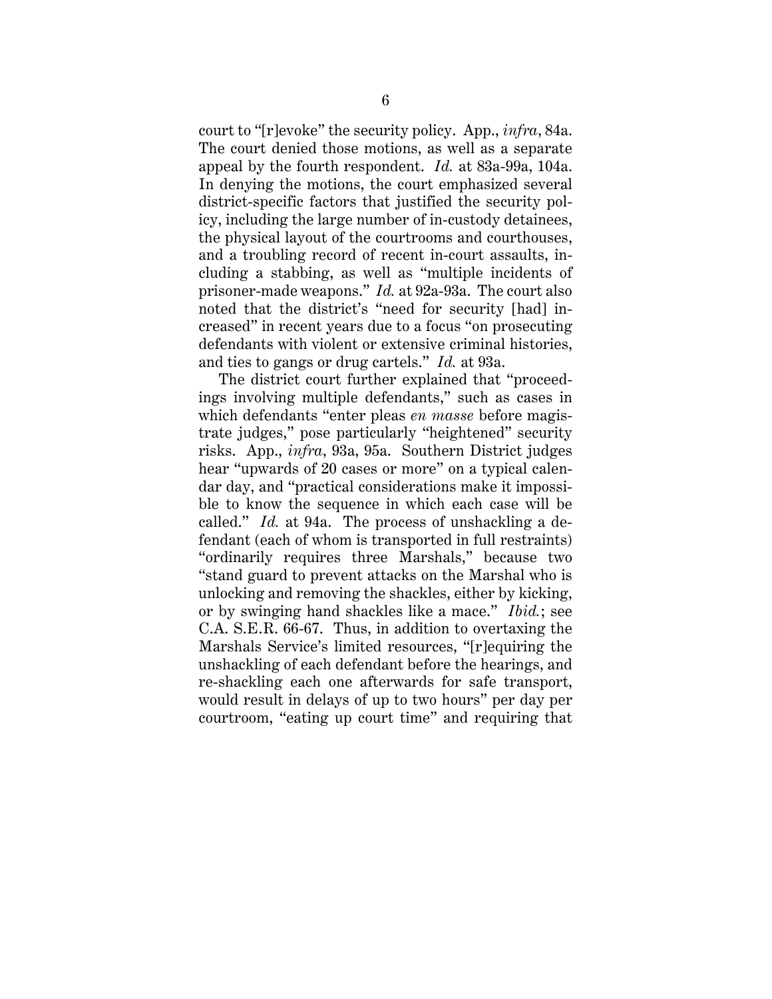court to "[r]evoke" the security policy. App., *infra*, 84a. The court denied those motions, as well as a separate appeal by the fourth respondent. *Id.* at 83a-99a, 104a. In denying the motions, the court emphasized several district-specific factors that justified the security policy, including the large number of in-custody detainees, the physical layout of the courtrooms and courthouses, and a troubling record of recent in-court assaults, including a stabbing, as well as "multiple incidents of prisoner-made weapons." *Id.* at 92a-93a. The court also noted that the district's "need for security [had] increased" in recent years due to a focus "on prosecuting defendants with violent or extensive criminal histories, and ties to gangs or drug cartels." *Id.* at 93a.

The district court further explained that "proceedings involving multiple defendants," such as cases in which defendants "enter pleas *en masse* before magistrate judges," pose particularly "heightened" security risks. App., *infra*, 93a, 95a. Southern District judges hear "upwards of 20 cases or more" on a typical calendar day, and "practical considerations make it impossible to know the sequence in which each case will be called." *Id.* at 94a. The process of unshackling a defendant (each of whom is transported in full restraints) "ordinarily requires three Marshals," because two "stand guard to prevent attacks on the Marshal who is unlocking and removing the shackles, either by kicking, or by swinging hand shackles like a mace." *Ibid.*; see C.A. S.E.R. 66-67. Thus, in addition to overtaxing the Marshals Service's limited resources, "[r]equiring the unshackling of each defendant before the hearings, and re-shackling each one afterwards for safe transport, would result in delays of up to two hours" per day per courtroom, "eating up court time" and requiring that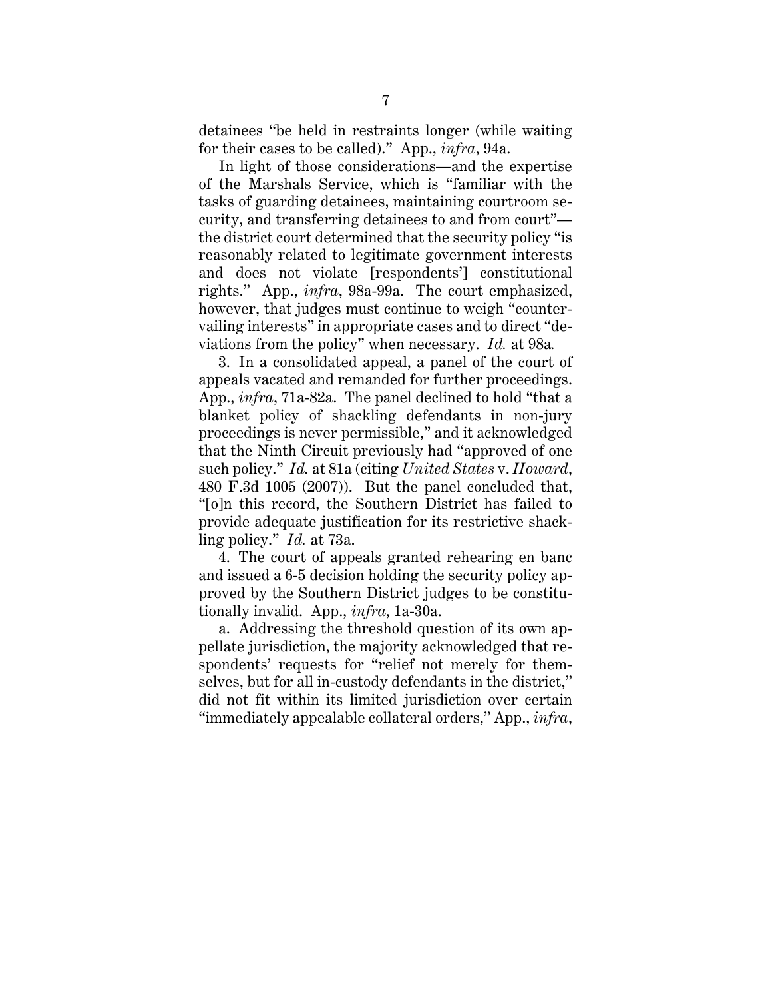detainees "be held in restraints longer (while waiting for their cases to be called)." App., *infra*, 94a.

In light of those considerations—and the expertise of the Marshals Service, which is "familiar with the tasks of guarding detainees, maintaining courtroom security, and transferring detainees to and from court" the district court determined that the security policy "is reasonably related to legitimate government interests and does not violate [respondents'] constitutional rights." App., *infra*, 98a-99a. The court emphasized, however, that judges must continue to weigh "countervailing interests" in appropriate cases and to direct "deviations from the policy" when necessary. *Id.* at 98a*.*

3. In a consolidated appeal, a panel of the court of appeals vacated and remanded for further proceedings. App., *infra*, 71a-82a. The panel declined to hold "that a blanket policy of shackling defendants in non-jury proceedings is never permissible," and it acknowledged that the Ninth Circuit previously had "approved of one such policy." *Id.* at 81a (citing *United States* v. *Howard*, 480 F.3d 1005 (2007)). But the panel concluded that, "[o]n this record, the Southern District has failed to provide adequate justification for its restrictive shackling policy." *Id.* at 73a.

4. The court of appeals granted rehearing en banc and issued a 6-5 decision holding the security policy approved by the Southern District judges to be constitutionally invalid. App., *infra*, 1a-30a.

a. Addressing the threshold question of its own appellate jurisdiction, the majority acknowledged that respondents' requests for "relief not merely for themselves, but for all in-custody defendants in the district," did not fit within its limited jurisdiction over certain "immediately appealable collateral orders," App., *infra*,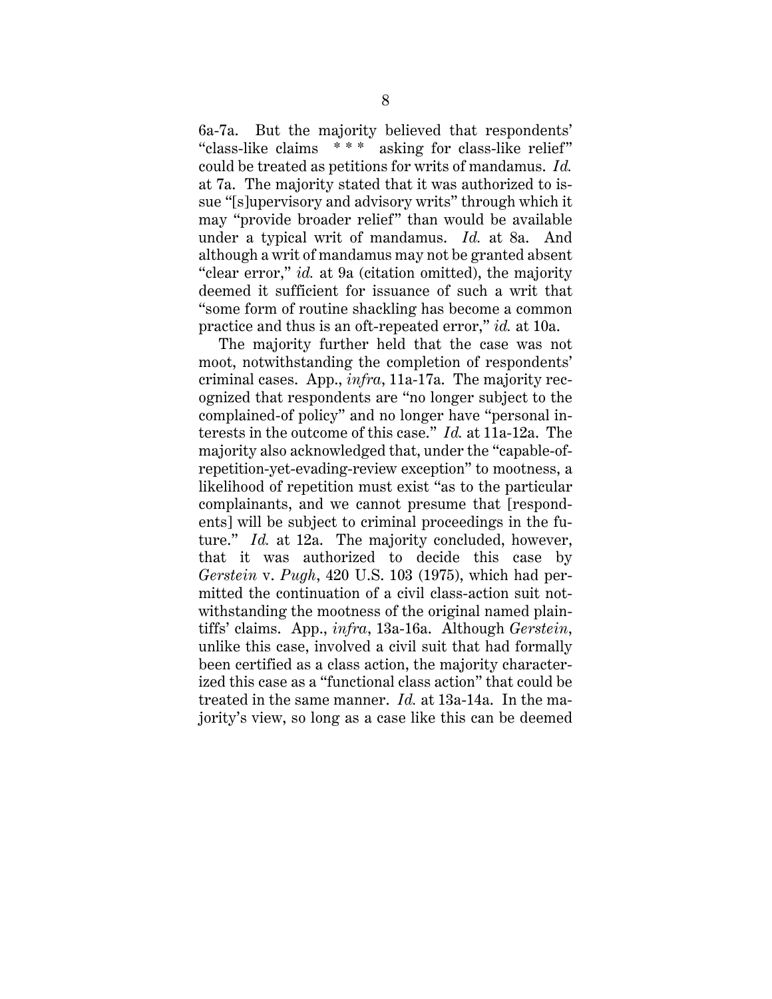6a-7a. But the majority believed that respondents' "class-like claims \* \* \* asking for class-like relief" could be treated as petitions for writs of mandamus. *Id.* at 7a. The majority stated that it was authorized to issue "[s]upervisory and advisory writs" through which it may "provide broader relief" than would be available under a typical writ of mandamus. *Id.* at 8a. And although a writ of mandamus may not be granted absent "clear error," *id.* at 9a (citation omitted), the majority deemed it sufficient for issuance of such a writ that "some form of routine shackling has become a common practice and thus is an oft-repeated error," *id.* at 10a.

The majority further held that the case was not moot, notwithstanding the completion of respondents' criminal cases. App., *infra*, 11a-17a. The majority recognized that respondents are "no longer subject to the complained-of policy" and no longer have "personal interests in the outcome of this case." *Id.* at 11a-12a. The majority also acknowledged that, under the "capable-ofrepetition-yet-evading-review exception" to mootness, a likelihood of repetition must exist "as to the particular complainants, and we cannot presume that [respondents] will be subject to criminal proceedings in the future." *Id.* at 12a. The majority concluded, however, that it was authorized to decide this case by *Gerstein* v. *Pugh*, 420 U.S. 103 (1975), which had permitted the continuation of a civil class-action suit notwithstanding the mootness of the original named plaintiffs' claims. App., *infra*, 13a-16a. Although *Gerstein*, unlike this case, involved a civil suit that had formally been certified as a class action, the majority characterized this case as a "functional class action" that could be treated in the same manner. *Id.* at 13a-14a. In the majority's view, so long as a case like this can be deemed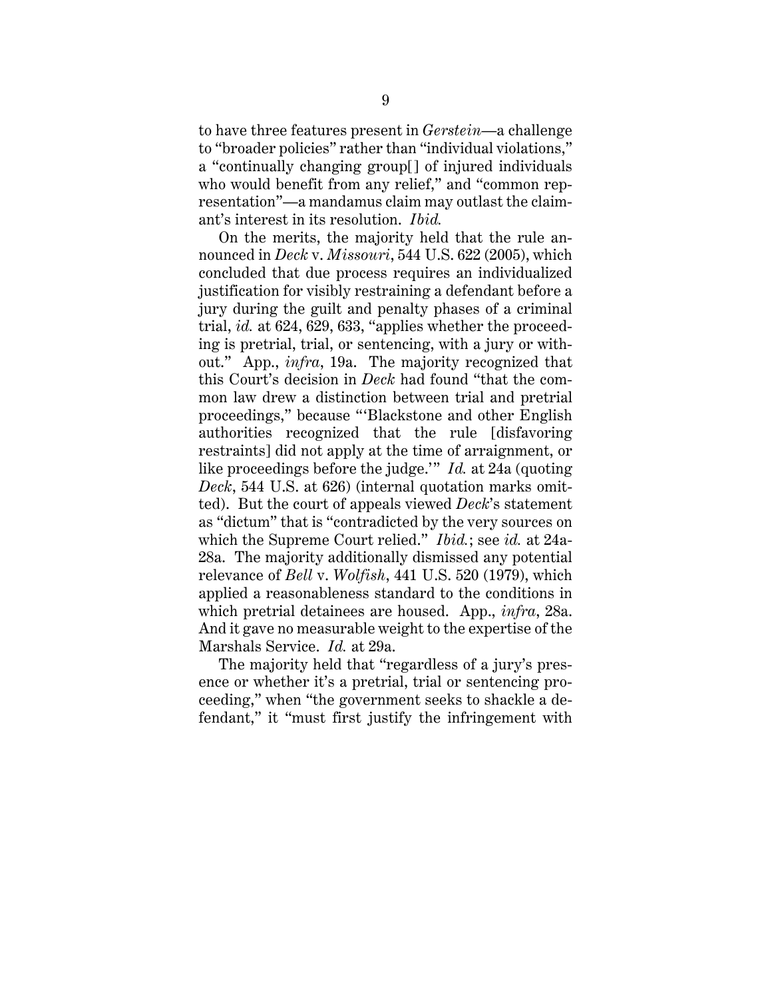to have three features present in *Gerstein*—a challenge to "broader policies" rather than "individual violations," a "continually changing group[] of injured individuals who would benefit from any relief," and "common representation"—a mandamus claim may outlast the claimant's interest in its resolution. *Ibid.*

On the merits, the majority held that the rule announced in *Deck* v. *Missouri*, 544 U.S. 622 (2005), which concluded that due process requires an individualized justification for visibly restraining a defendant before a jury during the guilt and penalty phases of a criminal trial, *id.* at 624, 629, 633, "applies whether the proceeding is pretrial, trial, or sentencing, with a jury or without." App., *infra*, 19a. The majority recognized that this Court's decision in *Deck* had found "that the common law drew a distinction between trial and pretrial proceedings," because "'Blackstone and other English authorities recognized that the rule [disfavoring restraints] did not apply at the time of arraignment, or like proceedings before the judge.'" *Id.* at 24a (quoting *Deck*, 544 U.S. at 626) (internal quotation marks omitted). But the court of appeals viewed *Deck*'s statement as "dictum" that is "contradicted by the very sources on which the Supreme Court relied." *Ibid.*; see *id.* at 24a-28a. The majority additionally dismissed any potential relevance of *Bell* v. *Wolfish*, 441 U.S. 520 (1979), which applied a reasonableness standard to the conditions in which pretrial detainees are housed. App., *infra*, 28a. And it gave no measurable weight to the expertise of the Marshals Service. *Id.* at 29a.

The majority held that "regardless of a jury's presence or whether it's a pretrial, trial or sentencing proceeding," when "the government seeks to shackle a defendant," it "must first justify the infringement with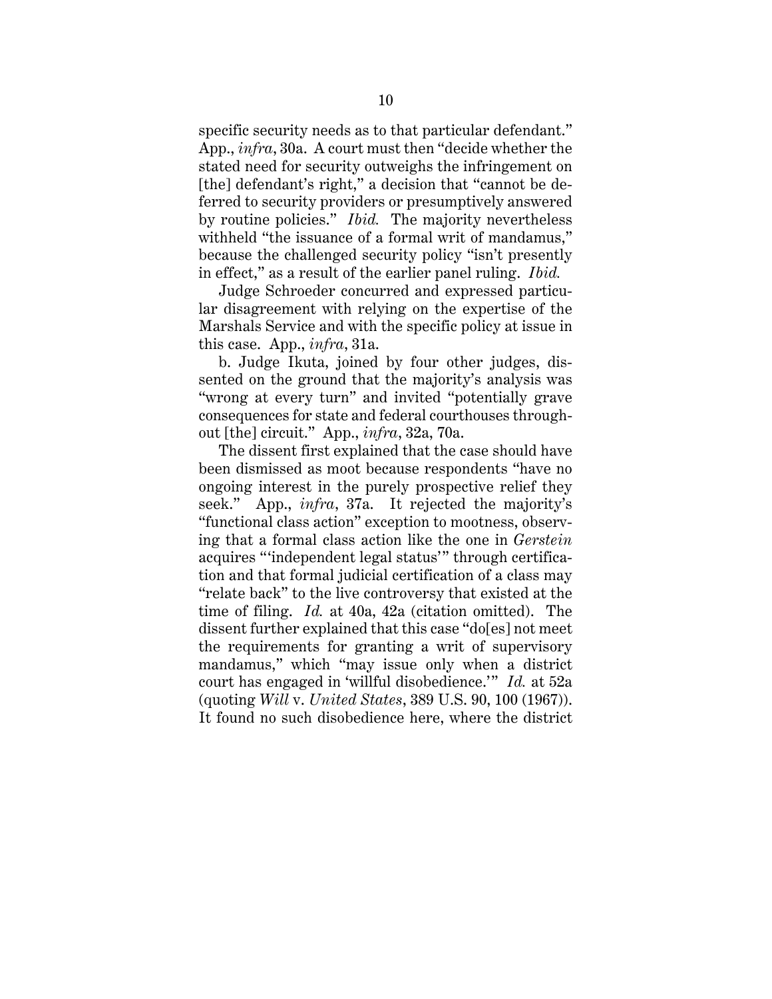specific security needs as to that particular defendant." App., *infra*, 30a. A court must then "decide whether the stated need for security outweighs the infringement on [the] defendant's right," a decision that "cannot be deferred to security providers or presumptively answered by routine policies." *Ibid.* The majority nevertheless withheld "the issuance of a formal writ of mandamus," because the challenged security policy "isn't presently in effect," as a result of the earlier panel ruling. *Ibid.* 

Judge Schroeder concurred and expressed particular disagreement with relying on the expertise of the Marshals Service and with the specific policy at issue in this case. App., *infra*, 31a.

b. Judge Ikuta, joined by four other judges, dissented on the ground that the majority's analysis was "wrong at every turn" and invited "potentially grave consequences for state and federal courthouses throughout [the] circuit." App., *infra*, 32a, 70a.

The dissent first explained that the case should have been dismissed as moot because respondents "have no ongoing interest in the purely prospective relief they seek." App., *infra*, 37a. It rejected the majority's "functional class action" exception to mootness, observing that a formal class action like the one in *Gerstein*  acquires "'independent legal status'" through certification and that formal judicial certification of a class may "relate back" to the live controversy that existed at the time of filing. *Id.* at 40a, 42a (citation omitted). The dissent further explained that this case "do[es] not meet the requirements for granting a writ of supervisory mandamus," which "may issue only when a district court has engaged in 'willful disobedience.'" *Id.* at 52a (quoting *Will* v. *United States*, 389 U.S. 90, 100 (1967)). It found no such disobedience here, where the district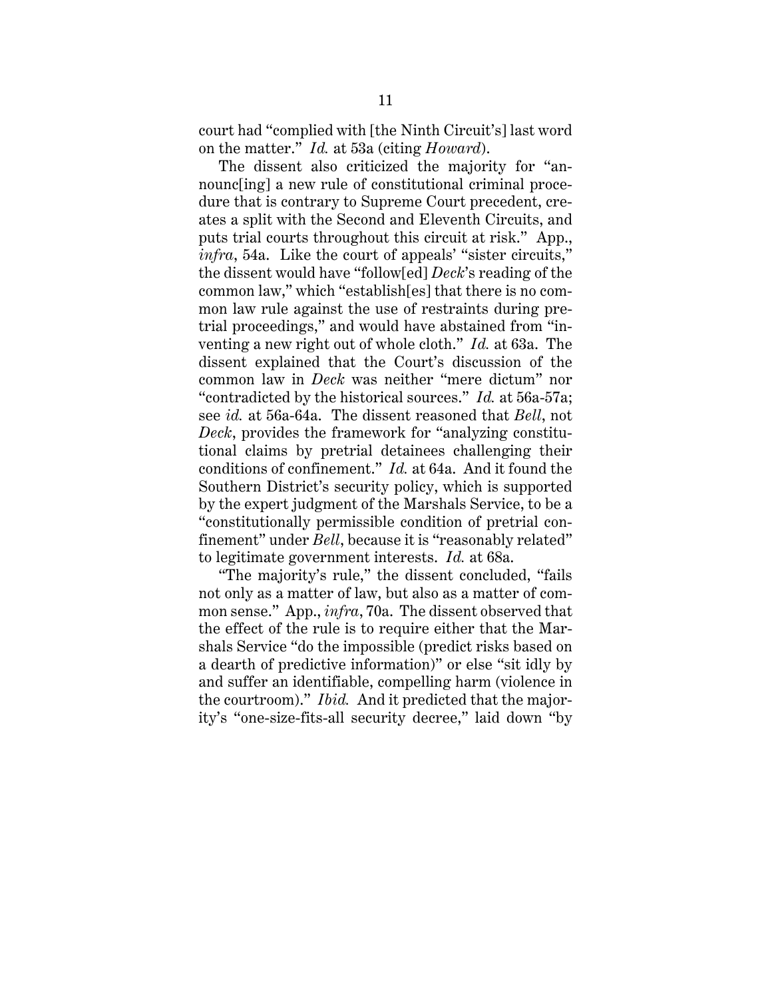court had "complied with [the Ninth Circuit's] last word on the matter." *Id.* at 53a (citing *Howard*).

The dissent also criticized the majority for "announc[ing] a new rule of constitutional criminal procedure that is contrary to Supreme Court precedent, creates a split with the Second and Eleventh Circuits, and puts trial courts throughout this circuit at risk." App., *infra*, 54a. Like the court of appeals' "sister circuits," the dissent would have "follow[ed] *Deck*'s reading of the common law," which "establish[es] that there is no common law rule against the use of restraints during pretrial proceedings," and would have abstained from "inventing a new right out of whole cloth." *Id.* at 63a. The dissent explained that the Court's discussion of the common law in *Deck* was neither "mere dictum" nor "contradicted by the historical sources." *Id.* at 56a-57a; see *id.* at 56a-64a. The dissent reasoned that *Bell*, not *Deck*, provides the framework for "analyzing constitutional claims by pretrial detainees challenging their conditions of confinement." *Id.* at 64a. And it found the Southern District's security policy, which is supported by the expert judgment of the Marshals Service, to be a "constitutionally permissible condition of pretrial confinement" under *Bell*, because it is "reasonably related" to legitimate government interests. *Id.* at 68a.

"The majority's rule," the dissent concluded, "fails not only as a matter of law, but also as a matter of common sense." App., *infra*, 70a. The dissent observed that the effect of the rule is to require either that the Marshals Service "do the impossible (predict risks based on a dearth of predictive information)" or else "sit idly by and suffer an identifiable, compelling harm (violence in the courtroom)." *Ibid.* And it predicted that the majority's "one-size-fits-all security decree," laid down "by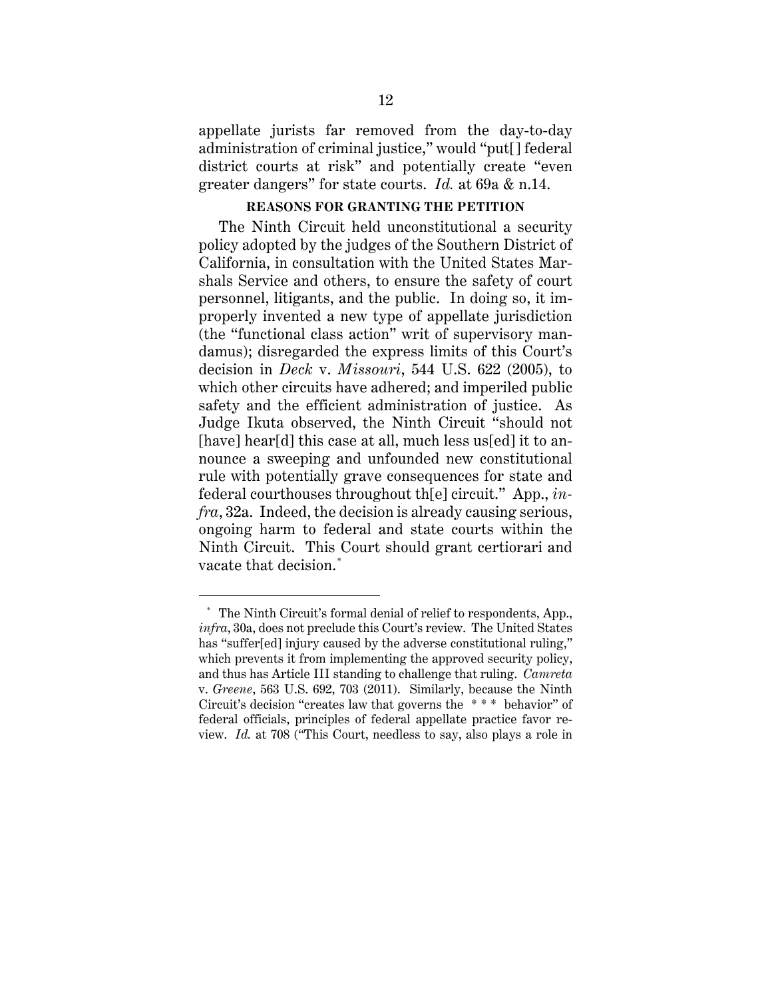appellate jurists far removed from the day-to-day administration of criminal justice," would "put[] federal district courts at risk" and potentially create "even greater dangers" for state courts. *Id.* at 69a & n.14.

#### **REASONS FOR GRANTING THE PETITION**

The Ninth Circuit held unconstitutional a security policy adopted by the judges of the Southern District of California, in consultation with the United States Marshals Service and others, to ensure the safety of court personnel, litigants, and the public. In doing so, it improperly invented a new type of appellate jurisdiction (the "functional class action" writ of supervisory mandamus); disregarded the express limits of this Court's decision in *Deck* v. *Missouri*, 544 U.S. 622 (2005), to which other circuits have adhered; and imperiled public safety and the efficient administration of justice. As Judge Ikuta observed, the Ninth Circuit "should not [have] hear[d] this case at all, much less us[ed] it to announce a sweeping and unfounded new constitutional rule with potentially grave consequences for state and federal courthouses throughout th[e] circuit." App., *infra*, 32a. Indeed, the decision is already causing serious, ongoing harm to federal and state courts within the Ninth Circuit. This Court should grant certiorari and vacate that decision. \*

 $\overline{a}$ 

<sup>\*</sup> The Ninth Circuit's formal denial of relief to respondents, App., *infra*, 30a, does not preclude this Court's review. The United States has "suffer[ed] injury caused by the adverse constitutional ruling," which prevents it from implementing the approved security policy, and thus has Article III standing to challenge that ruling. *Camreta* v. *Greene*, 563 U.S. 692, 703 (2011). Similarly, because the Ninth Circuit's decision "creates law that governs the \* \* \* behavior" of federal officials, principles of federal appellate practice favor review. *Id.* at 708 ("This Court, needless to say, also plays a role in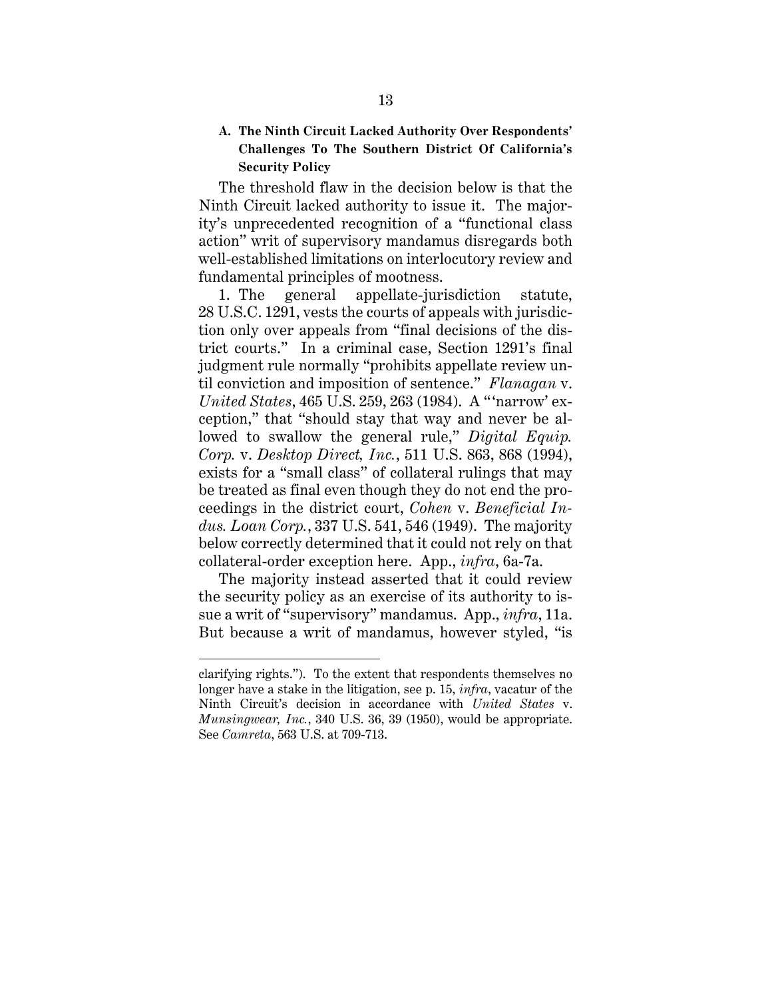### **A. The Ninth Circuit Lacked Authority Over Respondents' Challenges To The Southern District Of California's Security Policy**

The threshold flaw in the decision below is that the Ninth Circuit lacked authority to issue it. The majority's unprecedented recognition of a "functional class action" writ of supervisory mandamus disregards both well-established limitations on interlocutory review and fundamental principles of mootness.

1. The general appellate-jurisdiction statute, 28 U.S.C. 1291, vests the courts of appeals with jurisdiction only over appeals from "final decisions of the district courts." In a criminal case, Section 1291's final judgment rule normally "prohibits appellate review until conviction and imposition of sentence." *Flanagan* v. *United States*, 465 U.S. 259, 263 (1984). A " 'narrow' exception," that "should stay that way and never be allowed to swallow the general rule," *Digital Equip. Corp.* v. *Desktop Direct, Inc.*, 511 U.S. 863, 868 (1994), exists for a "small class" of collateral rulings that may be treated as final even though they do not end the proceedings in the district court, *Cohen* v. *Beneficial Indus. Loan Corp.*, 337 U.S. 541, 546 (1949). The majority below correctly determined that it could not rely on that collateral-order exception here. App., *infra*, 6a-7a.

The majority instead asserted that it could review the security policy as an exercise of its authority to issue a writ of "supervisory" mandamus. App., *infra*, 11a. But because a writ of mandamus, however styled, "is

 $\overline{a}$ 

clarifying rights."). To the extent that respondents themselves no longer have a stake in the litigation, see p. 15, *infra*, vacatur of the Ninth Circuit's decision in accordance with *United States* v. *Munsingwear, Inc.*, 340 U.S. 36, 39 (1950), would be appropriate. See *Camreta*, 563 U.S. at 709-713.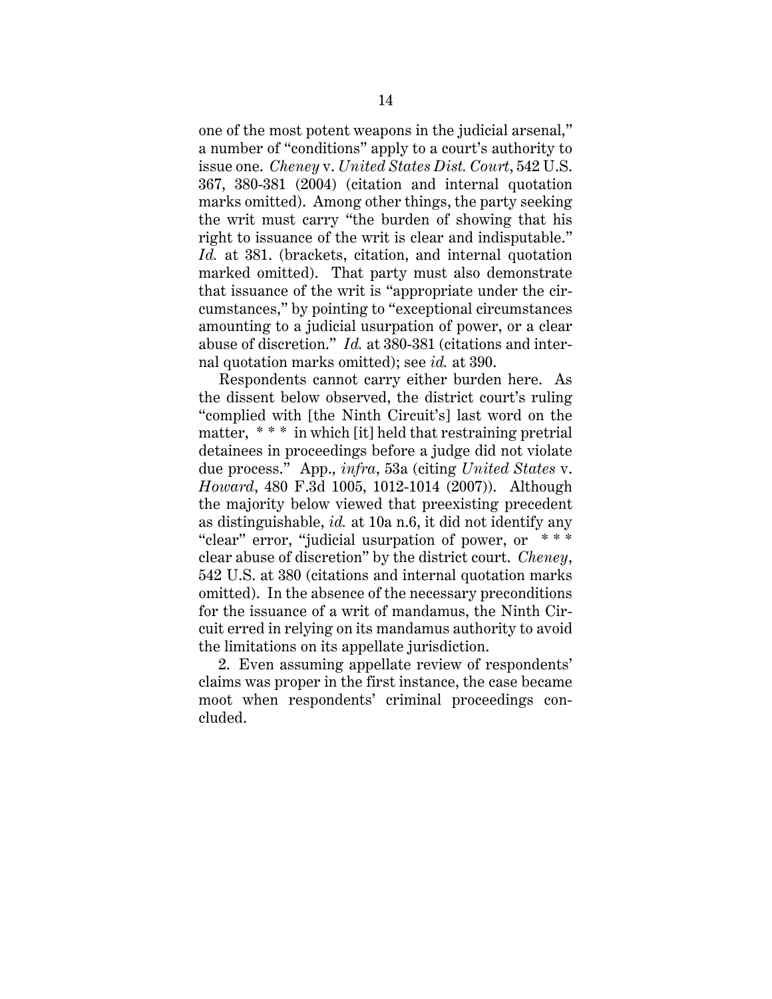one of the most potent weapons in the judicial arsenal," a number of "conditions" apply to a court's authority to issue one. *Cheney* v. *United States Dist. Court*, 542 U.S. 367, 380-381 (2004) (citation and internal quotation marks omitted). Among other things, the party seeking the writ must carry "the burden of showing that his right to issuance of the writ is clear and indisputable." *Id.* at 381. (brackets, citation, and internal quotation marked omitted). That party must also demonstrate that issuance of the writ is "appropriate under the circumstances," by pointing to "exceptional circumstances amounting to a judicial usurpation of power, or a clear abuse of discretion." *Id.* at 380-381 (citations and internal quotation marks omitted); see *id.* at 390.

Respondents cannot carry either burden here. As the dissent below observed, the district court's ruling "complied with [the Ninth Circuit's] last word on the matter, \* \* \* in which [it] held that restraining pretrial detainees in proceedings before a judge did not violate due process." App., *infra*, 53a (citing *United States* v. *Howard*, 480 F.3d 1005, 1012-1014 (2007)). Although the majority below viewed that preexisting precedent as distinguishable, *id.* at 10a n.6, it did not identify any "clear" error, "judicial usurpation of power, or \* \* \* clear abuse of discretion" by the district court. *Cheney*, 542 U.S. at 380 (citations and internal quotation marks omitted). In the absence of the necessary preconditions for the issuance of a writ of mandamus, the Ninth Circuit erred in relying on its mandamus authority to avoid the limitations on its appellate jurisdiction.

2. Even assuming appellate review of respondents' claims was proper in the first instance, the case became moot when respondents' criminal proceedings concluded.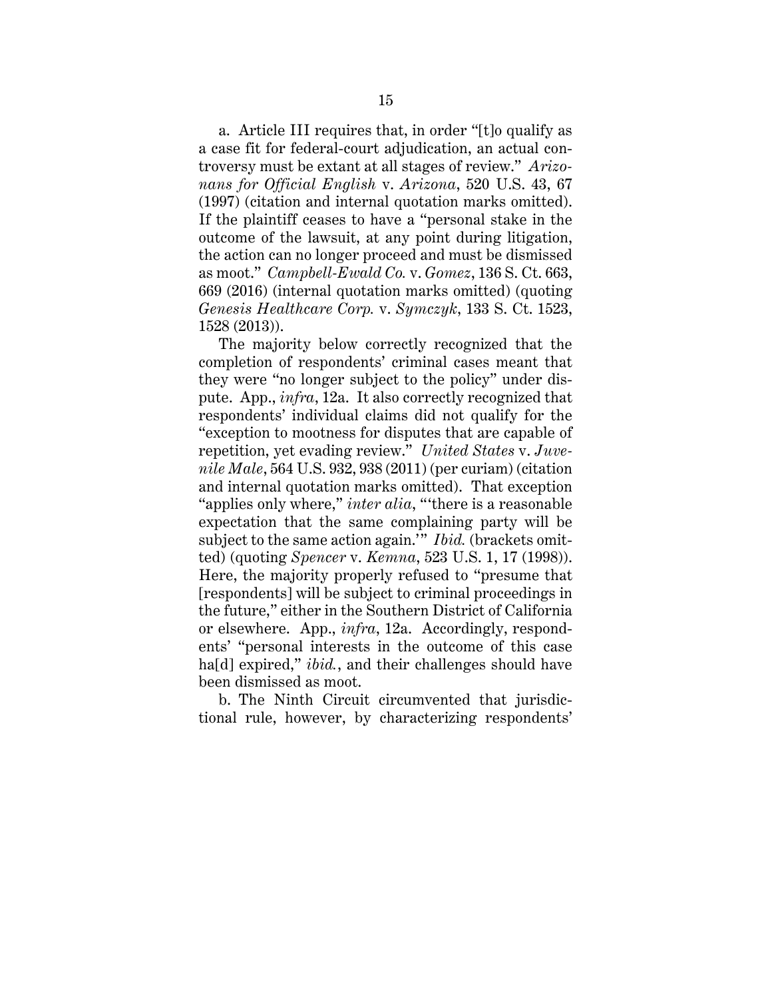a. Article III requires that, in order "[t]o qualify as a case fit for federal-court adjudication, an actual controversy must be extant at all stages of review." *Arizonans for Official English* v. *Arizona*, 520 U.S. 43, 67 (1997) (citation and internal quotation marks omitted). If the plaintiff ceases to have a "personal stake in the outcome of the lawsuit, at any point during litigation, the action can no longer proceed and must be dismissed as moot." *Campbell-Ewald Co.* v. *Gomez*, 136 S. Ct. 663, 669 (2016) (internal quotation marks omitted) (quoting *Genesis Healthcare Corp.* v. *Symczyk*, 133 S. Ct. 1523, 1528 (2013)).

The majority below correctly recognized that the completion of respondents' criminal cases meant that they were "no longer subject to the policy" under dispute. App., *infra*, 12a. It also correctly recognized that respondents' individual claims did not qualify for the "exception to mootness for disputes that are capable of repetition, yet evading review." *United States* v. *Juvenile Male*, 564 U.S. 932, 938 (2011) (per curiam) (citation and internal quotation marks omitted). That exception "applies only where," *inter alia*, "'there is a reasonable expectation that the same complaining party will be subject to the same action again.'" *Ibid.* (brackets omitted) (quoting *Spencer* v. *Kemna*, 523 U.S. 1, 17 (1998)). Here, the majority properly refused to "presume that [respondents] will be subject to criminal proceedings in the future," either in the Southern District of California or elsewhere. App., *infra*, 12a. Accordingly, respondents' "personal interests in the outcome of this case ha[d] expired," *ibid.*, and their challenges should have been dismissed as moot.

b. The Ninth Circuit circumvented that jurisdictional rule, however, by characterizing respondents'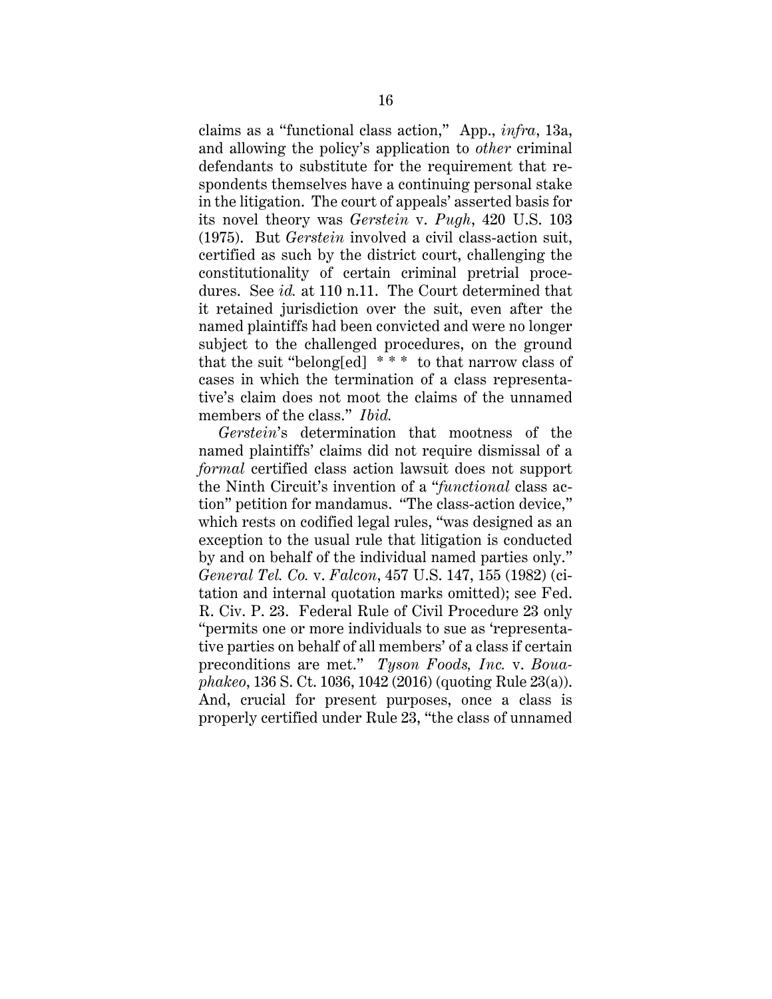claims as a "functional class action," App., *infra*, 13a, and allowing the policy's application to *other* criminal defendants to substitute for the requirement that respondents themselves have a continuing personal stake in the litigation. The court of appeals' asserted basis for its novel theory was *Gerstein* v. *Pugh*, 420 U.S. 103 (1975). But *Gerstein* involved a civil class-action suit, certified as such by the district court, challenging the constitutionality of certain criminal pretrial procedures. See *id.* at 110 n.11. The Court determined that it retained jurisdiction over the suit, even after the named plaintiffs had been convicted and were no longer subject to the challenged procedures, on the ground that the suit "belong[ed] \* \* \* to that narrow class of cases in which the termination of a class representative's claim does not moot the claims of the unnamed members of the class." *Ibid.*

*Gerstein*'s determination that mootness of the named plaintiffs' claims did not require dismissal of a *formal* certified class action lawsuit does not support the Ninth Circuit's invention of a "*functional* class action" petition for mandamus. "The class-action device," which rests on codified legal rules, "was designed as an exception to the usual rule that litigation is conducted by and on behalf of the individual named parties only." *General Tel. Co.* v. *Falcon*, 457 U.S. 147, 155 (1982) (citation and internal quotation marks omitted); see Fed. R. Civ. P. 23. Federal Rule of Civil Procedure 23 only "permits one or more individuals to sue as 'representative parties on behalf of all members' of a class if certain preconditions are met." *Tyson Foods, Inc.* v. *Bouaphakeo*, 136 S. Ct. 1036, 1042 (2016) (quoting Rule 23(a)). And, crucial for present purposes, once a class is properly certified under Rule 23, "the class of unnamed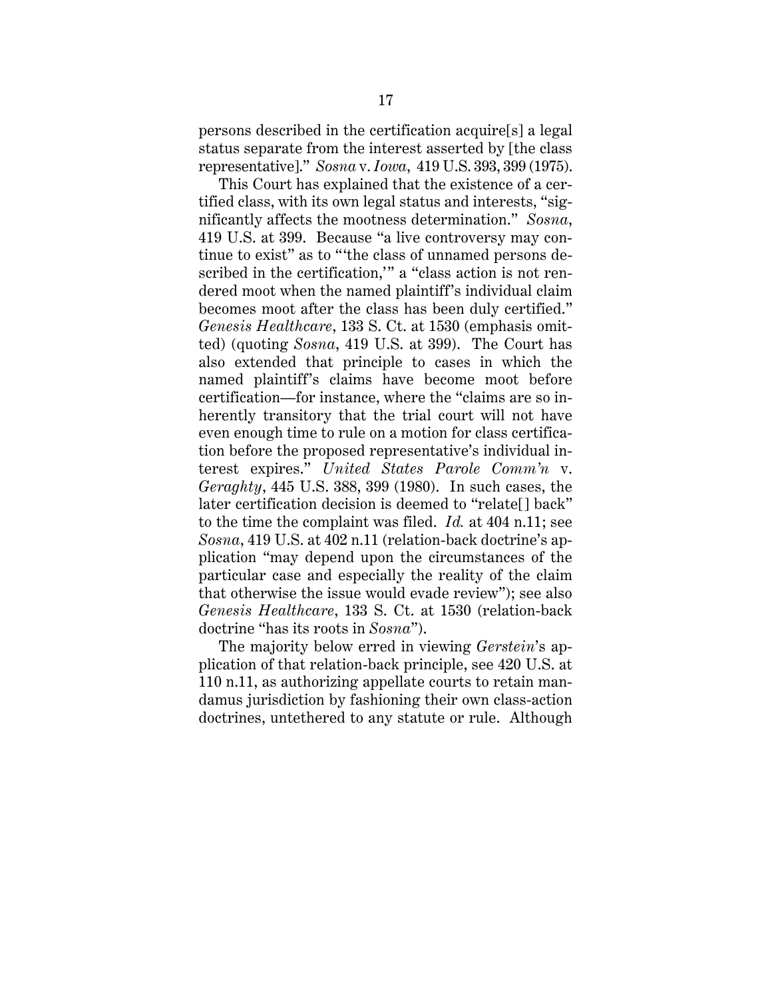persons described in the certification acquire[s] a legal status separate from the interest asserted by [the class representative]." *Sosna* v. *Iowa*, 419 U.S. 393, 399 (1975).

This Court has explained that the existence of a certified class, with its own legal status and interests, "significantly affects the mootness determination." *Sosna*, 419 U.S. at 399. Because "a live controversy may continue to exist" as to "'the class of unnamed persons described in the certification," a "class action is not rendered moot when the named plaintiff's individual claim becomes moot after the class has been duly certified." *Genesis Healthcare*, 133 S. Ct. at 1530 (emphasis omitted) (quoting *Sosna*, 419 U.S. at 399). The Court has also extended that principle to cases in which the named plaintiff's claims have become moot before certification—for instance, where the "claims are so inherently transitory that the trial court will not have even enough time to rule on a motion for class certification before the proposed representative's individual interest expires." *United States Parole Comm'n* v. *Geraghty*, 445 U.S. 388, 399 (1980). In such cases, the later certification decision is deemed to "relate[] back" to the time the complaint was filed. *Id.* at 404 n.11; see *Sosna*, 419 U.S. at 402 n.11 (relation-back doctrine's application "may depend upon the circumstances of the particular case and especially the reality of the claim that otherwise the issue would evade review"); see also *Genesis Healthcare*, 133 S. Ct. at 1530 (relation-back doctrine "has its roots in *Sosna*").

The majority below erred in viewing *Gerstein*'s application of that relation-back principle, see 420 U.S. at 110 n.11, as authorizing appellate courts to retain mandamus jurisdiction by fashioning their own class-action doctrines, untethered to any statute or rule. Although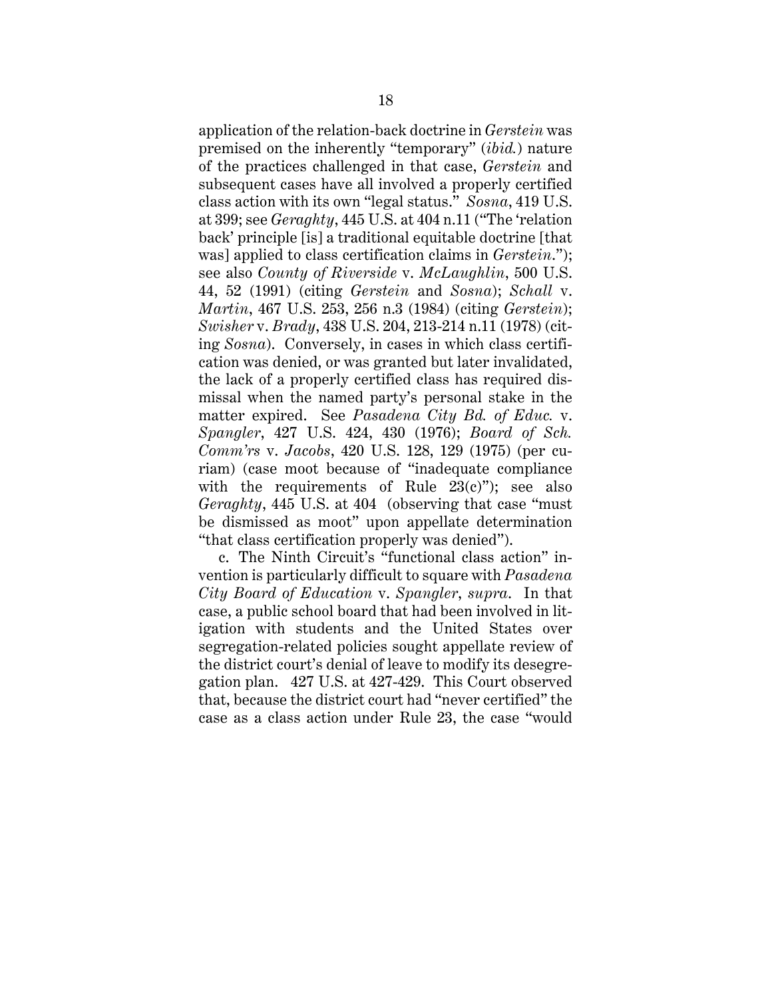application of the relation-back doctrine in *Gerstein* was premised on the inherently "temporary" (*ibid.*) nature of the practices challenged in that case, *Gerstein* and subsequent cases have all involved a properly certified class action with its own "legal status." *Sosna*, 419 U.S. at 399; see *Geraghty*, 445 U.S. at 404 n.11 ("The 'relation back' principle [is] a traditional equitable doctrine [that was] applied to class certification claims in *Gerstein*."); see also *County of Riverside* v. *McLaughlin*, 500 U.S. 44, 52 (1991) (citing *Gerstein* and *Sosna*); *Schall* v. *Martin*, 467 U.S. 253, 256 n.3 (1984) (citing *Gerstein*); *Swisher* v. *Brady*, 438 U.S. 204, 213-214 n.11 (1978) (citing *Sosna*). Conversely, in cases in which class certification was denied, or was granted but later invalidated, the lack of a properly certified class has required dismissal when the named party's personal stake in the matter expired. See *Pasadena City Bd. of Educ.* v. *Spangler*, 427 U.S. 424, 430 (1976); *Board of Sch. Comm'rs* v. *Jacobs*, 420 U.S. 128, 129 (1975) (per curiam) (case moot because of "inadequate compliance with the requirements of Rule  $23(c)$ "); see also *Geraghty*, 445 U.S. at 404 (observing that case "must be dismissed as moot" upon appellate determination "that class certification properly was denied").

c. The Ninth Circuit's "functional class action" invention is particularly difficult to square with *Pasadena City Board of Education* v. *Spangler*, *supra*. In that case, a public school board that had been involved in litigation with students and the United States over segregation-related policies sought appellate review of the district court's denial of leave to modify its desegregation plan. 427 U.S. at 427-429. This Court observed that, because the district court had "never certified" the case as a class action under Rule 23, the case "would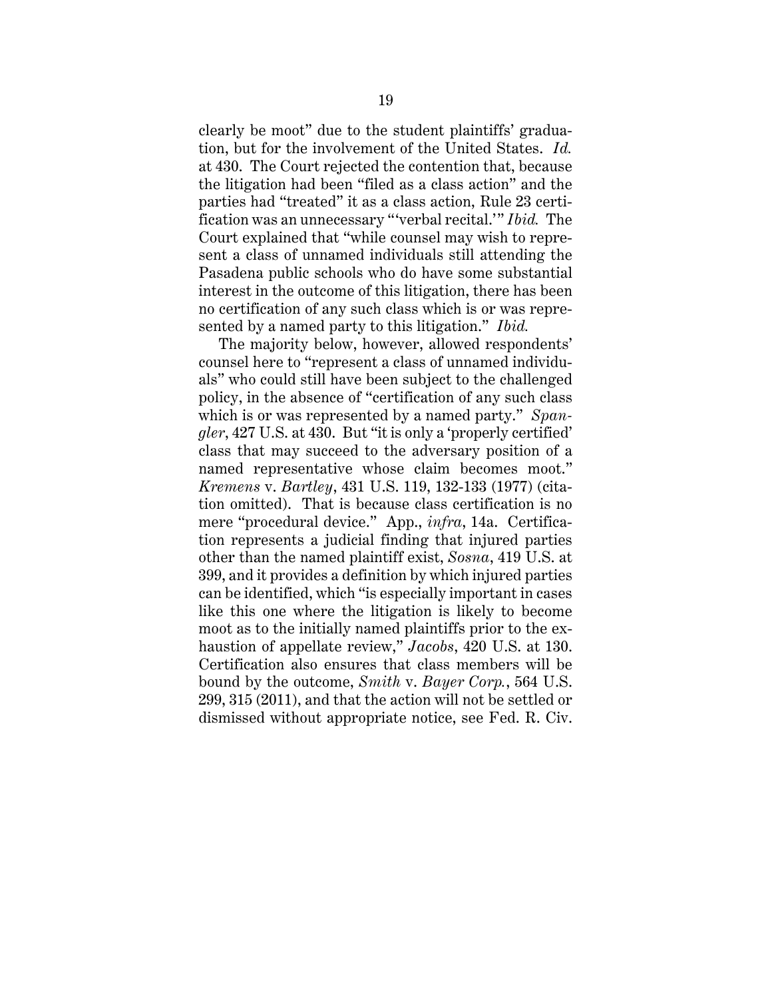clearly be moot" due to the student plaintiffs' graduation, but for the involvement of the United States. *Id.* at 430. The Court rejected the contention that, because the litigation had been "filed as a class action" and the parties had "treated" it as a class action, Rule 23 certification was an unnecessary "'verbal recital.'" *Ibid.* The Court explained that "while counsel may wish to represent a class of unnamed individuals still attending the Pasadena public schools who do have some substantial interest in the outcome of this litigation, there has been no certification of any such class which is or was represented by a named party to this litigation." *Ibid.*

The majority below, however, allowed respondents' counsel here to "represent a class of unnamed individuals" who could still have been subject to the challenged policy, in the absence of "certification of any such class which is or was represented by a named party." *Spangler*, 427 U.S. at 430. But "it is only a 'properly certified' class that may succeed to the adversary position of a named representative whose claim becomes moot." *Kremens* v. *Bartley*, 431 U.S. 119, 132-133 (1977) (citation omitted). That is because class certification is no mere "procedural device." App., *infra*, 14a. Certification represents a judicial finding that injured parties other than the named plaintiff exist, *Sosna*, 419 U.S. at 399, and it provides a definition by which injured parties can be identified, which "is especially important in cases like this one where the litigation is likely to become moot as to the initially named plaintiffs prior to the exhaustion of appellate review," *Jacobs*, 420 U.S. at 130. Certification also ensures that class members will be bound by the outcome, *Smith* v. *Bayer Corp.*, 564 U.S. 299, 315 (2011), and that the action will not be settled or dismissed without appropriate notice, see Fed. R. Civ.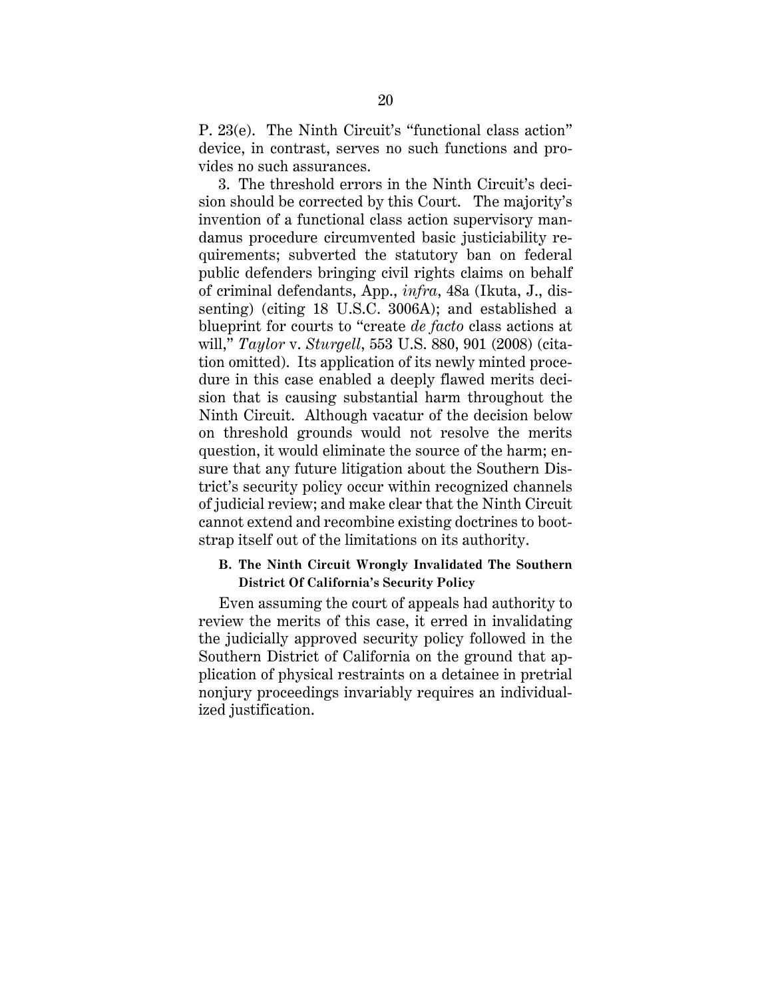P. 23(e). The Ninth Circuit's "functional class action" device, in contrast, serves no such functions and provides no such assurances.

3. The threshold errors in the Ninth Circuit's decision should be corrected by this Court. The majority's invention of a functional class action supervisory mandamus procedure circumvented basic justiciability requirements; subverted the statutory ban on federal public defenders bringing civil rights claims on behalf of criminal defendants, App., *infra*, 48a (Ikuta, J., dissenting) (citing 18 U.S.C. 3006A); and established a blueprint for courts to "create *de facto* class actions at will," *Taylor* v. *Sturgell*, 553 U.S. 880, 901 (2008) (citation omitted). Its application of its newly minted procedure in this case enabled a deeply flawed merits decision that is causing substantial harm throughout the Ninth Circuit. Although vacatur of the decision below on threshold grounds would not resolve the merits question, it would eliminate the source of the harm; ensure that any future litigation about the Southern District's security policy occur within recognized channels of judicial review; and make clear that the Ninth Circuit cannot extend and recombine existing doctrines to bootstrap itself out of the limitations on its authority.

### **B. The Ninth Circuit Wrongly Invalidated The Southern District Of California's Security Policy**

Even assuming the court of appeals had authority to review the merits of this case, it erred in invalidating the judicially approved security policy followed in the Southern District of California on the ground that application of physical restraints on a detainee in pretrial nonjury proceedings invariably requires an individualized justification.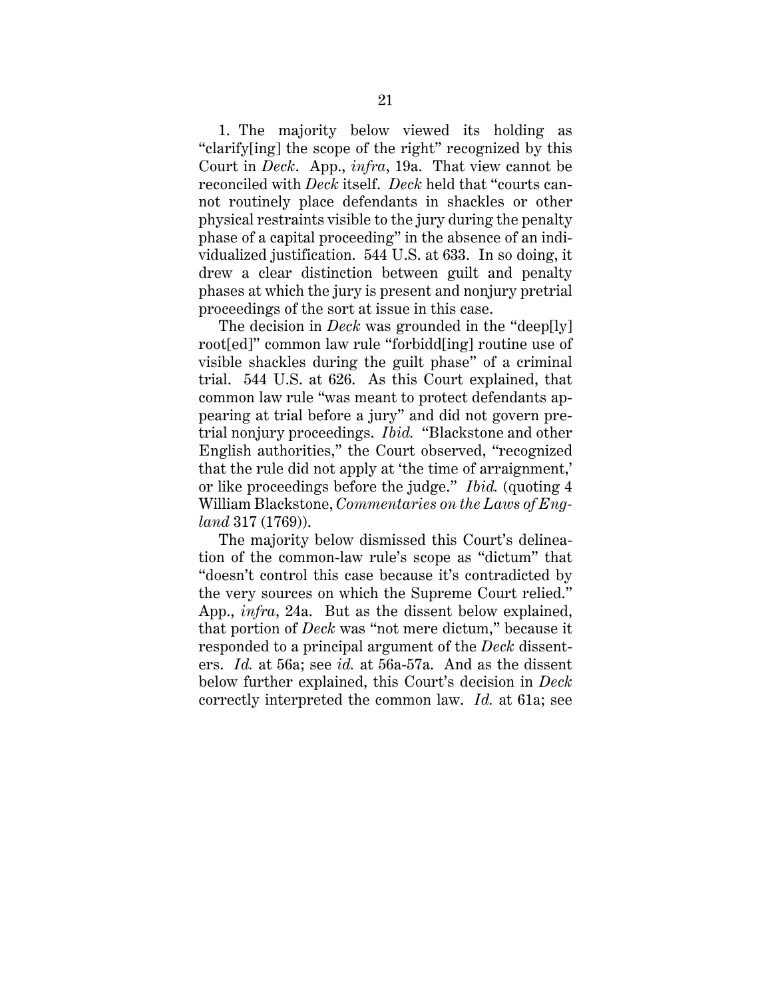1. The majority below viewed its holding as "clarify[ing] the scope of the right" recognized by this Court in *Deck*. App., *infra*, 19a. That view cannot be reconciled with *Deck* itself. *Deck* held that "courts cannot routinely place defendants in shackles or other physical restraints visible to the jury during the penalty phase of a capital proceeding" in the absence of an individualized justification. 544 U.S. at 633. In so doing, it drew a clear distinction between guilt and penalty phases at which the jury is present and nonjury pretrial proceedings of the sort at issue in this case.

The decision in *Deck* was grounded in the "deep[ly] root[ed]" common law rule "forbidd[ing] routine use of visible shackles during the guilt phase" of a criminal trial. 544 U.S. at 626. As this Court explained, that common law rule "was meant to protect defendants appearing at trial before a jury" and did not govern pretrial nonjury proceedings. *Ibid.* "Blackstone and other English authorities," the Court observed, "recognized that the rule did not apply at 'the time of arraignment,' or like proceedings before the judge." *Ibid.* (quoting 4 William Blackstone, *Commentaries on the Laws of England* 317 (1769)).

The majority below dismissed this Court's delineation of the common-law rule's scope as "dictum" that "doesn't control this case because it's contradicted by the very sources on which the Supreme Court relied." App., *infra*, 24a. But as the dissent below explained, that portion of *Deck* was "not mere dictum," because it responded to a principal argument of the *Deck* dissenters. *Id.* at 56a; see *id.* at 56a-57a. And as the dissent below further explained, this Court's decision in *Deck* correctly interpreted the common law. *Id.* at 61a; see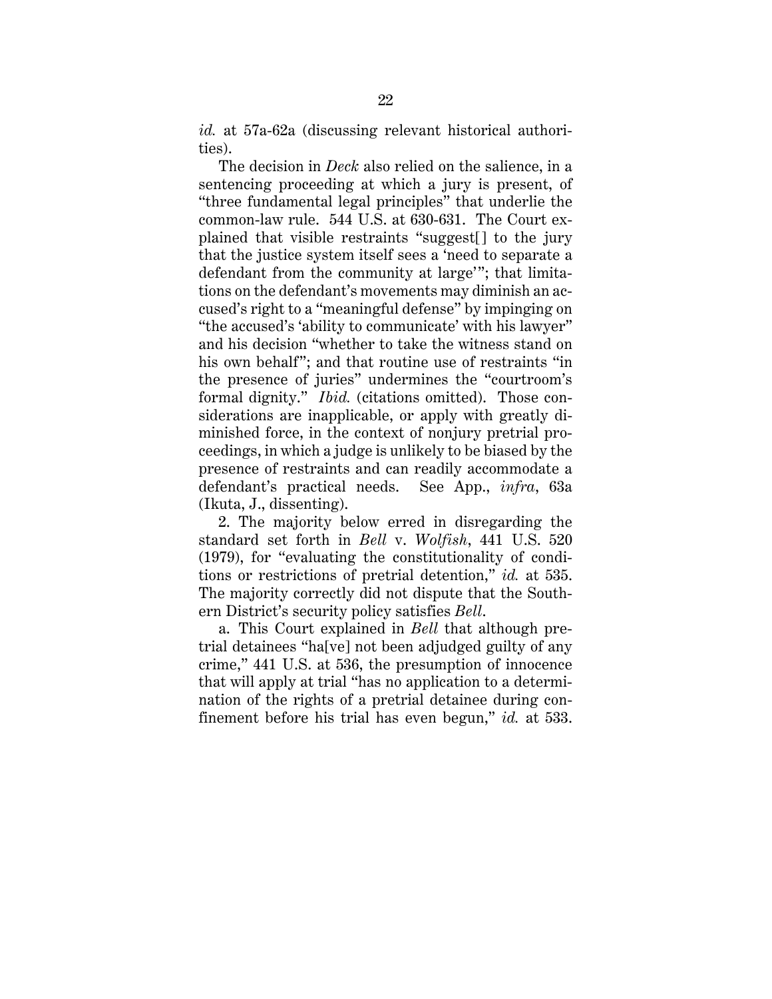*id.* at 57a-62a (discussing relevant historical authorities).

The decision in *Deck* also relied on the salience, in a sentencing proceeding at which a jury is present, of "three fundamental legal principles" that underlie the common-law rule. 544 U.S. at 630-631. The Court explained that visible restraints "suggest[] to the jury that the justice system itself sees a 'need to separate a defendant from the community at large'"; that limitations on the defendant's movements may diminish an accused's right to a "meaningful defense" by impinging on "the accused's 'ability to communicate' with his lawyer" and his decision "whether to take the witness stand on his own behalf"; and that routine use of restraints "in the presence of juries" undermines the "courtroom's formal dignity." *Ibid.* (citations omitted). Those considerations are inapplicable, or apply with greatly diminished force, in the context of nonjury pretrial proceedings, in which a judge is unlikely to be biased by the presence of restraints and can readily accommodate a defendant's practical needs. See App., *infra*, 63a (Ikuta, J., dissenting).

2. The majority below erred in disregarding the standard set forth in *Bell* v. *Wolfish*, 441 U.S. 520 (1979), for "evaluating the constitutionality of conditions or restrictions of pretrial detention," *id.* at 535. The majority correctly did not dispute that the Southern District's security policy satisfies *Bell*.

a. This Court explained in *Bell* that although pretrial detainees "ha[ve] not been adjudged guilty of any crime," 441 U.S. at 536, the presumption of innocence that will apply at trial "has no application to a determination of the rights of a pretrial detainee during confinement before his trial has even begun," *id.* at 533.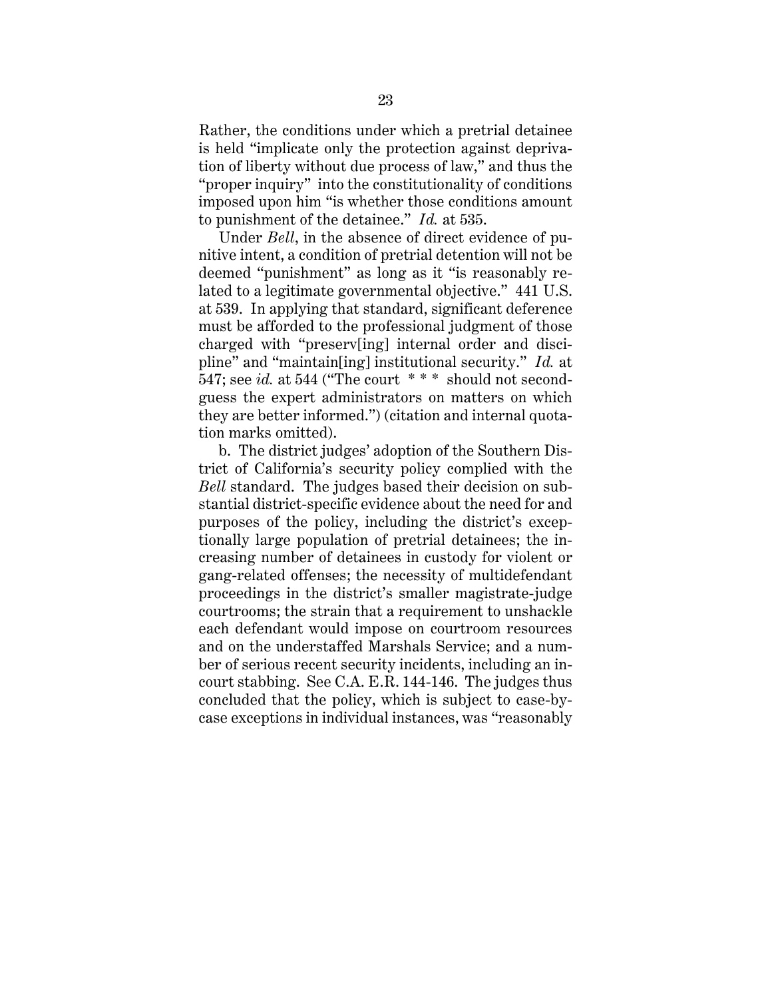Rather, the conditions under which a pretrial detainee is held "implicate only the protection against deprivation of liberty without due process of law," and thus the "proper inquiry" into the constitutionality of conditions imposed upon him "is whether those conditions amount to punishment of the detainee." *Id.* at 535.

Under *Bell*, in the absence of direct evidence of punitive intent, a condition of pretrial detention will not be deemed "punishment" as long as it "is reasonably related to a legitimate governmental objective." 441 U.S. at 539. In applying that standard, significant deference must be afforded to the professional judgment of those charged with "preserv[ing] internal order and discipline" and "maintain[ing] institutional security." *Id.* at 547; see *id.* at 544 ("The court \* \* \* should not secondguess the expert administrators on matters on which they are better informed.") (citation and internal quotation marks omitted).

b. The district judges' adoption of the Southern District of California's security policy complied with the *Bell* standard. The judges based their decision on substantial district-specific evidence about the need for and purposes of the policy, including the district's exceptionally large population of pretrial detainees; the increasing number of detainees in custody for violent or gang-related offenses; the necessity of multidefendant proceedings in the district's smaller magistrate-judge courtrooms; the strain that a requirement to unshackle each defendant would impose on courtroom resources and on the understaffed Marshals Service; and a number of serious recent security incidents, including an incourt stabbing. See C.A. E.R. 144-146. The judges thus concluded that the policy, which is subject to case-bycase exceptions in individual instances, was "reasonably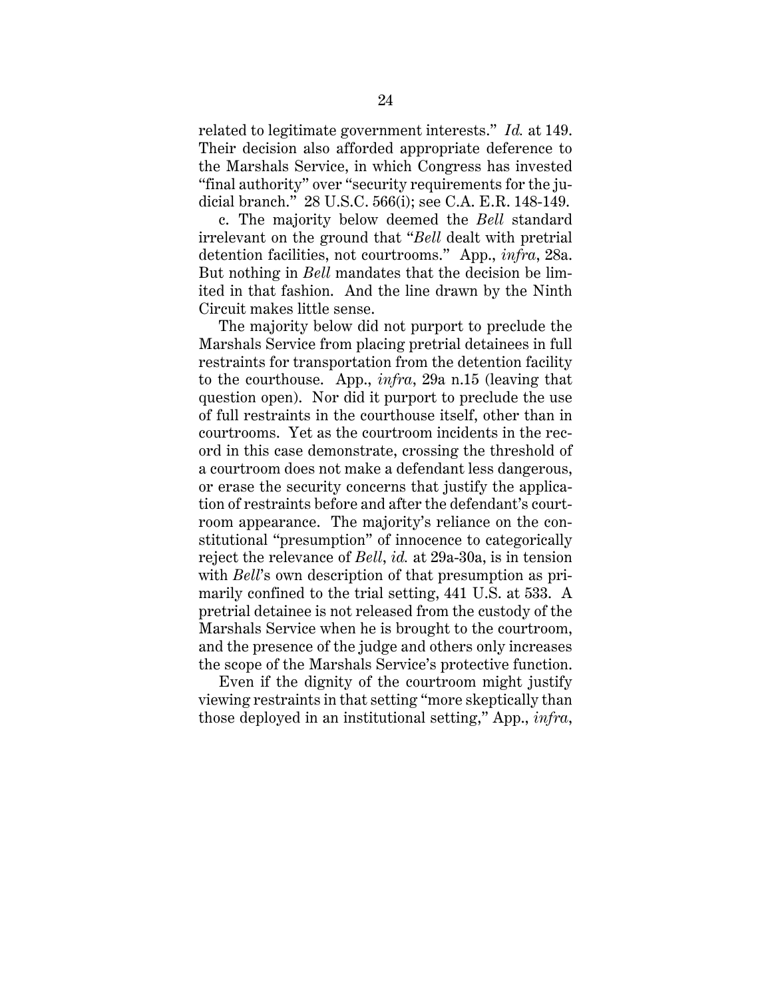related to legitimate government interests." *Id.* at 149. Their decision also afforded appropriate deference to the Marshals Service, in which Congress has invested "final authority" over "security requirements for the judicial branch." 28 U.S.C. 566(i); see C.A. E.R. 148-149.

c. The majority below deemed the *Bell* standard irrelevant on the ground that "*Bell* dealt with pretrial detention facilities, not courtrooms." App., *infra*, 28a. But nothing in *Bell* mandates that the decision be limited in that fashion. And the line drawn by the Ninth Circuit makes little sense.

The majority below did not purport to preclude the Marshals Service from placing pretrial detainees in full restraints for transportation from the detention facility to the courthouse. App., *infra*, 29a n.15 (leaving that question open). Nor did it purport to preclude the use of full restraints in the courthouse itself, other than in courtrooms. Yet as the courtroom incidents in the record in this case demonstrate, crossing the threshold of a courtroom does not make a defendant less dangerous, or erase the security concerns that justify the application of restraints before and after the defendant's courtroom appearance. The majority's reliance on the constitutional "presumption" of innocence to categorically reject the relevance of *Bell*, *id.* at 29a-30a, is in tension with *Bell*'s own description of that presumption as primarily confined to the trial setting, 441 U.S. at 533. A pretrial detainee is not released from the custody of the Marshals Service when he is brought to the courtroom, and the presence of the judge and others only increases the scope of the Marshals Service's protective function.

Even if the dignity of the courtroom might justify viewing restraints in that setting "more skeptically than those deployed in an institutional setting," App., *infra*,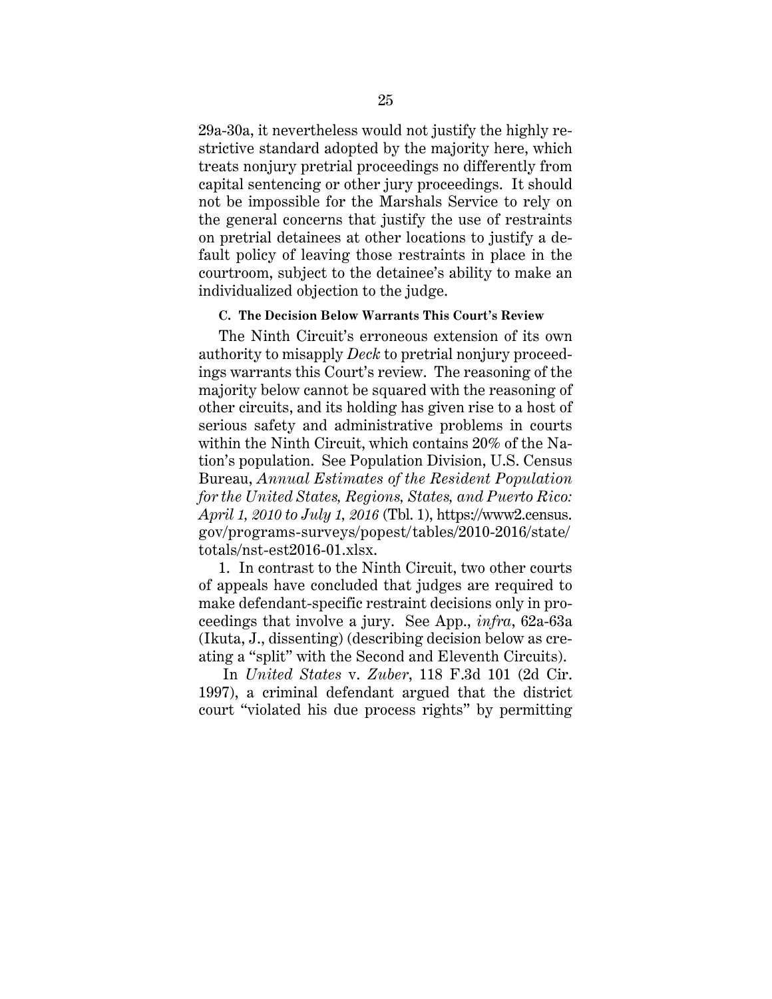29a-30a, it nevertheless would not justify the highly restrictive standard adopted by the majority here, which treats nonjury pretrial proceedings no differently from capital sentencing or other jury proceedings. It should not be impossible for the Marshals Service to rely on the general concerns that justify the use of restraints on pretrial detainees at other locations to justify a default policy of leaving those restraints in place in the courtroom, subject to the detainee's ability to make an individualized objection to the judge.

#### **C. The Decision Below Warrants This Court's Review**

The Ninth Circuit's erroneous extension of its own authority to misapply *Deck* to pretrial nonjury proceedings warrants this Court's review. The reasoning of the majority below cannot be squared with the reasoning of other circuits, and its holding has given rise to a host of serious safety and administrative problems in courts within the Ninth Circuit, which contains 20% of the Nation's population. See Population Division, U.S. Census Bureau, *Annual Estimates of the Resident Population for the United States, Regions, States, and Puerto Rico: April 1, 2010 to July 1, 2016* (Tbl. 1), https://www2.census. gov/programs-surveys/popest/tables/2010-2016/state/ totals/nst-est2016-01.xlsx.

1. In contrast to the Ninth Circuit, two other courts of appeals have concluded that judges are required to make defendant-specific restraint decisions only in proceedings that involve a jury. See App., *infra*, 62a-63a (Ikuta, J., dissenting) (describing decision below as creating a "split" with the Second and Eleventh Circuits).

In *United States* v. *Zuber*, 118 F.3d 101 (2d Cir. 1997), a criminal defendant argued that the district court "violated his due process rights" by permitting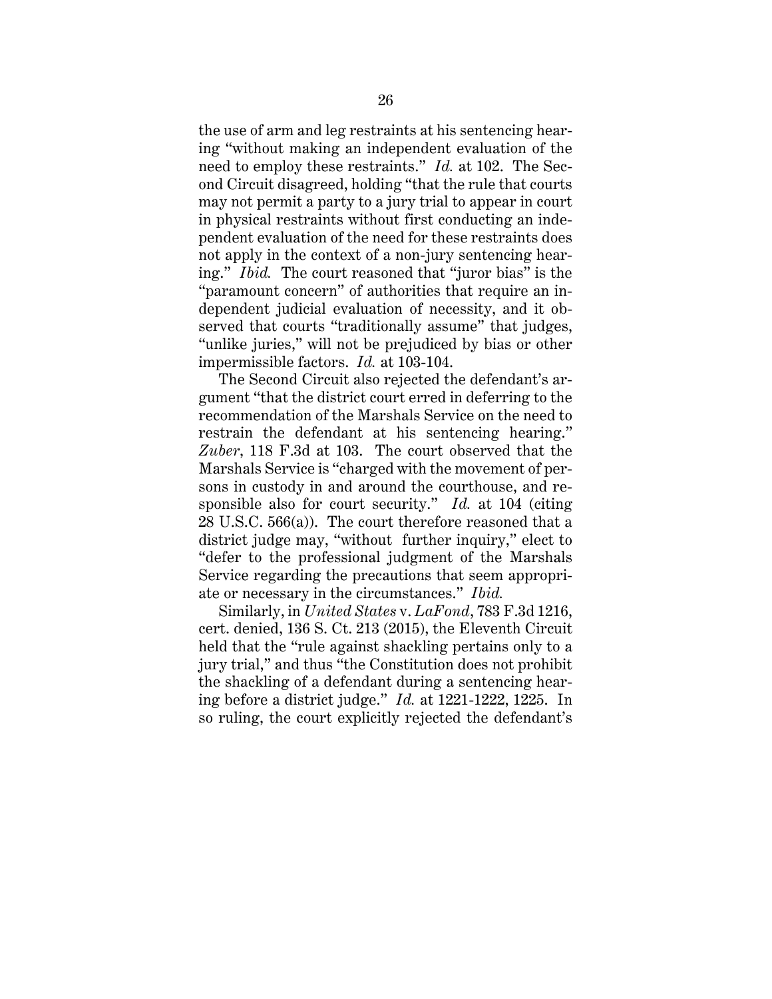the use of arm and leg restraints at his sentencing hearing "without making an independent evaluation of the need to employ these restraints." *Id.* at 102. The Second Circuit disagreed, holding "that the rule that courts may not permit a party to a jury trial to appear in court in physical restraints without first conducting an independent evaluation of the need for these restraints does not apply in the context of a non-jury sentencing hearing." *Ibid.* The court reasoned that "juror bias" is the "paramount concern" of authorities that require an independent judicial evaluation of necessity, and it observed that courts "traditionally assume" that judges, "unlike juries," will not be prejudiced by bias or other impermissible factors. *Id.* at 103-104.

The Second Circuit also rejected the defendant's argument "that the district court erred in deferring to the recommendation of the Marshals Service on the need to restrain the defendant at his sentencing hearing." *Zuber*, 118 F.3d at 103. The court observed that the Marshals Service is "charged with the movement of persons in custody in and around the courthouse, and responsible also for court security." *Id.* at 104 (citing 28 U.S.C. 566(a)). The court therefore reasoned that a district judge may, "without further inquiry," elect to "defer to the professional judgment of the Marshals Service regarding the precautions that seem appropriate or necessary in the circumstances." *Ibid.*

Similarly, in *United States* v. *LaFond*, 783 F.3d 1216, cert. denied, 136 S. Ct. 213 (2015), the Eleventh Circuit held that the "rule against shackling pertains only to a jury trial," and thus "the Constitution does not prohibit the shackling of a defendant during a sentencing hearing before a district judge." *Id.* at 1221-1222, 1225. In so ruling, the court explicitly rejected the defendant's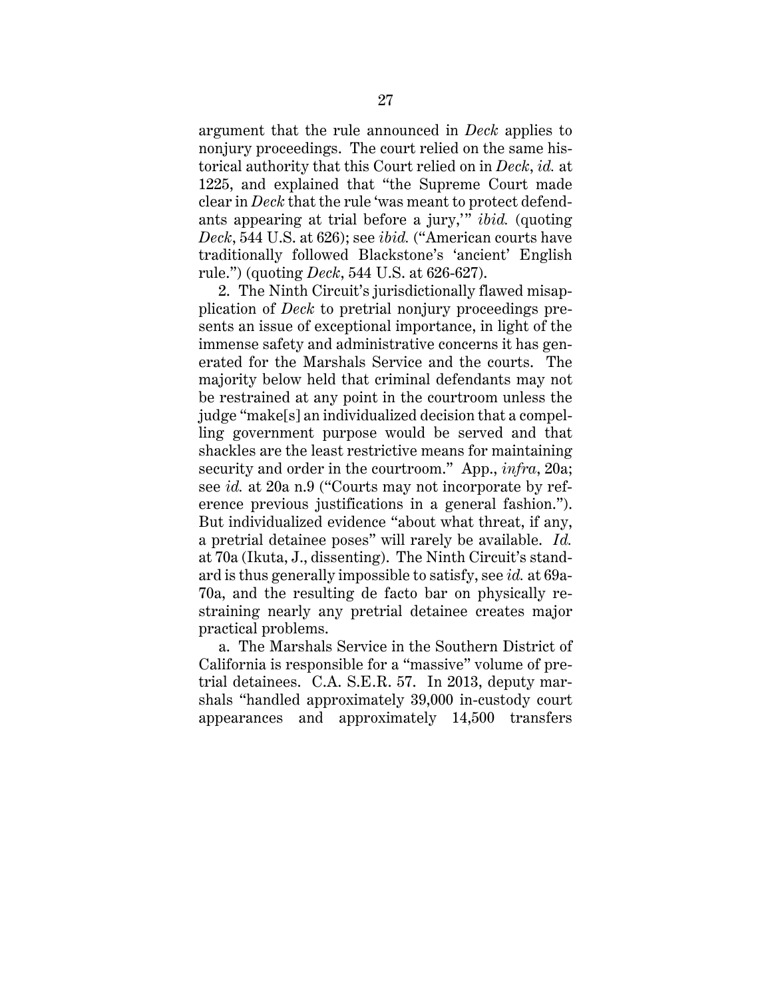argument that the rule announced in *Deck* applies to nonjury proceedings. The court relied on the same historical authority that this Court relied on in *Deck*, *id.* at 1225, and explained that "the Supreme Court made clear in *Deck* that the rule 'was meant to protect defendants appearing at trial before a jury,'" *ibid.* (quoting *Deck*, 544 U.S. at 626); see *ibid.* ("American courts have traditionally followed Blackstone's 'ancient' English rule.") (quoting *Deck*, 544 U.S. at 626-627).

2. The Ninth Circuit's jurisdictionally flawed misapplication of *Deck* to pretrial nonjury proceedings presents an issue of exceptional importance, in light of the immense safety and administrative concerns it has generated for the Marshals Service and the courts. The majority below held that criminal defendants may not be restrained at any point in the courtroom unless the judge "make[s] an individualized decision that a compelling government purpose would be served and that shackles are the least restrictive means for maintaining security and order in the courtroom." App., *infra*, 20a; see *id.* at 20a n.9 ("Courts may not incorporate by reference previous justifications in a general fashion."). But individualized evidence "about what threat, if any, a pretrial detainee poses" will rarely be available. *Id.* at 70a (Ikuta, J., dissenting). The Ninth Circuit's standard is thus generally impossible to satisfy, see *id.* at 69a-70a, and the resulting de facto bar on physically restraining nearly any pretrial detainee creates major practical problems.

a. The Marshals Service in the Southern District of California is responsible for a "massive" volume of pretrial detainees. C.A. S.E.R. 57. In 2013, deputy marshals "handled approximately 39,000 in-custody court appearances and approximately 14,500 transfers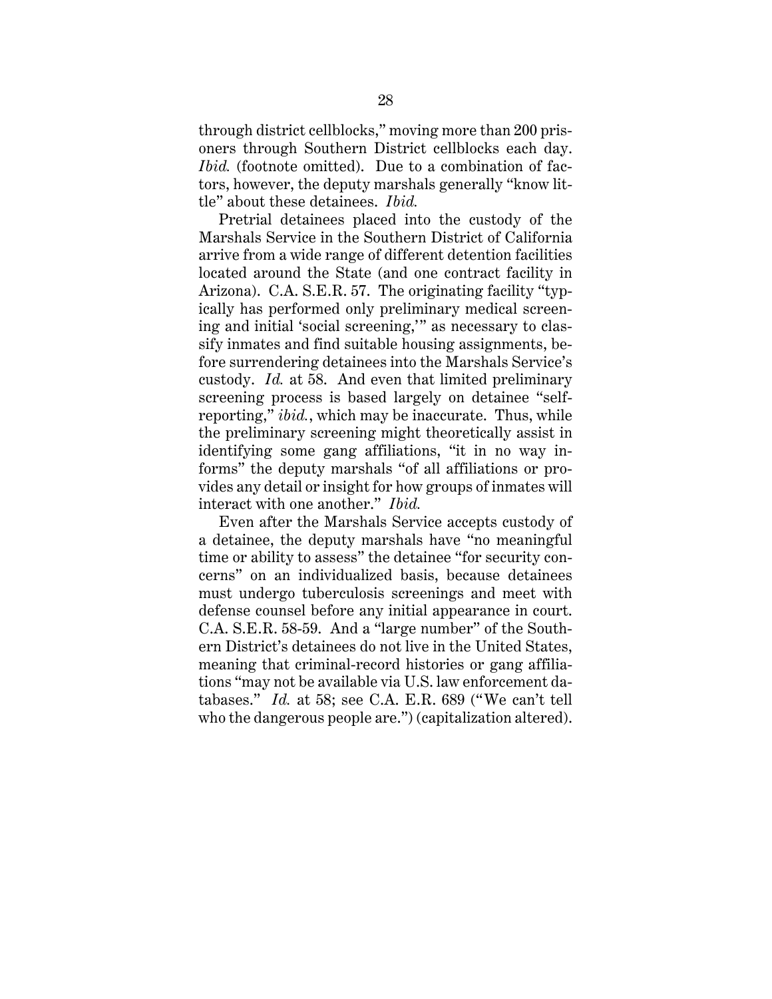through district cellblocks," moving more than 200 prisoners through Southern District cellblocks each day. *Ibid.* (footnote omitted). Due to a combination of factors, however, the deputy marshals generally "know little" about these detainees. *Ibid.*

Pretrial detainees placed into the custody of the Marshals Service in the Southern District of California arrive from a wide range of different detention facilities located around the State (and one contract facility in Arizona). C.A. S.E.R. 57. The originating facility "typically has performed only preliminary medical screening and initial 'social screening,'" as necessary to classify inmates and find suitable housing assignments, before surrendering detainees into the Marshals Service's custody. *Id.* at 58. And even that limited preliminary screening process is based largely on detainee "selfreporting," *ibid.*, which may be inaccurate. Thus, while the preliminary screening might theoretically assist in identifying some gang affiliations, "it in no way informs" the deputy marshals "of all affiliations or provides any detail or insight for how groups of inmates will interact with one another." *Ibid.*

Even after the Marshals Service accepts custody of a detainee, the deputy marshals have "no meaningful time or ability to assess" the detainee "for security concerns" on an individualized basis, because detainees must undergo tuberculosis screenings and meet with defense counsel before any initial appearance in court. C.A. S.E.R. 58-59. And a "large number" of the Southern District's detainees do not live in the United States, meaning that criminal-record histories or gang affiliations "may not be available via U.S. law enforcement databases." *Id.* at 58; see C.A. E.R. 689 ("We can't tell who the dangerous people are.") (capitalization altered).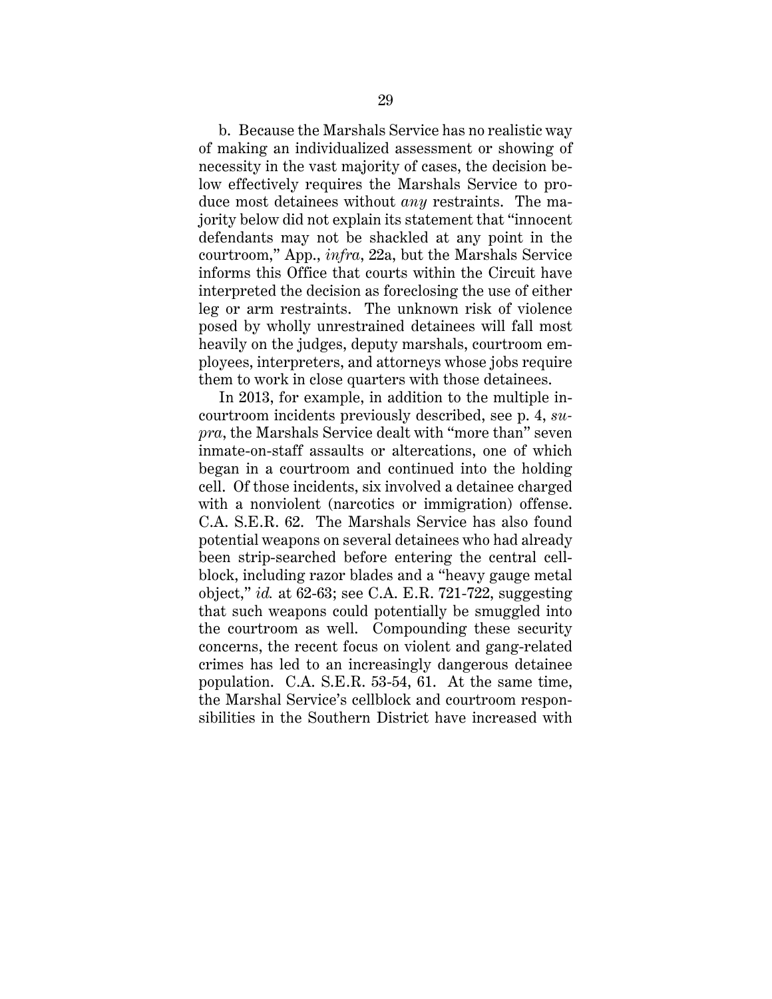b. Because the Marshals Service has no realistic way of making an individualized assessment or showing of necessity in the vast majority of cases, the decision below effectively requires the Marshals Service to produce most detainees without *any* restraints. The majority below did not explain its statement that "innocent defendants may not be shackled at any point in the courtroom," App., *infra*, 22a, but the Marshals Service informs this Office that courts within the Circuit have interpreted the decision as foreclosing the use of either leg or arm restraints. The unknown risk of violence posed by wholly unrestrained detainees will fall most heavily on the judges, deputy marshals, courtroom employees, interpreters, and attorneys whose jobs require them to work in close quarters with those detainees.

In 2013, for example, in addition to the multiple incourtroom incidents previously described, see p. 4, *supra*, the Marshals Service dealt with "more than" seven inmate-on-staff assaults or altercations, one of which began in a courtroom and continued into the holding cell. Of those incidents, six involved a detainee charged with a nonviolent (narcotics or immigration) offense. C.A. S.E.R. 62. The Marshals Service has also found potential weapons on several detainees who had already been strip-searched before entering the central cellblock, including razor blades and a "heavy gauge metal object," *id.* at 62-63; see C.A. E.R. 721-722, suggesting that such weapons could potentially be smuggled into the courtroom as well. Compounding these security concerns, the recent focus on violent and gang-related crimes has led to an increasingly dangerous detainee population. C.A. S.E.R. 53-54, 61. At the same time, the Marshal Service's cellblock and courtroom responsibilities in the Southern District have increased with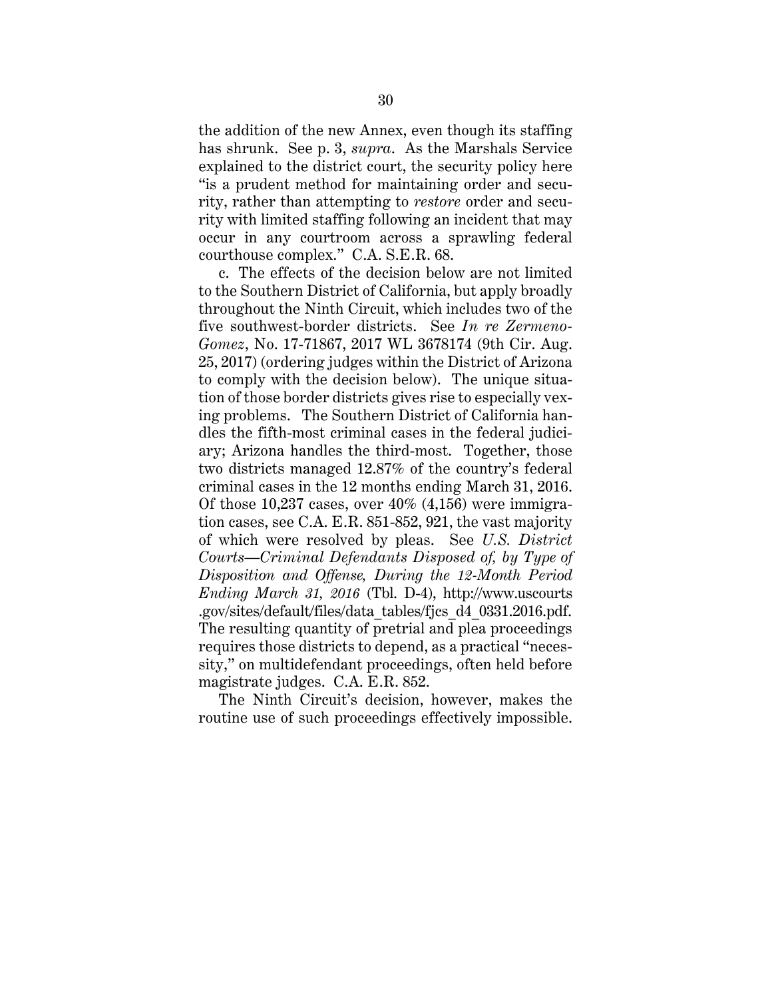the addition of the new Annex, even though its staffing has shrunk. See p. 3, *supra*. As the Marshals Service explained to the district court, the security policy here "is a prudent method for maintaining order and security, rather than attempting to *restore* order and security with limited staffing following an incident that may occur in any courtroom across a sprawling federal courthouse complex." C.A. S.E.R. 68.

c. The effects of the decision below are not limited to the Southern District of California, but apply broadly throughout the Ninth Circuit, which includes two of the five southwest-border districts. See *In re Zermeno-Gomez*, No. 17-71867, 2017 WL 3678174 (9th Cir. Aug. 25, 2017) (ordering judges within the District of Arizona to comply with the decision below). The unique situation of those border districts gives rise to especially vexing problems. The Southern District of California handles the fifth-most criminal cases in the federal judiciary; Arizona handles the third-most. Together, those two districts managed 12.87% of the country's federal criminal cases in the 12 months ending March 31, 2016. Of those  $10,237$  cases, over  $40\%$   $(4,156)$  were immigration cases, see C.A. E.R. 851-852, 921, the vast majority of which were resolved by pleas. See *U.S. District Courts—Criminal Defendants Disposed of, by Type of Disposition and Offense, During the 12-Month Period Ending March 31, 2016* (Tbl. D-4), http://www.uscourts .gov/sites/default/files/data\_tables/fjcs\_d4\_0331.2016.pdf. The resulting quantity of pretrial and plea proceedings requires those districts to depend, as a practical "necessity," on multidefendant proceedings, often held before magistrate judges. C.A. E.R. 852.

The Ninth Circuit's decision, however, makes the routine use of such proceedings effectively impossible.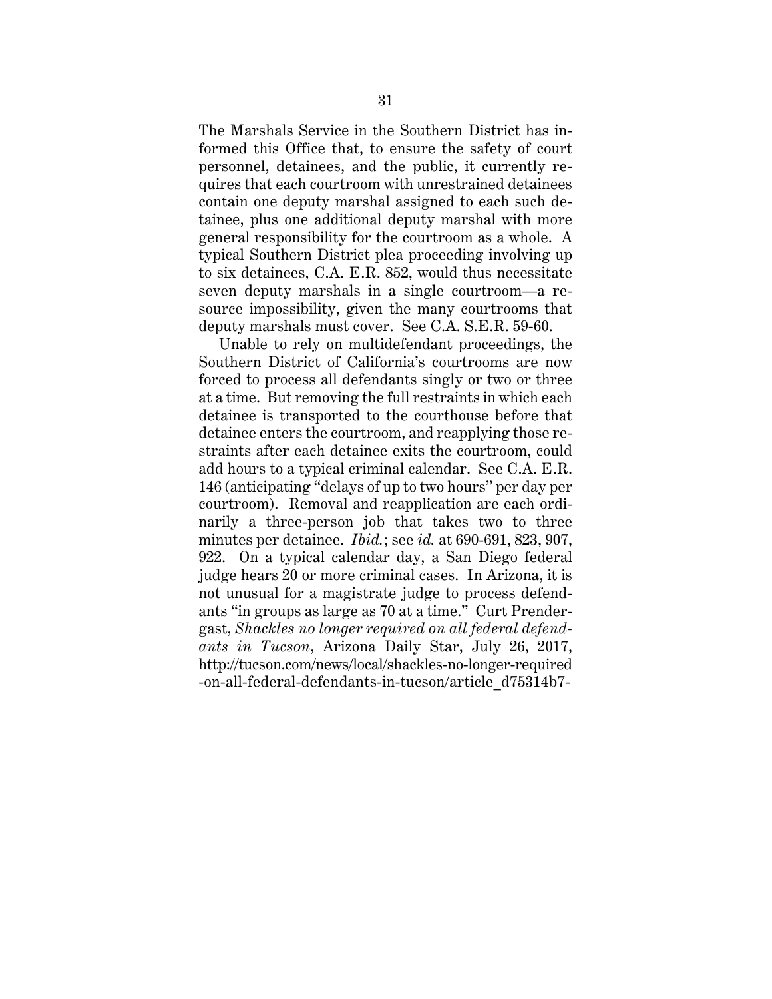The Marshals Service in the Southern District has informed this Office that, to ensure the safety of court personnel, detainees, and the public, it currently requires that each courtroom with unrestrained detainees contain one deputy marshal assigned to each such detainee, plus one additional deputy marshal with more general responsibility for the courtroom as a whole. A typical Southern District plea proceeding involving up to six detainees, C.A. E.R. 852, would thus necessitate seven deputy marshals in a single courtroom—a resource impossibility, given the many courtrooms that deputy marshals must cover. See C.A. S.E.R. 59-60.

Unable to rely on multidefendant proceedings, the Southern District of California's courtrooms are now forced to process all defendants singly or two or three at a time. But removing the full restraints in which each detainee is transported to the courthouse before that detainee enters the courtroom, and reapplying those restraints after each detainee exits the courtroom, could add hours to a typical criminal calendar. See C.A. E.R. 146 (anticipating "delays of up to two hours" per day per courtroom). Removal and reapplication are each ordinarily a three-person job that takes two to three minutes per detainee. *Ibid.*; see *id.* at 690-691, 823, 907, 922. On a typical calendar day, a San Diego federal judge hears 20 or more criminal cases. In Arizona, it is not unusual for a magistrate judge to process defendants "in groups as large as 70 at a time." Curt Prendergast, *Shackles no longer required on all federal defendants in Tucson*, Arizona Daily Star, July 26, 2017, http://tucson.com/news/local/shackles-no-longer-required -on-all-federal-defendants-in-tucson/article\_d75314b7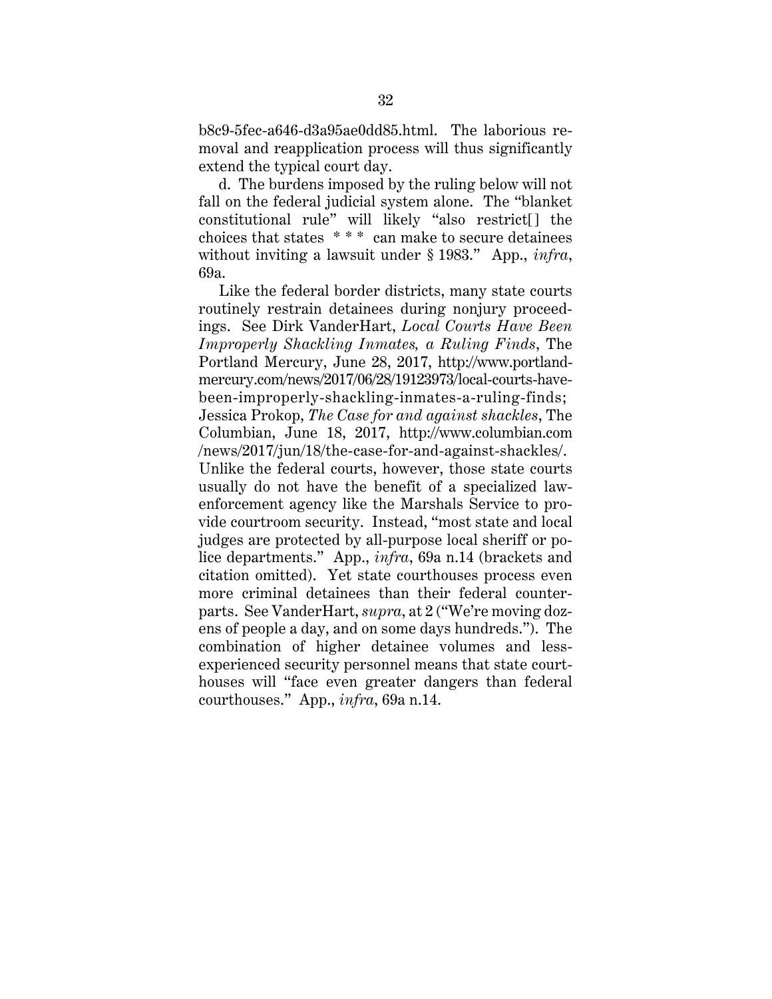b8c9-5fec-a646-d3a95ae0dd85.html. The laborious removal and reapplication process will thus significantly extend the typical court day.

d. The burdens imposed by the ruling below will not fall on the federal judicial system alone. The "blanket constitutional rule" will likely "also restrict[] the choices that states \* \* \* can make to secure detainees without inviting a lawsuit under § 1983." App., *infra*, 69a.

Like the federal border districts, many state courts routinely restrain detainees during nonjury proceedings. See Dirk VanderHart, *Local Courts Have Been Improperly Shackling Inmates, a Ruling Finds*, The Portland Mercury, June 28, 2017, http://www.portlandmercury.com/news/2017/06/28/19123973/local-courts-havebeen-improperly-shackling-inmates-a-ruling-finds; Jessica Prokop, *The Case for and against shackles*, The Columbian, June 18, 2017, http://www.columbian.com /news/2017/jun/18/the-case-for-and-against-shackles/. Unlike the federal courts, however, those state courts usually do not have the benefit of a specialized lawenforcement agency like the Marshals Service to provide courtroom security. Instead, "most state and local judges are protected by all-purpose local sheriff or police departments." App., *infra*, 69a n.14 (brackets and citation omitted). Yet state courthouses process even more criminal detainees than their federal counterparts. See VanderHart, *supra*, at 2 ("We're moving dozens of people a day, and on some days hundreds."). The combination of higher detainee volumes and lessexperienced security personnel means that state courthouses will "face even greater dangers than federal courthouses." App., *infra*, 69a n.14.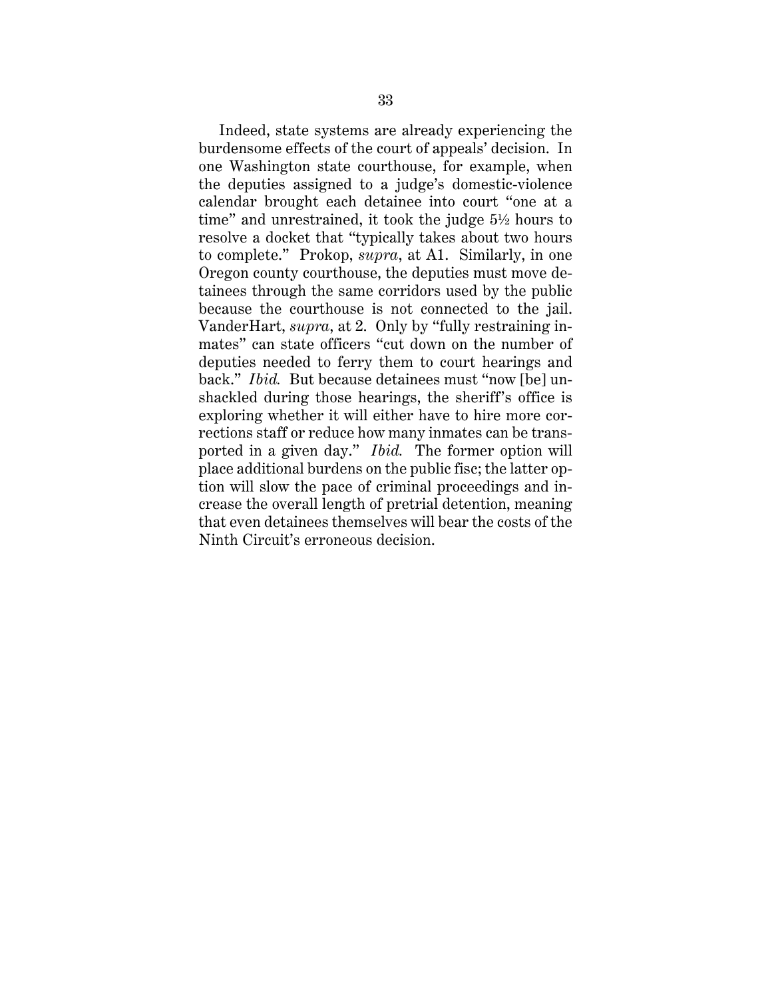Indeed, state systems are already experiencing the burdensome effects of the court of appeals' decision. In one Washington state courthouse, for example, when the deputies assigned to a judge's domestic-violence calendar brought each detainee into court "one at a time" and unrestrained, it took the judge 5½ hours to resolve a docket that "typically takes about two hours to complete." Prokop, *supra*, at A1. Similarly, in one Oregon county courthouse, the deputies must move detainees through the same corridors used by the public because the courthouse is not connected to the jail. VanderHart, *supra*, at 2. Only by "fully restraining inmates" can state officers "cut down on the number of deputies needed to ferry them to court hearings and back." *Ibid.* But because detainees must "now [be] unshackled during those hearings, the sheriff's office is exploring whether it will either have to hire more corrections staff or reduce how many inmates can be transported in a given day." *Ibid.* The former option will place additional burdens on the public fisc; the latter option will slow the pace of criminal proceedings and increase the overall length of pretrial detention, meaning that even detainees themselves will bear the costs of the Ninth Circuit's erroneous decision.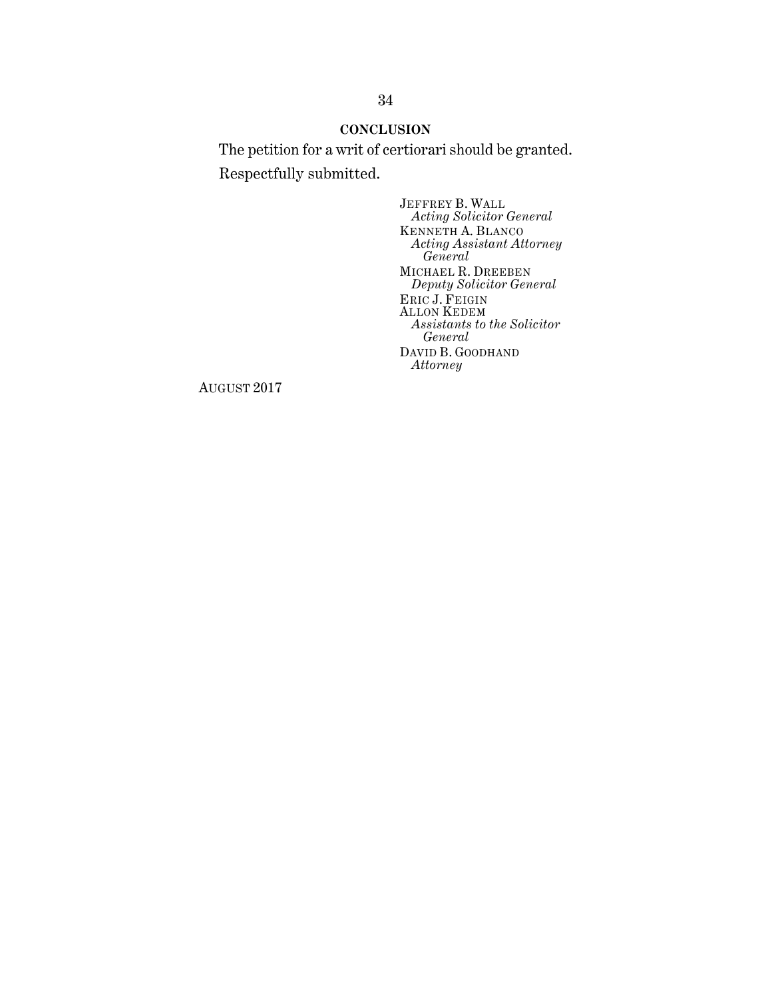## **CONCLUSION**

The petition for a writ of certiorari should be granted. Respectfully submitted.

> JEFFREY B. WALL *Acting Solicitor General* KENNETH A. BLANCO *Acting Assistant Attorney General* MICHAEL R. DREEBEN *Deputy Solicitor General* ERIC J. FEIGIN ALLON KEDEM *Assistants to the Solicitor General* DAVID B. GOODHAND *Attorney*

AUGUST 2017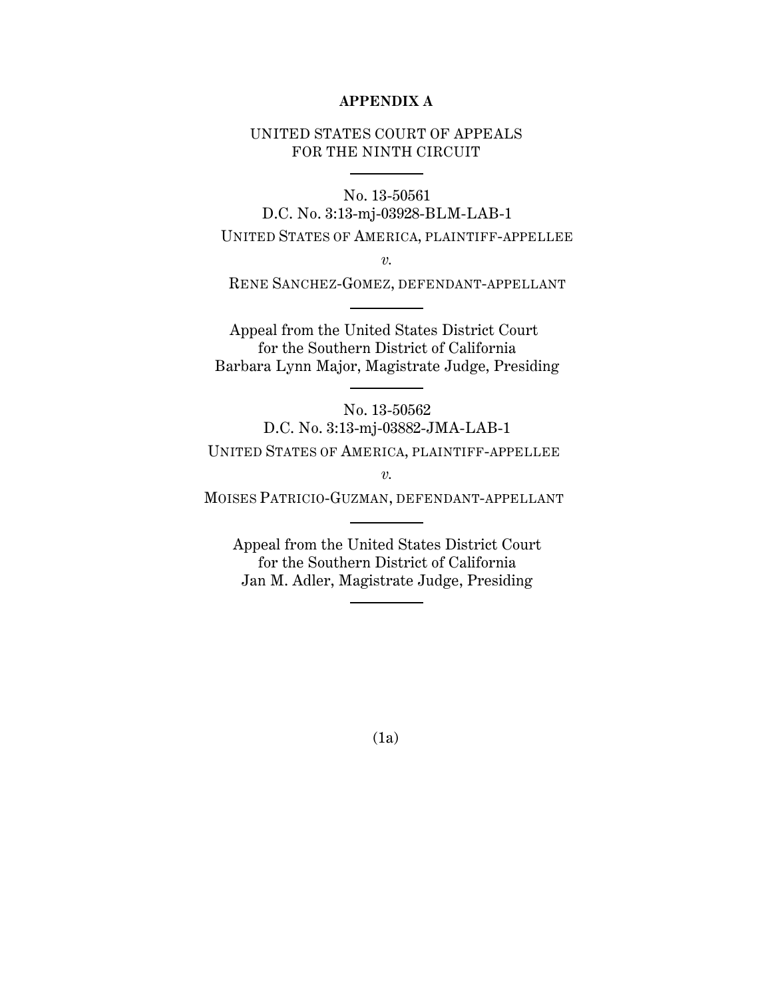### **APPENDIX A**

## UNITED STATES COURT OF APPEALS FOR THE NINTH CIRCUIT

No. 13-50561 D.C. No. 3:13-mj-03928-BLM-LAB-1

UNITED STATES OF AMERICA, PLAINTIFF-APPELLEE

*v.*

RENE SANCHEZ-GOMEZ, DEFENDANT-APPELLANT

Appeal from the United States District Court for the Southern District of California Barbara Lynn Major, Magistrate Judge, Presiding

No. 13-50562 D.C. No. 3:13-mj-03882-JMA-LAB-1 UNITED STATES OF AMERICA, PLAINTIFF-APPELLEE

*v.*

MOISES PATRICIO-GUZMAN, DEFENDANT-APPELLANT

Appeal from the United States District Court for the Southern District of California Jan M. Adler, Magistrate Judge, Presiding

(1a)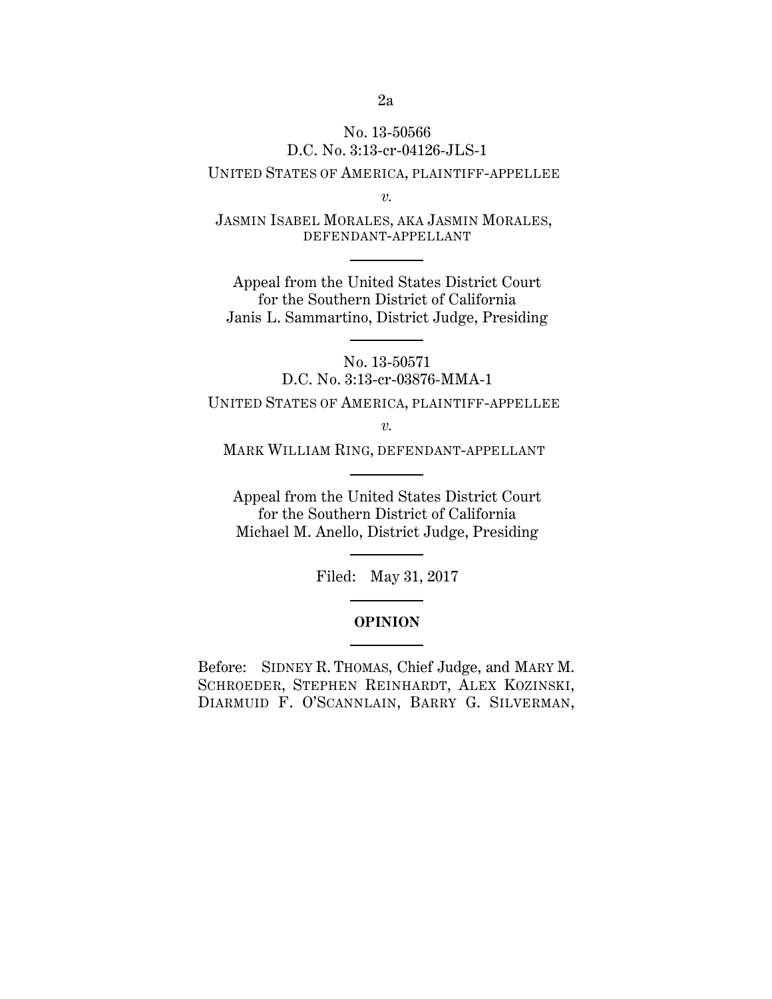# No. 13-50566 D.C. No. 3:13-cr-04126-JLS-1

## UNITED STATES OF AMERICA, PLAINTIFF-APPELLEE

*v.*

JASMIN ISABEL MORALES, AKA JASMIN MORALES, DEFENDANT-APPELLANT

Appeal from the United States District Court for the Southern District of California Janis L. Sammartino, District Judge, Presiding

> No. 13-50571 D.C. No. 3:13-cr-03876-MMA-1

UNITED STATES OF AMERICA, PLAINTIFF-APPELLEE

*v.*

MARK WILLIAM RING, DEFENDANT-APPELLANT

Appeal from the United States District Court for the Southern District of California Michael M. Anello, District Judge, Presiding

Filed: May 31, 2017

#### **OPINION**

Before: SIDNEY R. THOMAS, Chief Judge, and MARY M. SCHROEDER, STEPHEN REINHARDT, ALEX KOZINSKI, DIARMUID F. O'SCANNLAIN, BARRY G. SILVERMAN,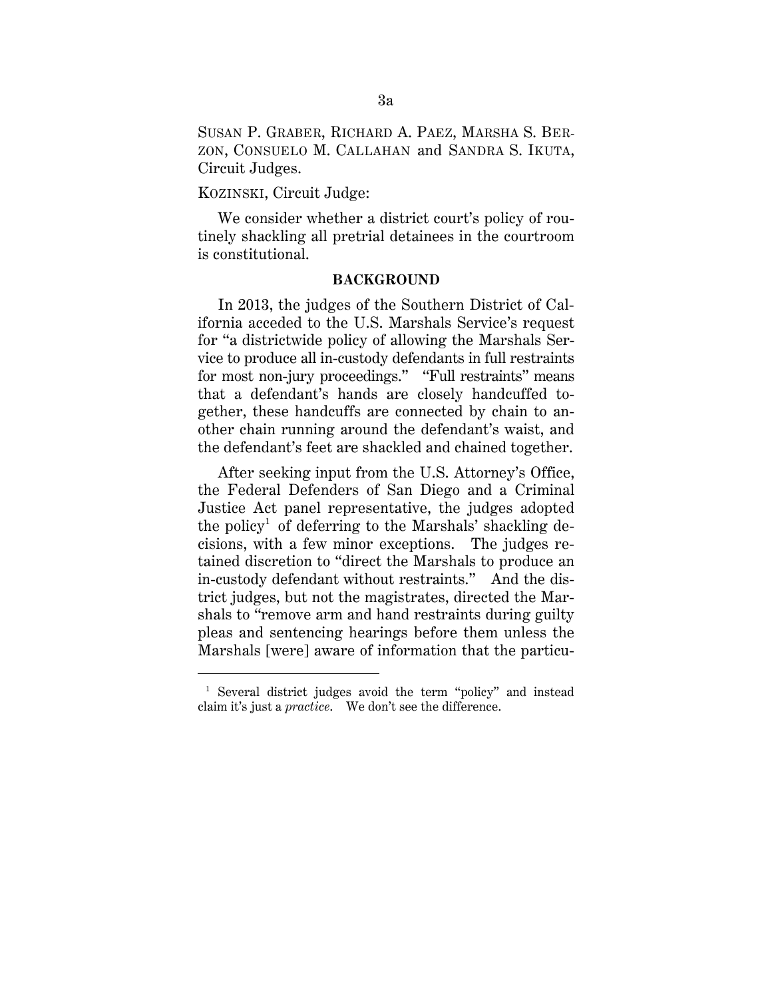SUSAN P. GRABER, RICHARD A. PAEZ, MARSHA S. BER-ZON, CONSUELO M. CALLAHAN and SANDRA S. IKUTA, Circuit Judges.

### KOZINSKI, Circuit Judge:

-

We consider whether a district court's policy of routinely shackling all pretrial detainees in the courtroom is constitutional.

#### **BACKGROUND**

In 2013, the judges of the Southern District of California acceded to the U.S. Marshals Service's request for "a districtwide policy of allowing the Marshals Service to produce all in-custody defendants in full restraints for most non-jury proceedings." "Full restraints" means that a defendant's hands are closely handcuffed together, these handcuffs are connected by chain to another chain running around the defendant's waist, and the defendant's feet are shackled and chained together.

After seeking input from the U.S. Attorney's Office, the Federal Defenders of San Diego and a Criminal Justice Act panel representative, the judges adopted the policy<sup>1</sup> of deferring to the Marshals' shackling decisions, with a few minor exceptions. The judges retained discretion to "direct the Marshals to produce an in-custody defendant without restraints." And the district judges, but not the magistrates, directed the Marshals to "remove arm and hand restraints during guilty pleas and sentencing hearings before them unless the Marshals [were] aware of information that the particu-

<sup>&</sup>lt;sup>1</sup> Several district judges avoid the term "policy" and instead claim it's just a *practice*. We don't see the difference.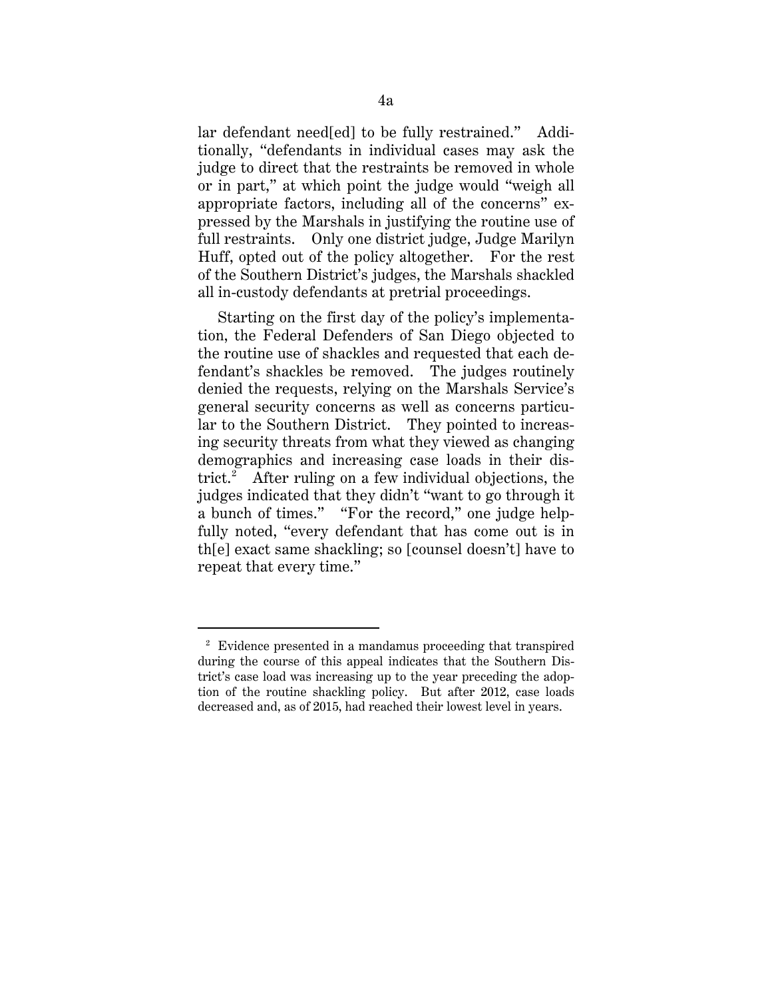lar defendant need[ed] to be fully restrained." Additionally, "defendants in individual cases may ask the judge to direct that the restraints be removed in whole or in part," at which point the judge would "weigh all appropriate factors, including all of the concerns" expressed by the Marshals in justifying the routine use of full restraints. Only one district judge, Judge Marilyn Huff, opted out of the policy altogether. For the rest of the Southern District's judges, the Marshals shackled all in-custody defendants at pretrial proceedings.

Starting on the first day of the policy's implementation, the Federal Defenders of San Diego objected to the routine use of shackles and requested that each defendant's shackles be removed. The judges routinely denied the requests, relying on the Marshals Service's general security concerns as well as concerns particular to the Southern District. They pointed to increasing security threats from what they viewed as changing demographics and increasing case loads in their district.<sup>2</sup> After ruling on a few individual objections, the judges indicated that they didn't "want to go through it a bunch of times." "For the record," one judge helpfully noted, "every defendant that has come out is in th[e] exact same shackling; so [counsel doesn't] have to repeat that every time."

 $2$  Evidence presented in a mandamus proceeding that transpired during the course of this appeal indicates that the Southern District's case load was increasing up to the year preceding the adoption of the routine shackling policy. But after 2012, case loads decreased and, as of 2015, had reached their lowest level in years.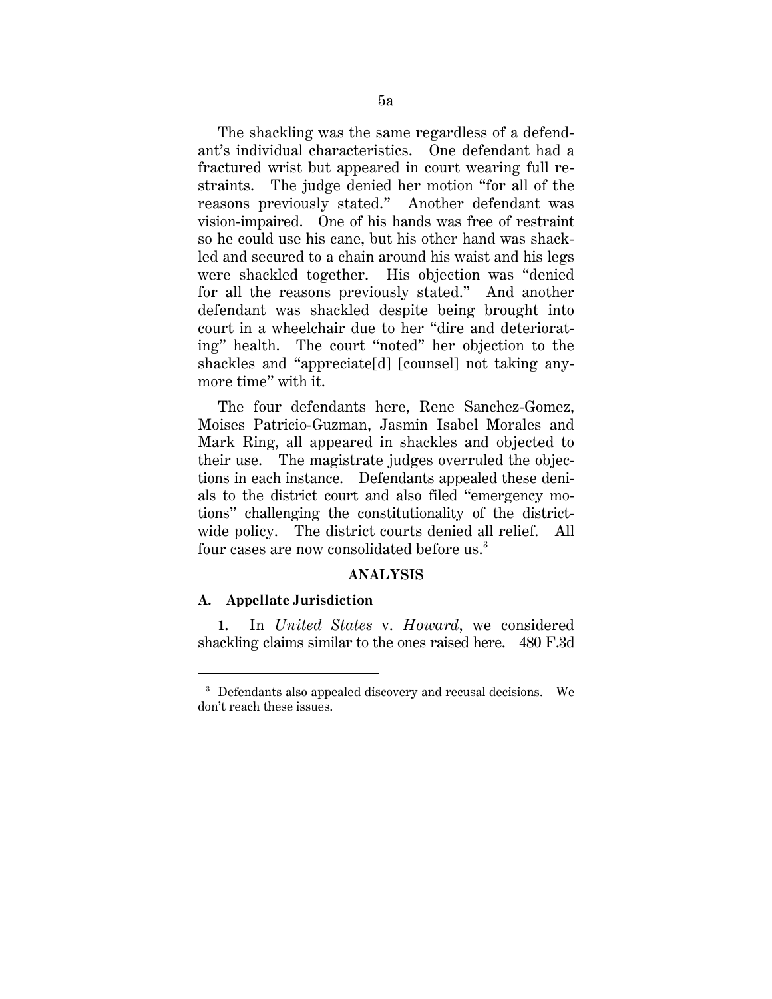The shackling was the same regardless of a defendant's individual characteristics. One defendant had a fractured wrist but appeared in court wearing full restraints. The judge denied her motion "for all of the reasons previously stated." Another defendant was vision-impaired. One of his hands was free of restraint so he could use his cane, but his other hand was shackled and secured to a chain around his waist and his legs were shackled together. His objection was "denied for all the reasons previously stated." And another defendant was shackled despite being brought into court in a wheelchair due to her "dire and deteriorating" health. The court "noted" her objection to the shackles and "appreciate[d] [counsel] not taking anymore time" with it.

The four defendants here, Rene Sanchez-Gomez, Moises Patricio-Guzman, Jasmin Isabel Morales and Mark Ring, all appeared in shackles and objected to their use. The magistrate judges overruled the objections in each instance. Defendants appealed these denials to the district court and also filed "emergency motions" challenging the constitutionality of the districtwide policy. The district courts denied all relief. All four cases are now consolidated before us.<sup>3</sup>

### **ANALYSIS**

#### **A. Appellate Jurisdiction**

-

**1.** In *United States* v. *Howard*, we considered shackling claims similar to the ones raised here. 480 F.3d

<sup>&</sup>lt;sup>3</sup> Defendants also appealed discovery and recusal decisions. We don't reach these issues.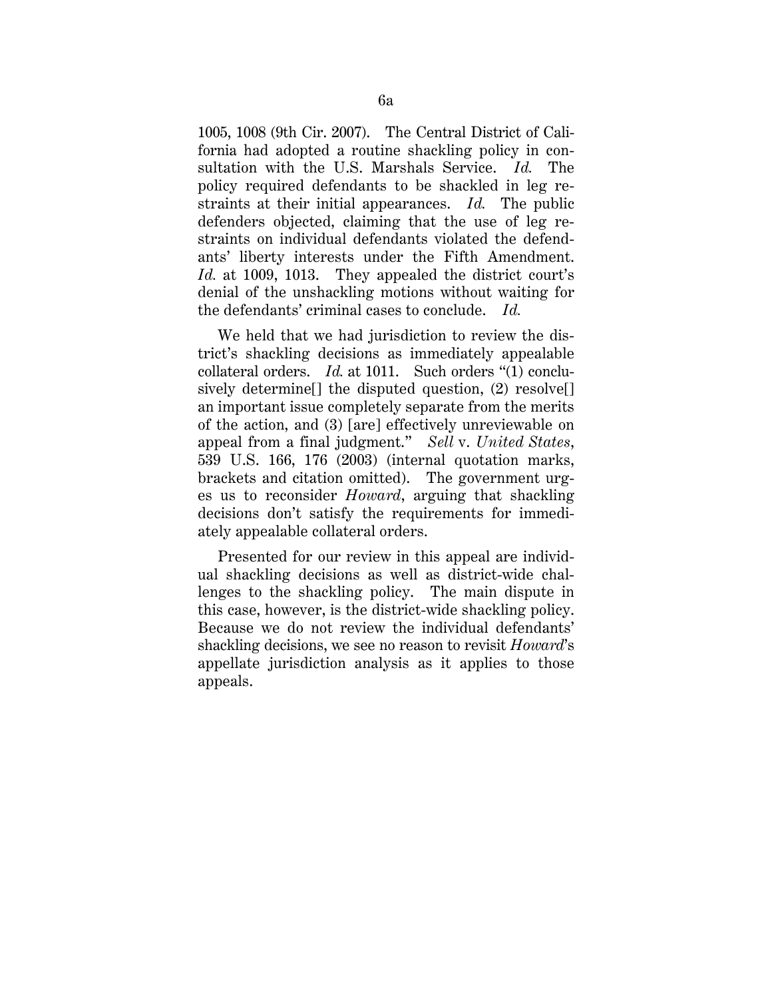1005, 1008 (9th Cir. 2007). The Central District of California had adopted a routine shackling policy in consultation with the U.S. Marshals Service. *Id.* The policy required defendants to be shackled in leg restraints at their initial appearances. *Id.* The public defenders objected, claiming that the use of leg restraints on individual defendants violated the defendants' liberty interests under the Fifth Amendment. *Id.* at 1009, 1013. They appealed the district court's denial of the unshackling motions without waiting for the defendants' criminal cases to conclude. *Id.*

We held that we had jurisdiction to review the district's shackling decisions as immediately appealable collateral orders. *Id.* at 1011. Such orders "(1) conclusively determine<sup>[]</sup> the disputed question, (2) resolve<sup>[]</sup> an important issue completely separate from the merits of the action, and (3) [are] effectively unreviewable on appeal from a final judgment." *Sell* v. *United States*, 539 U.S. 166, 176 (2003) (internal quotation marks, brackets and citation omitted). The government urges us to reconsider *Howard*, arguing that shackling decisions don't satisfy the requirements for immediately appealable collateral orders.

Presented for our review in this appeal are individual shackling decisions as well as district-wide challenges to the shackling policy. The main dispute in this case, however, is the district-wide shackling policy. Because we do not review the individual defendants' shackling decisions, we see no reason to revisit *Howard*'s appellate jurisdiction analysis as it applies to those appeals.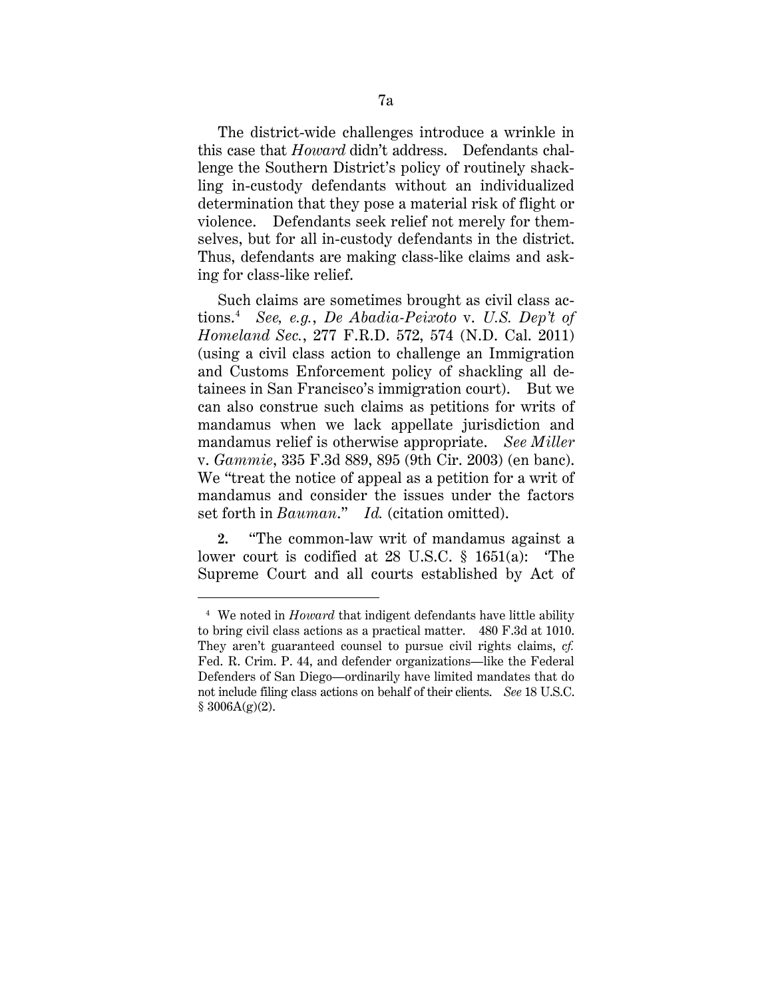The district-wide challenges introduce a wrinkle in this case that *Howard* didn't address. Defendants challenge the Southern District's policy of routinely shackling in-custody defendants without an individualized determination that they pose a material risk of flight or violence. Defendants seek relief not merely for themselves, but for all in-custody defendants in the district. Thus, defendants are making class-like claims and asking for class-like relief.

Such claims are sometimes brought as civil class actions.4 *See, e.g.*, *De Abadia-Peixoto* v. *U.S. Dep't of Homeland Sec.*, 277 F.R.D. 572, 574 (N.D. Cal. 2011) (using a civil class action to challenge an Immigration and Customs Enforcement policy of shackling all detainees in San Francisco's immigration court). But we can also construe such claims as petitions for writs of mandamus when we lack appellate jurisdiction and mandamus relief is otherwise appropriate. *See Miller*  v. *Gammie*, 335 F.3d 889, 895 (9th Cir. 2003) (en banc). We "treat the notice of appeal as a petition for a writ of mandamus and consider the issues under the factors set forth in *Bauman*." *Id.* (citation omitted).

**2.** "The common-law writ of mandamus against a lower court is codified at 28 U.S.C. § 1651(a): 'The Supreme Court and all courts established by Act of

<sup>4</sup> We noted in *Howard* that indigent defendants have little ability to bring civil class actions as a practical matter. 480 F.3d at 1010. They aren't guaranteed counsel to pursue civil rights claims, *cf.*  Fed. R. Crim. P. 44, and defender organizations—like the Federal Defenders of San Diego—ordinarily have limited mandates that do not include filing class actions on behalf of their clients. *See* 18 U.S.C.  $$3006A(g)(2).$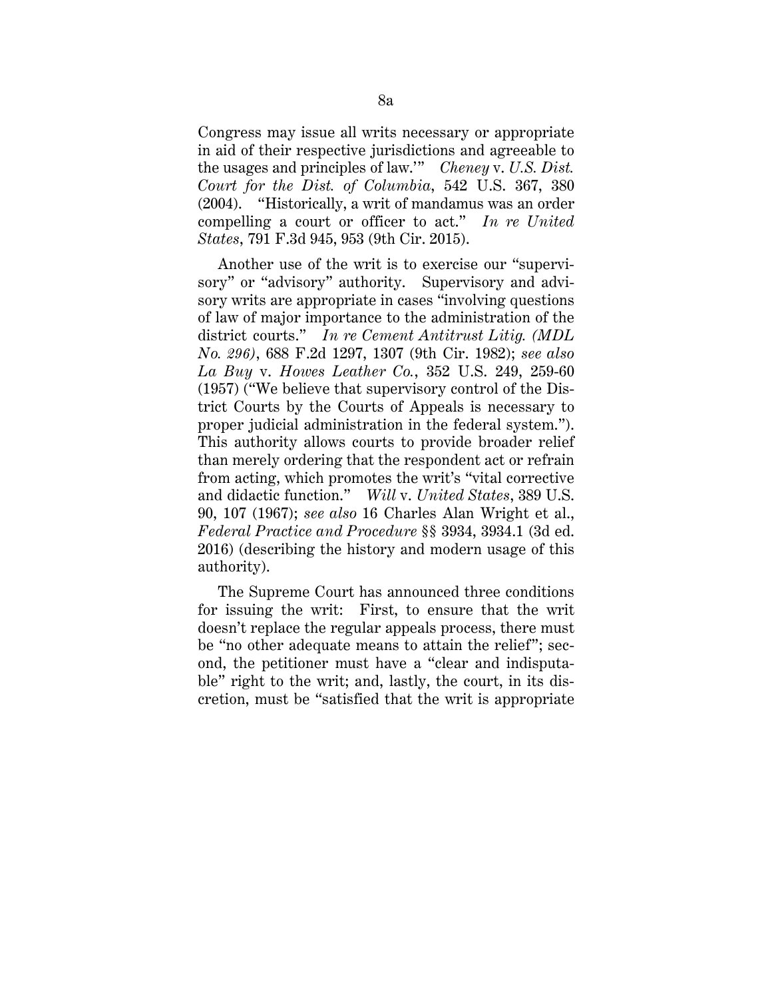Congress may issue all writs necessary or appropriate in aid of their respective jurisdictions and agreeable to the usages and principles of law.'" *Cheney* v. *U.S. Dist. Court for the Dist. of Columbia*, 542 U.S. 367, 380 (2004). "Historically, a writ of mandamus was an order compelling a court or officer to act." *In re United States*, 791 F.3d 945, 953 (9th Cir. 2015).

Another use of the writ is to exercise our "supervisory" or "advisory" authority. Supervisory and advisory writs are appropriate in cases "involving questions of law of major importance to the administration of the district courts." *In re Cement Antitrust Litig. (MDL No. 296)*, 688 F.2d 1297, 1307 (9th Cir. 1982); *see also La Buy* v. *Howes Leather Co.*, 352 U.S. 249, 259-60 (1957) ("We believe that supervisory control of the District Courts by the Courts of Appeals is necessary to proper judicial administration in the federal system."). This authority allows courts to provide broader relief than merely ordering that the respondent act or refrain from acting, which promotes the writ's "vital corrective and didactic function." *Will* v. *United States*, 389 U.S. 90, 107 (1967); *see also* 16 Charles Alan Wright et al., *Federal Practice and Procedure* §§ 3934, 3934.1 (3d ed. 2016) (describing the history and modern usage of this authority).

The Supreme Court has announced three conditions for issuing the writ: First, to ensure that the writ doesn't replace the regular appeals process, there must be "no other adequate means to attain the relief"; second, the petitioner must have a "clear and indisputable" right to the writ; and, lastly, the court, in its discretion, must be "satisfied that the writ is appropriate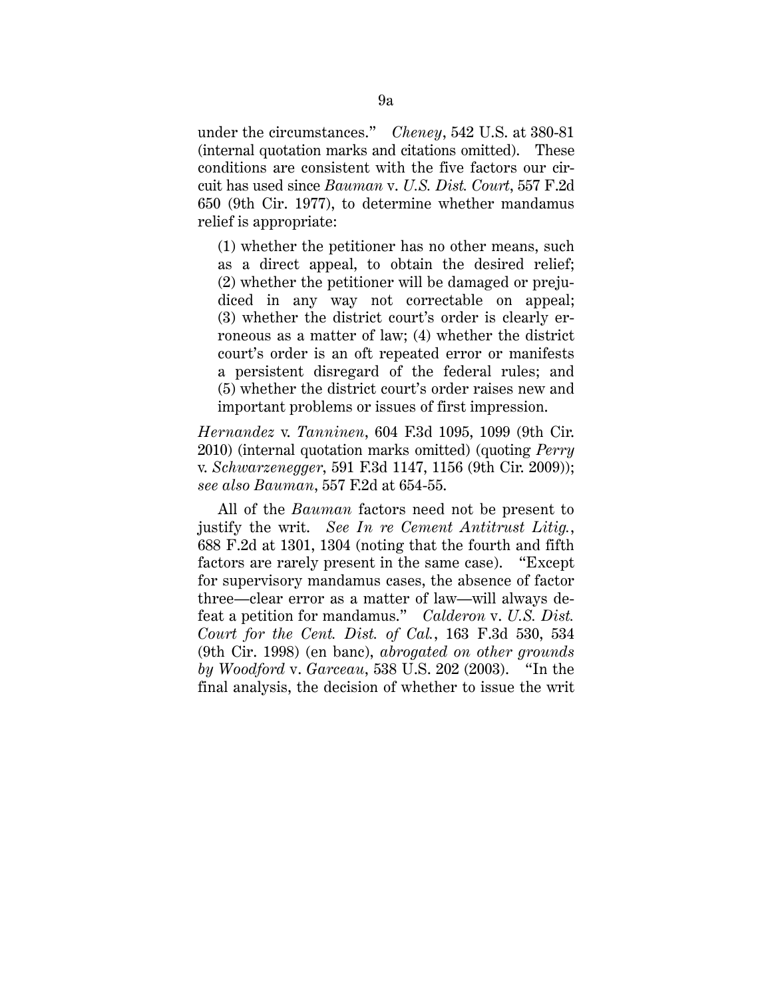under the circumstances." *Cheney*, 542 U.S. at 380-81 (internal quotation marks and citations omitted). These conditions are consistent with the five factors our circuit has used since *Bauman* v. *U.S. Dist. Court*, 557 F.2d 650 (9th Cir. 1977), to determine whether mandamus relief is appropriate:

(1) whether the petitioner has no other means, such as a direct appeal, to obtain the desired relief; (2) whether the petitioner will be damaged or prejudiced in any way not correctable on appeal; (3) whether the district court's order is clearly erroneous as a matter of law; (4) whether the district court's order is an oft repeated error or manifests a persistent disregard of the federal rules; and (5) whether the district court's order raises new and important problems or issues of first impression.

*Hernandez* v. *Tanninen*, 604 F.3d 1095, 1099 (9th Cir. 2010) (internal quotation marks omitted) (quoting *Perry* v. *Schwarzenegger*, 591 F.3d 1147, 1156 (9th Cir. 2009)); *see also Bauman*, 557 F.2d at 654-55.

All of the *Bauman* factors need not be present to justify the writ. *See In re Cement Antitrust Litig.*, 688 F.2d at 1301, 1304 (noting that the fourth and fifth factors are rarely present in the same case). "Except for supervisory mandamus cases, the absence of factor three—clear error as a matter of law—will always defeat a petition for mandamus." *Calderon* v. *U.S. Dist. Court for the Cent. Dist. of Cal.*, 163 F.3d 530, 534 (9th Cir. 1998) (en banc), *abrogated on other grounds by Woodford* v. *Garceau*, 538 U.S. 202 (2003). "In the final analysis, the decision of whether to issue the writ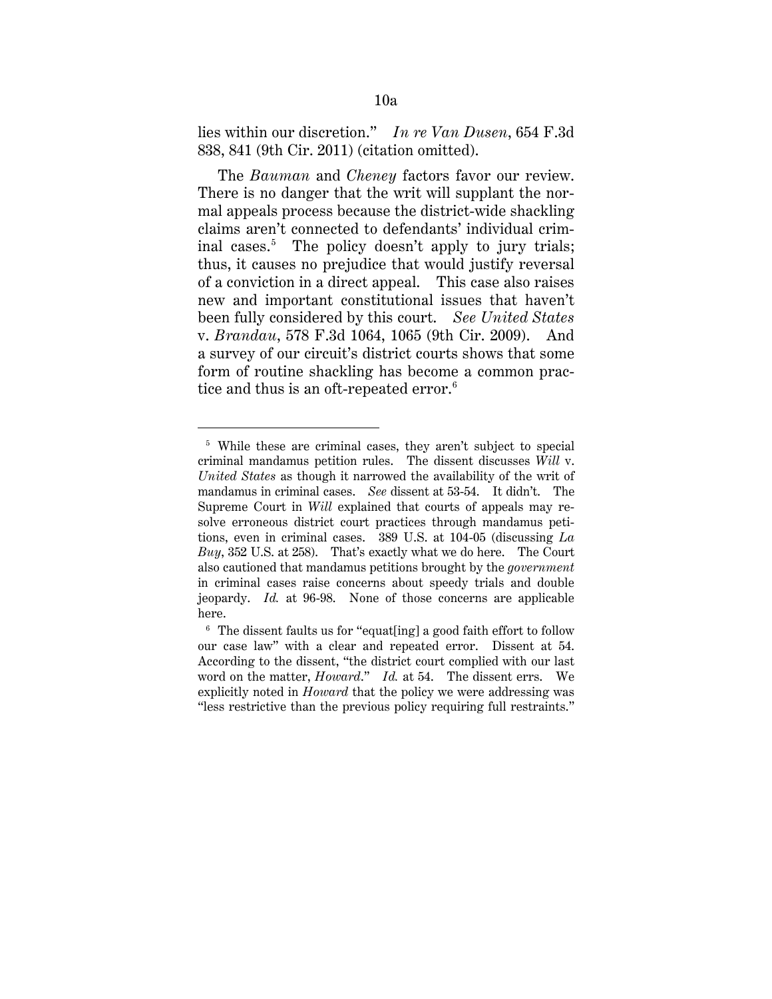lies within our discretion." *In re Van Dusen*, 654 F.3d 838, 841 (9th Cir. 2011) (citation omitted).

The *Bauman* and *Cheney* factors favor our review. There is no danger that the writ will supplant the normal appeals process because the district-wide shackling claims aren't connected to defendants' individual criminal cases.<sup>5</sup> The policy doesn't apply to jury trials; thus, it causes no prejudice that would justify reversal of a conviction in a direct appeal. This case also raises new and important constitutional issues that haven't been fully considered by this court. *See United States*  v. *Brandau*, 578 F.3d 1064, 1065 (9th Cir. 2009). And a survey of our circuit's district courts shows that some form of routine shackling has become a common practice and thus is an oft-repeated error.<sup>6</sup>

<sup>&</sup>lt;sup>5</sup> While these are criminal cases, they aren't subject to special criminal mandamus petition rules. The dissent discusses *Will* v. *United States* as though it narrowed the availability of the writ of mandamus in criminal cases. *See* dissent at 53-54. It didn't. The Supreme Court in *Will* explained that courts of appeals may resolve erroneous district court practices through mandamus petitions, even in criminal cases. 389 U.S. at 104-05 (discussing *La Buy*, 352 U.S. at 258). That's exactly what we do here. The Court also cautioned that mandamus petitions brought by the *government*  in criminal cases raise concerns about speedy trials and double jeopardy. *Id.* at 96-98. None of those concerns are applicable here.

 $6$  The dissent faults us for "equat[ing] a good faith effort to follow our case law" with a clear and repeated error. Dissent at 54. According to the dissent, "the district court complied with our last word on the matter, *Howard*." *Id.* at 54. The dissent errs. We explicitly noted in *Howard* that the policy we were addressing was "less restrictive than the previous policy requiring full restraints."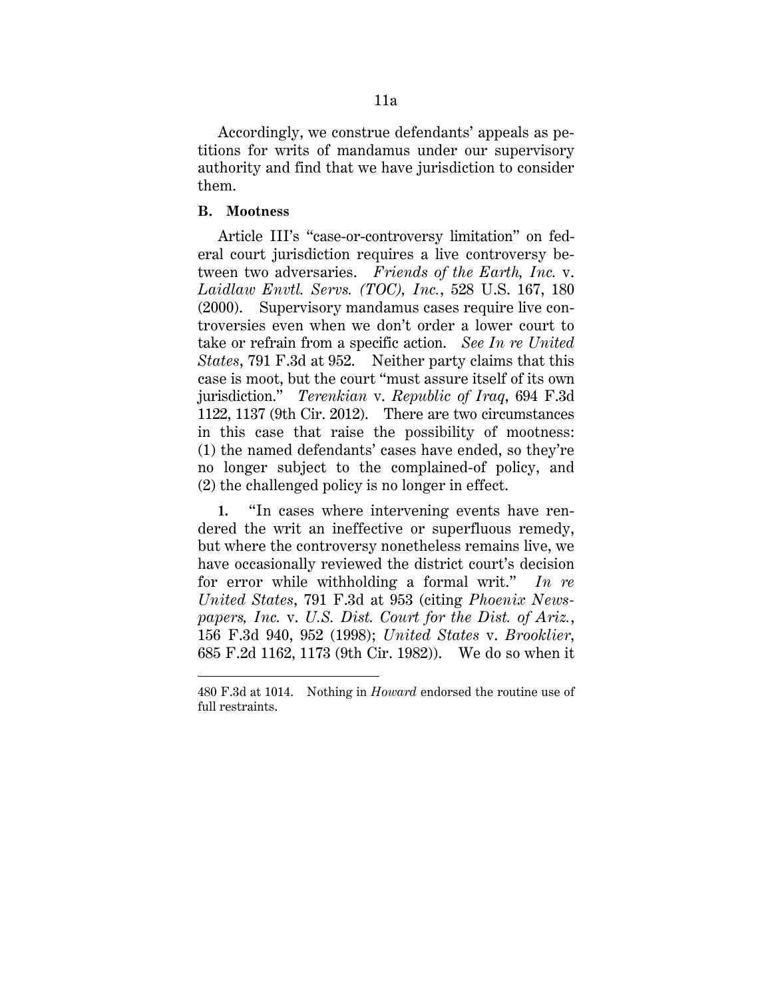Accordingly, we construe defendants' appeals as petitions for writs of mandamus under our supervisory authority and find that we have jurisdiction to consider them.

### **B. Mootness**

<u>.</u>

Article III's "case-or-controversy limitation" on federal court jurisdiction requires a live controversy between two adversaries. *Friends of the Earth, Inc.* v. *Laidlaw Envtl. Servs. (TOC), Inc.*, 528 U.S. 167, 180 (2000). Supervisory mandamus cases require live controversies even when we don't order a lower court to take or refrain from a specific action. *See In re United States*, 791 F.3d at 952. Neither party claims that this case is moot, but the court "must assure itself of its own jurisdiction." *Terenkian* v. *Republic of Iraq*, 694 F.3d 1122, 1137 (9th Cir. 2012). There are two circumstances in this case that raise the possibility of mootness: (1) the named defendants' cases have ended, so they're no longer subject to the complained-of policy, and (2) the challenged policy is no longer in effect.

**1.** "In cases where intervening events have rendered the writ an ineffective or superfluous remedy, but where the controversy nonetheless remains live, we have occasionally reviewed the district court's decision for error while withholding a formal writ." *In re United States*, 791 F.3d at 953 (citing *Phoenix Newspapers, Inc.* v. *U.S. Dist. Court for the Dist. of Ariz.*, 156 F.3d 940, 952 (1998); *United States* v. *Brooklier*, 685 F.2d 1162, 1173 (9th Cir. 1982)). We do so when it

<sup>480</sup> F.3d at 1014. Nothing in *Howard* endorsed the routine use of full restraints.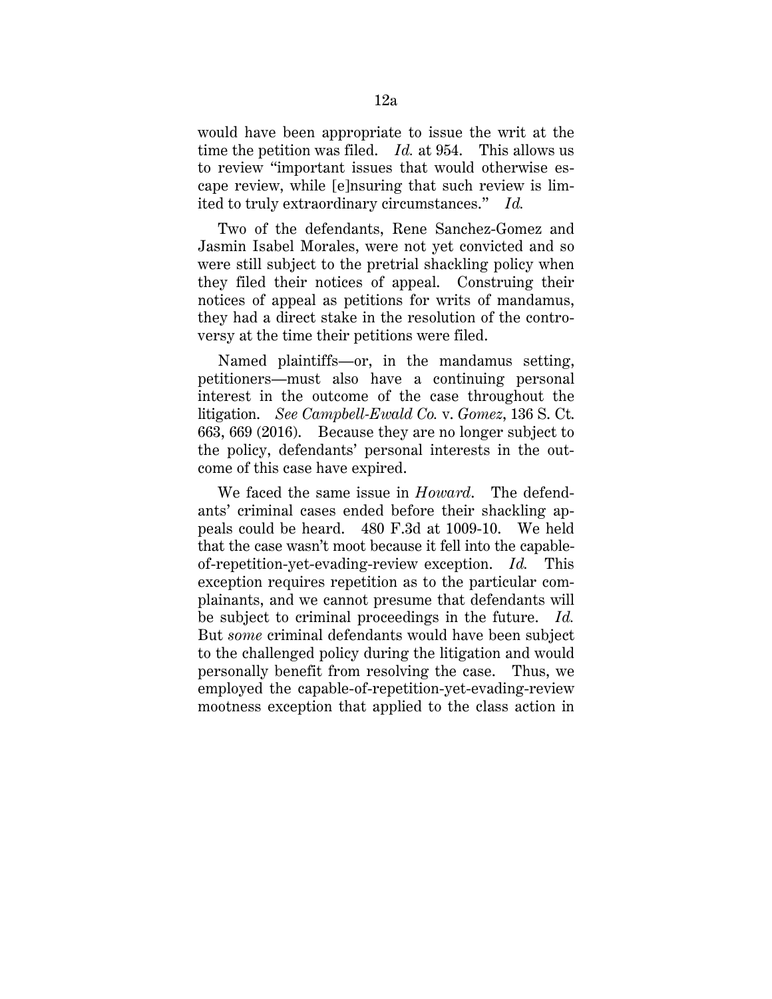would have been appropriate to issue the writ at the time the petition was filed. *Id.* at 954. This allows us to review "important issues that would otherwise escape review, while [e]nsuring that such review is limited to truly extraordinary circumstances." *Id.*

Two of the defendants, Rene Sanchez-Gomez and Jasmin Isabel Morales, were not yet convicted and so were still subject to the pretrial shackling policy when they filed their notices of appeal. Construing their notices of appeal as petitions for writs of mandamus, they had a direct stake in the resolution of the controversy at the time their petitions were filed.

Named plaintiffs—or, in the mandamus setting, petitioners—must also have a continuing personal interest in the outcome of the case throughout the litigation. *See Campbell-Ewald Co.* v. *Gomez*, 136 S. Ct. 663, 669 (2016). Because they are no longer subject to the policy, defendants' personal interests in the outcome of this case have expired.

We faced the same issue in *Howard*. The defendants' criminal cases ended before their shackling appeals could be heard. 480 F.3d at 1009-10. We held that the case wasn't moot because it fell into the capableof-repetition-yet-evading-review exception. *Id.* This exception requires repetition as to the particular complainants, and we cannot presume that defendants will be subject to criminal proceedings in the future. *Id.*  But *some* criminal defendants would have been subject to the challenged policy during the litigation and would personally benefit from resolving the case. Thus, we employed the capable-of-repetition-yet-evading-review mootness exception that applied to the class action in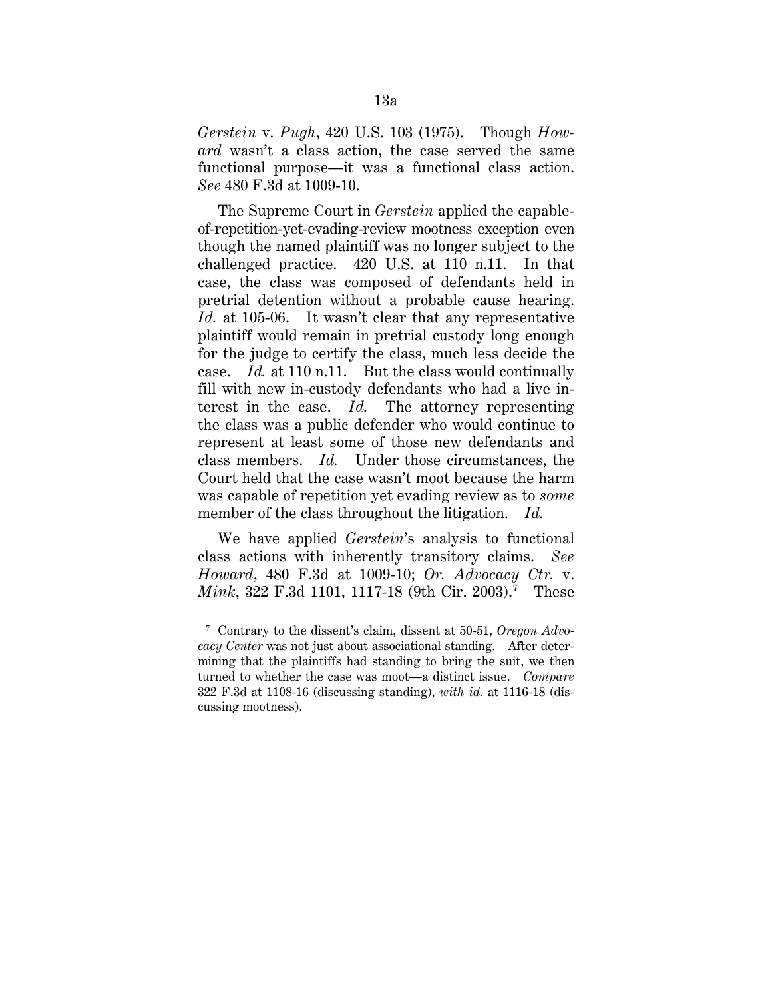*Gerstein* v. *Pugh*, 420 U.S. 103 (1975). Though *Howard* wasn't a class action, the case served the same functional purpose—it was a functional class action. *See* 480 F.3d at 1009-10.

The Supreme Court in *Gerstein* applied the capableof-repetition-yet-evading-review mootness exception even though the named plaintiff was no longer subject to the challenged practice. 420 U.S. at 110 n.11. In that case, the class was composed of defendants held in pretrial detention without a probable cause hearing. *Id.* at 105-06. It wasn't clear that any representative plaintiff would remain in pretrial custody long enough for the judge to certify the class, much less decide the case. *Id.* at 110 n.11. But the class would continually fill with new in-custody defendants who had a live interest in the case. *Id.* The attorney representing the class was a public defender who would continue to represent at least some of those new defendants and class members. *Id.* Under those circumstances, the Court held that the case wasn't moot because the harm was capable of repetition yet evading review as to *some*  member of the class throughout the litigation. *Id.*

We have applied *Gerstein*'s analysis to functional class actions with inherently transitory claims. *See Howard*, 480 F.3d at 1009-10; *Or. Advocacy Ctr.* v. *Mink*, 322 F.3d 1101, 1117-18 (9th Cir. 2003).<sup>7</sup> These

<sup>7</sup> Contrary to the dissent's claim, dissent at 50-51, *Oregon Advocacy Center* was not just about associational standing. After determining that the plaintiffs had standing to bring the suit, we then turned to whether the case was moot—a distinct issue. *Compare*  322 F.3d at 1108-16 (discussing standing), *with id.* at 1116-18 (discussing mootness).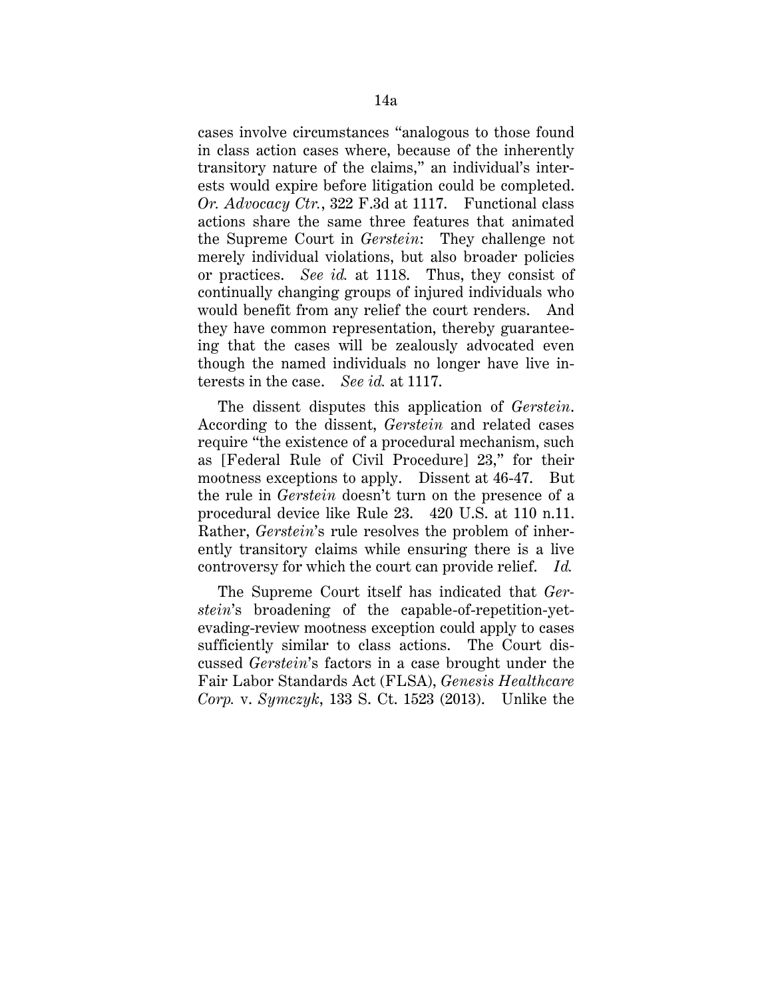cases involve circumstances "analogous to those found in class action cases where, because of the inherently transitory nature of the claims," an individual's interests would expire before litigation could be completed. *Or. Advocacy Ctr.*, 322 F.3d at 1117. Functional class actions share the same three features that animated the Supreme Court in *Gerstein*: They challenge not merely individual violations, but also broader policies or practices. *See id.* at 1118. Thus, they consist of continually changing groups of injured individuals who would benefit from any relief the court renders. And they have common representation, thereby guaranteeing that the cases will be zealously advocated even though the named individuals no longer have live interests in the case. *See id.* at 1117.

The dissent disputes this application of *Gerstein*. According to the dissent, *Gerstein* and related cases require "the existence of a procedural mechanism, such as [Federal Rule of Civil Procedure] 23," for their mootness exceptions to apply. Dissent at 46-47. But the rule in *Gerstein* doesn't turn on the presence of a procedural device like Rule 23. 420 U.S. at 110 n.11. Rather, *Gerstein*'s rule resolves the problem of inherently transitory claims while ensuring there is a live controversy for which the court can provide relief. *Id.*

The Supreme Court itself has indicated that *Gerstein*'s broadening of the capable-of-repetition-yetevading-review mootness exception could apply to cases sufficiently similar to class actions. The Court discussed *Gerstein*'s factors in a case brought under the Fair Labor Standards Act (FLSA), *Genesis Healthcare Corp.* v. *Symczyk*, 133 S. Ct. 1523 (2013). Unlike the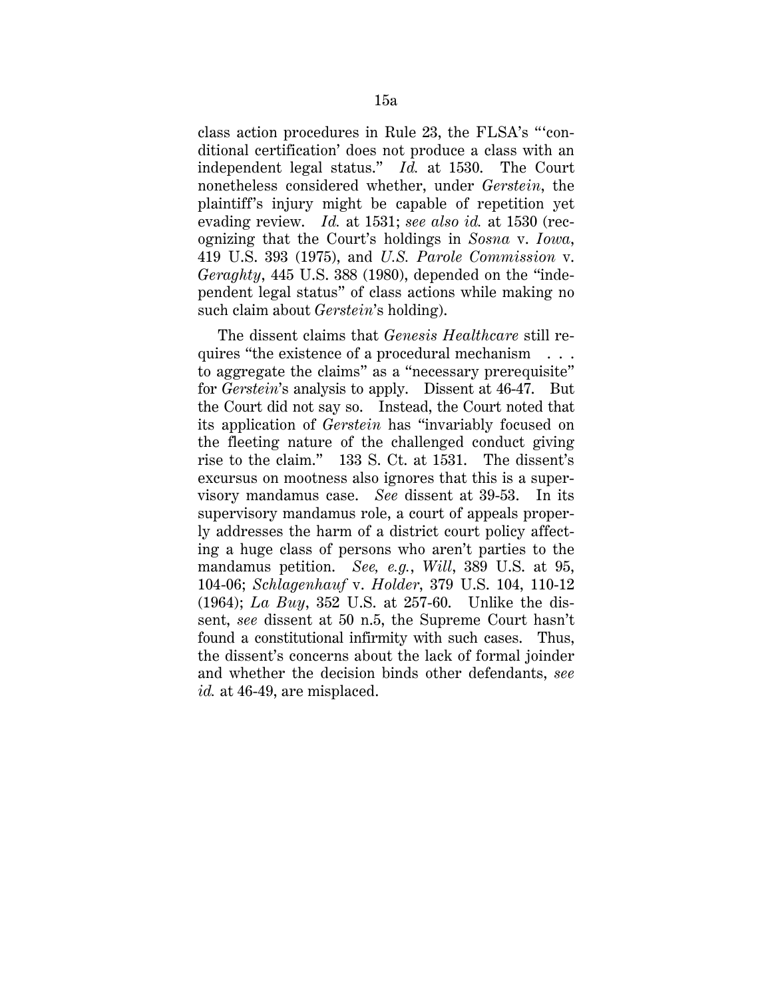class action procedures in Rule 23, the FLSA's "'conditional certification' does not produce a class with an independent legal status." *Id.* at 1530. The Court nonetheless considered whether, under *Gerstein*, the plaintiff's injury might be capable of repetition yet evading review. *Id.* at 1531; *see also id.* at 1530 (recognizing that the Court's holdings in *Sosna* v. *Iowa*, 419 U.S. 393 (1975), and *U.S. Parole Commission* v. *Geraghty*, 445 U.S. 388 (1980), depended on the "independent legal status" of class actions while making no such claim about *Gerstein*'s holding).

The dissent claims that *Genesis Healthcare* still requires "the existence of a procedural mechanism . . . to aggregate the claims" as a "necessary prerequisite" for *Gerstein*'s analysis to apply. Dissent at 46-47. But the Court did not say so. Instead, the Court noted that its application of *Gerstein* has "invariably focused on the fleeting nature of the challenged conduct giving rise to the claim." 133 S. Ct. at 1531. The dissent's excursus on mootness also ignores that this is a supervisory mandamus case. *See* dissent at 39-53. In its supervisory mandamus role, a court of appeals properly addresses the harm of a district court policy affecting a huge class of persons who aren't parties to the mandamus petition. *See, e.g.*, *Will*, 389 U.S. at 95, 104-06; *Schlagenhauf* v. *Holder*, 379 U.S. 104, 110-12 (1964); *La Buy*, 352 U.S. at 257-60. Unlike the dissent, *see* dissent at 50 n.5, the Supreme Court hasn't found a constitutional infirmity with such cases. Thus, the dissent's concerns about the lack of formal joinder and whether the decision binds other defendants, *see id.* at 46-49, are misplaced.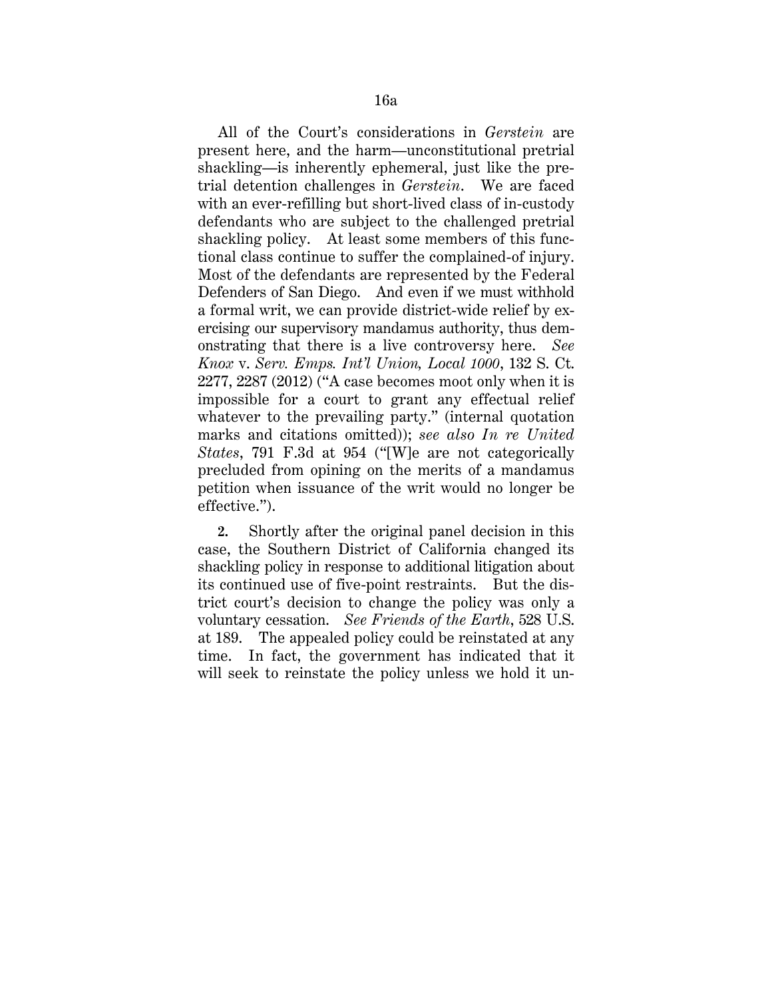All of the Court's considerations in *Gerstein* are present here, and the harm—unconstitutional pretrial shackling—is inherently ephemeral, just like the pretrial detention challenges in *Gerstein*. We are faced with an ever-refilling but short-lived class of in-custody defendants who are subject to the challenged pretrial shackling policy. At least some members of this functional class continue to suffer the complained-of injury. Most of the defendants are represented by the Federal Defenders of San Diego. And even if we must withhold a formal writ, we can provide district-wide relief by exercising our supervisory mandamus authority, thus demonstrating that there is a live controversy here. *See Knox* v. *Serv. Emps. Int'l Union, Local 1000*, 132 S. Ct. 2277, 2287 (2012) ("A case becomes moot only when it is impossible for a court to grant any effectual relief whatever to the prevailing party." (internal quotation marks and citations omitted)); *see also In re United States*, 791 F.3d at 954 ("[W]e are not categorically precluded from opining on the merits of a mandamus petition when issuance of the writ would no longer be effective.").

**2.** Shortly after the original panel decision in this case, the Southern District of California changed its shackling policy in response to additional litigation about its continued use of five-point restraints. But the district court's decision to change the policy was only a voluntary cessation. *See Friends of the Earth*, 528 U.S. at 189. The appealed policy could be reinstated at any time. In fact, the government has indicated that it will seek to reinstate the policy unless we hold it un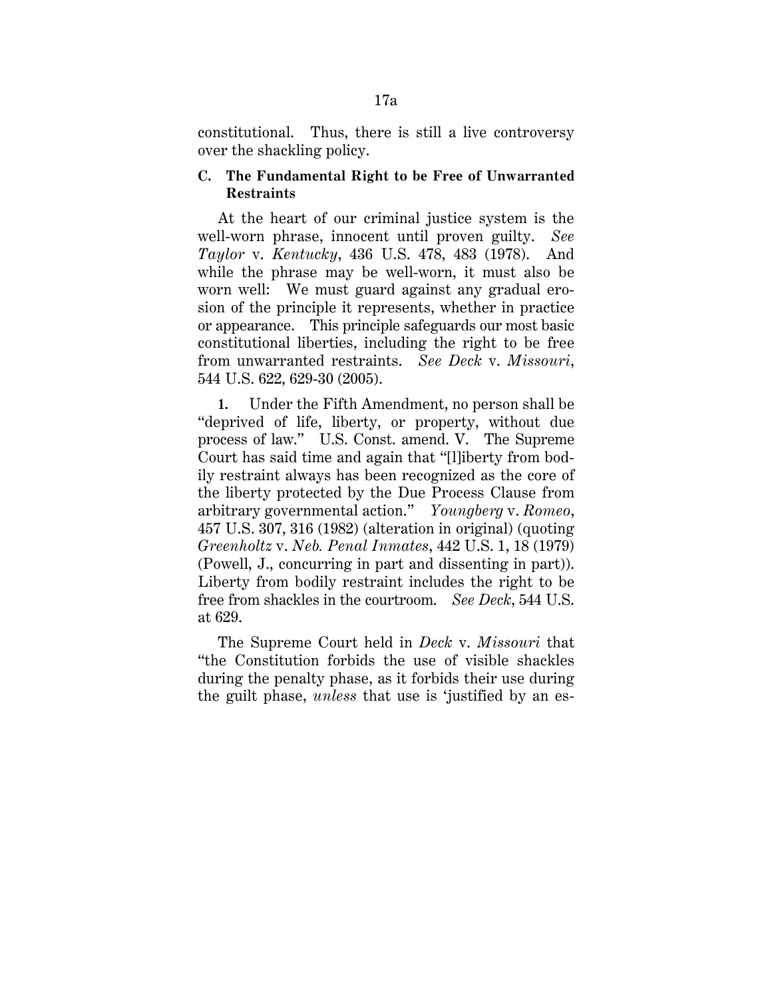constitutional. Thus, there is still a live controversy over the shackling policy.

## **C. The Fundamental Right to be Free of Unwarranted Restraints**

At the heart of our criminal justice system is the well-worn phrase, innocent until proven guilty. *See Taylor* v. *Kentucky*, 436 U.S. 478, 483 (1978). And while the phrase may be well-worn, it must also be worn well: We must guard against any gradual erosion of the principle it represents, whether in practice or appearance. This principle safeguards our most basic constitutional liberties, including the right to be free from unwarranted restraints. *See Deck* v. *Missouri*, 544 U.S. 622, 629-30 (2005).

**1.** Under the Fifth Amendment, no person shall be "deprived of life, liberty, or property, without due process of law." U.S. Const. amend. V. The Supreme Court has said time and again that "[l]iberty from bodily restraint always has been recognized as the core of the liberty protected by the Due Process Clause from arbitrary governmental action." *Youngberg* v. *Romeo*, 457 U.S. 307, 316 (1982) (alteration in original) (quoting *Greenholtz* v. *Neb. Penal Inmates*, 442 U.S. 1, 18 (1979) (Powell, J., concurring in part and dissenting in part)). Liberty from bodily restraint includes the right to be free from shackles in the courtroom. *See Deck*, 544 U.S. at 629.

The Supreme Court held in *Deck* v. *Missouri* that "the Constitution forbids the use of visible shackles during the penalty phase, as it forbids their use during the guilt phase, *unless* that use is 'justified by an es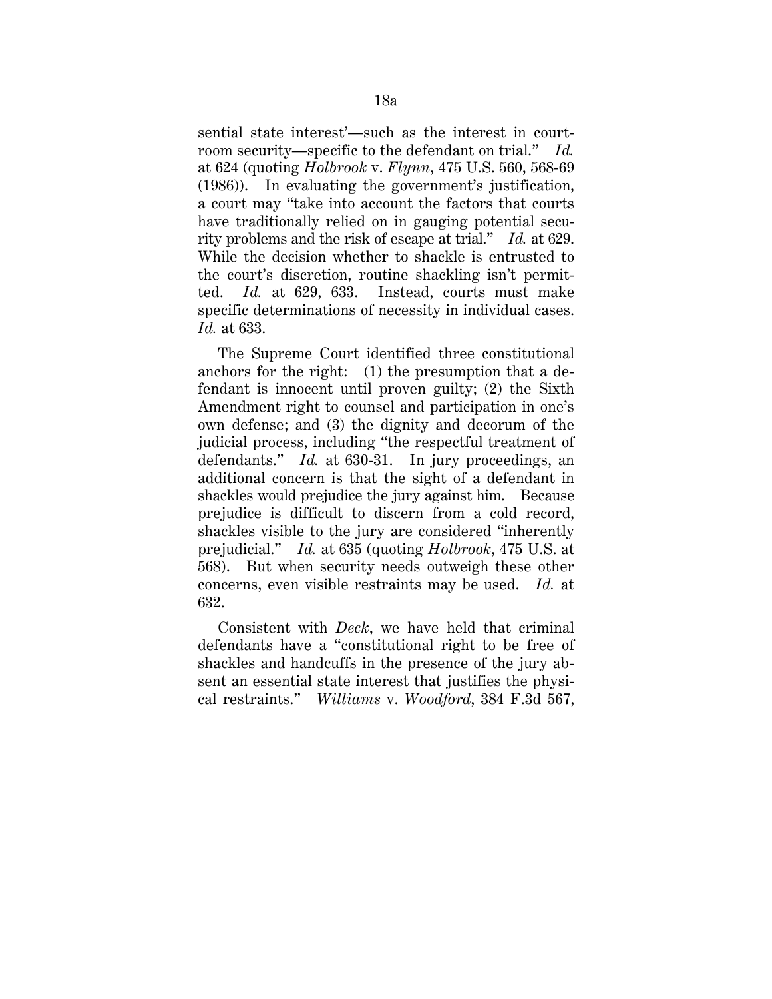sential state interest'—such as the interest in courtroom security—specific to the defendant on trial." *Id.*  at 624 (quoting *Holbrook* v. *Flynn*, 475 U.S. 560, 568-69 (1986)). In evaluating the government's justification, a court may "take into account the factors that courts have traditionally relied on in gauging potential security problems and the risk of escape at trial." *Id.* at 629. While the decision whether to shackle is entrusted to the court's discretion, routine shackling isn't permitted. *Id.* at 629, 633. Instead, courts must make specific determinations of necessity in individual cases. *Id.* at 633.

The Supreme Court identified three constitutional anchors for the right: (1) the presumption that a defendant is innocent until proven guilty; (2) the Sixth Amendment right to counsel and participation in one's own defense; and (3) the dignity and decorum of the judicial process, including "the respectful treatment of defendants." *Id.* at 630-31. In jury proceedings, an additional concern is that the sight of a defendant in shackles would prejudice the jury against him. Because prejudice is difficult to discern from a cold record, shackles visible to the jury are considered "inherently prejudicial." *Id.* at 635 (quoting *Holbrook*, 475 U.S. at 568). But when security needs outweigh these other concerns, even visible restraints may be used. *Id.* at 632.

Consistent with *Deck*, we have held that criminal defendants have a "constitutional right to be free of shackles and handcuffs in the presence of the jury absent an essential state interest that justifies the physical restraints." *Williams* v. *Woodford*, 384 F.3d 567,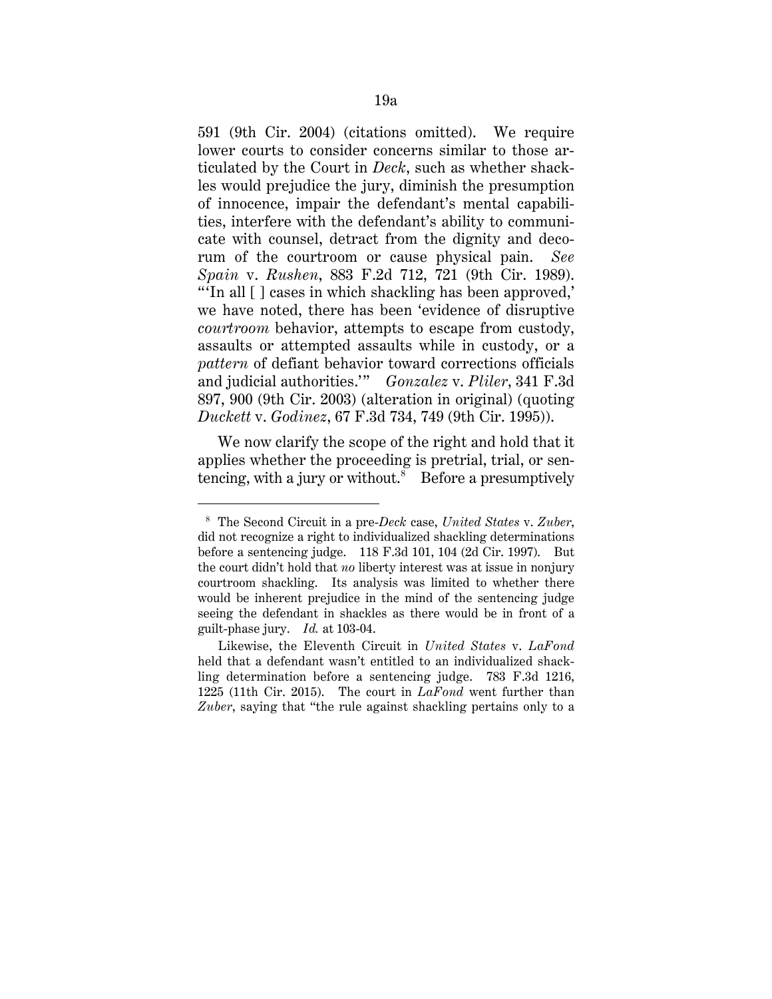591 (9th Cir. 2004) (citations omitted). We require lower courts to consider concerns similar to those articulated by the Court in *Deck*, such as whether shackles would prejudice the jury, diminish the presumption of innocence, impair the defendant's mental capabilities, interfere with the defendant's ability to communicate with counsel, detract from the dignity and decorum of the courtroom or cause physical pain. *See Spain* v. *Rushen*, 883 F.2d 712, 721 (9th Cir. 1989). "'In all [ ] cases in which shackling has been approved,' we have noted, there has been 'evidence of disruptive *courtroom* behavior, attempts to escape from custody, assaults or attempted assaults while in custody, or a *pattern* of defiant behavior toward corrections officials and judicial authorities.'" *Gonzalez* v. *Pliler*, 341 F.3d 897, 900 (9th Cir. 2003) (alteration in original) (quoting *Duckett* v. *Godinez*, 67 F.3d 734, 749 (9th Cir. 1995)).

We now clarify the scope of the right and hold that it applies whether the proceeding is pretrial, trial, or sentencing, with a jury or without.<sup>8</sup> Before a presumptively

<sup>8</sup> The Second Circuit in a pre-*Deck* case, *United States* v. *Zuber*, did not recognize a right to individualized shackling determinations before a sentencing judge. 118 F.3d 101, 104 (2d Cir. 1997). But the court didn't hold that *no* liberty interest was at issue in nonjury courtroom shackling. Its analysis was limited to whether there would be inherent prejudice in the mind of the sentencing judge seeing the defendant in shackles as there would be in front of a guilt-phase jury. *Id.* at 103-04.

Likewise, the Eleventh Circuit in *United States* v. *LaFond*  held that a defendant wasn't entitled to an individualized shackling determination before a sentencing judge. 783 F.3d 1216, 1225 (11th Cir. 2015). The court in *LaFond* went further than *Zuber*, saying that "the rule against shackling pertains only to a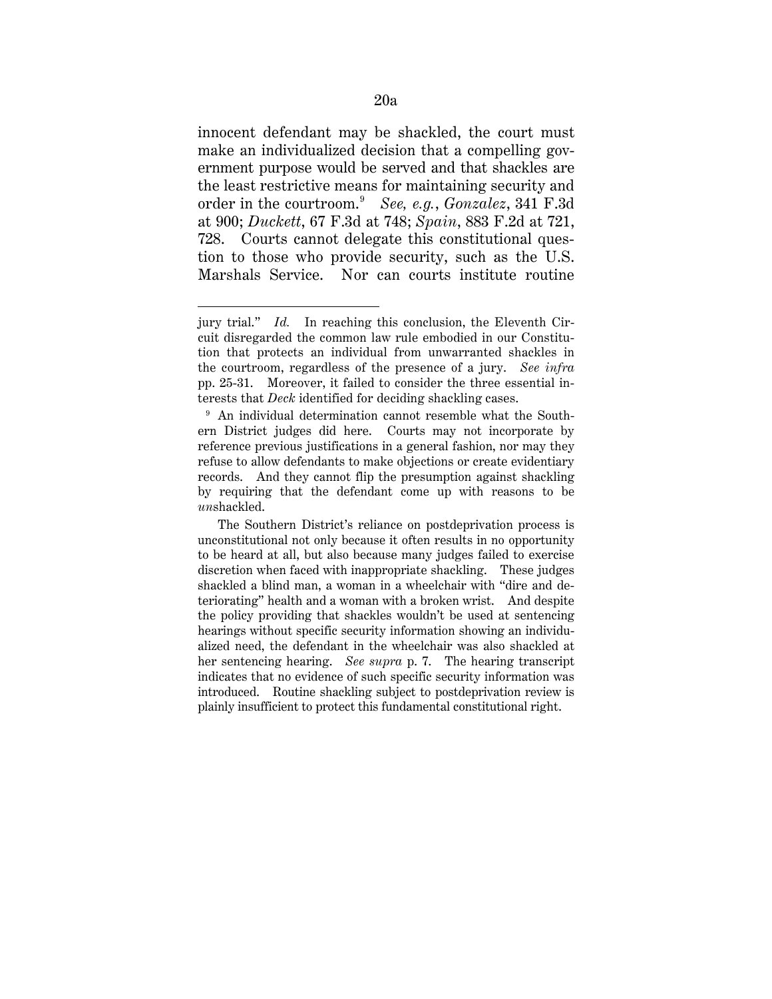innocent defendant may be shackled, the court must make an individualized decision that a compelling government purpose would be served and that shackles are the least restrictive means for maintaining security and order in the courtroom.9 *See, e.g.*, *Gonzalez*, 341 F.3d at 900; *Duckett*, 67 F.3d at 748; *Spain*, 883 F.2d at 721, 728. Courts cannot delegate this constitutional question to those who provide security, such as the U.S. Marshals Service. Nor can courts institute routine

jury trial." *Id.* In reaching this conclusion, the Eleventh Circuit disregarded the common law rule embodied in our Constitution that protects an individual from unwarranted shackles in the courtroom, regardless of the presence of a jury. *See infra*  pp. 25-31. Moreover, it failed to consider the three essential interests that *Deck* identified for deciding shackling cases.

<sup>&</sup>lt;sup>9</sup> An individual determination cannot resemble what the Southern District judges did here. Courts may not incorporate by reference previous justifications in a general fashion, nor may they refuse to allow defendants to make objections or create evidentiary records. And they cannot flip the presumption against shackling by requiring that the defendant come up with reasons to be *un*shackled.

The Southern District's reliance on postdeprivation process is unconstitutional not only because it often results in no opportunity to be heard at all, but also because many judges failed to exercise discretion when faced with inappropriate shackling. These judges shackled a blind man, a woman in a wheelchair with "dire and deteriorating" health and a woman with a broken wrist. And despite the policy providing that shackles wouldn't be used at sentencing hearings without specific security information showing an individualized need, the defendant in the wheelchair was also shackled at her sentencing hearing. *See supra* p. 7. The hearing transcript indicates that no evidence of such specific security information was introduced. Routine shackling subject to postdeprivation review is plainly insufficient to protect this fundamental constitutional right.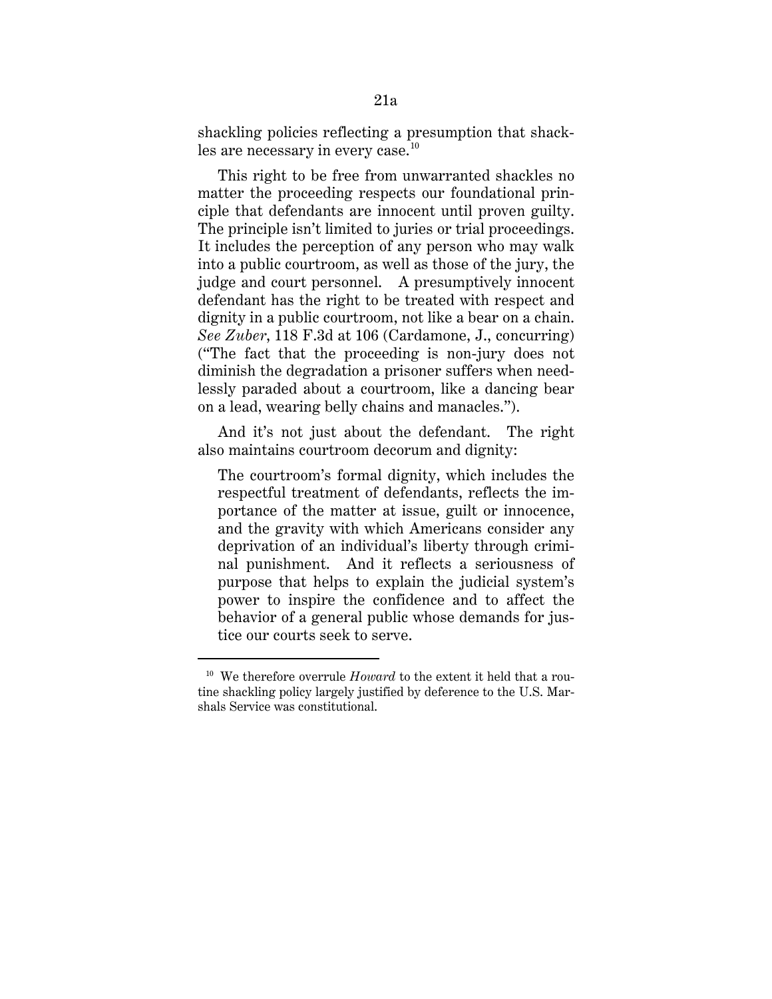shackling policies reflecting a presumption that shackles are necessary in every case. $^{\rm 10}$ 

This right to be free from unwarranted shackles no matter the proceeding respects our foundational principle that defendants are innocent until proven guilty. The principle isn't limited to juries or trial proceedings. It includes the perception of any person who may walk into a public courtroom, as well as those of the jury, the judge and court personnel. A presumptively innocent defendant has the right to be treated with respect and dignity in a public courtroom, not like a bear on a chain. *See Zuber*, 118 F.3d at 106 (Cardamone, J., concurring) ("The fact that the proceeding is non-jury does not diminish the degradation a prisoner suffers when needlessly paraded about a courtroom, like a dancing bear on a lead, wearing belly chains and manacles.").

And it's not just about the defendant. The right also maintains courtroom decorum and dignity:

The courtroom's formal dignity, which includes the respectful treatment of defendants, reflects the importance of the matter at issue, guilt or innocence, and the gravity with which Americans consider any deprivation of an individual's liberty through criminal punishment. And it reflects a seriousness of purpose that helps to explain the judicial system's power to inspire the confidence and to affect the behavior of a general public whose demands for justice our courts seek to serve.

-

<sup>10</sup> We therefore overrule *Howard* to the extent it held that a routine shackling policy largely justified by deference to the U.S. Marshals Service was constitutional.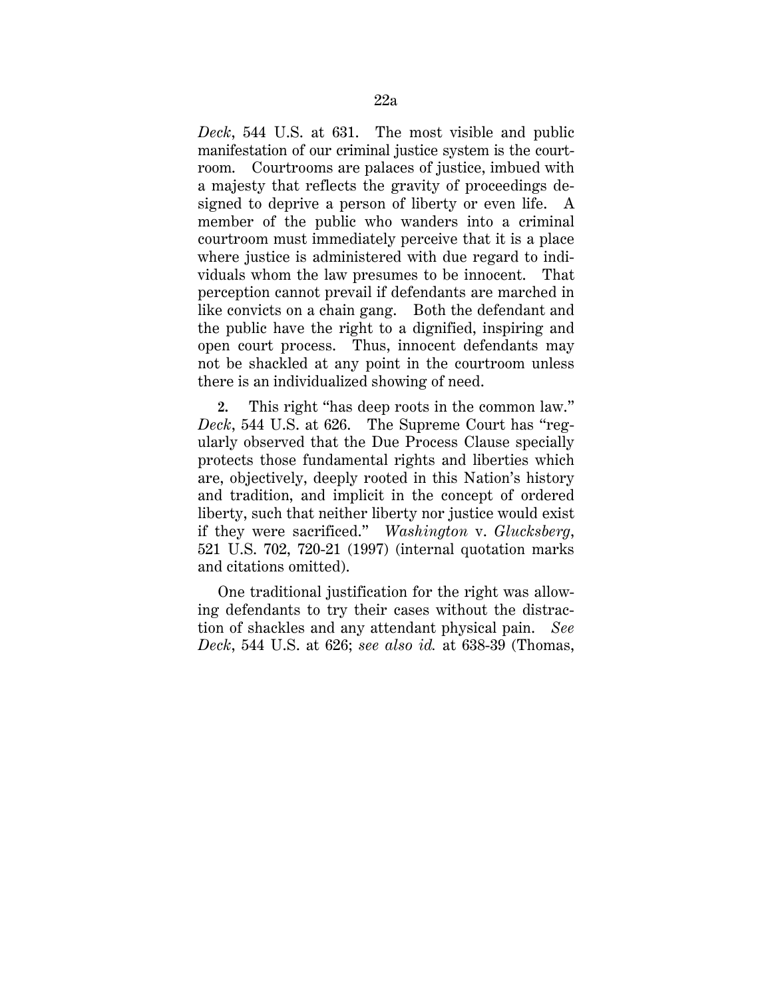*Deck*, 544 U.S. at 631. The most visible and public manifestation of our criminal justice system is the courtroom. Courtrooms are palaces of justice, imbued with a majesty that reflects the gravity of proceedings designed to deprive a person of liberty or even life. A member of the public who wanders into a criminal courtroom must immediately perceive that it is a place where justice is administered with due regard to individuals whom the law presumes to be innocent. That perception cannot prevail if defendants are marched in like convicts on a chain gang. Both the defendant and the public have the right to a dignified, inspiring and open court process. Thus, innocent defendants may not be shackled at any point in the courtroom unless there is an individualized showing of need.

**2.** This right "has deep roots in the common law." *Deck*, 544 U.S. at 626. The Supreme Court has "regularly observed that the Due Process Clause specially protects those fundamental rights and liberties which are, objectively, deeply rooted in this Nation's history and tradition, and implicit in the concept of ordered liberty, such that neither liberty nor justice would exist if they were sacrificed." *Washington* v. *Glucksberg*, 521 U.S. 702, 720-21 (1997) (internal quotation marks and citations omitted).

One traditional justification for the right was allowing defendants to try their cases without the distraction of shackles and any attendant physical pain. *See Deck*, 544 U.S. at 626; *see also id.* at 638-39 (Thomas,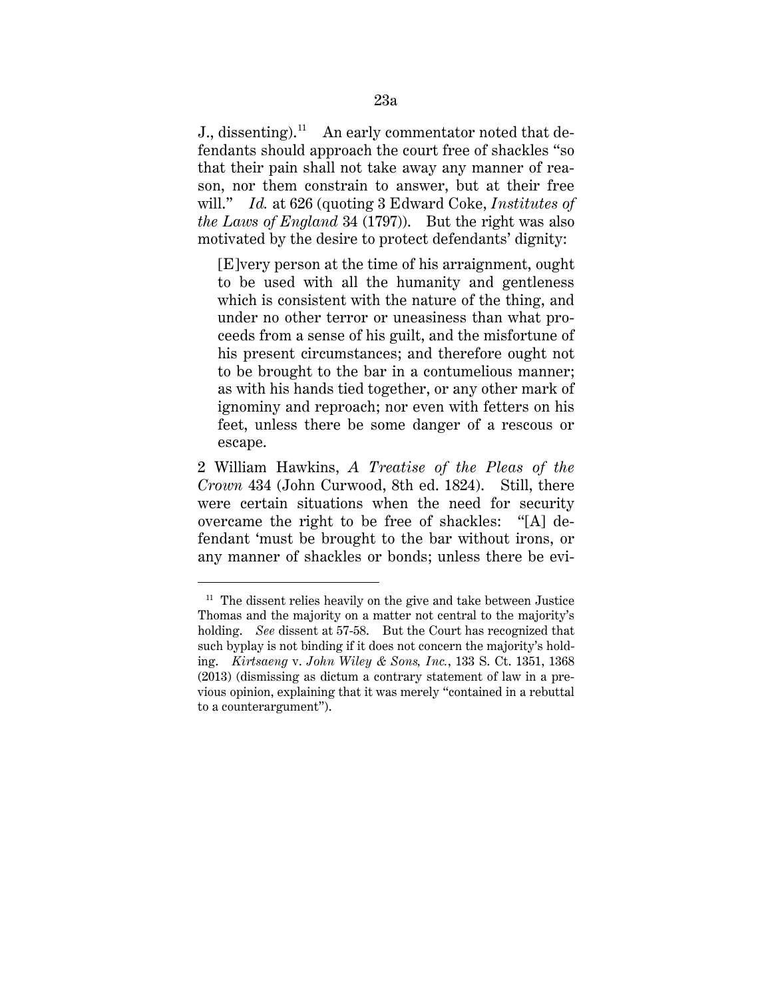J., dissenting).11An early commentator noted that defendants should approach the court free of shackles "so that their pain shall not take away any manner of reason, nor them constrain to answer, but at their free will." *Id.* at 626 (quoting 3 Edward Coke, *Institutes of the Laws of England* 34 (1797)). But the right was also motivated by the desire to protect defendants' dignity:

[E]very person at the time of his arraignment, ought to be used with all the humanity and gentleness which is consistent with the nature of the thing, and under no other terror or uneasiness than what proceeds from a sense of his guilt, and the misfortune of his present circumstances; and therefore ought not to be brought to the bar in a contumelious manner; as with his hands tied together, or any other mark of ignominy and reproach; nor even with fetters on his feet, unless there be some danger of a rescous or escape.

2 William Hawkins, *A Treatise of the Pleas of the Crown* 434 (John Curwood, 8th ed. 1824). Still, there were certain situations when the need for security overcame the right to be free of shackles: "[A] defendant 'must be brought to the bar without irons, or any manner of shackles or bonds; unless there be evi-

 $11$  The dissent relies heavily on the give and take between Justice Thomas and the majority on a matter not central to the majority's holding. *See* dissent at 57-58. But the Court has recognized that such byplay is not binding if it does not concern the majority's holding. *Kirtsaeng* v. *John Wiley & Sons, Inc.*, 133 S. Ct. 1351, 1368 (2013) (dismissing as dictum a contrary statement of law in a previous opinion, explaining that it was merely "contained in a rebuttal to a counterargument").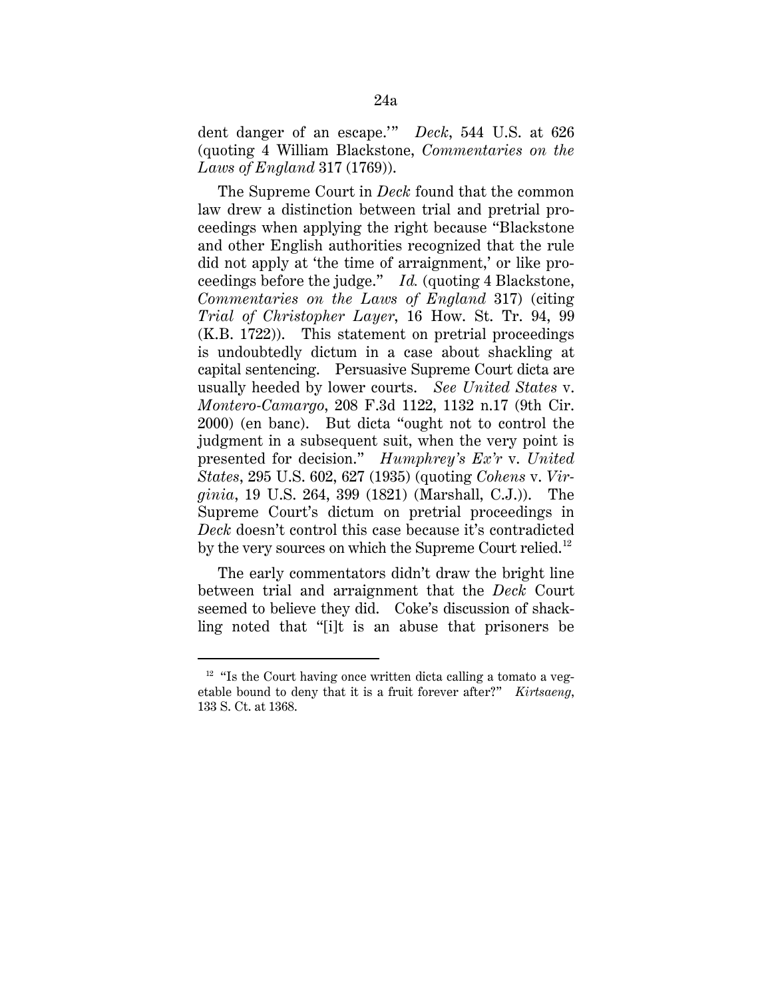dent danger of an escape.'" *Deck*, 544 U.S. at 626 (quoting 4 William Blackstone, *Commentaries on the Laws of England* 317 (1769)).

The Supreme Court in *Deck* found that the common law drew a distinction between trial and pretrial proceedings when applying the right because "Blackstone and other English authorities recognized that the rule did not apply at 'the time of arraignment,' or like proceedings before the judge." *Id.* (quoting 4 Blackstone, *Commentaries on the Laws of England* 317) (citing *Trial of Christopher Layer*, 16 How. St. Tr. 94, 99 (K.B. 1722)). This statement on pretrial proceedings is undoubtedly dictum in a case about shackling at capital sentencing. Persuasive Supreme Court dicta are usually heeded by lower courts. *See United States* v. *Montero-Camargo*, 208 F.3d 1122, 1132 n.17 (9th Cir. 2000) (en banc). But dicta "ought not to control the judgment in a subsequent suit, when the very point is presented for decision." *Humphrey's Ex'r* v. *United States*, 295 U.S. 602, 627 (1935) (quoting *Cohens* v. *Virginia*, 19 U.S. 264, 399 (1821) (Marshall, C.J.)). The Supreme Court's dictum on pretrial proceedings in *Deck* doesn't control this case because it's contradicted by the very sources on which the Supreme Court relied.<sup>12</sup>

The early commentators didn't draw the bright line between trial and arraignment that the *Deck* Court seemed to believe they did. Coke's discussion of shackling noted that "[i]t is an abuse that prisoners be

-

 $12$  "Is the Court having once written dicta calling a tomato a vegetable bound to deny that it is a fruit forever after?" *Kirtsaeng*, 133 S. Ct. at 1368.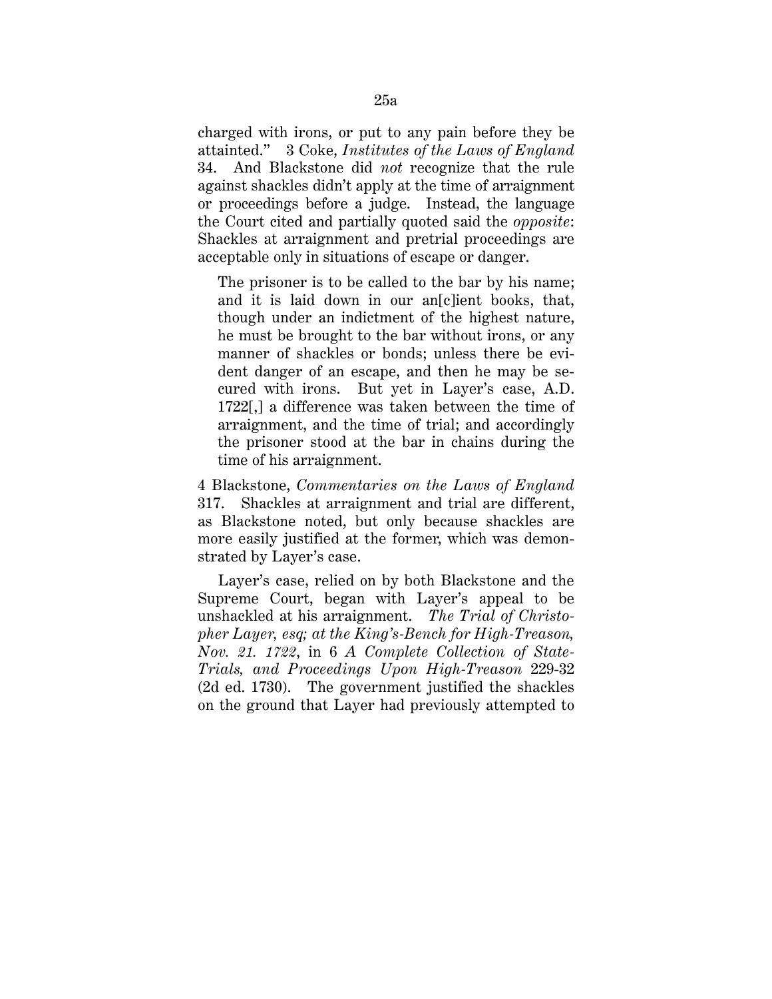charged with irons, or put to any pain before they be attainted." 3 Coke, *Institutes of the Laws of England*  34. And Blackstone did *not* recognize that the rule against shackles didn't apply at the time of arraignment or proceedings before a judge. Instead, the language the Court cited and partially quoted said the *opposite*: Shackles at arraignment and pretrial proceedings are acceptable only in situations of escape or danger.

The prisoner is to be called to the bar by his name; and it is laid down in our an[c]ient books, that, though under an indictment of the highest nature, he must be brought to the bar without irons, or any manner of shackles or bonds; unless there be evident danger of an escape, and then he may be secured with irons. But yet in Layer's case, A.D. 1722[,] a difference was taken between the time of arraignment, and the time of trial; and accordingly the prisoner stood at the bar in chains during the time of his arraignment.

4 Blackstone, *Commentaries on the Laws of England*  317. Shackles at arraignment and trial are different, as Blackstone noted, but only because shackles are more easily justified at the former, which was demonstrated by Layer's case.

Layer's case, relied on by both Blackstone and the Supreme Court, began with Layer's appeal to be unshackled at his arraignment. *The Trial of Christopher Layer, esq; at the King's-Bench for High-Treason, Nov. 21. 1722*, in 6 *A Complete Collection of State-Trials, and Proceedings Upon High-Treason* 229-32 (2d ed. 1730). The government justified the shackles on the ground that Layer had previously attempted to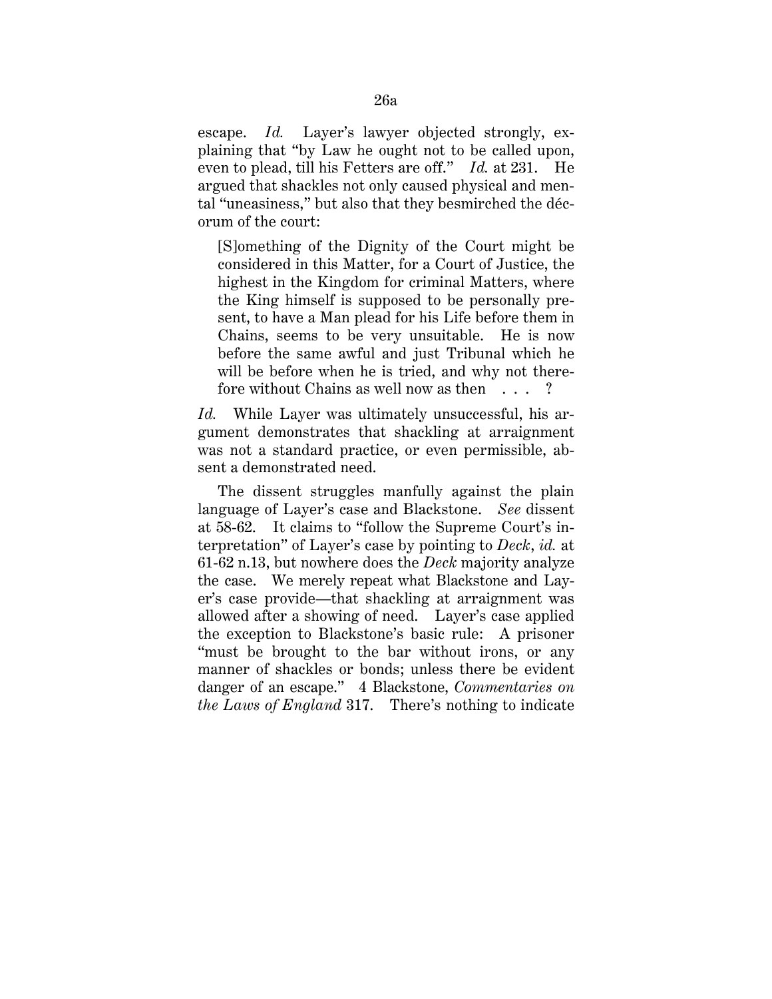escape. *Id.* Layer's lawyer objected strongly, explaining that "by Law he ought not to be called upon, even to plead, till his Fetters are off." *Id.* at 231. He argued that shackles not only caused physical and mental "uneasiness," but also that they besmirched the décorum of the court:

[S]omething of the Dignity of the Court might be considered in this Matter, for a Court of Justice, the highest in the Kingdom for criminal Matters, where the King himself is supposed to be personally present, to have a Man plead for his Life before them in Chains, seems to be very unsuitable. He is now before the same awful and just Tribunal which he will be before when he is tried, and why not therefore without Chains as well now as then . . . ?

*Id.* While Layer was ultimately unsuccessful, his argument demonstrates that shackling at arraignment was not a standard practice, or even permissible, absent a demonstrated need.

The dissent struggles manfully against the plain language of Layer's case and Blackstone. *See* dissent at 58-62. It claims to "follow the Supreme Court's interpretation" of Layer's case by pointing to *Deck*, *id.* at 61-62 n.13, but nowhere does the *Deck* majority analyze the case. We merely repeat what Blackstone and Layer's case provide—that shackling at arraignment was allowed after a showing of need. Layer's case applied the exception to Blackstone's basic rule: A prisoner "must be brought to the bar without irons, or any manner of shackles or bonds; unless there be evident danger of an escape." 4 Blackstone, *Commentaries on the Laws of England* 317. There's nothing to indicate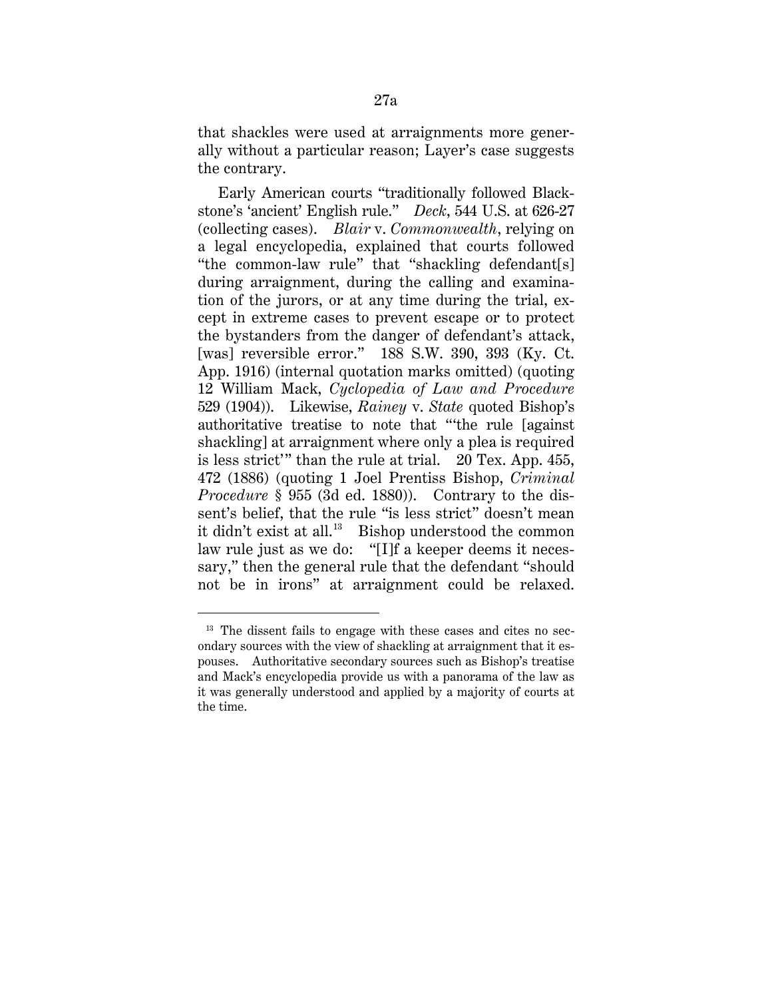that shackles were used at arraignments more generally without a particular reason; Layer's case suggests the contrary.

Early American courts "traditionally followed Blackstone's 'ancient' English rule." *Deck*, 544 U.S. at 626-27 (collecting cases). *Blair* v. *Commonwealth*, relying on a legal encyclopedia, explained that courts followed "the common-law rule" that "shackling defendant[s] during arraignment, during the calling and examination of the jurors, or at any time during the trial, except in extreme cases to prevent escape or to protect the bystanders from the danger of defendant's attack, [was] reversible error." 188 S.W. 390, 393 (Ky. Ct. App. 1916) (internal quotation marks omitted) (quoting 12 William Mack, *Cyclopedia of Law and Procedure*  529 (1904)). Likewise, *Rainey* v. *State* quoted Bishop's authoritative treatise to note that "'the rule [against shackling] at arraignment where only a plea is required is less strict'" than the rule at trial. 20 Tex. App. 455, 472 (1886) (quoting 1 Joel Prentiss Bishop, *Criminal Procedure* § 955 (3d ed. 1880)). Contrary to the dissent's belief, that the rule "is less strict" doesn't mean it didn't exist at all. <sup>13</sup>Bishop understood the common law rule just as we do: "[I]f a keeper deems it necessary," then the general rule that the defendant "should not be in irons" at arraignment could be relaxed.

<sup>&</sup>lt;sup>13</sup> The dissent fails to engage with these cases and cites no secondary sources with the view of shackling at arraignment that it espouses. Authoritative secondary sources such as Bishop's treatise and Mack's encyclopedia provide us with a panorama of the law as it was generally understood and applied by a majority of courts at the time.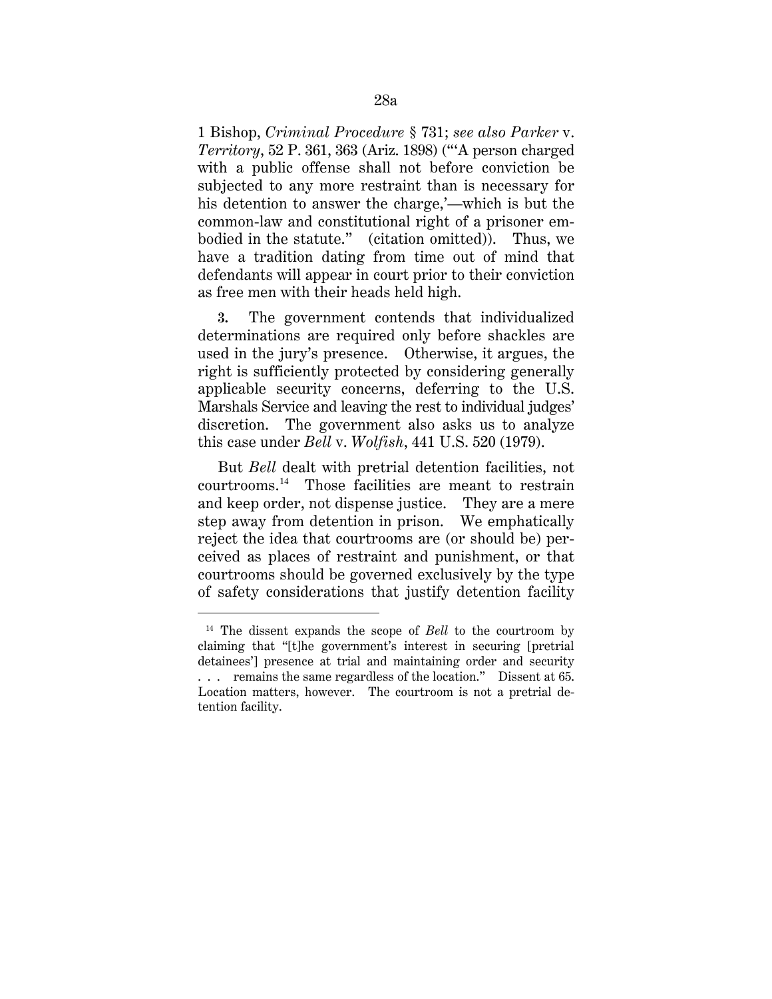1 Bishop, *Criminal Procedure* § 731; *see also Parker* v. *Territory*, 52 P. 361, 363 (Ariz. 1898) ("'A person charged with a public offense shall not before conviction be subjected to any more restraint than is necessary for his detention to answer the charge,'—which is but the common-law and constitutional right of a prisoner embodied in the statute." (citation omitted)). Thus, we have a tradition dating from time out of mind that defendants will appear in court prior to their conviction as free men with their heads held high.

**3.** The government contends that individualized determinations are required only before shackles are used in the jury's presence. Otherwise, it argues, the right is sufficiently protected by considering generally applicable security concerns, deferring to the U.S. Marshals Service and leaving the rest to individual judges' discretion. The government also asks us to analyze this case under *Bell* v. *Wolfish*, 441 U.S. 520 (1979).

But *Bell* dealt with pretrial detention facilities, not courtrooms.14Those facilities are meant to restrain and keep order, not dispense justice. They are a mere step away from detention in prison. We emphatically reject the idea that courtrooms are (or should be) perceived as places of restraint and punishment, or that courtrooms should be governed exclusively by the type of safety considerations that justify detention facility

<sup>14</sup> The dissent expands the scope of *Bell* to the courtroom by claiming that "[t]he government's interest in securing [pretrial detainees'] presence at trial and maintaining order and security . . . remains the same regardless of the location." Dissent at 65. Location matters, however. The courtroom is not a pretrial detention facility.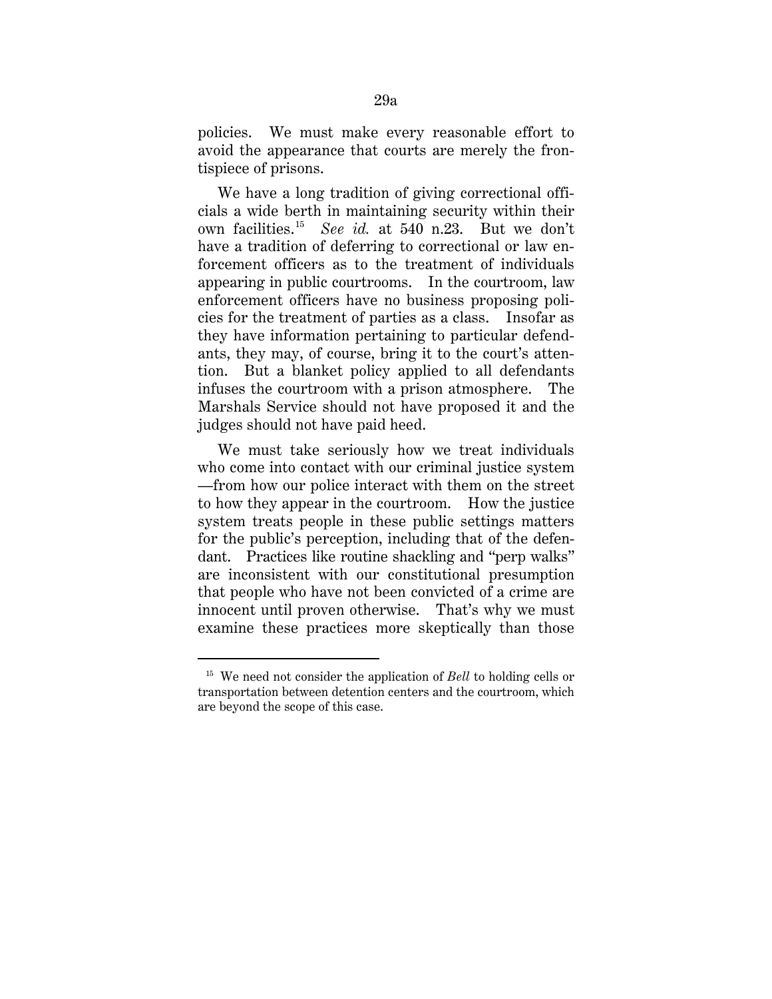policies. We must make every reasonable effort to avoid the appearance that courts are merely the frontispiece of prisons.

We have a long tradition of giving correctional officials a wide berth in maintaining security within their own facilities. <sup>15</sup> *See id.* at 540 n.23. But we don't have a tradition of deferring to correctional or law enforcement officers as to the treatment of individuals appearing in public courtrooms. In the courtroom, law enforcement officers have no business proposing policies for the treatment of parties as a class. Insofar as they have information pertaining to particular defendants, they may, of course, bring it to the court's attention. But a blanket policy applied to all defendants infuses the courtroom with a prison atmosphere. The Marshals Service should not have proposed it and the judges should not have paid heed.

We must take seriously how we treat individuals who come into contact with our criminal justice system —from how our police interact with them on the street to how they appear in the courtroom. How the justice system treats people in these public settings matters for the public's perception, including that of the defendant. Practices like routine shackling and "perp walks" are inconsistent with our constitutional presumption that people who have not been convicted of a crime are innocent until proven otherwise. That's why we must examine these practices more skeptically than those

-

<sup>15</sup> We need not consider the application of *Bell* to holding cells or transportation between detention centers and the courtroom, which are beyond the scope of this case.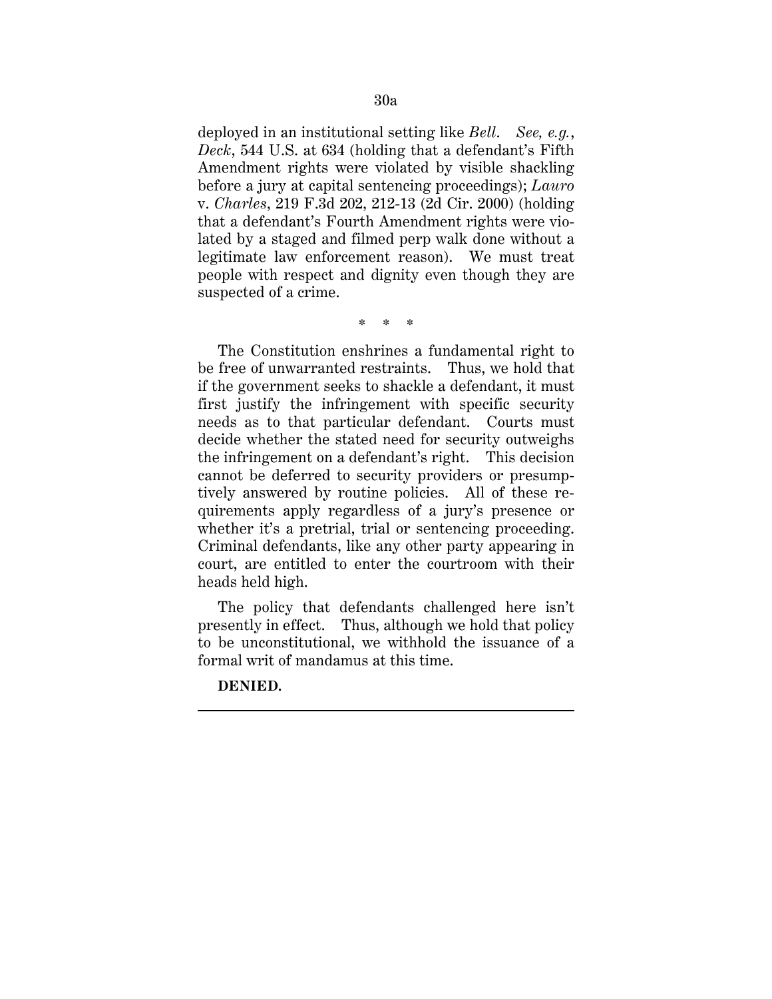deployed in an institutional setting like *Bell*. *See, e.g.*, *Deck*, 544 U.S. at 634 (holding that a defendant's Fifth Amendment rights were violated by visible shackling before a jury at capital sentencing proceedings); *Lauro*  v. *Charles*, 219 F.3d 202, 212-13 (2d Cir. 2000) (holding that a defendant's Fourth Amendment rights were violated by a staged and filmed perp walk done without a legitimate law enforcement reason). We must treat people with respect and dignity even though they are suspected of a crime.

\* \* \*

The Constitution enshrines a fundamental right to be free of unwarranted restraints. Thus, we hold that if the government seeks to shackle a defendant, it must first justify the infringement with specific security needs as to that particular defendant. Courts must decide whether the stated need for security outweighs the infringement on a defendant's right. This decision cannot be deferred to security providers or presumptively answered by routine policies. All of these requirements apply regardless of a jury's presence or whether it's a pretrial, trial or sentencing proceeding. Criminal defendants, like any other party appearing in court, are entitled to enter the courtroom with their heads held high.

The policy that defendants challenged here isn't presently in effect. Thus, although we hold that policy to be unconstitutional, we withhold the issuance of a formal writ of mandamus at this time.

**DENIED.**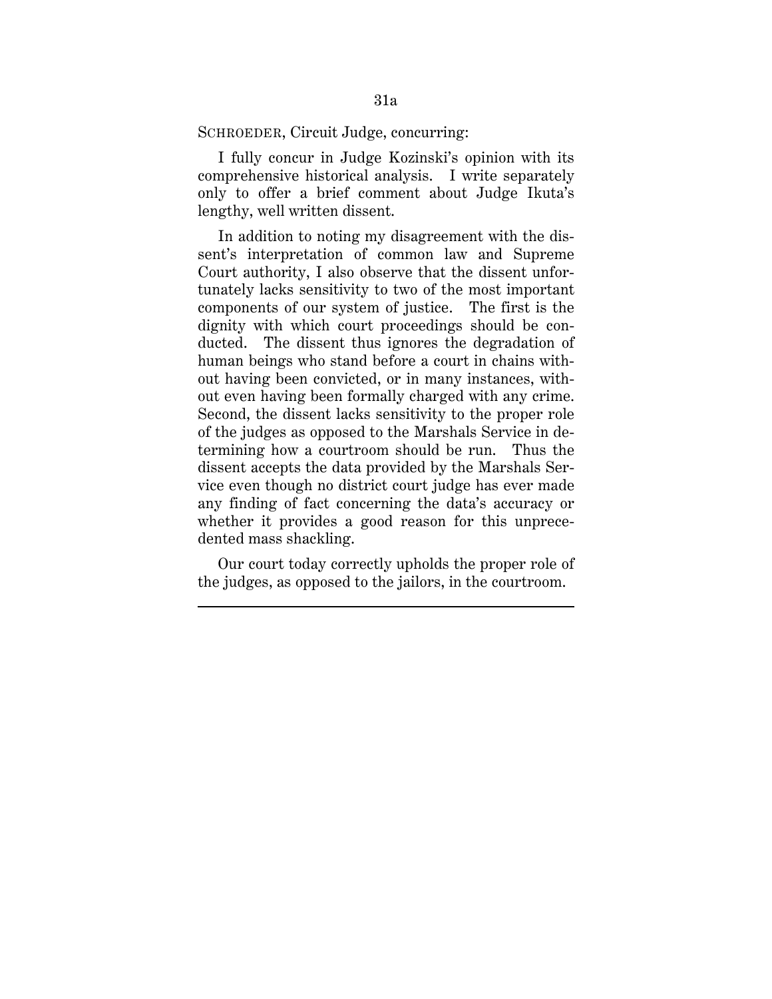SCHROEDER, Circuit Judge, concurring:

I fully concur in Judge Kozinski's opinion with its comprehensive historical analysis. I write separately only to offer a brief comment about Judge Ikuta's lengthy, well written dissent.

In addition to noting my disagreement with the dissent's interpretation of common law and Supreme Court authority, I also observe that the dissent unfortunately lacks sensitivity to two of the most important components of our system of justice. The first is the dignity with which court proceedings should be conducted. The dissent thus ignores the degradation of human beings who stand before a court in chains without having been convicted, or in many instances, without even having been formally charged with any crime. Second, the dissent lacks sensitivity to the proper role of the judges as opposed to the Marshals Service in determining how a courtroom should be run. Thus the dissent accepts the data provided by the Marshals Service even though no district court judge has ever made any finding of fact concerning the data's accuracy or whether it provides a good reason for this unprecedented mass shackling.

Our court today correctly upholds the proper role of the judges, as opposed to the jailors, in the courtroom.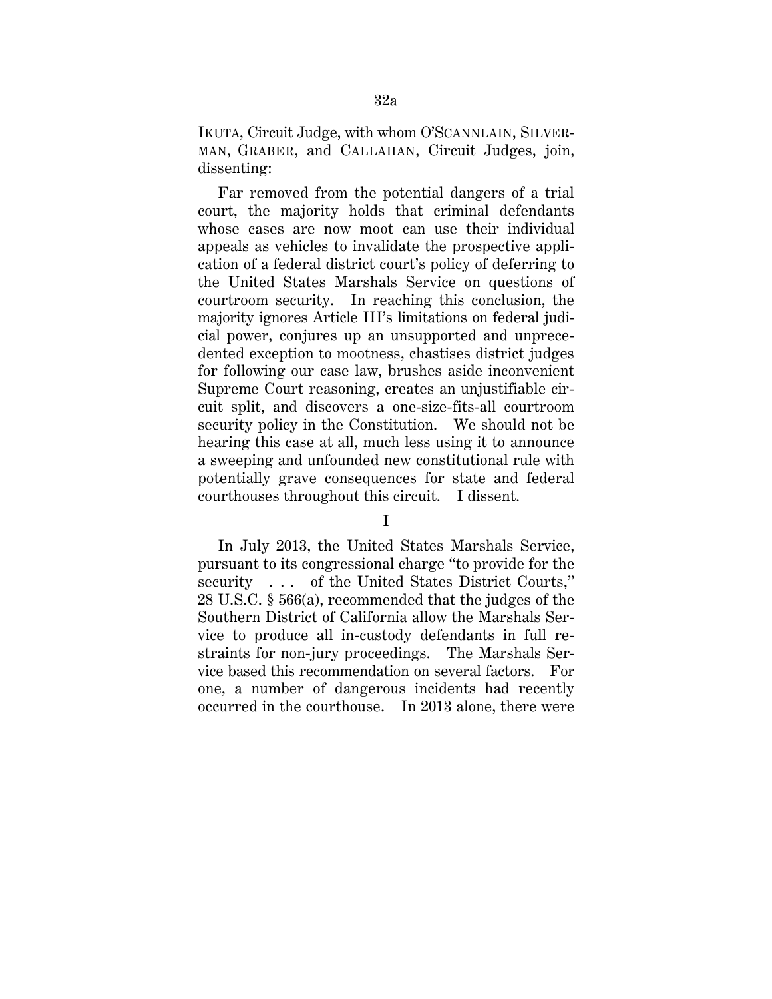IKUTA, Circuit Judge, with whom O'SCANNLAIN, SILVER-MAN, GRABER, and CALLAHAN, Circuit Judges, join, dissenting:

Far removed from the potential dangers of a trial court, the majority holds that criminal defendants whose cases are now moot can use their individual appeals as vehicles to invalidate the prospective application of a federal district court's policy of deferring to the United States Marshals Service on questions of courtroom security. In reaching this conclusion, the majority ignores Article III's limitations on federal judicial power, conjures up an unsupported and unprecedented exception to mootness, chastises district judges for following our case law, brushes aside inconvenient Supreme Court reasoning, creates an unjustifiable circuit split, and discovers a one-size-fits-all courtroom security policy in the Constitution. We should not be hearing this case at all, much less using it to announce a sweeping and unfounded new constitutional rule with potentially grave consequences for state and federal courthouses throughout this circuit. I dissent.

I

In July 2013, the United States Marshals Service, pursuant to its congressional charge "to provide for the security . . . of the United States District Courts," 28 U.S.C. § 566(a), recommended that the judges of the Southern District of California allow the Marshals Service to produce all in-custody defendants in full restraints for non-jury proceedings. The Marshals Service based this recommendation on several factors. For one, a number of dangerous incidents had recently occurred in the courthouse. In 2013 alone, there were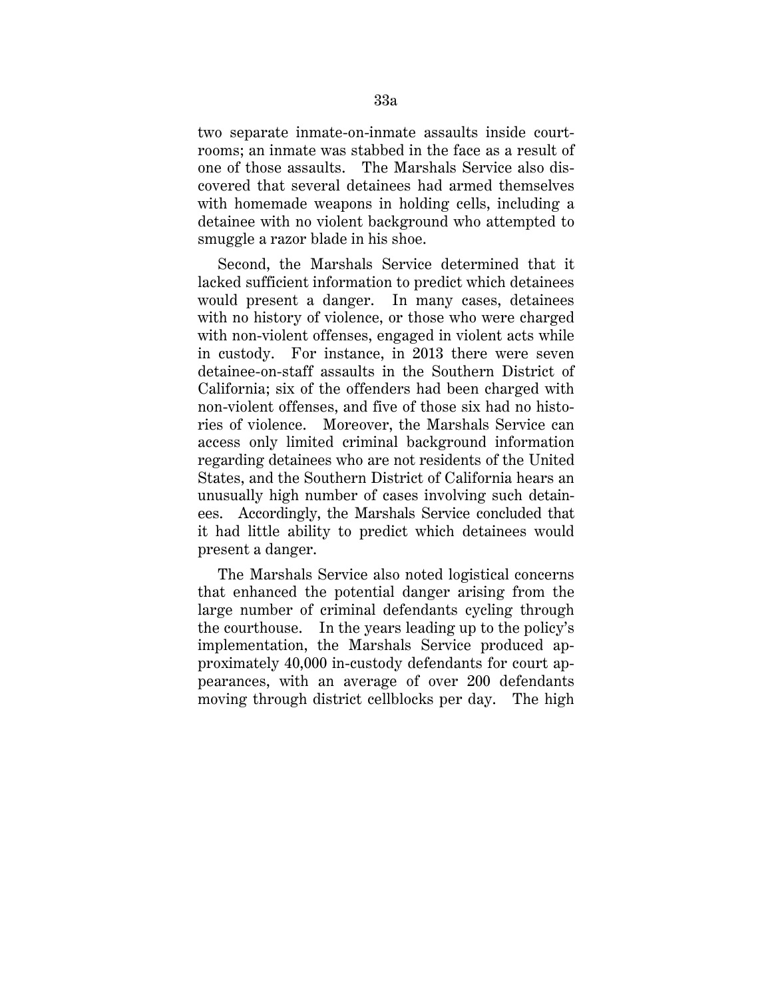two separate inmate-on-inmate assaults inside courtrooms; an inmate was stabbed in the face as a result of one of those assaults. The Marshals Service also discovered that several detainees had armed themselves with homemade weapons in holding cells, including a detainee with no violent background who attempted to smuggle a razor blade in his shoe.

Second, the Marshals Service determined that it lacked sufficient information to predict which detainees would present a danger. In many cases, detainees with no history of violence, or those who were charged with non-violent offenses, engaged in violent acts while in custody. For instance, in 2013 there were seven detainee-on-staff assaults in the Southern District of California; six of the offenders had been charged with non-violent offenses, and five of those six had no histories of violence. Moreover, the Marshals Service can access only limited criminal background information regarding detainees who are not residents of the United States, and the Southern District of California hears an unusually high number of cases involving such detainees. Accordingly, the Marshals Service concluded that it had little ability to predict which detainees would present a danger.

The Marshals Service also noted logistical concerns that enhanced the potential danger arising from the large number of criminal defendants cycling through the courthouse. In the years leading up to the policy's implementation, the Marshals Service produced approximately 40,000 in-custody defendants for court appearances, with an average of over 200 defendants moving through district cellblocks per day. The high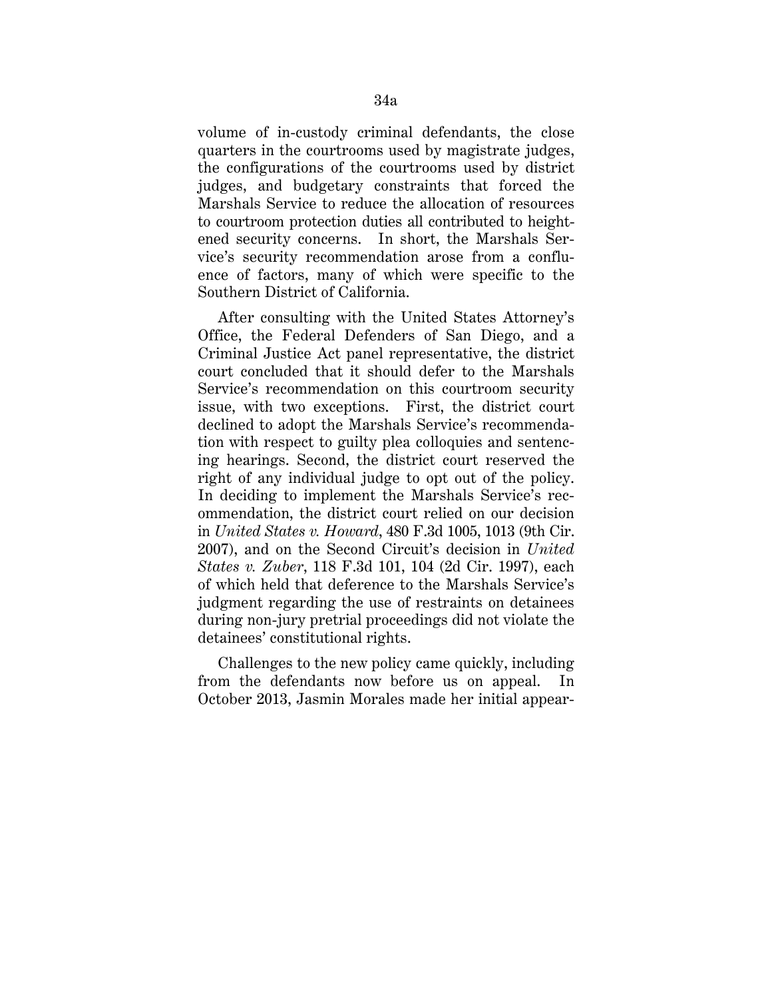volume of in-custody criminal defendants, the close quarters in the courtrooms used by magistrate judges, the configurations of the courtrooms used by district judges, and budgetary constraints that forced the Marshals Service to reduce the allocation of resources to courtroom protection duties all contributed to heightened security concerns. In short, the Marshals Service's security recommendation arose from a confluence of factors, many of which were specific to the Southern District of California.

After consulting with the United States Attorney's Office, the Federal Defenders of San Diego, and a Criminal Justice Act panel representative, the district court concluded that it should defer to the Marshals Service's recommendation on this courtroom security issue, with two exceptions. First, the district court declined to adopt the Marshals Service's recommendation with respect to guilty plea colloquies and sentencing hearings. Second, the district court reserved the right of any individual judge to opt out of the policy. In deciding to implement the Marshals Service's recommendation, the district court relied on our decision in *United States v. Howard*, 480 F.3d 1005, 1013 (9th Cir. 2007), and on the Second Circuit's decision in *United States v. Zuber*, 118 F.3d 101, 104 (2d Cir. 1997), each of which held that deference to the Marshals Service's judgment regarding the use of restraints on detainees during non-jury pretrial proceedings did not violate the detainees' constitutional rights.

Challenges to the new policy came quickly, including from the defendants now before us on appeal. In October 2013, Jasmin Morales made her initial appear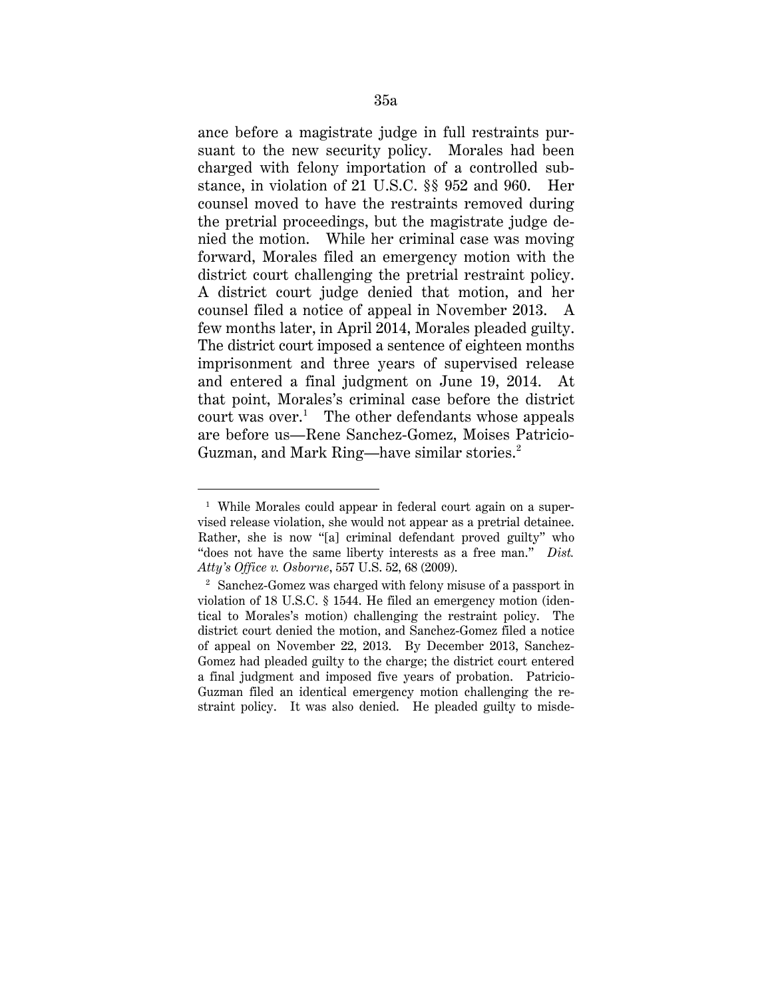ance before a magistrate judge in full restraints pursuant to the new security policy. Morales had been charged with felony importation of a controlled substance, in violation of 21 U.S.C. §§ 952 and 960. Her counsel moved to have the restraints removed during the pretrial proceedings, but the magistrate judge denied the motion. While her criminal case was moving forward, Morales filed an emergency motion with the district court challenging the pretrial restraint policy. A district court judge denied that motion, and her counsel filed a notice of appeal in November 2013. A few months later, in April 2014, Morales pleaded guilty. The district court imposed a sentence of eighteen months imprisonment and three years of supervised release and entered a final judgment on June 19, 2014. At that point, Morales's criminal case before the district court was over.<sup>1</sup> The other defendants whose appeals are before us—Rene Sanchez-Gomez, Moises Patricio-Guzman, and Mark Ring—have similar stories.<sup>2</sup>

<sup>&</sup>lt;sup>1</sup> While Morales could appear in federal court again on a supervised release violation, she would not appear as a pretrial detainee. Rather, she is now "[a] criminal defendant proved guilty" who "does not have the same liberty interests as a free man." *Dist. Atty's Office v. Osborne*, 557 U.S. 52, 68 (2009).

<sup>2</sup> Sanchez-Gomez was charged with felony misuse of a passport in violation of 18 U.S.C. § 1544. He filed an emergency motion (identical to Morales's motion) challenging the restraint policy. The district court denied the motion, and Sanchez-Gomez filed a notice of appeal on November 22, 2013. By December 2013, Sanchez-Gomez had pleaded guilty to the charge; the district court entered a final judgment and imposed five years of probation. Patricio-Guzman filed an identical emergency motion challenging the restraint policy. It was also denied. He pleaded guilty to misde-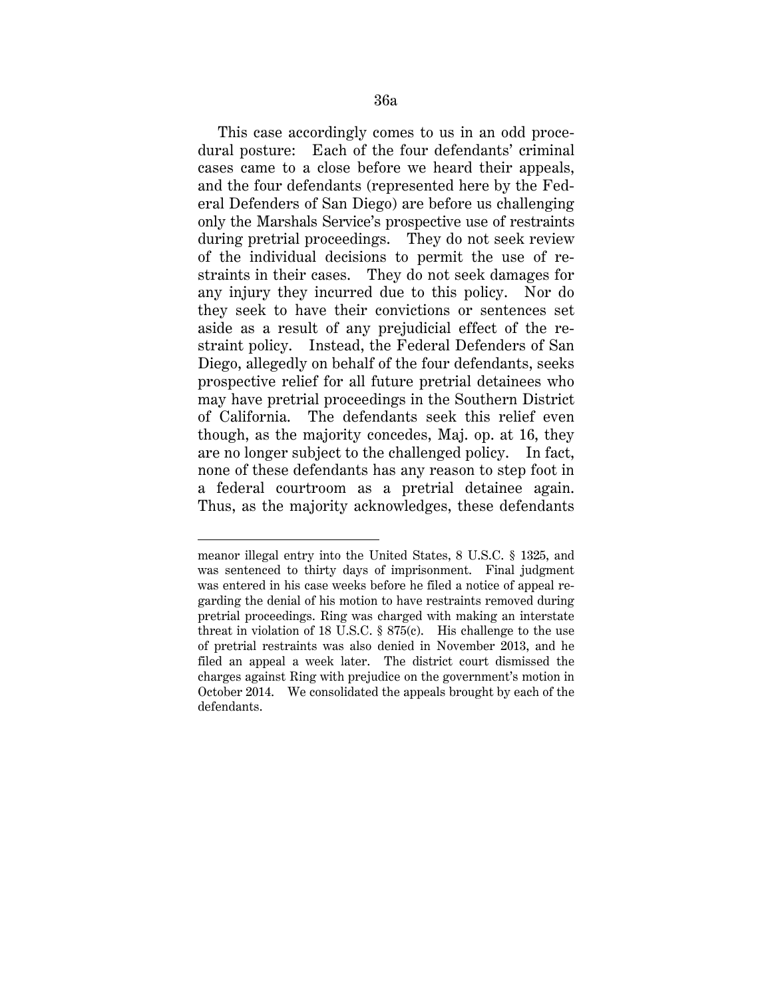This case accordingly comes to us in an odd procedural posture: Each of the four defendants' criminal cases came to a close before we heard their appeals, and the four defendants (represented here by the Federal Defenders of San Diego) are before us challenging only the Marshals Service's prospective use of restraints during pretrial proceedings. They do not seek review of the individual decisions to permit the use of restraints in their cases. They do not seek damages for any injury they incurred due to this policy. Nor do they seek to have their convictions or sentences set aside as a result of any prejudicial effect of the restraint policy. Instead, the Federal Defenders of San Diego, allegedly on behalf of the four defendants, seeks prospective relief for all future pretrial detainees who may have pretrial proceedings in the Southern District of California. The defendants seek this relief even though, as the majority concedes, Maj. op. at 16, they are no longer subject to the challenged policy. In fact, none of these defendants has any reason to step foot in a federal courtroom as a pretrial detainee again. Thus, as the majority acknowledges, these defendants

-

meanor illegal entry into the United States, 8 U.S.C. § 1325, and was sentenced to thirty days of imprisonment. Final judgment was entered in his case weeks before he filed a notice of appeal regarding the denial of his motion to have restraints removed during pretrial proceedings. Ring was charged with making an interstate threat in violation of 18 U.S.C. § 875(c). His challenge to the use of pretrial restraints was also denied in November 2013, and he filed an appeal a week later. The district court dismissed the charges against Ring with prejudice on the government's motion in October 2014. We consolidated the appeals brought by each of the defendants.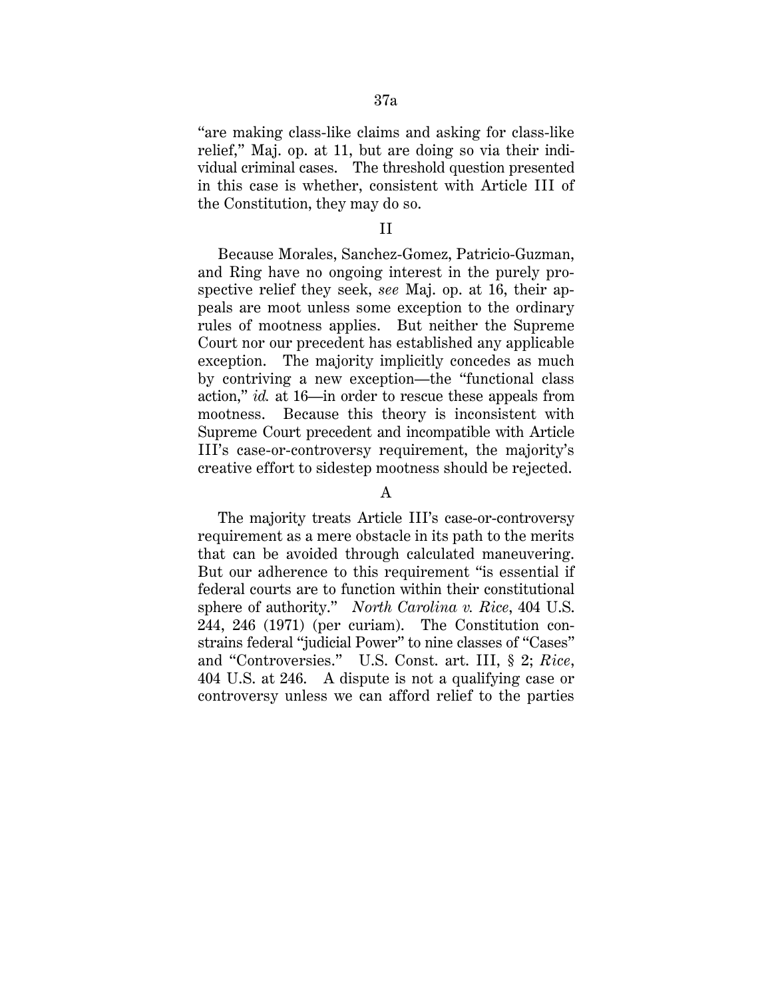"are making class-like claims and asking for class-like relief," Maj. op. at 11, but are doing so via their individual criminal cases. The threshold question presented in this case is whether, consistent with Article III of the Constitution, they may do so.

#### II

Because Morales, Sanchez-Gomez, Patricio-Guzman, and Ring have no ongoing interest in the purely prospective relief they seek, *see* Maj. op. at 16, their appeals are moot unless some exception to the ordinary rules of mootness applies. But neither the Supreme Court nor our precedent has established any applicable exception. The majority implicitly concedes as much by contriving a new exception—the "functional class action," *id.* at 16—in order to rescue these appeals from mootness. Because this theory is inconsistent with Supreme Court precedent and incompatible with Article III's case-or-controversy requirement, the majority's creative effort to sidestep mootness should be rejected.

# A

The majority treats Article III's case-or-controversy requirement as a mere obstacle in its path to the merits that can be avoided through calculated maneuvering. But our adherence to this requirement "is essential if federal courts are to function within their constitutional sphere of authority." *North Carolina v. Rice*, 404 U.S. 244, 246 (1971) (per curiam).The Constitution constrains federal "judicial Power" to nine classes of "Cases" and "Controversies." U.S. Const. art. III, § 2; *Rice*, 404 U.S. at 246. A dispute is not a qualifying case or controversy unless we can afford relief to the parties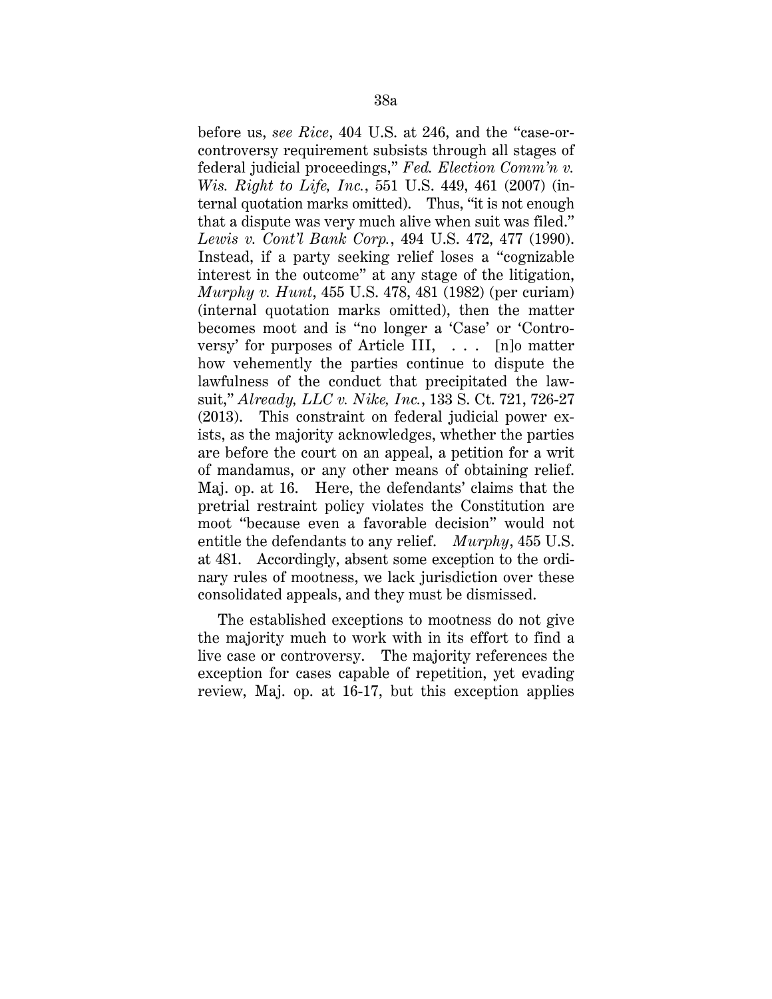before us, *see Rice*, 404 U.S. at 246, and the "case-orcontroversy requirement subsists through all stages of federal judicial proceedings," *Fed. Election Comm'n v. Wis. Right to Life, Inc.*, 551 U.S. 449, 461 (2007) (internal quotation marks omitted). Thus, "it is not enough that a dispute was very much alive when suit was filed." *Lewis v. Cont'l Bank Corp.*, 494 U.S. 472, 477 (1990). Instead, if a party seeking relief loses a "cognizable interest in the outcome" at any stage of the litigation, *Murphy v. Hunt*, 455 U.S. 478, 481 (1982) (per curiam) (internal quotation marks omitted), then the matter becomes moot and is "no longer a 'Case' or 'Controversy' for purposes of Article III, . . . [n]o matter how vehemently the parties continue to dispute the lawfulness of the conduct that precipitated the lawsuit," *Already, LLC v. Nike, Inc.*, 133 S. Ct. 721, 726-27 (2013). This constraint on federal judicial power exists, as the majority acknowledges, whether the parties are before the court on an appeal, a petition for a writ of mandamus, or any other means of obtaining relief. Maj. op. at 16. Here, the defendants' claims that the pretrial restraint policy violates the Constitution are moot "because even a favorable decision" would not entitle the defendants to any relief. *Murphy*, 455 U.S. at 481. Accordingly, absent some exception to the ordinary rules of mootness, we lack jurisdiction over these consolidated appeals, and they must be dismissed.

The established exceptions to mootness do not give the majority much to work with in its effort to find a live case or controversy. The majority references the exception for cases capable of repetition, yet evading review, Maj. op. at 16-17, but this exception applies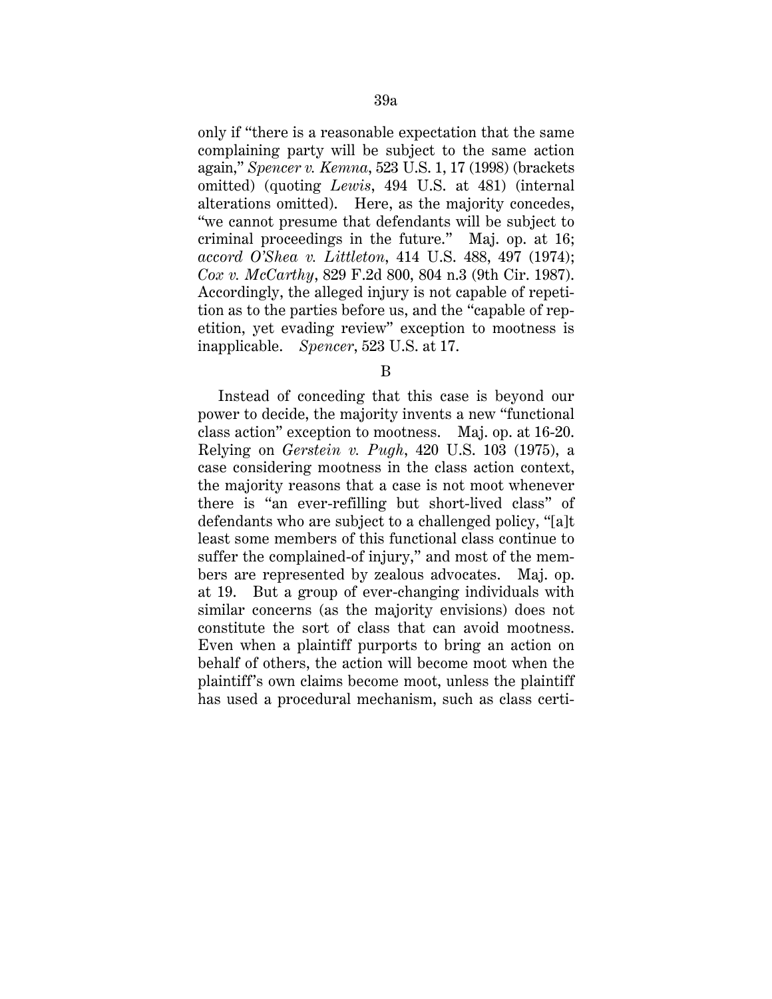only if "there is a reasonable expectation that the same complaining party will be subject to the same action again," *Spencer v. Kemna*, 523 U.S. 1, 17 (1998) (brackets omitted) (quoting *Lewis*, 494 U.S. at 481) (internal alterations omitted). Here, as the majority concedes, "we cannot presume that defendants will be subject to criminal proceedings in the future." Maj. op. at 16; *accord O'Shea v. Littleton*, 414 U.S. 488, 497 (1974); *Cox v. McCarthy*, 829 F.2d 800, 804 n.3 (9th Cir. 1987). Accordingly, the alleged injury is not capable of repetition as to the parties before us, and the "capable of repetition, yet evading review" exception to mootness is inapplicable. *Spencer*, 523 U.S. at 17.

B

Instead of conceding that this case is beyond our power to decide, the majority invents a new "functional class action" exception to mootness. Maj. op. at 16-20. Relying on *Gerstein v. Pugh*, 420 U.S. 103 (1975), a case considering mootness in the class action context, the majority reasons that a case is not moot whenever there is "an ever-refilling but short-lived class" of defendants who are subject to a challenged policy, "[a]t least some members of this functional class continue to suffer the complained-of injury," and most of the members are represented by zealous advocates. Maj. op. at 19. But a group of ever-changing individuals with similar concerns (as the majority envisions) does not constitute the sort of class that can avoid mootness. Even when a plaintiff purports to bring an action on behalf of others, the action will become moot when the plaintiff's own claims become moot, unless the plaintiff has used a procedural mechanism, such as class certi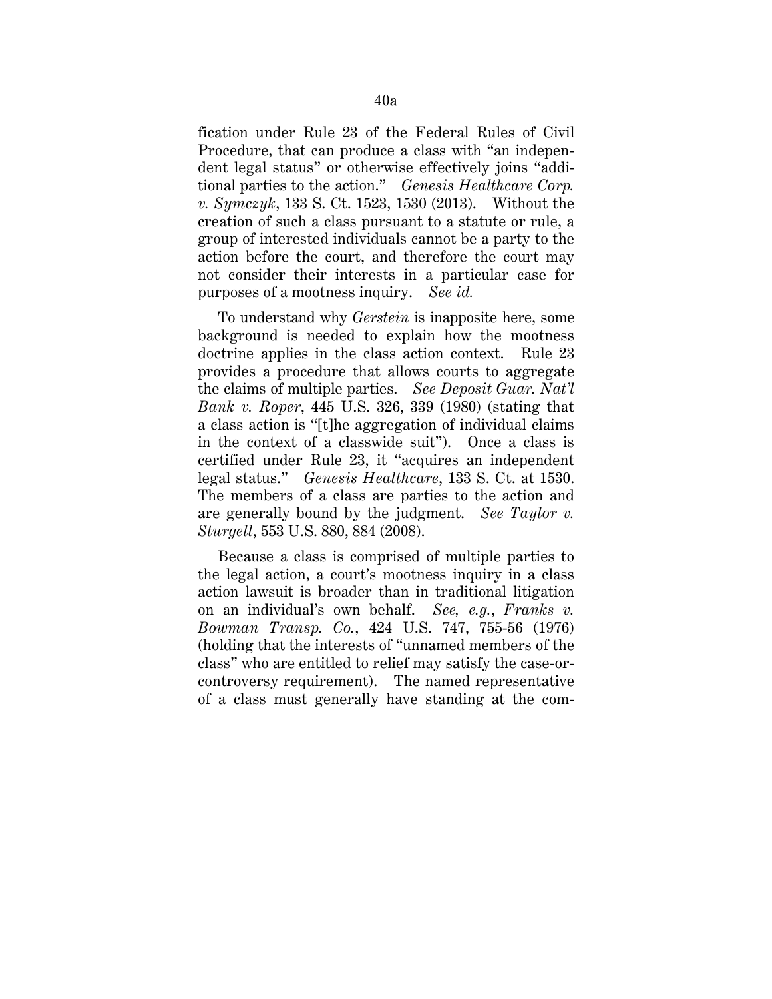fication under Rule 23 of the Federal Rules of Civil Procedure, that can produce a class with "an independent legal status" or otherwise effectively joins "additional parties to the action." *Genesis Healthcare Corp. v. Symczyk*, 133 S. Ct. 1523, 1530 (2013). Without the creation of such a class pursuant to a statute or rule, a group of interested individuals cannot be a party to the action before the court, and therefore the court may not consider their interests in a particular case for purposes of a mootness inquiry. *See id.*

To understand why *Gerstein* is inapposite here, some background is needed to explain how the mootness doctrine applies in the class action context. Rule 23 provides a procedure that allows courts to aggregate the claims of multiple parties. *See Deposit Guar. Nat'l Bank v. Roper*, 445 U.S. 326, 339 (1980) (stating that a class action is "[t]he aggregation of individual claims in the context of a classwide suit"). Once a class is certified under Rule 23, it "acquires an independent legal status." *Genesis Healthcare*, 133 S. Ct. at 1530. The members of a class are parties to the action and are generally bound by the judgment. *See Taylor v. Sturgell*, 553 U.S. 880, 884 (2008).

Because a class is comprised of multiple parties to the legal action, a court's mootness inquiry in a class action lawsuit is broader than in traditional litigation on an individual's own behalf. *See, e.g.*, *Franks v. Bowman Transp. Co.*, 424 U.S. 747, 755-56 (1976) (holding that the interests of "unnamed members of the class" who are entitled to relief may satisfy the case-orcontroversy requirement). The named representative of a class must generally have standing at the com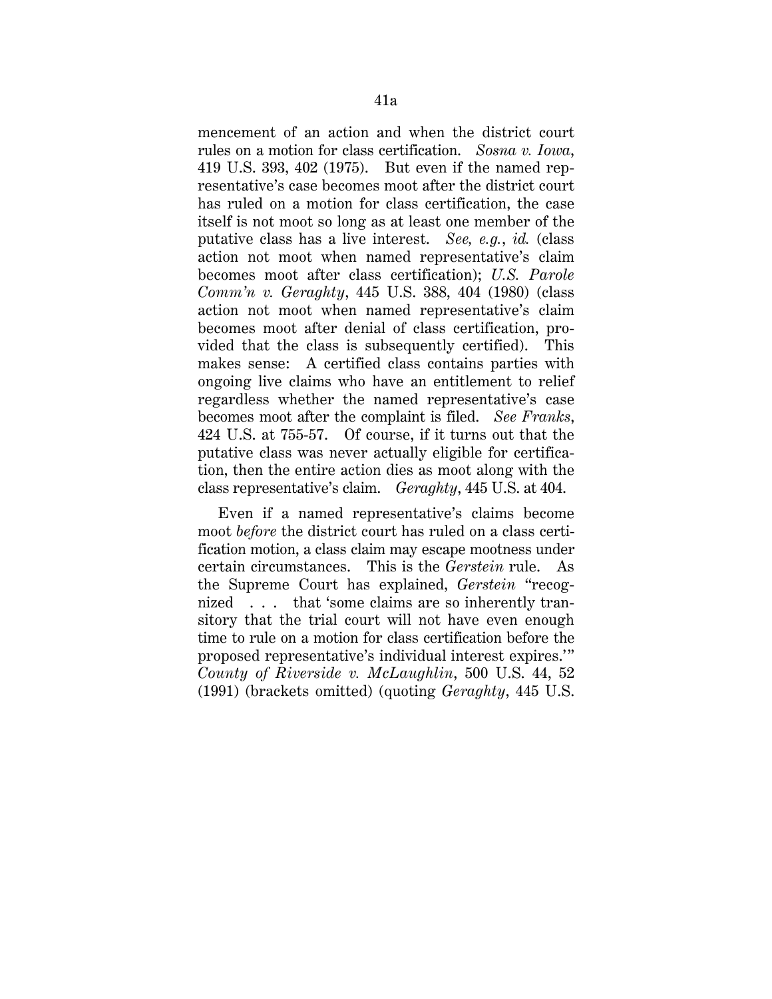mencement of an action and when the district court rules on a motion for class certification. *Sosna v. Iowa*, 419 U.S. 393, 402 (1975). But even if the named representative's case becomes moot after the district court has ruled on a motion for class certification, the case itself is not moot so long as at least one member of the putative class has a live interest. *See, e.g.*, *id.* (class action not moot when named representative's claim becomes moot after class certification); *U.S. Parole Comm'n v. Geraghty*, 445 U.S. 388, 404 (1980) (class action not moot when named representative's claim becomes moot after denial of class certification, provided that the class is subsequently certified). This makes sense: A certified class contains parties with ongoing live claims who have an entitlement to relief regardless whether the named representative's case becomes moot after the complaint is filed. *See Franks*, 424 U.S. at 755-57. Of course, if it turns out that the putative class was never actually eligible for certification, then the entire action dies as moot along with the class representative's claim. *Geraghty*, 445 U.S. at 404.

Even if a named representative's claims become moot *before* the district court has ruled on a class certification motion, a class claim may escape mootness under certain circumstances. This is the *Gerstein* rule. As the Supreme Court has explained, *Gerstein* "recognized . . . that 'some claims are so inherently transitory that the trial court will not have even enough time to rule on a motion for class certification before the proposed representative's individual interest expires.'" *County of Riverside v. McLaughlin*, 500 U.S. 44, 52 (1991) (brackets omitted) (quoting *Geraghty*, 445 U.S.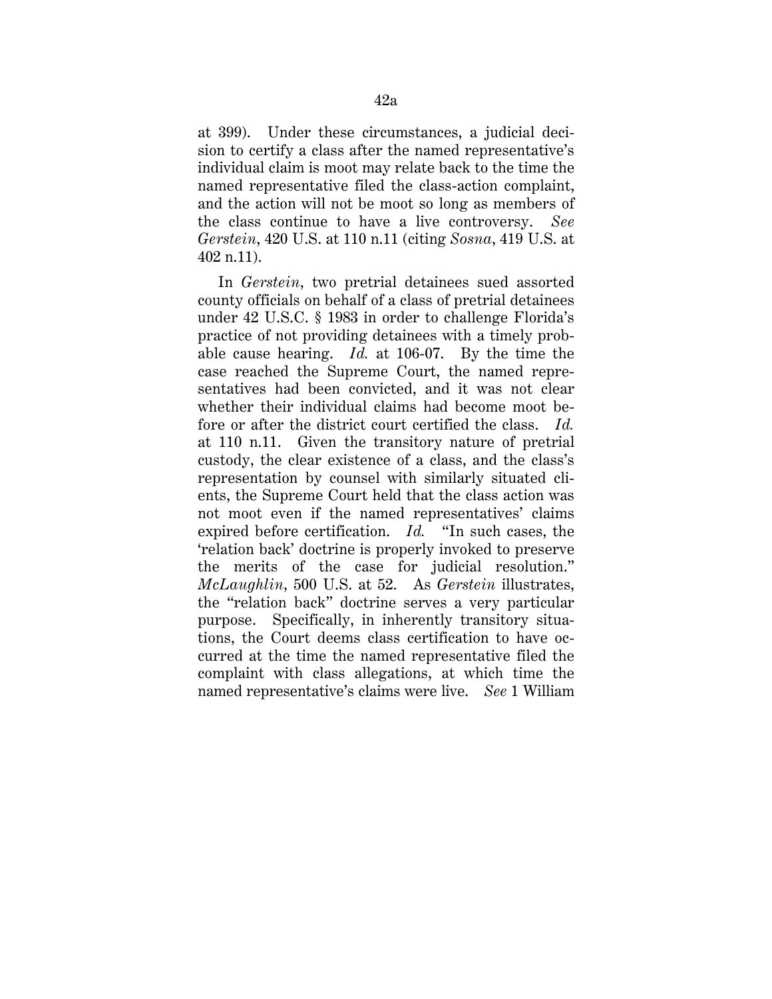at 399). Under these circumstances, a judicial decision to certify a class after the named representative's individual claim is moot may relate back to the time the named representative filed the class-action complaint, and the action will not be moot so long as members of the class continue to have a live controversy. *See Gerstein*, 420 U.S. at 110 n.11 (citing *Sosna*, 419 U.S. at 402 n.11).

In *Gerstein*, two pretrial detainees sued assorted county officials on behalf of a class of pretrial detainees under 42 U.S.C. § 1983 in order to challenge Florida's practice of not providing detainees with a timely probable cause hearing. *Id.* at 106-07. By the time the case reached the Supreme Court, the named representatives had been convicted, and it was not clear whether their individual claims had become moot before or after the district court certified the class. *Id.* at 110 n.11. Given the transitory nature of pretrial custody, the clear existence of a class, and the class's representation by counsel with similarly situated clients, the Supreme Court held that the class action was not moot even if the named representatives' claims expired before certification. *Id.* "In such cases, the 'relation back' doctrine is properly invoked to preserve the merits of the case for judicial resolution." *McLaughlin*, 500 U.S. at 52. As *Gerstein* illustrates, the "relation back" doctrine serves a very particular purpose. Specifically, in inherently transitory situations, the Court deems class certification to have occurred at the time the named representative filed the complaint with class allegations, at which time the named representative's claims were live. *See* 1 William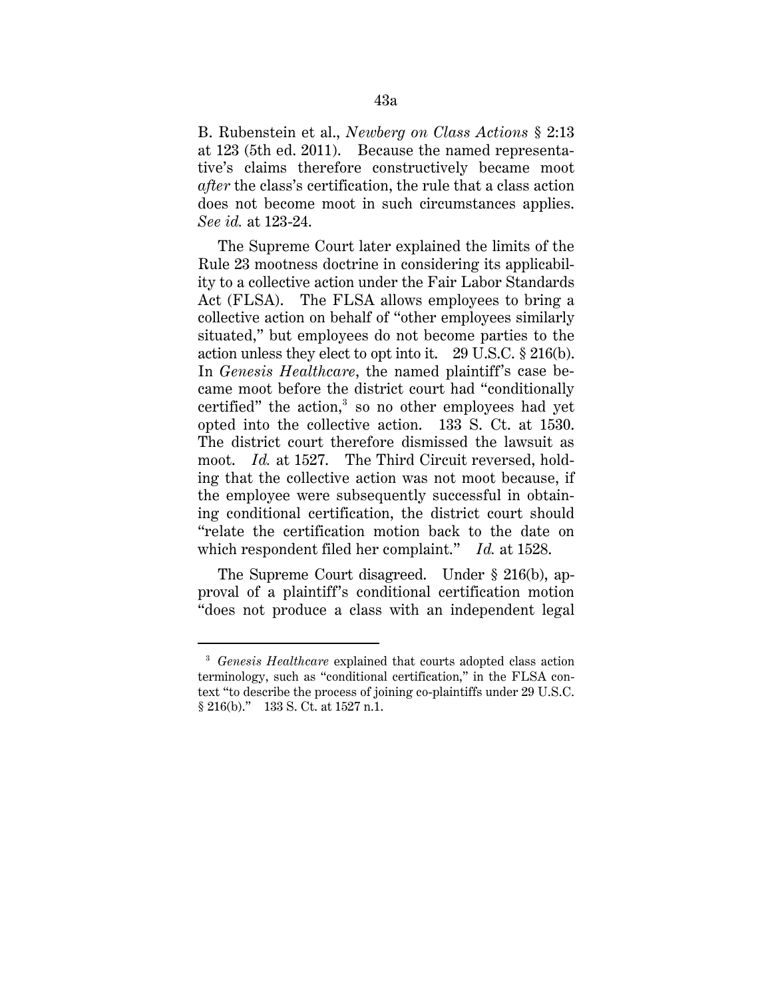B. Rubenstein et al., *Newberg on Class Actions* § 2:13 at 123 (5th ed. 2011). Because the named representative's claims therefore constructively became moot *after* the class's certification, the rule that a class action does not become moot in such circumstances applies. *See id.* at 123-24.

The Supreme Court later explained the limits of the Rule 23 mootness doctrine in considering its applicability to a collective action under the Fair Labor Standards Act (FLSA). The FLSA allows employees to bring a collective action on behalf of "other employees similarly situated," but employees do not become parties to the action unless they elect to opt into it. 29 U.S.C. § 216(b). In *Genesis Healthcare*, the named plaintiff's case became moot before the district court had "conditionally certified" the action, $3$  so no other employees had yet opted into the collective action. 133 S. Ct. at 1530. The district court therefore dismissed the lawsuit as moot. *Id.* at 1527. The Third Circuit reversed, holding that the collective action was not moot because, if the employee were subsequently successful in obtaining conditional certification, the district court should "relate the certification motion back to the date on which respondent filed her complaint." *Id.* at 1528.

The Supreme Court disagreed. Under § 216(b), approval of a plaintiff's conditional certification motion "does not produce a class with an independent legal

<sup>3</sup> *Genesis Healthcare* explained that courts adopted class action terminology, such as "conditional certification," in the FLSA context "to describe the process of joining co-plaintiffs under 29 U.S.C. § 216(b)." 133 S. Ct. at 1527 n.1.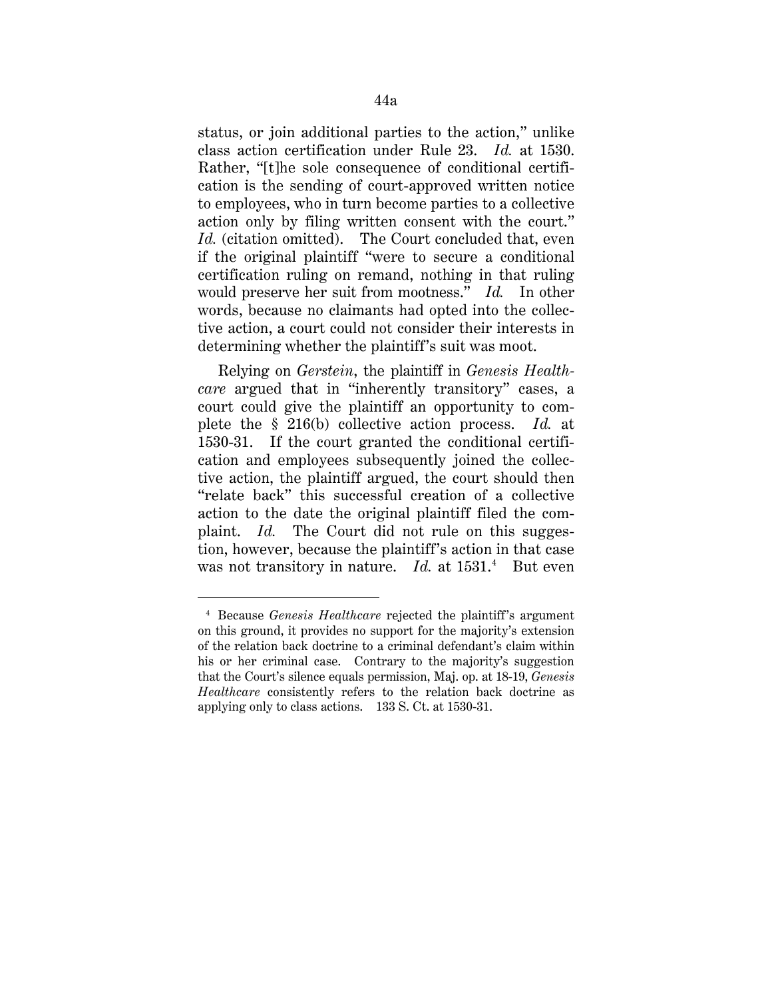status, or join additional parties to the action," unlike class action certification under Rule 23. *Id.* at 1530. Rather, "[t]he sole consequence of conditional certification is the sending of court-approved written notice to employees, who in turn become parties to a collective action only by filing written consent with the court." *Id.* (citation omitted). The Court concluded that, even if the original plaintiff "were to secure a conditional certification ruling on remand, nothing in that ruling would preserve her suit from mootness." *Id.* In other words, because no claimants had opted into the collective action, a court could not consider their interests in determining whether the plaintiff's suit was moot.

Relying on *Gerstein*, the plaintiff in *Genesis Healthcare* argued that in "inherently transitory" cases, a court could give the plaintiff an opportunity to complete the § 216(b) collective action process. *Id.* at 1530-31. If the court granted the conditional certification and employees subsequently joined the collective action, the plaintiff argued, the court should then "relate back" this successful creation of a collective action to the date the original plaintiff filed the complaint. *Id.* The Court did not rule on this suggestion, however, because the plaintiff's action in that case was not transitory in nature. *Id.* at 1531.<sup>4</sup> But even

<sup>4</sup> Because *Genesis Healthcare* rejected the plaintiff's argument on this ground, it provides no support for the majority's extension of the relation back doctrine to a criminal defendant's claim within his or her criminal case. Contrary to the majority's suggestion that the Court's silence equals permission, Maj. op. at 18-19, *Genesis Healthcare* consistently refers to the relation back doctrine as applying only to class actions. 133 S. Ct. at 1530-31.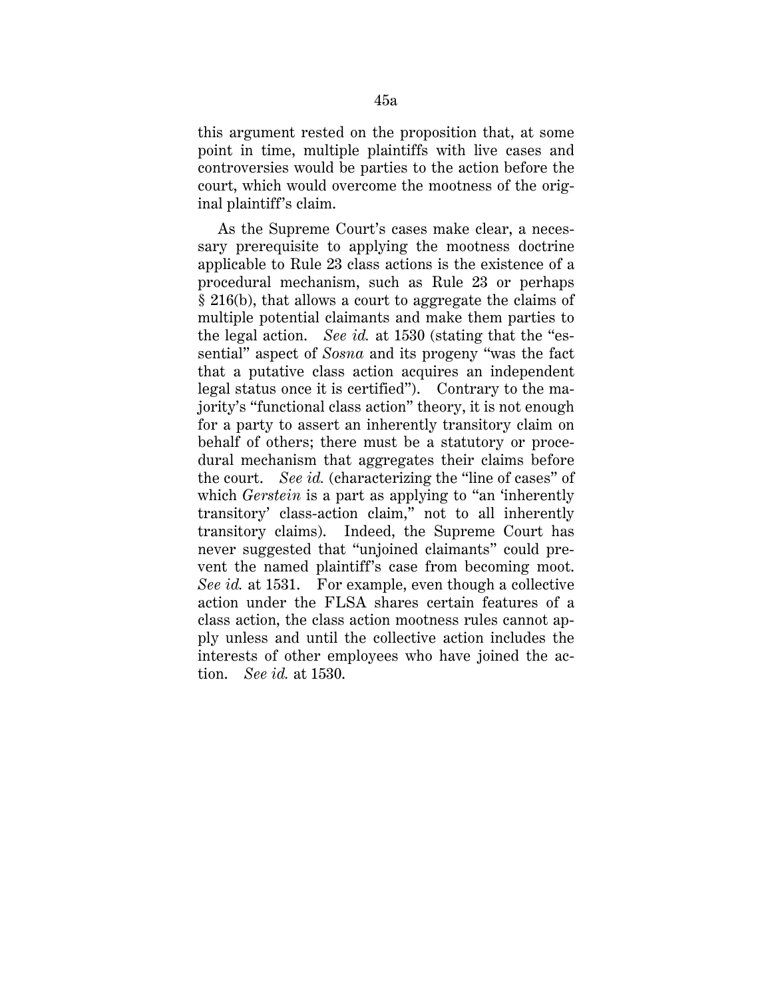this argument rested on the proposition that, at some point in time, multiple plaintiffs with live cases and controversies would be parties to the action before the court, which would overcome the mootness of the original plaintiff's claim.

As the Supreme Court's cases make clear, a necessary prerequisite to applying the mootness doctrine applicable to Rule 23 class actions is the existence of a procedural mechanism, such as Rule 23 or perhaps § 216(b), that allows a court to aggregate the claims of multiple potential claimants and make them parties to the legal action. *See id.* at 1530 (stating that the "essential" aspect of *Sosna* and its progeny "was the fact that a putative class action acquires an independent legal status once it is certified"). Contrary to the majority's "functional class action" theory, it is not enough for a party to assert an inherently transitory claim on behalf of others; there must be a statutory or procedural mechanism that aggregates their claims before the court. *See id.* (characterizing the "line of cases" of which *Gerstein* is a part as applying to "an 'inherently transitory' class-action claim," not to all inherently transitory claims).Indeed, the Supreme Court has never suggested that "unjoined claimants" could prevent the named plaintiff's case from becoming moot. *See id.* at 1531. For example, even though a collective action under the FLSA shares certain features of a class action, the class action mootness rules cannot apply unless and until the collective action includes the interests of other employees who have joined the action. *See id.* at 1530.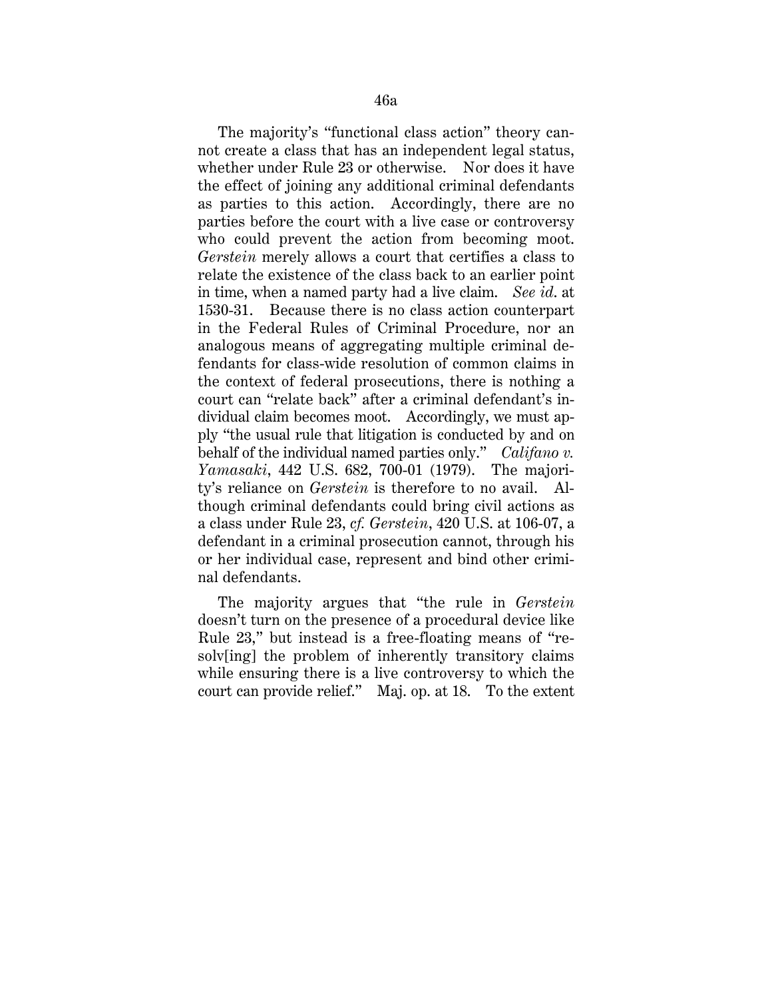The majority's "functional class action" theory cannot create a class that has an independent legal status, whether under Rule 23 or otherwise. Nor does it have the effect of joining any additional criminal defendants as parties to this action. Accordingly, there are no parties before the court with a live case or controversy who could prevent the action from becoming moot. *Gerstein* merely allows a court that certifies a class to relate the existence of the class back to an earlier point in time, when a named party had a live claim. *See id*. at 1530-31. Because there is no class action counterpart in the Federal Rules of Criminal Procedure, nor an analogous means of aggregating multiple criminal defendants for class-wide resolution of common claims in the context of federal prosecutions, there is nothing a court can "relate back" after a criminal defendant's individual claim becomes moot. Accordingly, we must apply "the usual rule that litigation is conducted by and on behalf of the individual named parties only." *Califano v. Yamasaki*, 442 U.S. 682, 700-01 (1979). The majority's reliance on *Gerstein* is therefore to no avail. Although criminal defendants could bring civil actions as a class under Rule 23, *cf. Gerstein*, 420 U.S. at 106-07, a defendant in a criminal prosecution cannot, through his or her individual case, represent and bind other criminal defendants.

The majority argues that "the rule in *Gerstein*  doesn't turn on the presence of a procedural device like Rule 23," but instead is a free-floating means of "resolv[ing] the problem of inherently transitory claims while ensuring there is a live controversy to which the court can provide relief." Maj. op. at 18. To the extent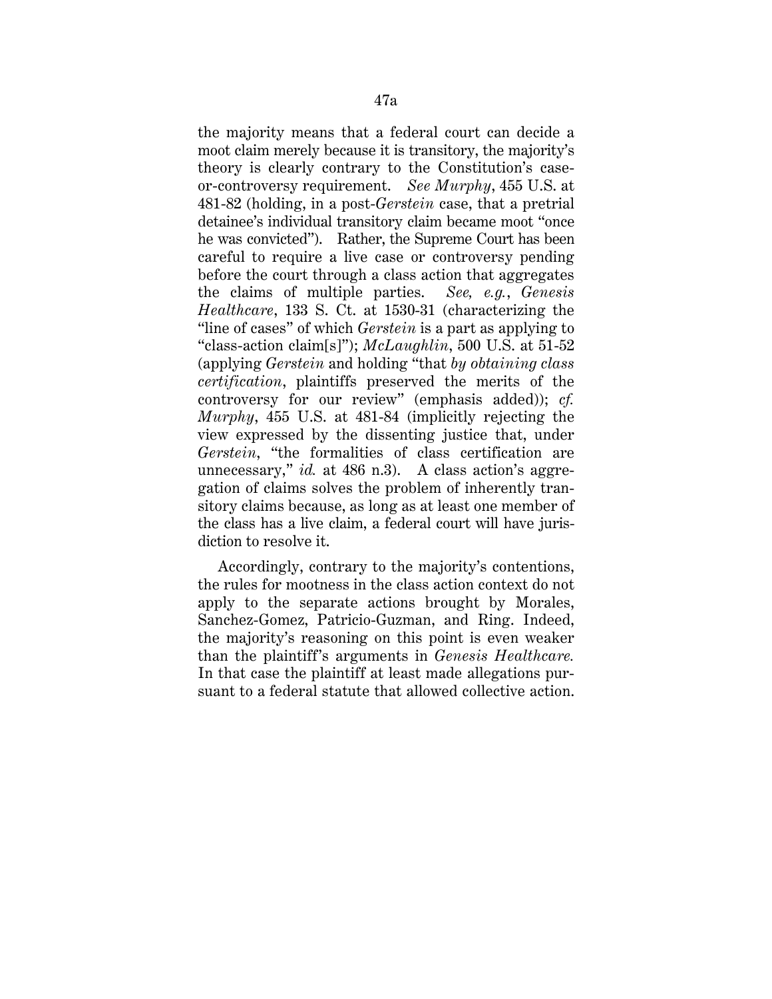the majority means that a federal court can decide a moot claim merely because it is transitory, the majority's theory is clearly contrary to the Constitution's caseor-controversy requirement. *See Murphy*, 455 U.S. at 481-82 (holding, in a post-*Gerstein* case, that a pretrial detainee's individual transitory claim became moot "once he was convicted"). Rather, the Supreme Court has been careful to require a live case or controversy pending before the court through a class action that aggregates the claims of multiple parties. *See, e.g.*, *Genesis Healthcare*, 133 S. Ct. at 1530-31 (characterizing the "line of cases" of which *Gerstein* is a part as applying to "class-action claim[s]"); *McLaughlin*, 500 U.S. at 51-52 (applying *Gerstein* and holding "that *by obtaining class certification*, plaintiffs preserved the merits of the controversy for our review" (emphasis added)); *cf. Murphy*, 455 U.S. at 481-84 (implicitly rejecting the view expressed by the dissenting justice that, under *Gerstein*, "the formalities of class certification are unnecessary," *id.* at 486 n.3). A class action's aggregation of claims solves the problem of inherently transitory claims because, as long as at least one member of the class has a live claim, a federal court will have jurisdiction to resolve it.

Accordingly, contrary to the majority's contentions, the rules for mootness in the class action context do not apply to the separate actions brought by Morales, Sanchez-Gomez, Patricio-Guzman, and Ring. Indeed, the majority's reasoning on this point is even weaker than the plaintiff's arguments in *Genesis Healthcare.*  In that case the plaintiff at least made allegations pursuant to a federal statute that allowed collective action.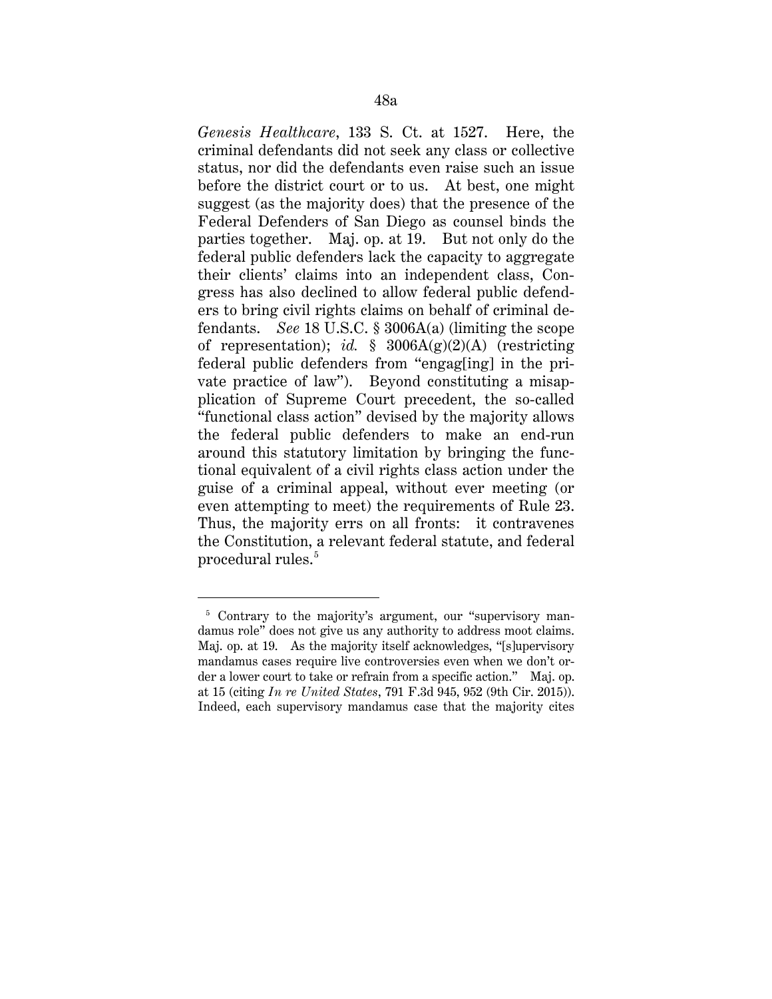*Genesis Healthcare*, 133 S. Ct. at 1527. Here, the criminal defendants did not seek any class or collective status, nor did the defendants even raise such an issue before the district court or to us. At best, one might suggest (as the majority does) that the presence of the Federal Defenders of San Diego as counsel binds the parties together. Maj. op. at 19. But not only do the federal public defenders lack the capacity to aggregate their clients' claims into an independent class, Congress has also declined to allow federal public defenders to bring civil rights claims on behalf of criminal defendants. *See* 18 U.S.C. § 3006A(a) (limiting the scope of representation); *id.* § 3006A(g)(2)(A) (restricting federal public defenders from "engag[ing] in the private practice of law"). Beyond constituting a misapplication of Supreme Court precedent, the so-called "functional class action" devised by the majority allows the federal public defenders to make an end-run around this statutory limitation by bringing the functional equivalent of a civil rights class action under the guise of a criminal appeal, without ever meeting (or even attempting to meet) the requirements of Rule 23. Thus, the majority errs on all fronts: it contravenes the Constitution, a relevant federal statute, and federal procedural rules.<sup>5</sup>

<sup>&</sup>lt;sup>5</sup> Contrary to the majority's argument, our "supervisory mandamus role" does not give us any authority to address moot claims. Maj. op. at 19. As the majority itself acknowledges, "[s]upervisory mandamus cases require live controversies even when we don't order a lower court to take or refrain from a specific action." Maj. op. at 15 (citing *In re United States*, 791 F.3d 945, 952 (9th Cir. 2015)). Indeed, each supervisory mandamus case that the majority cites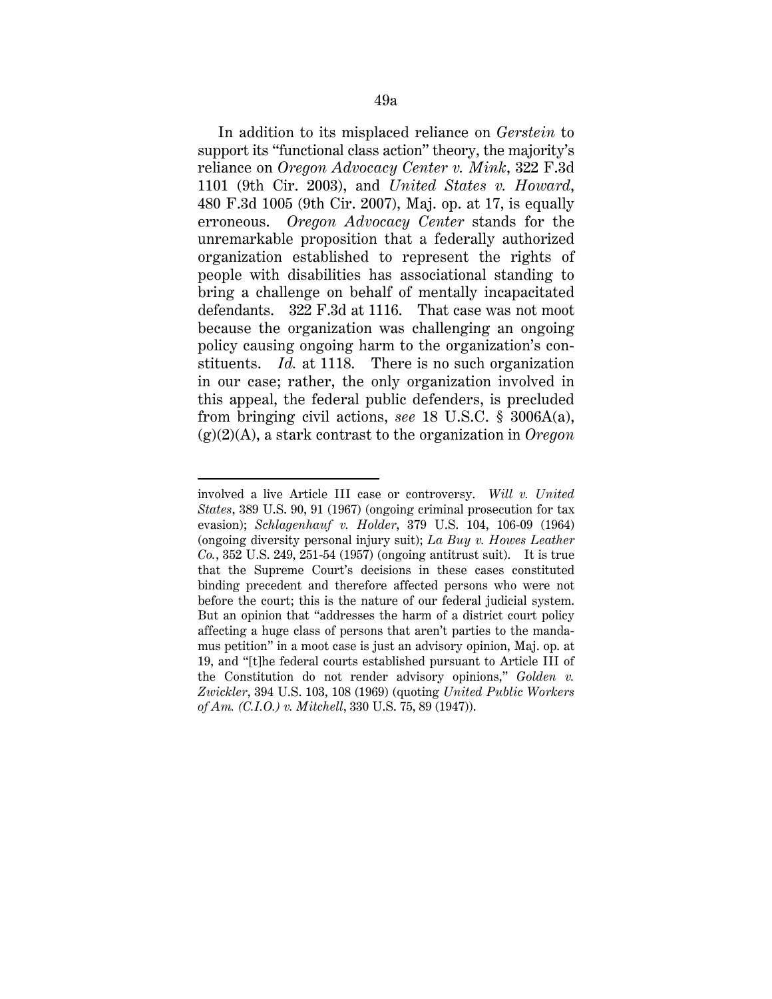In addition to its misplaced reliance on *Gerstein* to support its "functional class action" theory, the majority's reliance on *Oregon Advocacy Center v. Mink*, 322 F.3d 1101 (9th Cir. 2003), and *United States v. Howard*, 480 F.3d 1005 (9th Cir. 2007), Maj. op. at 17, is equally erroneous. *Oregon Advocacy Center* stands for the unremarkable proposition that a federally authorized organization established to represent the rights of people with disabilities has associational standing to bring a challenge on behalf of mentally incapacitated defendants. 322 F.3d at 1116. That case was not moot because the organization was challenging an ongoing policy causing ongoing harm to the organization's constituents. *Id.* at 1118. There is no such organization in our case; rather, the only organization involved in this appeal, the federal public defenders, is precluded from bringing civil actions, *see* 18 U.S.C. § 3006A(a), (g)(2)(A), a stark contrast to the organization in *Oregon* 

-

involved a live Article III case or controversy. *Will v. United States*, 389 U.S. 90, 91 (1967) (ongoing criminal prosecution for tax evasion); *Schlagenhauf v. Holder*, 379 U.S. 104, 106-09 (1964) (ongoing diversity personal injury suit); *La Buy v. Howes Leather Co.*, 352 U.S. 249, 251-54 (1957) (ongoing antitrust suit). It is true that the Supreme Court's decisions in these cases constituted binding precedent and therefore affected persons who were not before the court; this is the nature of our federal judicial system. But an opinion that "addresses the harm of a district court policy affecting a huge class of persons that aren't parties to the mandamus petition" in a moot case is just an advisory opinion, Maj. op. at 19, and "[t]he federal courts established pursuant to Article III of the Constitution do not render advisory opinions," *Golden v. Zwickler*, 394 U.S. 103, 108 (1969) (quoting *United Public Workers of Am. (C.I.O.) v. Mitchell*, 330 U.S. 75, 89 (1947)).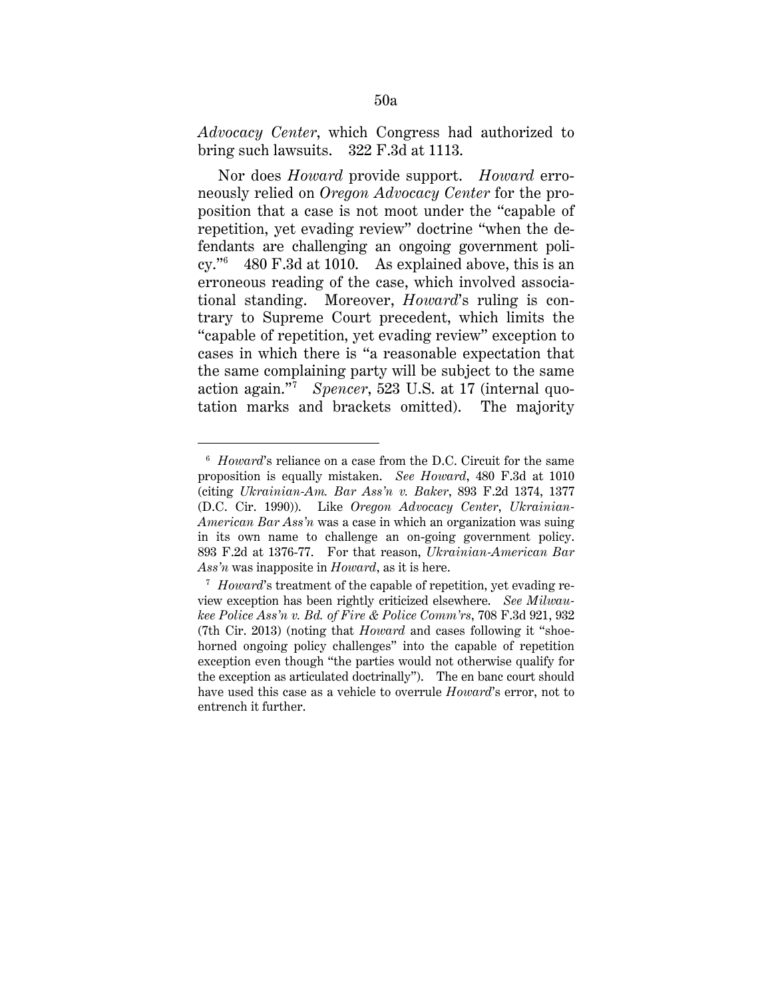*Advocacy Center*, which Congress had authorized to bring such lawsuits. 322 F.3d at 1113.

Nor does *Howard* provide support. *Howard* erroneously relied on *Oregon Advocacy Center* for the proposition that a case is not moot under the "capable of repetition, yet evading review" doctrine "when the defendants are challenging an ongoing government poli $cy.^{66}$  480 F.3d at 1010. As explained above, this is an erroneous reading of the case, which involved associational standing. Moreover, *Howard*'s ruling is contrary to Supreme Court precedent, which limits the "capable of repetition, yet evading review" exception to cases in which there is "a reasonable expectation that the same complaining party will be subject to the same action again."7 *Spencer*, 523 U.S. at 17 (internal quotation marks and brackets omitted). The majority

<sup>6</sup> *Howard*'s reliance on a case from the D.C. Circuit for the same proposition is equally mistaken. *See Howard*, 480 F.3d at 1010 (citing *Ukrainian-Am. Bar Ass'n v. Baker*, 893 F.2d 1374, 1377 (D.C. Cir. 1990)). Like *Oregon Advocacy Center*, *Ukrainian-American Bar Ass'n* was a case in which an organization was suing in its own name to challenge an on-going government policy. 893 F.2d at 1376-77. For that reason, *Ukrainian-American Bar Ass'n* was inapposite in *Howard*, as it is here.

<sup>&</sup>lt;sup>7</sup> *Howard*'s treatment of the capable of repetition, yet evading review exception has been rightly criticized elsewhere. *See Milwaukee Police Ass'n v. Bd. of Fire & Police Comm'rs*, 708 F.3d 921, 932 (7th Cir. 2013) (noting that *Howard* and cases following it "shoehorned ongoing policy challenges" into the capable of repetition exception even though "the parties would not otherwise qualify for the exception as articulated doctrinally"). The en banc court should have used this case as a vehicle to overrule *Howard*'s error, not to entrench it further.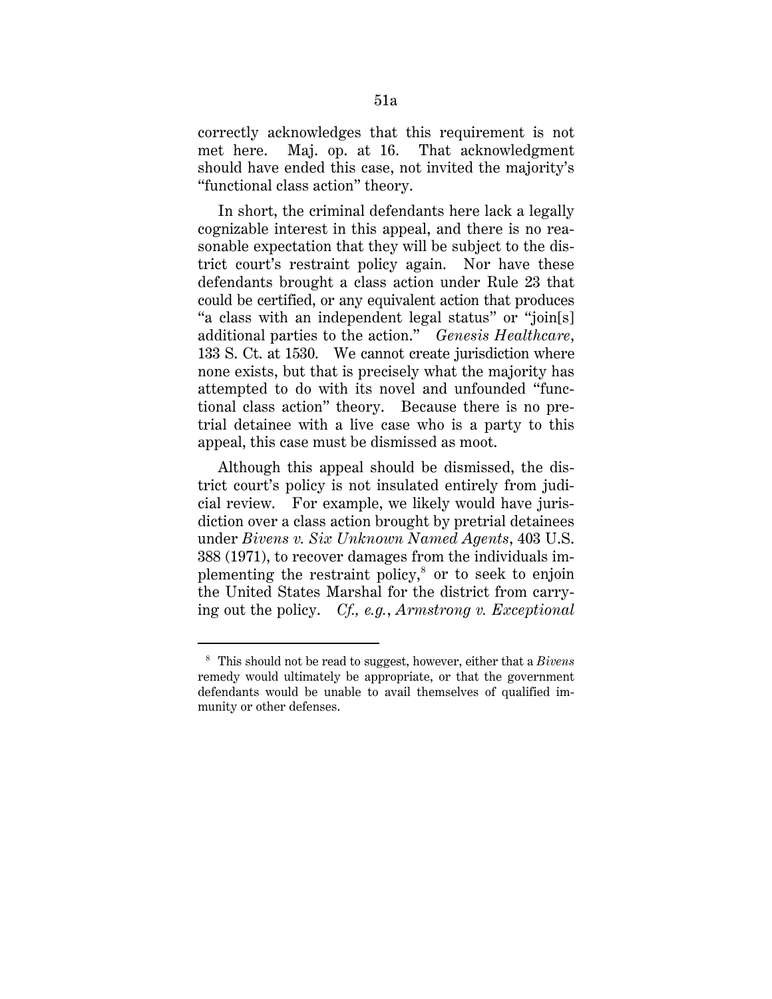correctly acknowledges that this requirement is not met here. Maj. op. at 16. That acknowledgment should have ended this case, not invited the majority's "functional class action" theory.

In short, the criminal defendants here lack a legally cognizable interest in this appeal, and there is no reasonable expectation that they will be subject to the district court's restraint policy again. Nor have these defendants brought a class action under Rule 23 that could be certified, or any equivalent action that produces "a class with an independent legal status" or "join[s] additional parties to the action." *Genesis Healthcare*, 133 S. Ct. at 1530. We cannot create jurisdiction where none exists, but that is precisely what the majority has attempted to do with its novel and unfounded "functional class action" theory. Because there is no pretrial detainee with a live case who is a party to this appeal, this case must be dismissed as moot.

Although this appeal should be dismissed, the district court's policy is not insulated entirely from judicial review. For example, we likely would have jurisdiction over a class action brought by pretrial detainees under *Bivens v. Six Unknown Named Agents*, 403 U.S. 388 (1971), to recover damages from the individuals implementing the restraint policy, $^8$  or to seek to enjoin the United States Marshal for the district from carrying out the policy. *Cf., e.g.*, *Armstrong v. Exceptional* 

<sup>8</sup> This should not be read to suggest, however, either that a *Bivens* remedy would ultimately be appropriate, or that the government defendants would be unable to avail themselves of qualified immunity or other defenses.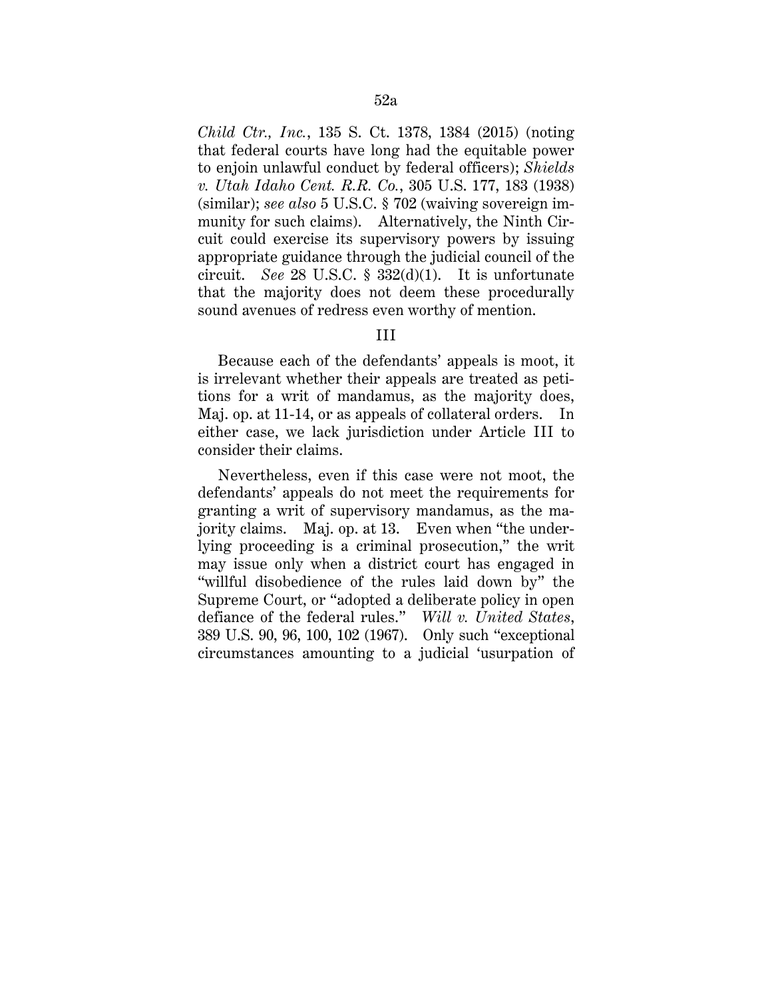*Child Ctr., Inc.*, 135 S. Ct. 1378, 1384 (2015) (noting that federal courts have long had the equitable power to enjoin unlawful conduct by federal officers); *Shields v. Utah Idaho Cent. R.R. Co.*, 305 U.S. 177, 183 (1938) (similar); *see also* 5 U.S.C. § 702 (waiving sovereign immunity for such claims). Alternatively, the Ninth Circuit could exercise its supervisory powers by issuing appropriate guidance through the judicial council of the circuit. *See* 28 U.S.C. § 332(d)(1). It is unfortunate that the majority does not deem these procedurally sound avenues of redress even worthy of mention.

# III

Because each of the defendants' appeals is moot, it is irrelevant whether their appeals are treated as petitions for a writ of mandamus, as the majority does, Maj. op. at 11-14, or as appeals of collateral orders. In either case, we lack jurisdiction under Article III to consider their claims.

Nevertheless, even if this case were not moot, the defendants' appeals do not meet the requirements for granting a writ of supervisory mandamus, as the majority claims. Maj. op. at 13. Even when "the underlying proceeding is a criminal prosecution," the writ may issue only when a district court has engaged in "willful disobedience of the rules laid down by" the Supreme Court, or "adopted a deliberate policy in open defiance of the federal rules." *Will v. United States*, 389 U.S. 90, 96, 100, 102 (1967). Only such "exceptional circumstances amounting to a judicial 'usurpation of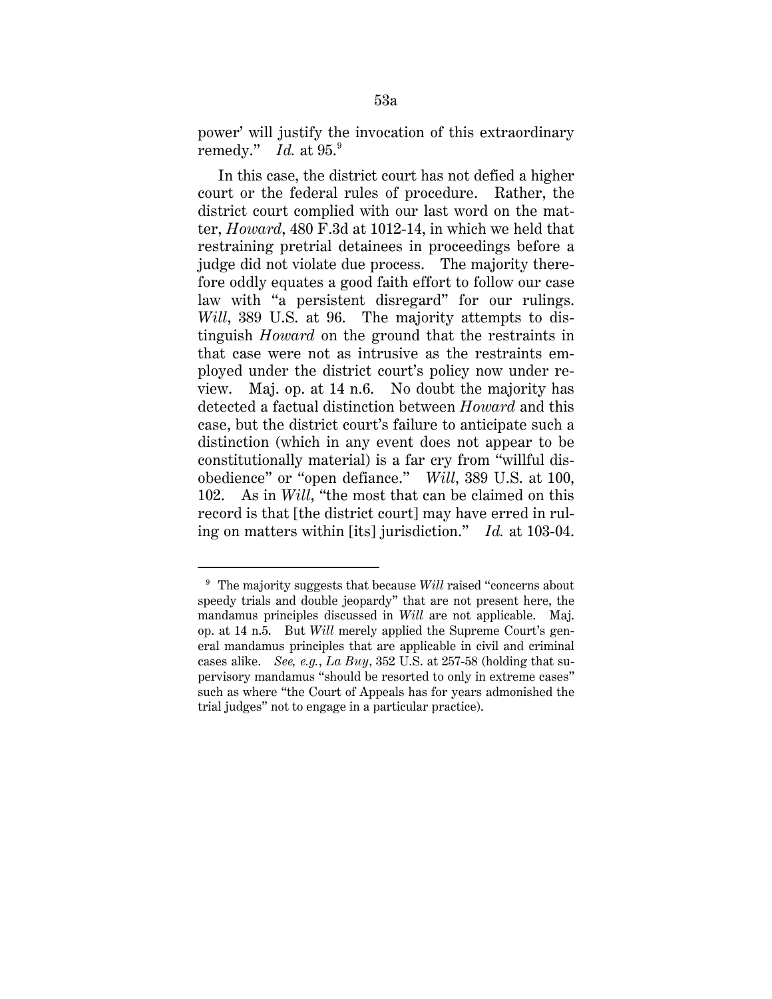power' will justify the invocation of this extraordinary remedy." *Id.* at 95.9

In this case, the district court has not defied a higher court or the federal rules of procedure. Rather, the district court complied with our last word on the matter, *Howard*, 480 F.3d at 1012-14, in which we held that restraining pretrial detainees in proceedings before a judge did not violate due process. The majority therefore oddly equates a good faith effort to follow our case law with "a persistent disregard" for our rulings. *Will*, 389 U.S. at 96. The majority attempts to distinguish *Howard* on the ground that the restraints in that case were not as intrusive as the restraints employed under the district court's policy now under review. Maj. op. at 14 n.6. No doubt the majority has detected a factual distinction between *Howard* and this case, but the district court's failure to anticipate such a distinction (which in any event does not appear to be constitutionally material) is a far cry from "willful disobedience" or "open defiance." *Will*, 389 U.S. at 100, 102. As in *Will*, "the most that can be claimed on this record is that [the district court] may have erred in ruling on matters within [its] jurisdiction." *Id.* at 103-04.

-

<sup>&</sup>lt;sup>9</sup> The majority suggests that because *Will* raised "concerns about" speedy trials and double jeopardy" that are not present here, the mandamus principles discussed in *Will* are not applicable. Maj. op. at 14 n.5. But *Will* merely applied the Supreme Court's general mandamus principles that are applicable in civil and criminal cases alike. *See, e.g.*, *La Buy*, 352 U.S. at 257-58 (holding that supervisory mandamus "should be resorted to only in extreme cases" such as where "the Court of Appeals has for years admonished the trial judges" not to engage in a particular practice).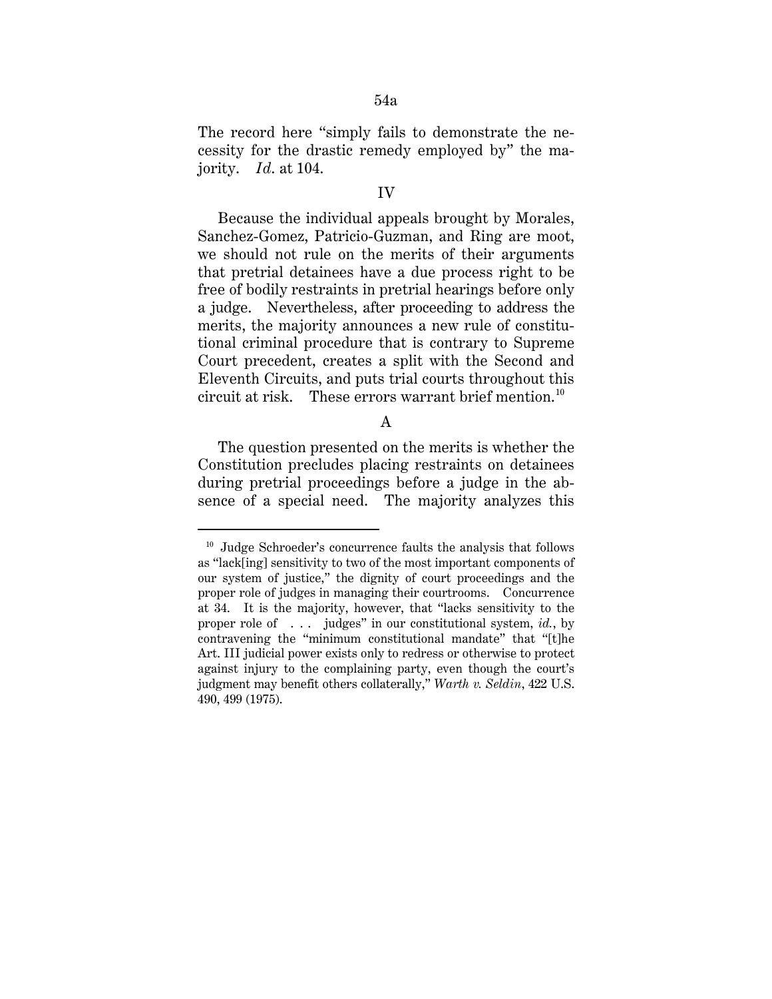The record here "simply fails to demonstrate the necessity for the drastic remedy employed by" the majority. *Id*. at 104.

#### IV

Because the individual appeals brought by Morales, Sanchez-Gomez, Patricio-Guzman, and Ring are moot, we should not rule on the merits of their arguments that pretrial detainees have a due process right to be free of bodily restraints in pretrial hearings before only a judge. Nevertheless, after proceeding to address the merits, the majority announces a new rule of constitutional criminal procedure that is contrary to Supreme Court precedent, creates a split with the Second and Eleventh Circuits, and puts trial courts throughout this circuit at risk. These errors warrant brief mention.<sup>10</sup>

# A

The question presented on the merits is whether the Constitution precludes placing restraints on detainees during pretrial proceedings before a judge in the absence of a special need. The majority analyzes this

-

<sup>10</sup> Judge Schroeder's concurrence faults the analysis that follows as "lack[ing] sensitivity to two of the most important components of our system of justice," the dignity of court proceedings and the proper role of judges in managing their courtrooms. Concurrence at 34. It is the majority, however, that "lacks sensitivity to the proper role of . . . judges" in our constitutional system, *id.*, by contravening the "minimum constitutional mandate" that "[t]he Art. III judicial power exists only to redress or otherwise to protect against injury to the complaining party, even though the court's judgment may benefit others collaterally," *Warth v. Seldin*, 422 U.S. 490, 499 (1975).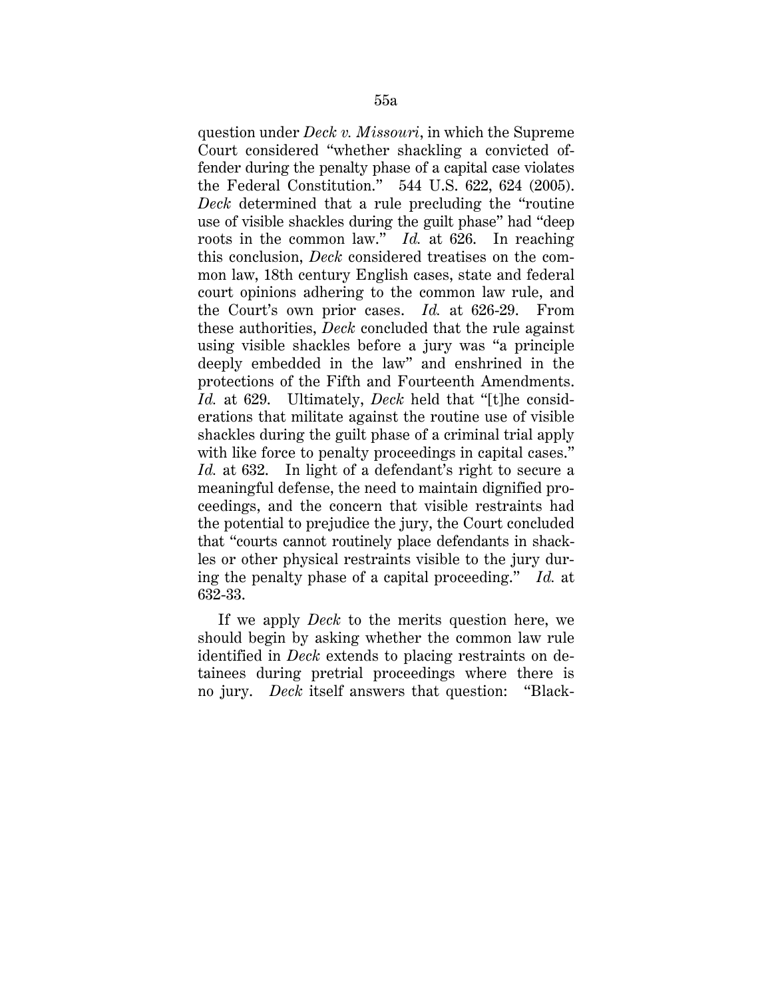question under *Deck v. Missouri*, in which the Supreme Court considered "whether shackling a convicted offender during the penalty phase of a capital case violates the Federal Constitution." 544 U.S. 622, 624 (2005). *Deck* determined that a rule precluding the "routine use of visible shackles during the guilt phase" had "deep roots in the common law." *Id.* at 626. In reaching this conclusion, *Deck* considered treatises on the common law, 18th century English cases, state and federal court opinions adhering to the common law rule, and the Court's own prior cases. *Id.* at 626-29. From these authorities, *Deck* concluded that the rule against using visible shackles before a jury was "a principle deeply embedded in the law" and enshrined in the protections of the Fifth and Fourteenth Amendments. *Id.* at 629. Ultimately, *Deck* held that "[t]he considerations that militate against the routine use of visible shackles during the guilt phase of a criminal trial apply with like force to penalty proceedings in capital cases." *Id.* at 632. In light of a defendant's right to secure a meaningful defense, the need to maintain dignified proceedings, and the concern that visible restraints had the potential to prejudice the jury, the Court concluded that "courts cannot routinely place defendants in shackles or other physical restraints visible to the jury during the penalty phase of a capital proceeding." *Id.* at 632-33.

If we apply *Deck* to the merits question here, we should begin by asking whether the common law rule identified in *Deck* extends to placing restraints on detainees during pretrial proceedings where there is no jury. *Deck* itself answers that question: "Black-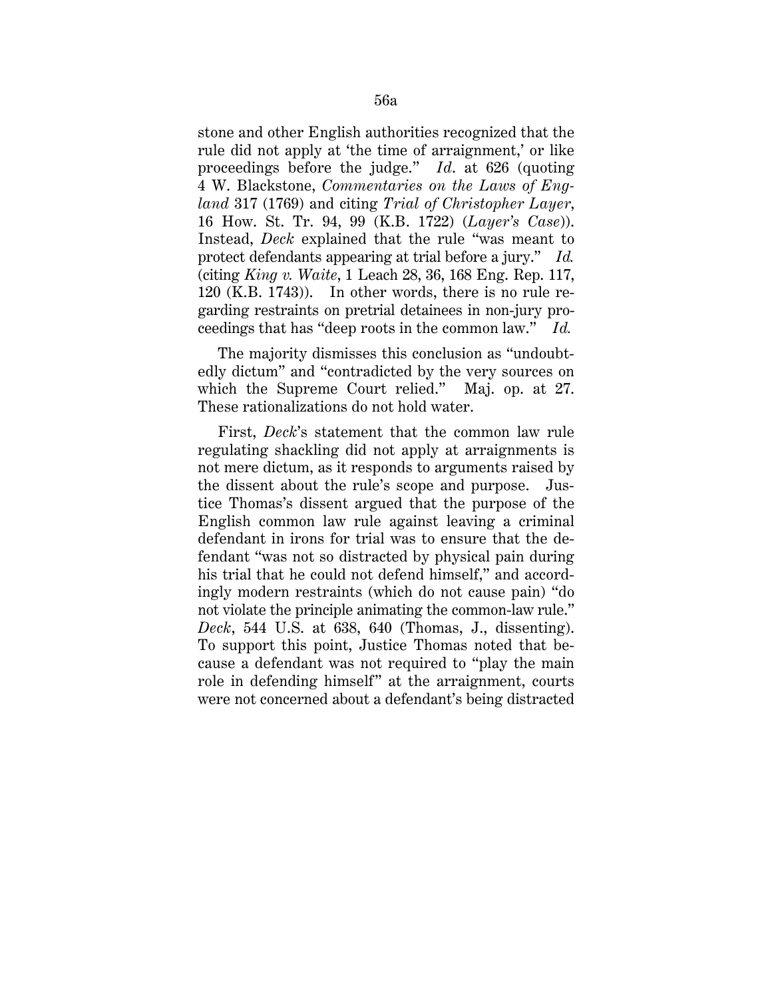stone and other English authorities recognized that the rule did not apply at 'the time of arraignment,' or like proceedings before the judge." *Id*. at 626 (quoting 4 W. Blackstone, *Commentaries on the Laws of England* 317 (1769) and citing *Trial of Christopher Layer*, 16 How. St. Tr. 94, 99 (K.B. 1722) (*Layer's Case*)). Instead, *Deck* explained that the rule "was meant to protect defendants appearing at trial before a jury." *Id.*  (citing *King v. Waite*, 1 Leach 28, 36, 168 Eng. Rep. 117, 120 (K.B. 1743)). In other words, there is no rule regarding restraints on pretrial detainees in non-jury proceedings that has "deep roots in the common law." *Id.*

The majority dismisses this conclusion as "undoubtedly dictum" and "contradicted by the very sources on which the Supreme Court relied." Maj. op. at 27. These rationalizations do not hold water.

First, *Deck*'s statement that the common law rule regulating shackling did not apply at arraignments is not mere dictum, as it responds to arguments raised by the dissent about the rule's scope and purpose. Justice Thomas's dissent argued that the purpose of the English common law rule against leaving a criminal defendant in irons for trial was to ensure that the defendant "was not so distracted by physical pain during his trial that he could not defend himself," and accordingly modern restraints (which do not cause pain) "do not violate the principle animating the common-law rule." *Deck*, 544 U.S. at 638, 640 (Thomas, J., dissenting). To support this point, Justice Thomas noted that because a defendant was not required to "play the main role in defending himself" at the arraignment, courts were not concerned about a defendant's being distracted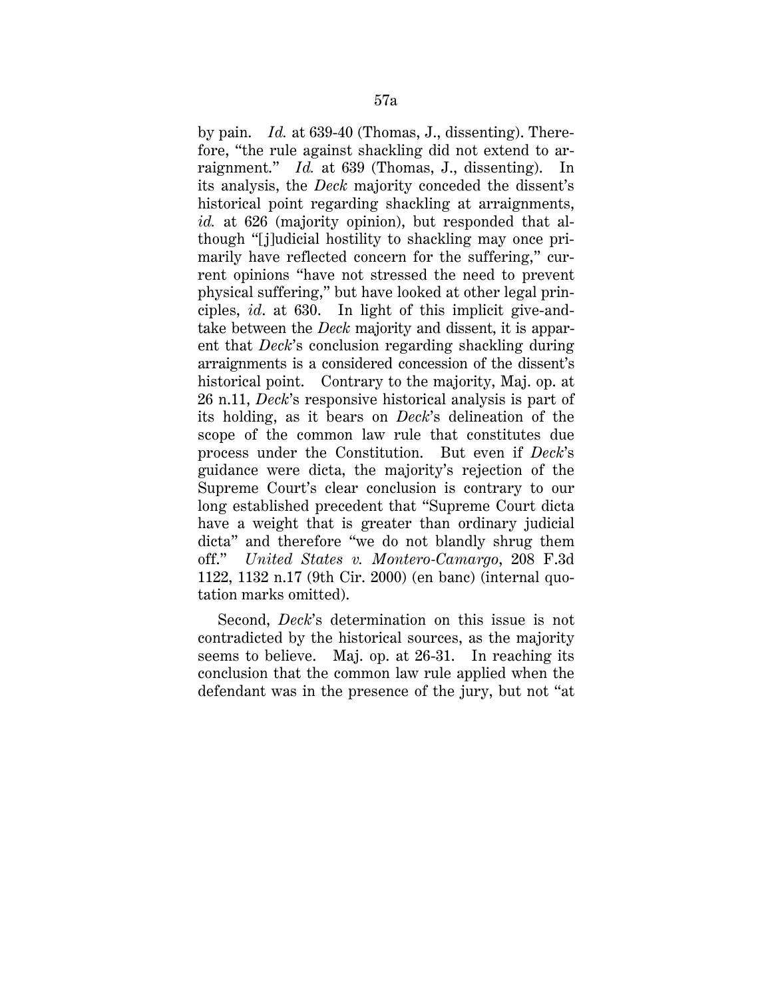by pain. *Id.* at 639-40 (Thomas, J., dissenting). Therefore, "the rule against shackling did not extend to arraignment." *Id.* at 639 (Thomas, J., dissenting). In its analysis, the *Deck* majority conceded the dissent's historical point regarding shackling at arraignments, *id.* at 626 (majority opinion), but responded that although "[j]udicial hostility to shackling may once primarily have reflected concern for the suffering," current opinions "have not stressed the need to prevent physical suffering," but have looked at other legal principles, *id*. at 630. In light of this implicit give-andtake between the *Deck* majority and dissent, it is apparent that *Deck*'s conclusion regarding shackling during arraignments is a considered concession of the dissent's historical point. Contrary to the majority, Maj. op. at 26 n.11, *Deck*'s responsive historical analysis is part of its holding, as it bears on *Deck*'s delineation of the scope of the common law rule that constitutes due process under the Constitution. But even if *Deck*'s guidance were dicta, the majority's rejection of the Supreme Court's clear conclusion is contrary to our long established precedent that "Supreme Court dicta have a weight that is greater than ordinary judicial dicta" and therefore "we do not blandly shrug them off." *United States v. Montero-Camargo*, 208 F.3d 1122, 1132 n.17 (9th Cir. 2000) (en banc) (internal quotation marks omitted).

Second, *Deck*'s determination on this issue is not contradicted by the historical sources, as the majority seems to believe. Maj. op. at 26-31. In reaching its conclusion that the common law rule applied when the defendant was in the presence of the jury, but not "at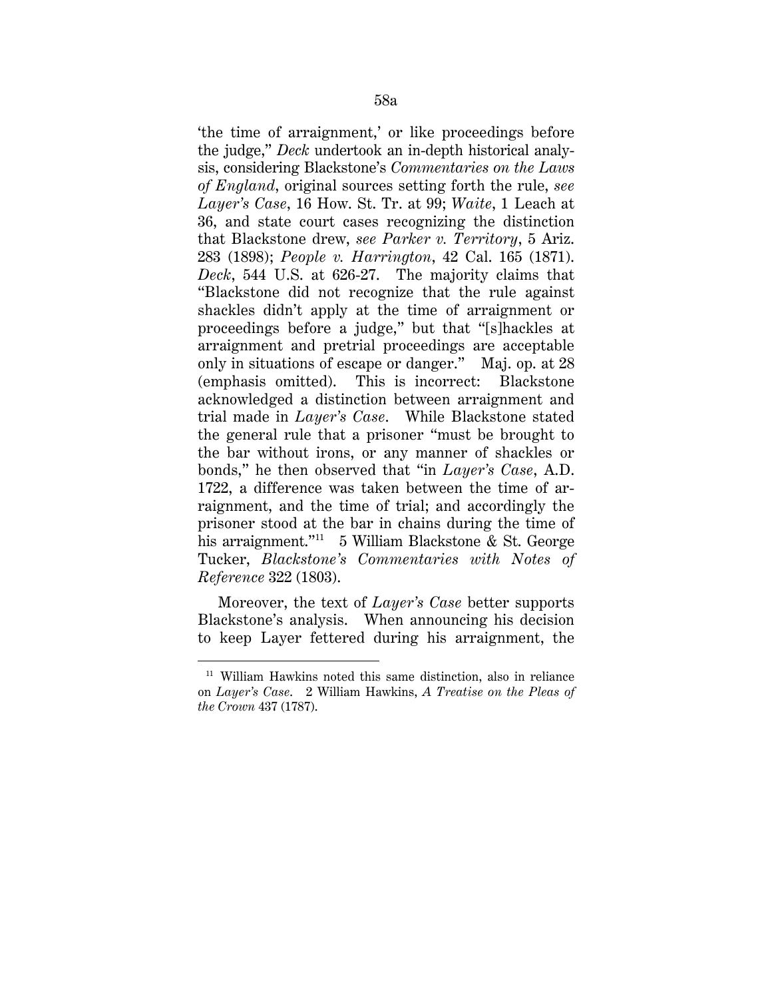'the time of arraignment,' or like proceedings before the judge," *Deck* undertook an in-depth historical analysis, considering Blackstone's *Commentaries on the Laws of England*, original sources setting forth the rule, *see Layer's Case*, 16 How. St. Tr. at 99; *Waite*, 1 Leach at 36, and state court cases recognizing the distinction that Blackstone drew, *see Parker v. Territory*, 5 Ariz. 283 (1898); *People v. Harrington*, 42 Cal. 165 (1871). *Deck*, 544 U.S. at 626-27. The majority claims that "Blackstone did not recognize that the rule against shackles didn't apply at the time of arraignment or proceedings before a judge," but that "[s]hackles at arraignment and pretrial proceedings are acceptable only in situations of escape or danger." Maj. op. at 28 (emphasis omitted). This is incorrect: Blackstone acknowledged a distinction between arraignment and trial made in *Layer's Case*. While Blackstone stated the general rule that a prisoner "must be brought to the bar without irons, or any manner of shackles or bonds," he then observed that "in *Layer's Case*, A.D. 1722, a difference was taken between the time of arraignment, and the time of trial; and accordingly the prisoner stood at the bar in chains during the time of his arraignment."<sup>11</sup> 5 William Blackstone & St. George Tucker, *Blackstone's Commentaries with Notes of Reference* 322 (1803).

Moreover, the text of *Layer's Case* better supports Blackstone's analysis. When announcing his decision to keep Layer fettered during his arraignment, the

-

<sup>11</sup> William Hawkins noted this same distinction, also in reliance on *Layer's Case*. 2 William Hawkins, *A Treatise on the Pleas of the Crown* 437 (1787).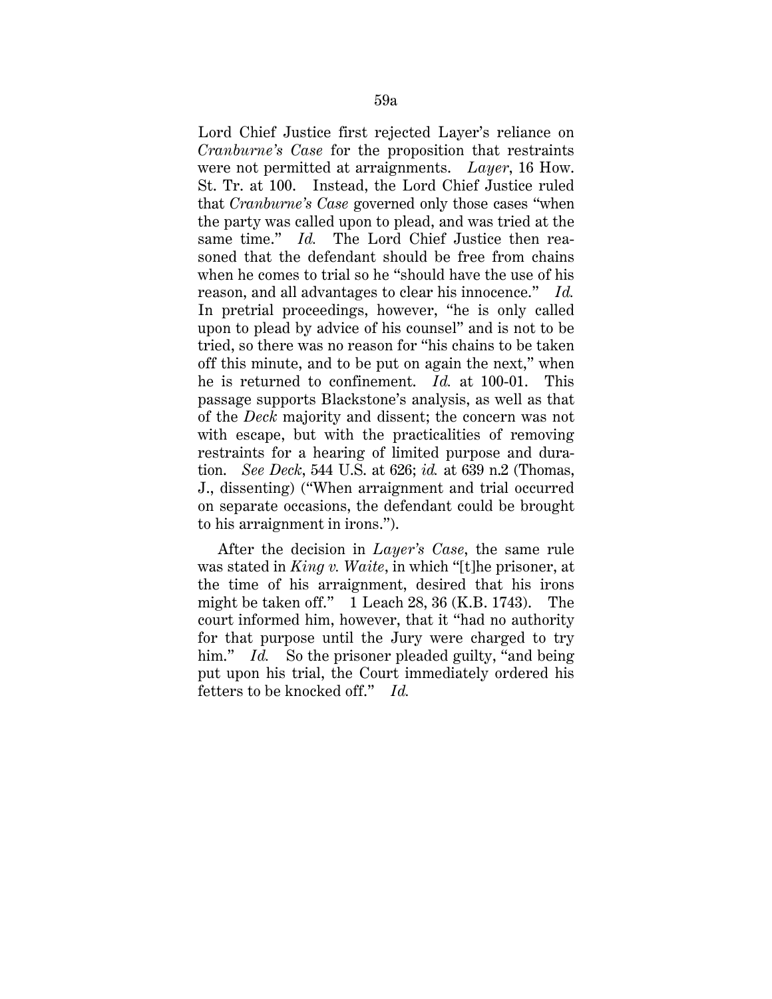Lord Chief Justice first rejected Layer's reliance on *Cranburne's Case* for the proposition that restraints were not permitted at arraignments. *Layer*, 16 How. St. Tr. at 100. Instead, the Lord Chief Justice ruled that *Cranburne's Case* governed only those cases "when the party was called upon to plead, and was tried at the same time." *Id.* The Lord Chief Justice then reasoned that the defendant should be free from chains when he comes to trial so he "should have the use of his reason, and all advantages to clear his innocence." *Id.*  In pretrial proceedings, however, "he is only called upon to plead by advice of his counsel" and is not to be tried, so there was no reason for "his chains to be taken off this minute, and to be put on again the next," when he is returned to confinement. *Id.* at 100-01. This passage supports Blackstone's analysis, as well as that of the *Deck* majority and dissent; the concern was not with escape, but with the practicalities of removing restraints for a hearing of limited purpose and duration. *See Deck*, 544 U.S. at 626; *id.* at 639 n.2 (Thomas, J., dissenting) ("When arraignment and trial occurred on separate occasions, the defendant could be brought to his arraignment in irons.").

After the decision in *Layer's Case*, the same rule was stated in *King v. Waite*, in which "[t]he prisoner, at the time of his arraignment, desired that his irons might be taken off." 1 Leach 28, 36 (K.B. 1743). The court informed him, however, that it "had no authority for that purpose until the Jury were charged to try him." *Id.* So the prisoner pleaded guilty, "and being put upon his trial, the Court immediately ordered his fetters to be knocked off." *Id.*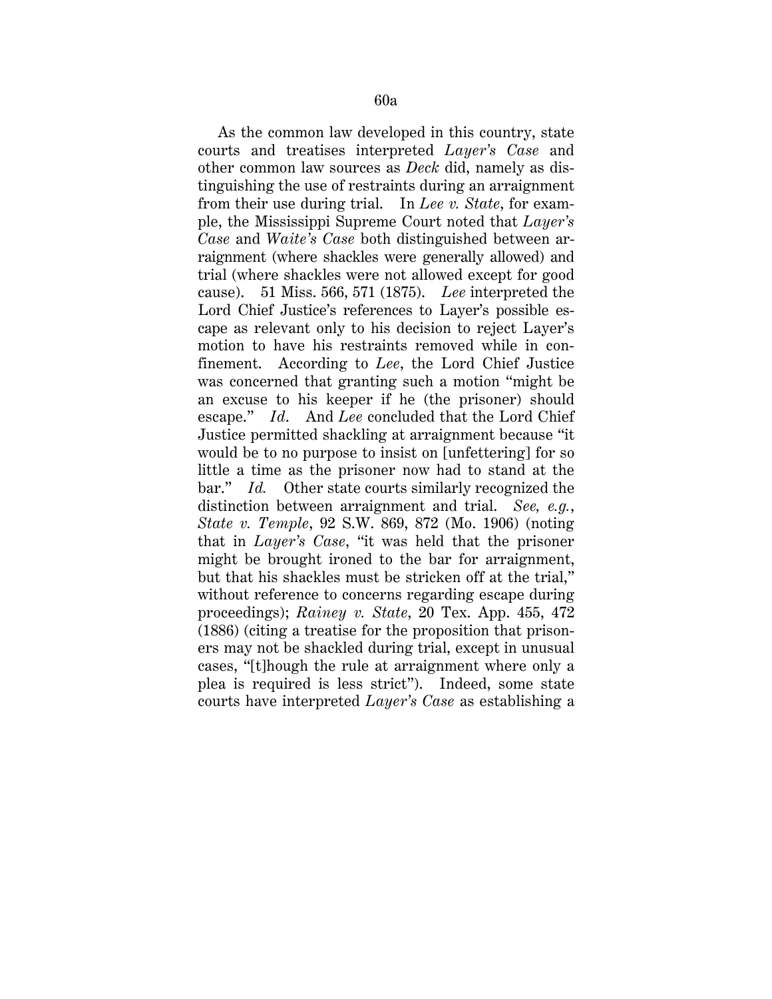As the common law developed in this country, state courts and treatises interpreted *Layer's Case* and other common law sources as *Deck* did, namely as distinguishing the use of restraints during an arraignment from their use during trial. In *Lee v. State*, for example, the Mississippi Supreme Court noted that *Layer's Case* and *Waite's Case* both distinguished between arraignment (where shackles were generally allowed) and trial (where shackles were not allowed except for good cause). 51 Miss. 566, 571 (1875). *Lee* interpreted the Lord Chief Justice's references to Layer's possible escape as relevant only to his decision to reject Layer's motion to have his restraints removed while in confinement. According to *Lee*, the Lord Chief Justice was concerned that granting such a motion "might be an excuse to his keeper if he (the prisoner) should escape." *Id*. And *Lee* concluded that the Lord Chief Justice permitted shackling at arraignment because "it would be to no purpose to insist on [unfettering] for so little a time as the prisoner now had to stand at the bar." *Id.* Other state courts similarly recognized the distinction between arraignment and trial. *See, e.g.*, *State v. Temple*, 92 S.W. 869, 872 (Mo. 1906) (noting that in *Layer's Case*, "it was held that the prisoner might be brought ironed to the bar for arraignment, but that his shackles must be stricken off at the trial," without reference to concerns regarding escape during proceedings); *Rainey v. State*, 20 Tex. App. 455, 472 (1886) (citing a treatise for the proposition that prisoners may not be shackled during trial, except in unusual cases, "[t]hough the rule at arraignment where only a plea is required is less strict"). Indeed, some state courts have interpreted *Layer's Case* as establishing a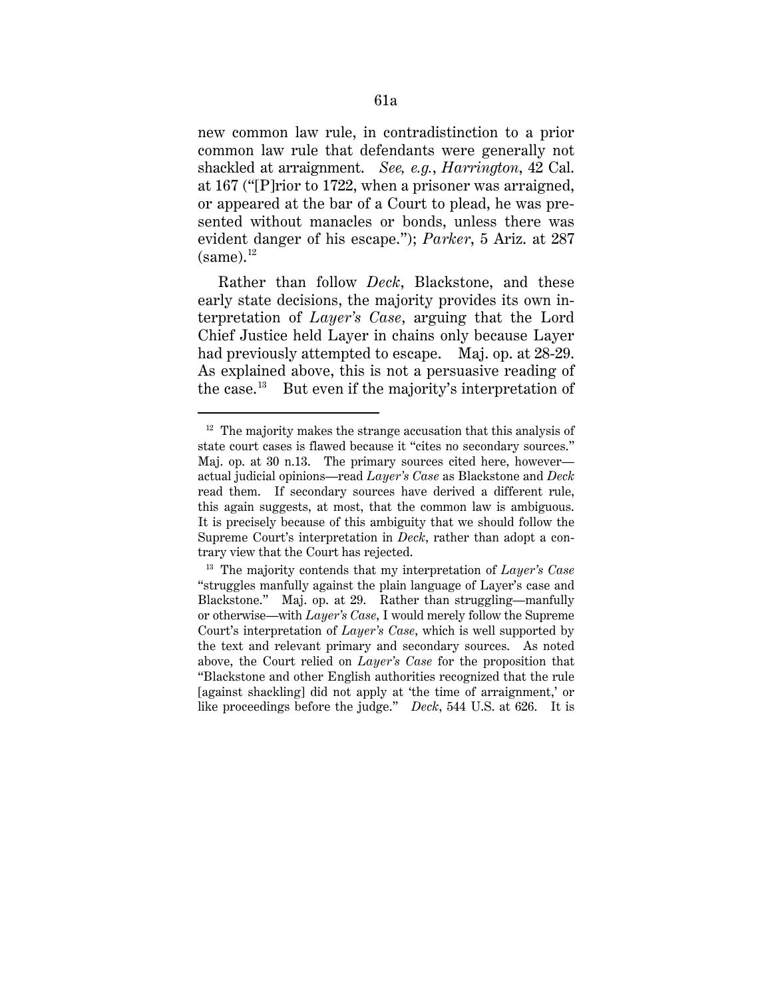new common law rule, in contradistinction to a prior common law rule that defendants were generally not shackled at arraignment. *See, e.g.*, *Harrington*, 42 Cal. at 167 ("[P]rior to 1722, when a prisoner was arraigned, or appeared at the bar of a Court to plead, he was presented without manacles or bonds, unless there was evident danger of his escape."); *Parker*, 5 Ariz. at 287  $(same).<sup>12</sup>$ 

Rather than follow *Deck*, Blackstone, and these early state decisions, the majority provides its own interpretation of *Layer's Case*, arguing that the Lord Chief Justice held Layer in chains only because Layer had previously attempted to escape. Maj. op. at 28-29. As explained above, this is not a persuasive reading of the case.13But even if the majority's interpretation of

 $12$  The majority makes the strange accusation that this analysis of state court cases is flawed because it "cites no secondary sources." Maj. op. at 30 n.13. The primary sources cited here, however actual judicial opinions—read *Layer's Case* as Blackstone and *Deck*  read them. If secondary sources have derived a different rule, this again suggests, at most, that the common law is ambiguous. It is precisely because of this ambiguity that we should follow the Supreme Court's interpretation in *Deck*, rather than adopt a contrary view that the Court has rejected.

<sup>13</sup> The majority contends that my interpretation of *Layer's Case* "struggles manfully against the plain language of Layer's case and Blackstone." Maj. op. at 29. Rather than struggling—manfully or otherwise—with *Layer's Case*, I would merely follow the Supreme Court's interpretation of *Layer's Case*, which is well supported by the text and relevant primary and secondary sources. As noted above, the Court relied on *Layer's Case* for the proposition that "Blackstone and other English authorities recognized that the rule [against shackling] did not apply at 'the time of arraignment,' or like proceedings before the judge." *Deck*, 544 U.S. at 626. It is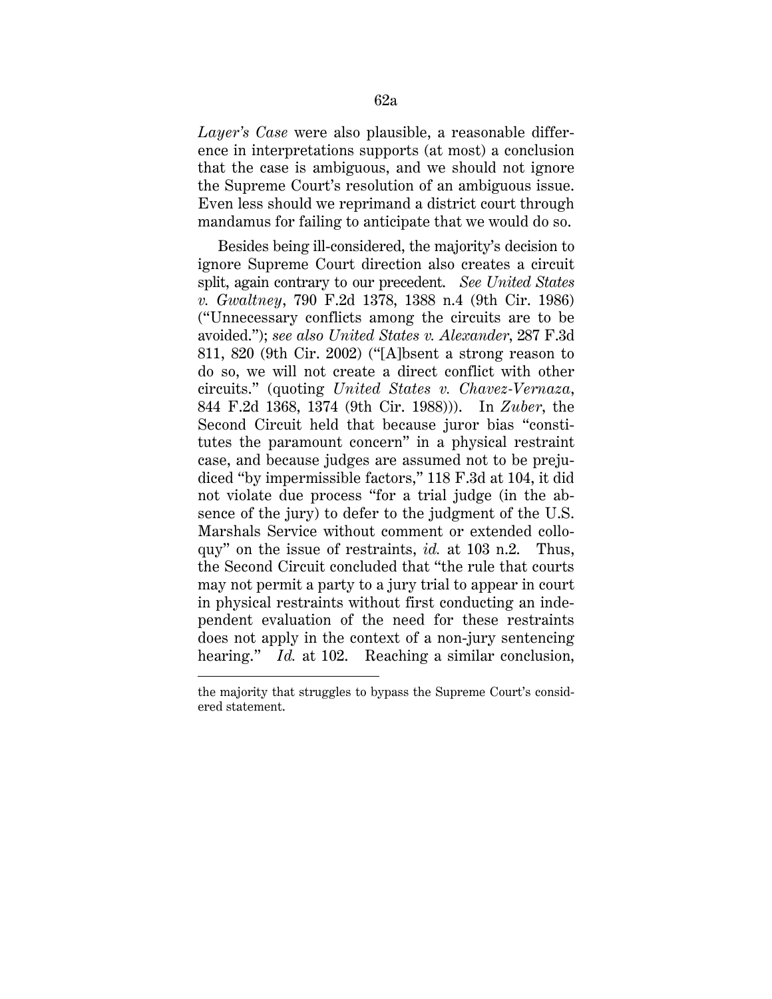*Layer's Case* were also plausible, a reasonable difference in interpretations supports (at most) a conclusion that the case is ambiguous, and we should not ignore the Supreme Court's resolution of an ambiguous issue. Even less should we reprimand a district court through mandamus for failing to anticipate that we would do so.

Besides being ill-considered, the majority's decision to ignore Supreme Court direction also creates a circuit split, again contrary to our precedent. *See United States v. Gwaltney*, 790 F.2d 1378, 1388 n.4 (9th Cir. 1986) ("Unnecessary conflicts among the circuits are to be avoided."); *see also United States v. Alexander*, 287 F.3d 811, 820 (9th Cir. 2002) ("[A]bsent a strong reason to do so, we will not create a direct conflict with other circuits." (quoting *United States v. Chavez-Vernaza*, 844 F.2d 1368, 1374 (9th Cir. 1988))). In *Zuber*, the Second Circuit held that because juror bias "constitutes the paramount concern" in a physical restraint case, and because judges are assumed not to be prejudiced "by impermissible factors," 118 F.3d at 104, it did not violate due process "for a trial judge (in the absence of the jury) to defer to the judgment of the U.S. Marshals Service without comment or extended colloquy" on the issue of restraints, *id.* at 103 n.2. Thus, the Second Circuit concluded that "the rule that courts may not permit a party to a jury trial to appear in court in physical restraints without first conducting an independent evaluation of the need for these restraints does not apply in the context of a non-jury sentencing hearing." *Id.* at 102. Reaching a similar conclusion,

the majority that struggles to bypass the Supreme Court's considered statement.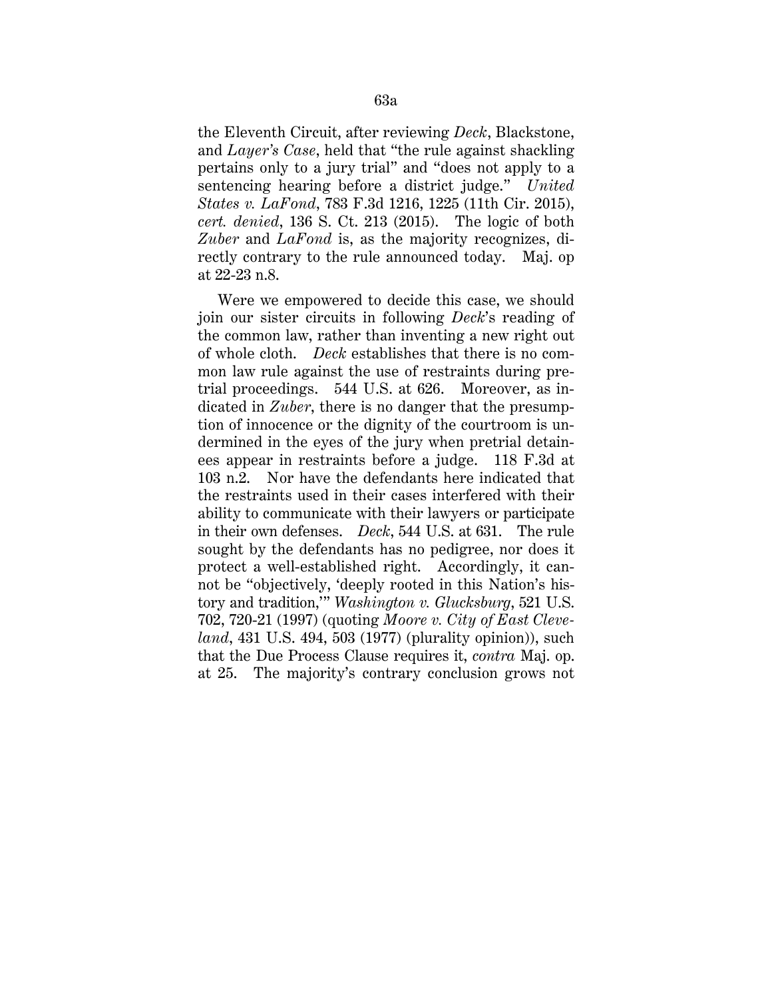the Eleventh Circuit, after reviewing *Deck*, Blackstone, and *Layer's Case*, held that "the rule against shackling pertains only to a jury trial" and "does not apply to a sentencing hearing before a district judge." *United States v. LaFond*, 783 F.3d 1216, 1225 (11th Cir. 2015), *cert. denied*, 136 S. Ct. 213 (2015). The logic of both *Zuber* and *LaFond* is, as the majority recognizes, directly contrary to the rule announced today. Maj. op at 22-23 n.8.

Were we empowered to decide this case, we should join our sister circuits in following *Deck*'s reading of the common law, rather than inventing a new right out of whole cloth. *Deck* establishes that there is no common law rule against the use of restraints during pretrial proceedings. 544 U.S. at 626. Moreover, as indicated in *Zuber*, there is no danger that the presumption of innocence or the dignity of the courtroom is undermined in the eyes of the jury when pretrial detainees appear in restraints before a judge. 118 F.3d at 103 n.2. Nor have the defendants here indicated that the restraints used in their cases interfered with their ability to communicate with their lawyers or participate in their own defenses. *Deck*, 544 U.S. at 631. The rule sought by the defendants has no pedigree, nor does it protect a well-established right. Accordingly, it cannot be "objectively, 'deeply rooted in this Nation's history and tradition,'" *Washington v. Glucksburg*, 521 U.S. 702, 720-21 (1997) (quoting *Moore v. City of East Cleveland*, 431 U.S. 494, 503 (1977) (plurality opinion)), such that the Due Process Clause requires it, *contra* Maj. op. at 25. The majority's contrary conclusion grows not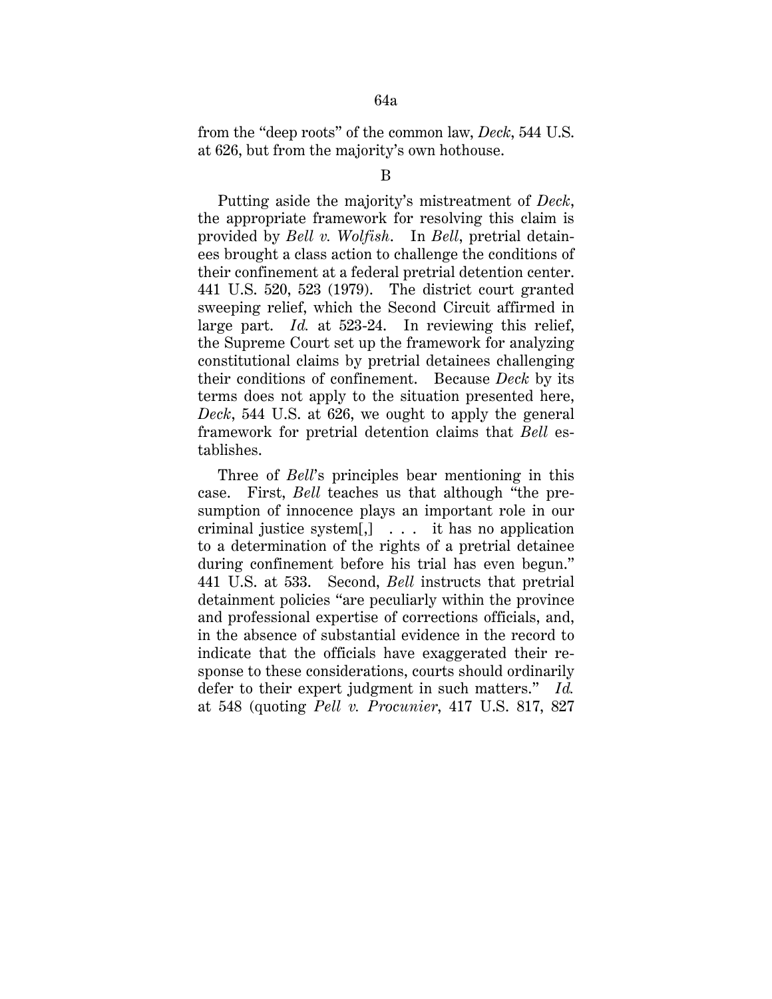from the "deep roots" of the common law, *Deck*, 544 U.S. at 626, but from the majority's own hothouse.

Putting aside the majority's mistreatment of *Deck*, the appropriate framework for resolving this claim is provided by *Bell v. Wolfish*. In *Bell*, pretrial detainees brought a class action to challenge the conditions of their confinement at a federal pretrial detention center. 441 U.S. 520, 523 (1979). The district court granted sweeping relief, which the Second Circuit affirmed in large part. *Id.* at 523-24. In reviewing this relief, the Supreme Court set up the framework for analyzing constitutional claims by pretrial detainees challenging their conditions of confinement. Because *Deck* by its terms does not apply to the situation presented here, *Deck*, 544 U.S. at 626, we ought to apply the general framework for pretrial detention claims that *Bell* establishes.

Three of *Bell*'s principles bear mentioning in this case. First, *Bell* teaches us that although "the presumption of innocence plays an important role in our criminal justice system[,] . . . it has no application to a determination of the rights of a pretrial detainee during confinement before his trial has even begun." 441 U.S. at 533. Second, *Bell* instructs that pretrial detainment policies "are peculiarly within the province and professional expertise of corrections officials, and, in the absence of substantial evidence in the record to indicate that the officials have exaggerated their response to these considerations, courts should ordinarily defer to their expert judgment in such matters." *Id.*  at 548 (quoting *Pell v. Procunier*, 417 U.S. 817, 827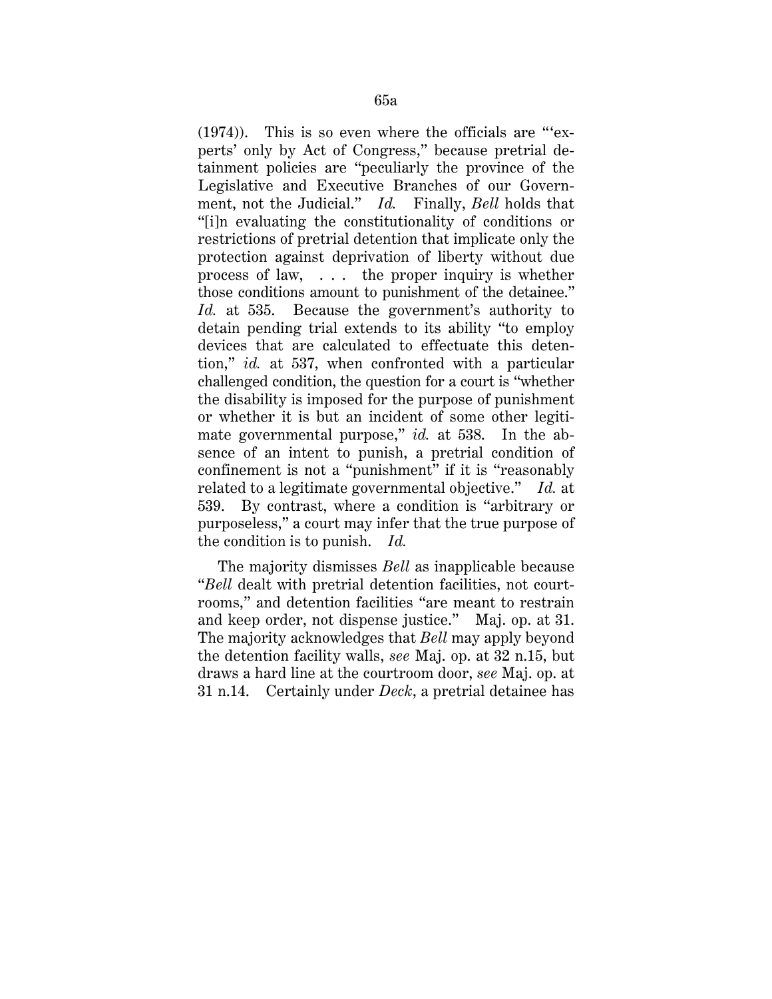(1974)). This is so even where the officials are "'experts' only by Act of Congress," because pretrial detainment policies are "peculiarly the province of the Legislative and Executive Branches of our Government, not the Judicial." *Id.* Finally, *Bell* holds that "[i]n evaluating the constitutionality of conditions or restrictions of pretrial detention that implicate only the protection against deprivation of liberty without due process of law, . . . the proper inquiry is whether those conditions amount to punishment of the detainee." *Id.* at 535. Because the government's authority to detain pending trial extends to its ability "to employ devices that are calculated to effectuate this detention," *id.* at 537, when confronted with a particular challenged condition, the question for a court is "whether the disability is imposed for the purpose of punishment or whether it is but an incident of some other legitimate governmental purpose," *id.* at 538. In the absence of an intent to punish, a pretrial condition of confinement is not a "punishment" if it is "reasonably related to a legitimate governmental objective." *Id.* at 539. By contrast, where a condition is "arbitrary or purposeless," a court may infer that the true purpose of the condition is to punish. *Id.*

The majority dismisses *Bell* as inapplicable because "*Bell* dealt with pretrial detention facilities, not courtrooms," and detention facilities "are meant to restrain and keep order, not dispense justice." Maj. op. at 31. The majority acknowledges that *Bell* may apply beyond the detention facility walls, *see* Maj. op. at 32 n.15, but draws a hard line at the courtroom door, *see* Maj. op. at 31 n.14. Certainly under *Deck*, a pretrial detainee has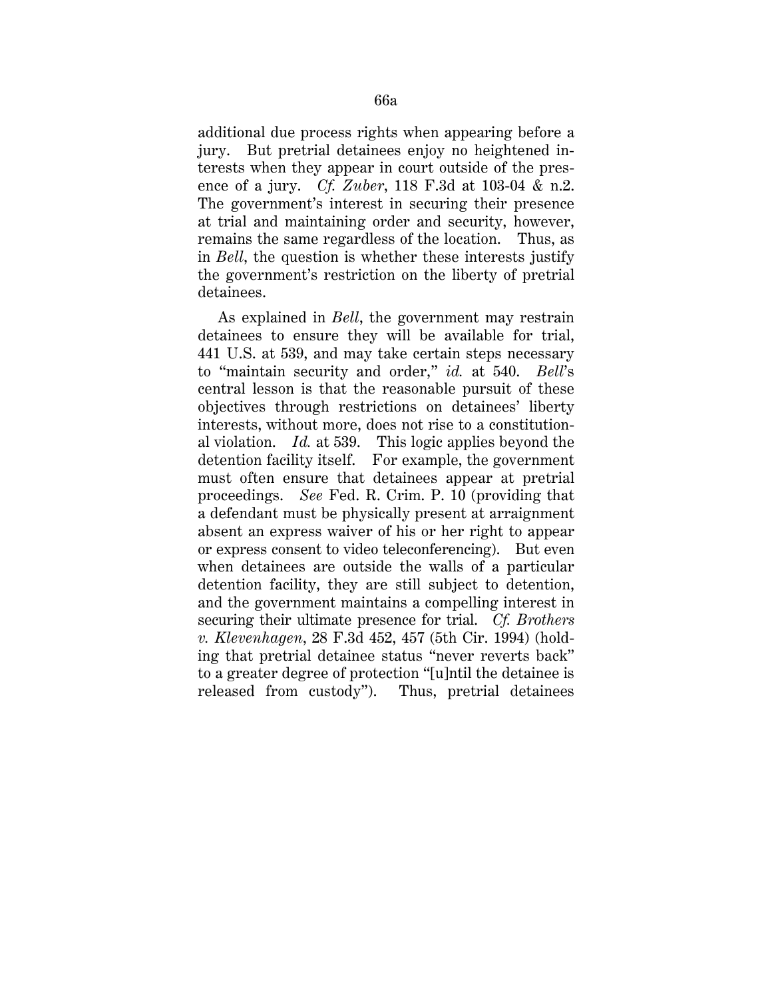additional due process rights when appearing before a jury. But pretrial detainees enjoy no heightened interests when they appear in court outside of the presence of a jury. *Cf. Zuber*, 118 F.3d at 103-04 & n.2. The government's interest in securing their presence at trial and maintaining order and security, however, remains the same regardless of the location. Thus, as in *Bell*, the question is whether these interests justify the government's restriction on the liberty of pretrial detainees.

As explained in *Bell*, the government may restrain detainees to ensure they will be available for trial, 441 U.S. at 539, and may take certain steps necessary to "maintain security and order," *id.* at 540. *Bell*'s central lesson is that the reasonable pursuit of these objectives through restrictions on detainees' liberty interests, without more, does not rise to a constitutional violation. *Id.* at 539. This logic applies beyond the detention facility itself. For example, the government must often ensure that detainees appear at pretrial proceedings. *See* Fed. R. Crim. P. 10 (providing that a defendant must be physically present at arraignment absent an express waiver of his or her right to appear or express consent to video teleconferencing). But even when detainees are outside the walls of a particular detention facility, they are still subject to detention, and the government maintains a compelling interest in securing their ultimate presence for trial. *Cf. Brothers v. Klevenhagen*, 28 F.3d 452, 457 (5th Cir. 1994) (holding that pretrial detainee status "never reverts back" to a greater degree of protection "[u]ntil the detainee is released from custody"). Thus, pretrial detainees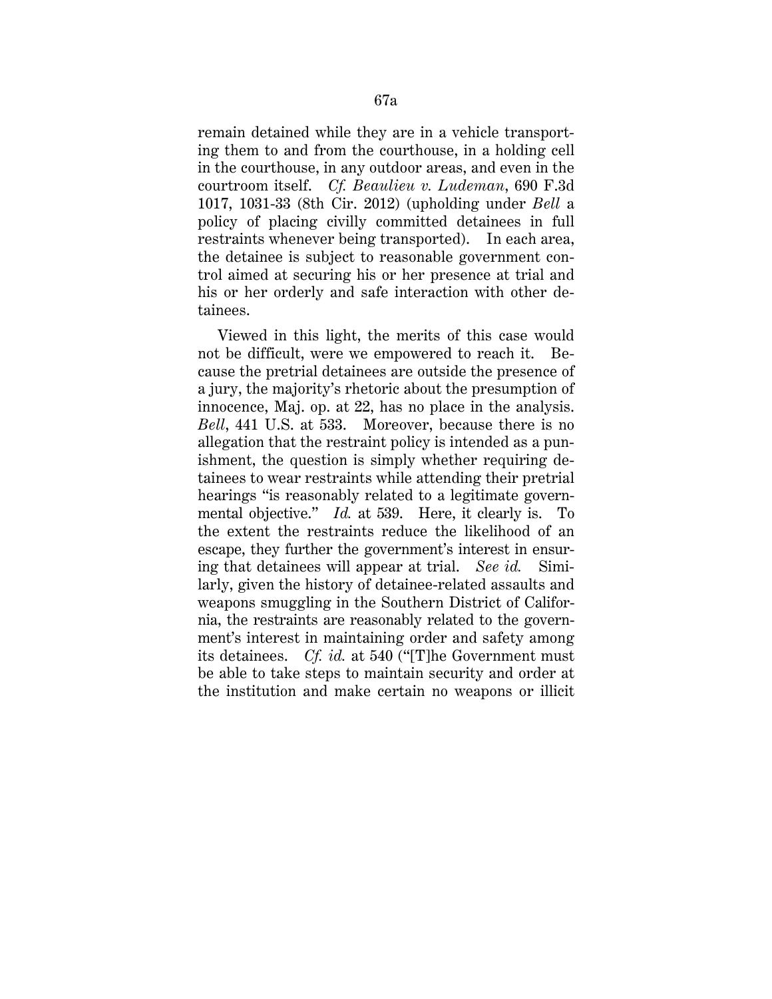remain detained while they are in a vehicle transporting them to and from the courthouse, in a holding cell in the courthouse, in any outdoor areas, and even in the courtroom itself. *Cf. Beaulieu v. Ludeman*, 690 F.3d 1017, 1031-33 (8th Cir. 2012) (upholding under *Bell* a policy of placing civilly committed detainees in full restraints whenever being transported). In each area, the detainee is subject to reasonable government control aimed at securing his or her presence at trial and his or her orderly and safe interaction with other detainees.

Viewed in this light, the merits of this case would not be difficult, were we empowered to reach it. Because the pretrial detainees are outside the presence of a jury, the majority's rhetoric about the presumption of innocence, Maj. op. at 22, has no place in the analysis. *Bell*, 441 U.S. at 533. Moreover, because there is no allegation that the restraint policy is intended as a punishment, the question is simply whether requiring detainees to wear restraints while attending their pretrial hearings "is reasonably related to a legitimate governmental objective." *Id.* at 539. Here, it clearly is. To the extent the restraints reduce the likelihood of an escape, they further the government's interest in ensuring that detainees will appear at trial. *See id.* Similarly, given the history of detainee-related assaults and weapons smuggling in the Southern District of California, the restraints are reasonably related to the government's interest in maintaining order and safety among its detainees. *Cf. id.* at 540 ("[T]he Government must be able to take steps to maintain security and order at the institution and make certain no weapons or illicit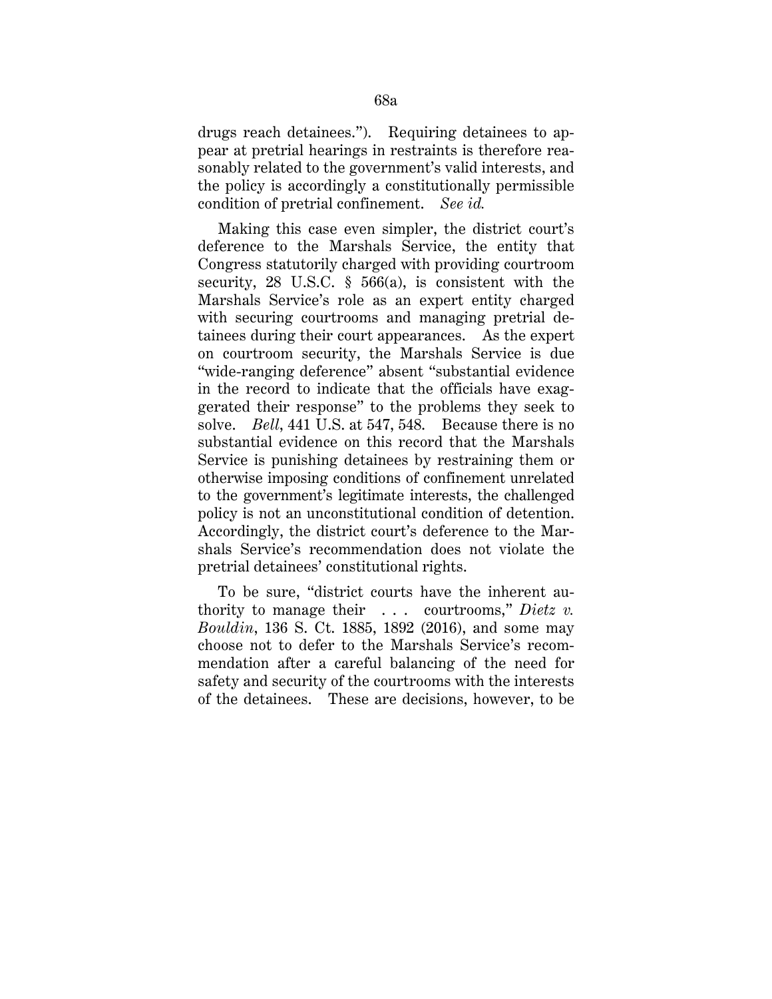drugs reach detainees."). Requiring detainees to appear at pretrial hearings in restraints is therefore reasonably related to the government's valid interests, and the policy is accordingly a constitutionally permissible condition of pretrial confinement. *See id.* 

Making this case even simpler, the district court's deference to the Marshals Service, the entity that Congress statutorily charged with providing courtroom security, 28 U.S.C. § 566(a), is consistent with the Marshals Service's role as an expert entity charged with securing courtrooms and managing pretrial detainees during their court appearances. As the expert on courtroom security, the Marshals Service is due "wide-ranging deference" absent "substantial evidence in the record to indicate that the officials have exaggerated their response" to the problems they seek to solve. *Bell*, 441 U.S. at 547, 548. Because there is no substantial evidence on this record that the Marshals Service is punishing detainees by restraining them or otherwise imposing conditions of confinement unrelated to the government's legitimate interests, the challenged policy is not an unconstitutional condition of detention. Accordingly, the district court's deference to the Marshals Service's recommendation does not violate the pretrial detainees' constitutional rights.

To be sure, "district courts have the inherent authority to manage their . . . courtrooms," *Dietz v. Bouldin*, 136 S. Ct. 1885, 1892 (2016), and some may choose not to defer to the Marshals Service's recommendation after a careful balancing of the need for safety and security of the courtrooms with the interests of the detainees. These are decisions, however, to be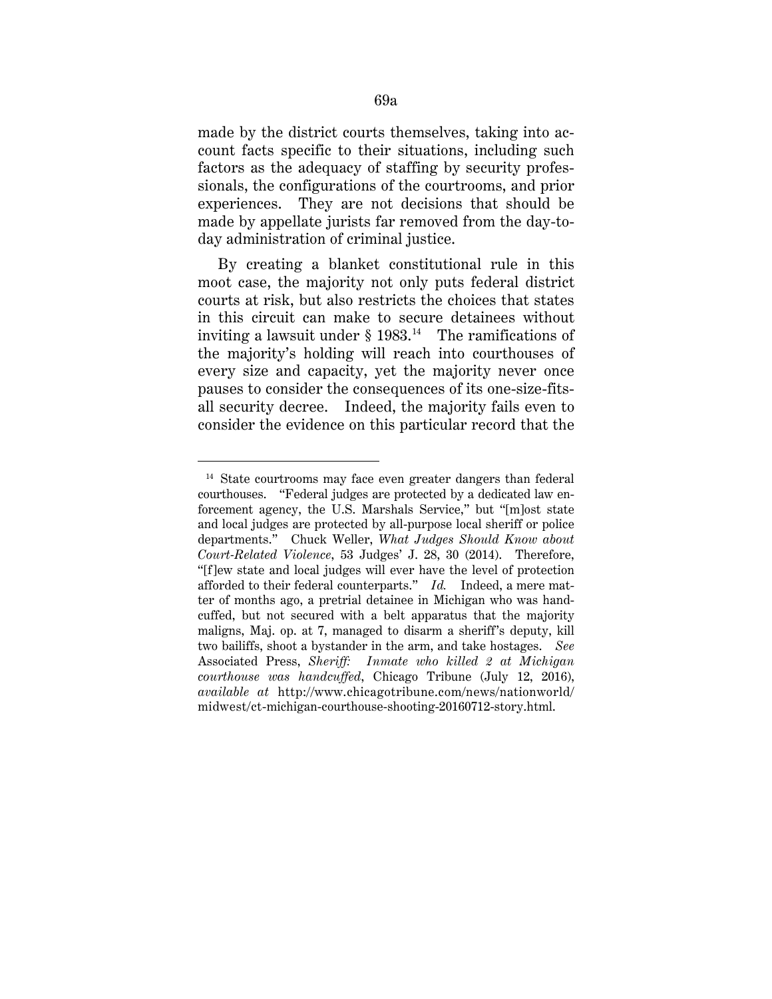made by the district courts themselves, taking into account facts specific to their situations, including such factors as the adequacy of staffing by security professionals, the configurations of the courtrooms, and prior experiences. They are not decisions that should be made by appellate jurists far removed from the day-today administration of criminal justice.

By creating a blanket constitutional rule in this moot case, the majority not only puts federal district courts at risk, but also restricts the choices that states in this circuit can make to secure detainees without inviting a lawsuit under  $\S$  1983.<sup>14</sup> The ramifications of the majority's holding will reach into courthouses of every size and capacity, yet the majority never once pauses to consider the consequences of its one-size-fitsall security decree. Indeed, the majority fails even to consider the evidence on this particular record that the

<u>.</u>

<sup>&</sup>lt;sup>14</sup> State courtrooms may face even greater dangers than federal courthouses. "Federal judges are protected by a dedicated law enforcement agency, the U.S. Marshals Service," but "[m]ost state and local judges are protected by all-purpose local sheriff or police departments." Chuck Weller, *What Judges Should Know about Court-Related Violence*, 53 Judges' J. 28, 30 (2014). Therefore, "[f]ew state and local judges will ever have the level of protection afforded to their federal counterparts." *Id.* Indeed, a mere matter of months ago, a pretrial detainee in Michigan who was handcuffed, but not secured with a belt apparatus that the majority maligns, Maj. op. at 7, managed to disarm a sheriff's deputy, kill two bailiffs, shoot a bystander in the arm, and take hostages. *See*  Associated Press, *Sheriff: Inmate who killed 2 at Michigan courthouse was handcuffed*, Chicago Tribune (July 12, 2016), *available at* http://www.chicagotribune.com/news/nationworld/ midwest/ct-michigan-courthouse-shooting-20160712-story.html.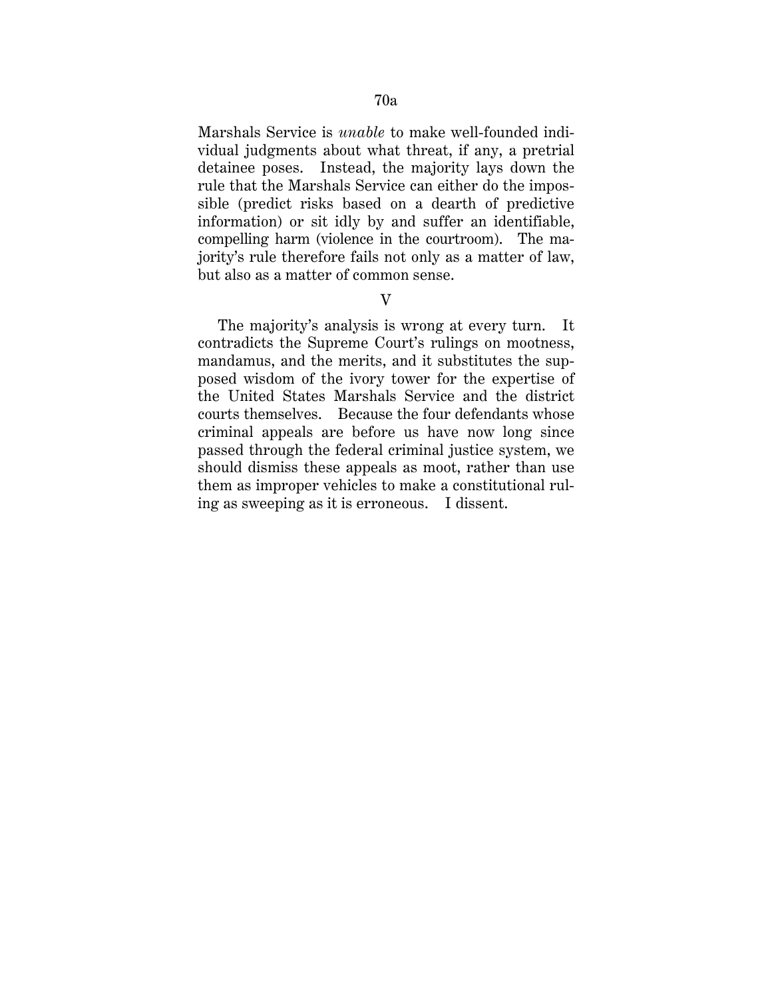Marshals Service is *unable* to make well-founded individual judgments about what threat, if any, a pretrial detainee poses. Instead, the majority lays down the rule that the Marshals Service can either do the impossible (predict risks based on a dearth of predictive information) or sit idly by and suffer an identifiable, compelling harm (violence in the courtroom). The majority's rule therefore fails not only as a matter of law, but also as a matter of common sense.

## V

The majority's analysis is wrong at every turn. It contradicts the Supreme Court's rulings on mootness, mandamus, and the merits, and it substitutes the supposed wisdom of the ivory tower for the expertise of the United States Marshals Service and the district courts themselves. Because the four defendants whose criminal appeals are before us have now long since passed through the federal criminal justice system, we should dismiss these appeals as moot, rather than use them as improper vehicles to make a constitutional ruling as sweeping as it is erroneous. I dissent.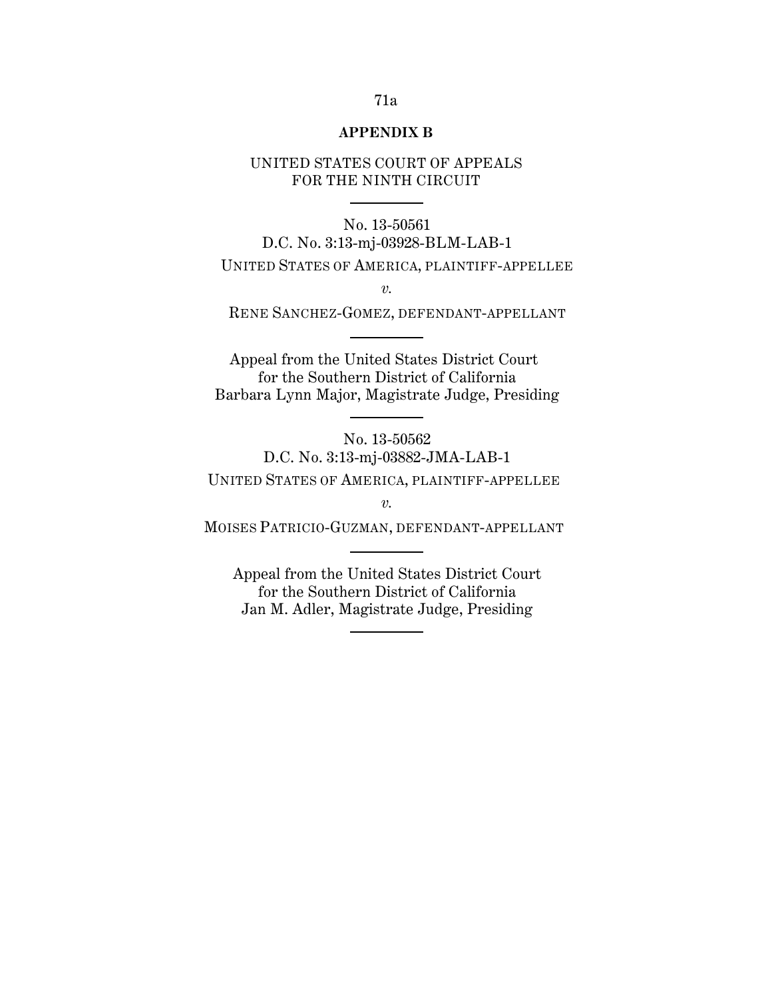#### **APPENDIX B**

## UNITED STATES COURT OF APPEALS FOR THE NINTH CIRCUIT

# No. 13-50561 D.C. No. 3:13-mj-03928-BLM-LAB-1

# UNITED STATES OF AMERICA, PLAINTIFF-APPELLEE

*v.*

RENE SANCHEZ-GOMEZ, DEFENDANT-APPELLANT

Appeal from the United States District Court for the Southern District of California Barbara Lynn Major, Magistrate Judge, Presiding

No. 13-50562 D.C. No. 3:13-mj-03882-JMA-LAB-1 UNITED STATES OF AMERICA, PLAINTIFF-APPELLEE

*v.*

MOISES PATRICIO-GUZMAN, DEFENDANT-APPELLANT

Appeal from the United States District Court for the Southern District of California Jan M. Adler, Magistrate Judge, Presiding

## 71a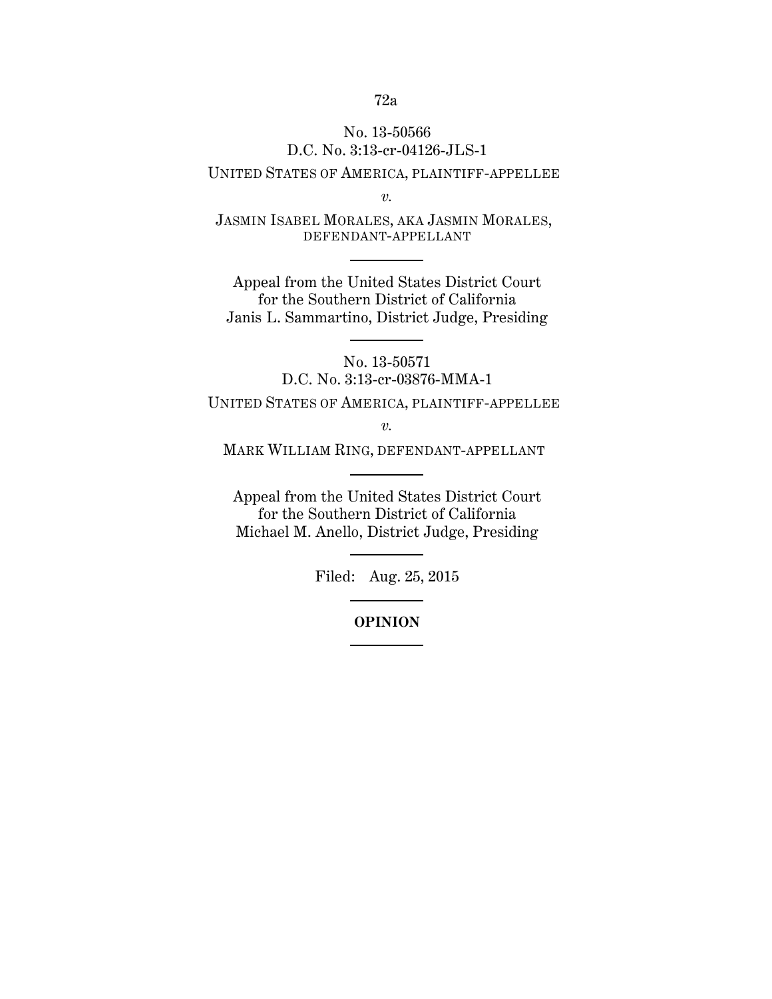## No. 13-50566 D.C. No. 3:13-cr-04126-JLS-1

## UNITED STATES OF AMERICA, PLAINTIFF-APPELLEE

*v.*

JASMIN ISABEL MORALES, AKA JASMIN MORALES, DEFENDANT-APPELLANT

Appeal from the United States District Court for the Southern District of California Janis L. Sammartino, District Judge, Presiding

> No. 13-50571 D.C. No. 3:13-cr-03876-MMA-1

UNITED STATES OF AMERICA, PLAINTIFF-APPELLEE

*v.*

MARK WILLIAM RING, DEFENDANT-APPELLANT

Appeal from the United States District Court for the Southern District of California Michael M. Anello, District Judge, Presiding

Filed: Aug. 25, 2015

### **OPINION**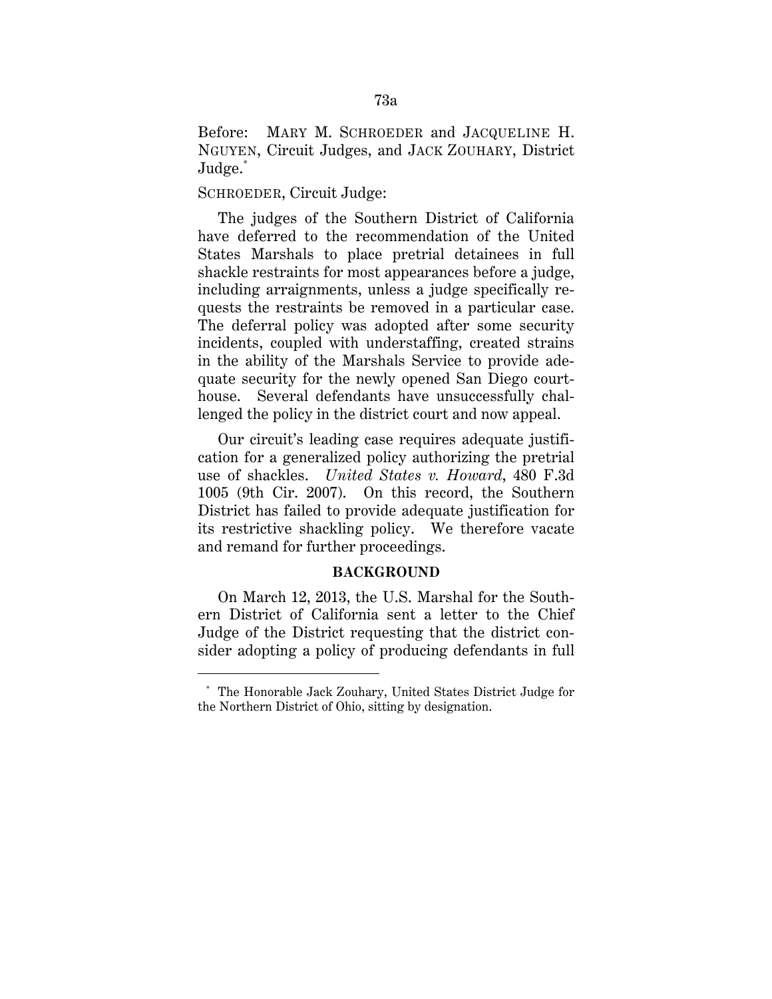Before: MARY M. SCHROEDER and JACQUELINE H. NGUYEN, Circuit Judges, and JACK ZOUHARY, District Judge.\*

### SCHROEDER, Circuit Judge:

-

The judges of the Southern District of California have deferred to the recommendation of the United States Marshals to place pretrial detainees in full shackle restraints for most appearances before a judge, including arraignments, unless a judge specifically requests the restraints be removed in a particular case. The deferral policy was adopted after some security incidents, coupled with understaffing, created strains in the ability of the Marshals Service to provide adequate security for the newly opened San Diego courthouse. Several defendants have unsuccessfully challenged the policy in the district court and now appeal.

Our circuit's leading case requires adequate justification for a generalized policy authorizing the pretrial use of shackles. *United States v. Howard*, 480 F.3d 1005 (9th Cir. 2007). On this record, the Southern District has failed to provide adequate justification for its restrictive shackling policy. We therefore vacate and remand for further proceedings.

#### **BACKGROUND**

On March 12, 2013, the U.S. Marshal for the Southern District of California sent a letter to the Chief Judge of the District requesting that the district consider adopting a policy of producing defendants in full

<sup>\*</sup> The Honorable Jack Zouhary, United States District Judge for the Northern District of Ohio, sitting by designation.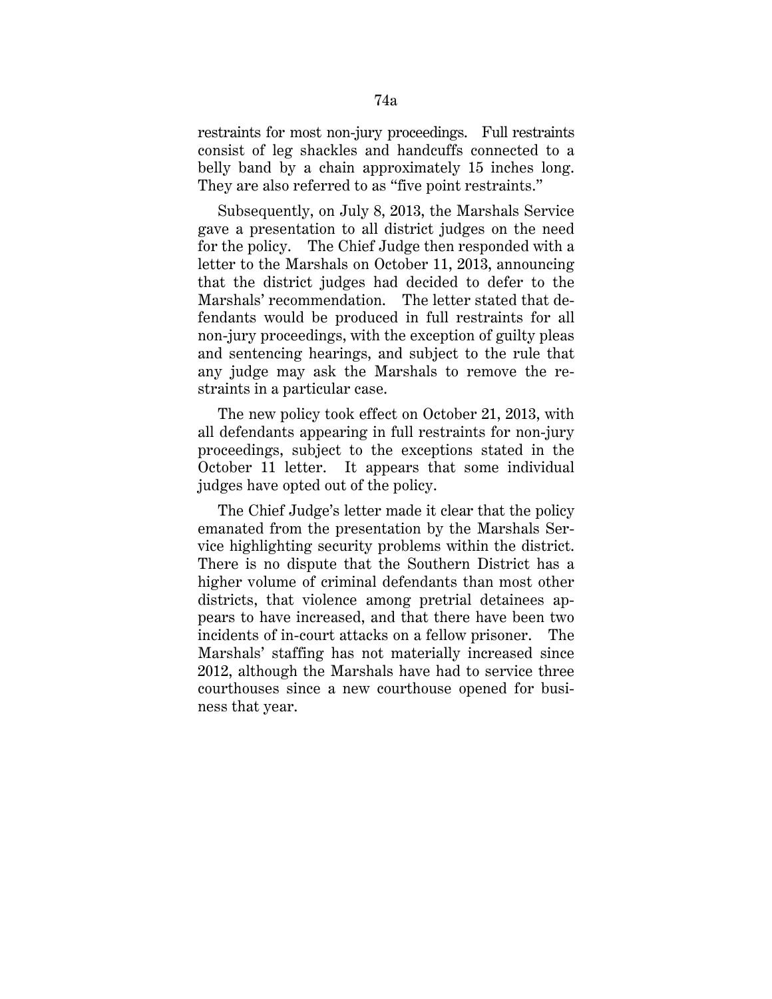restraints for most non-jury proceedings. Full restraints consist of leg shackles and handcuffs connected to a belly band by a chain approximately 15 inches long. They are also referred to as "five point restraints."

Subsequently, on July 8, 2013, the Marshals Service gave a presentation to all district judges on the need for the policy. The Chief Judge then responded with a letter to the Marshals on October 11, 2013, announcing that the district judges had decided to defer to the Marshals' recommendation. The letter stated that defendants would be produced in full restraints for all non-jury proceedings, with the exception of guilty pleas and sentencing hearings, and subject to the rule that any judge may ask the Marshals to remove the restraints in a particular case.

The new policy took effect on October 21, 2013, with all defendants appearing in full restraints for non-jury proceedings, subject to the exceptions stated in the October 11 letter. It appears that some individual judges have opted out of the policy.

The Chief Judge's letter made it clear that the policy emanated from the presentation by the Marshals Service highlighting security problems within the district. There is no dispute that the Southern District has a higher volume of criminal defendants than most other districts, that violence among pretrial detainees appears to have increased, and that there have been two incidents of in-court attacks on a fellow prisoner. The Marshals' staffing has not materially increased since 2012, although the Marshals have had to service three courthouses since a new courthouse opened for business that year.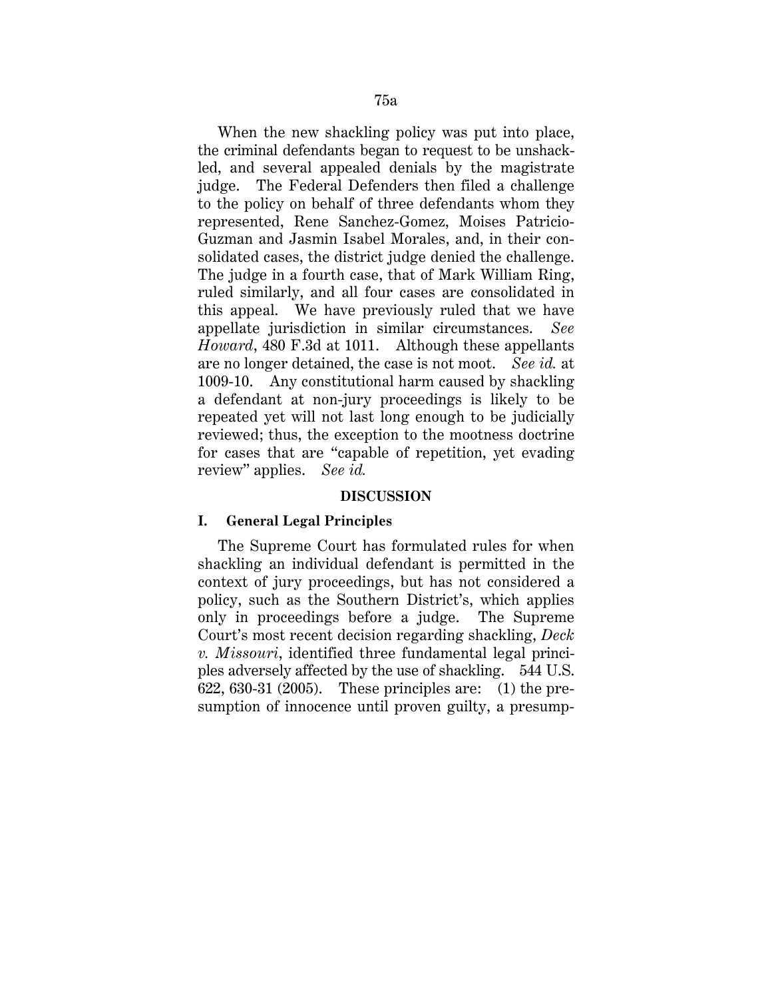When the new shackling policy was put into place, the criminal defendants began to request to be unshackled, and several appealed denials by the magistrate judge. The Federal Defenders then filed a challenge to the policy on behalf of three defendants whom they represented, Rene Sanchez-Gomez, Moises Patricio-Guzman and Jasmin Isabel Morales, and, in their consolidated cases, the district judge denied the challenge. The judge in a fourth case, that of Mark William Ring, ruled similarly, and all four cases are consolidated in this appeal. We have previously ruled that we have appellate jurisdiction in similar circumstances. *See Howard*, 480 F.3d at 1011. Although these appellants are no longer detained, the case is not moot. *See id.* at 1009-10. Any constitutional harm caused by shackling a defendant at non-jury proceedings is likely to be repeated yet will not last long enough to be judicially reviewed; thus, the exception to the mootness doctrine for cases that are "capable of repetition, yet evading review" applies. *See id.*

#### **DISCUSSION**

#### **I. General Legal Principles**

The Supreme Court has formulated rules for when shackling an individual defendant is permitted in the context of jury proceedings, but has not considered a policy, such as the Southern District's, which applies only in proceedings before a judge. The Supreme Court's most recent decision regarding shackling, *Deck v. Missouri*, identified three fundamental legal principles adversely affected by the use of shackling. 544 U.S. 622, 630-31 (2005). These principles are: (1) the presumption of innocence until proven guilty, a presump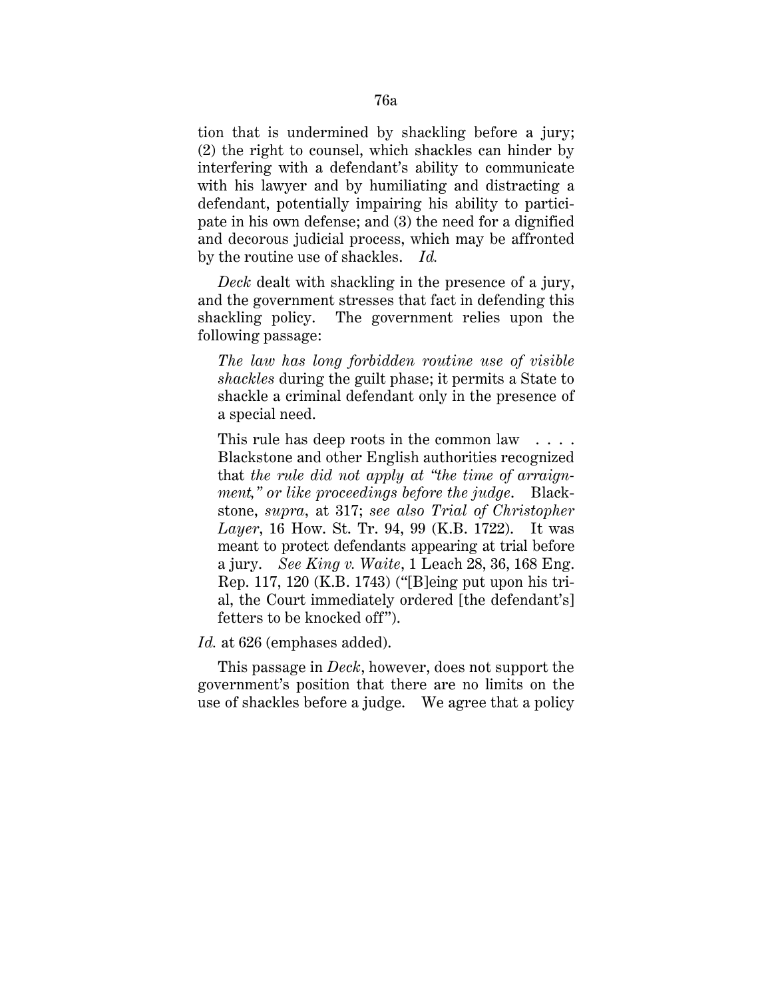tion that is undermined by shackling before a jury; (2) the right to counsel, which shackles can hinder by interfering with a defendant's ability to communicate with his lawyer and by humiliating and distracting a defendant, potentially impairing his ability to participate in his own defense; and (3) the need for a dignified and decorous judicial process, which may be affronted by the routine use of shackles. *Id.*

*Deck* dealt with shackling in the presence of a jury, and the government stresses that fact in defending this shackling policy. The government relies upon the following passage:

*The law has long forbidden routine use of visible shackles* during the guilt phase; it permits a State to shackle a criminal defendant only in the presence of a special need.

This rule has deep roots in the common law . . . . Blackstone and other English authorities recognized that *the rule did not apply at "the time of arraignment," or like proceedings before the judge*. Blackstone, *supra*, at 317; *see also Trial of Christopher Layer*, 16 How. St. Tr. 94, 99 (K.B. 1722). It was meant to protect defendants appearing at trial before a jury. *See King v. Waite*, 1 Leach 28, 36, 168 Eng. Rep. 117, 120 (K.B. 1743) ("[B]eing put upon his trial, the Court immediately ordered [the defendant's] fetters to be knocked off").

### *Id.* at 626 (emphases added).

This passage in *Deck*, however, does not support the government's position that there are no limits on the use of shackles before a judge. We agree that a policy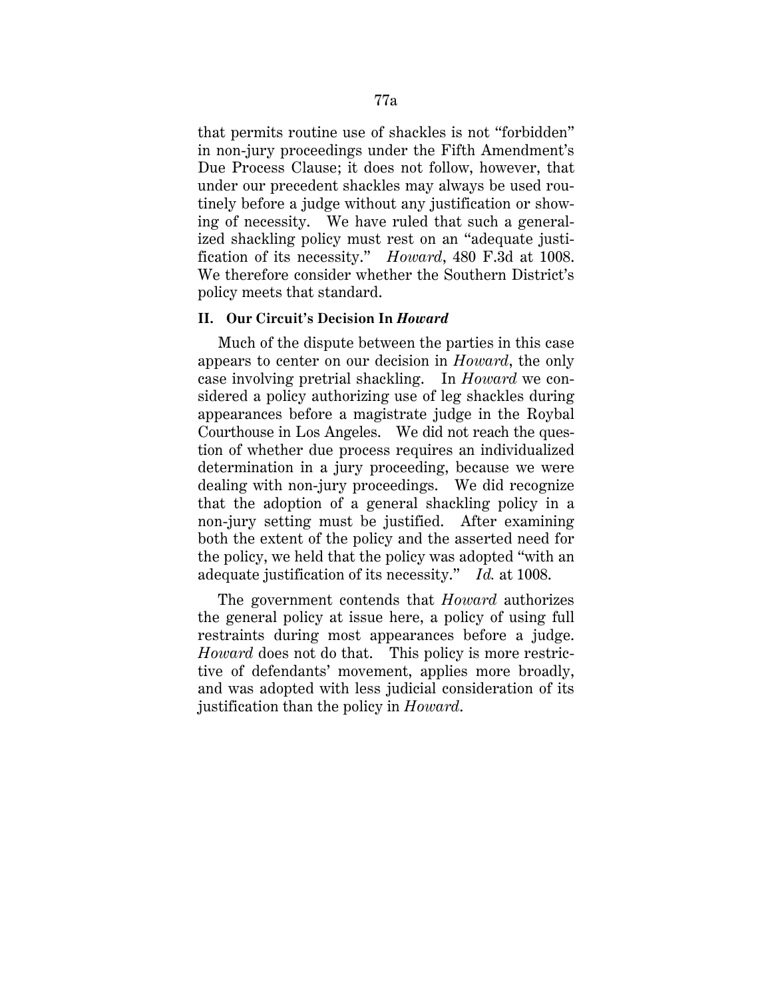that permits routine use of shackles is not "forbidden" in non-jury proceedings under the Fifth Amendment's Due Process Clause; it does not follow, however, that under our precedent shackles may always be used routinely before a judge without any justification or showing of necessity. We have ruled that such a generalized shackling policy must rest on an "adequate justification of its necessity." *Howard*, 480 F.3d at 1008. We therefore consider whether the Southern District's policy meets that standard.

### **II. Our Circuit's Decision In** *Howard*

Much of the dispute between the parties in this case appears to center on our decision in *Howard*, the only case involving pretrial shackling. In *Howard* we considered a policy authorizing use of leg shackles during appearances before a magistrate judge in the Roybal Courthouse in Los Angeles. We did not reach the question of whether due process requires an individualized determination in a jury proceeding, because we were dealing with non-jury proceedings. We did recognize that the adoption of a general shackling policy in a non-jury setting must be justified. After examining both the extent of the policy and the asserted need for the policy, we held that the policy was adopted "with an adequate justification of its necessity." *Id.* at 1008.

The government contends that *Howard* authorizes the general policy at issue here, a policy of using full restraints during most appearances before a judge. *Howard* does not do that. This policy is more restrictive of defendants' movement, applies more broadly, and was adopted with less judicial consideration of its justification than the policy in *Howard*.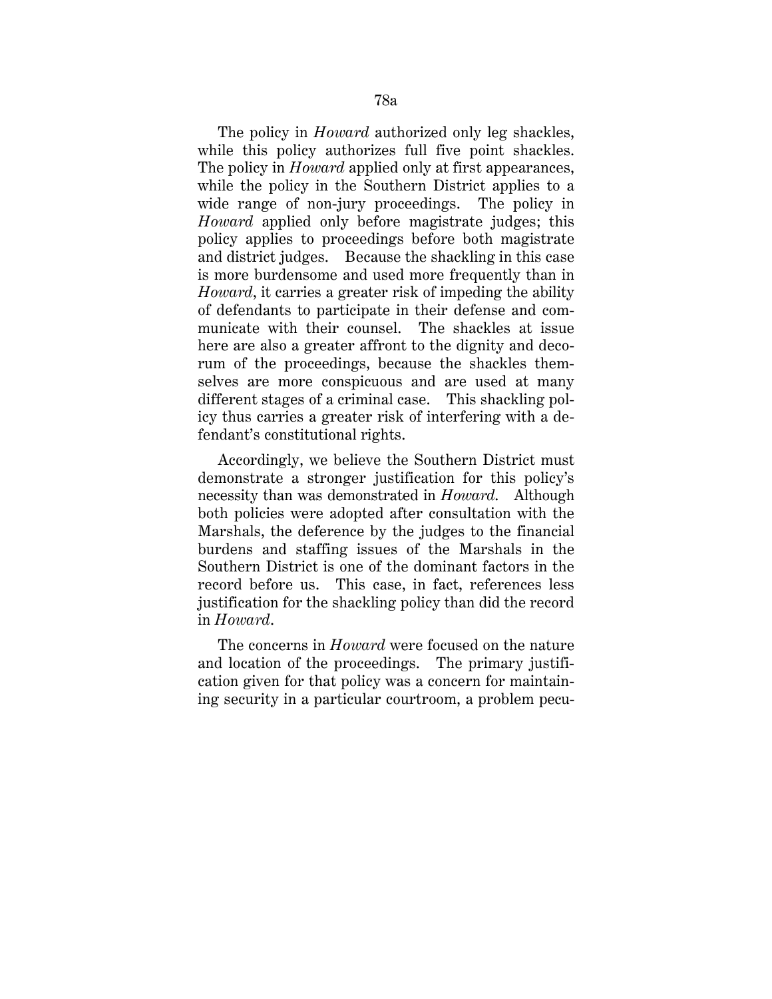The policy in *Howard* authorized only leg shackles, while this policy authorizes full five point shackles. The policy in *Howard* applied only at first appearances, while the policy in the Southern District applies to a wide range of non-jury proceedings. The policy in *Howard* applied only before magistrate judges; this policy applies to proceedings before both magistrate and district judges. Because the shackling in this case is more burdensome and used more frequently than in *Howard*, it carries a greater risk of impeding the ability of defendants to participate in their defense and communicate with their counsel. The shackles at issue here are also a greater affront to the dignity and decorum of the proceedings, because the shackles themselves are more conspicuous and are used at many different stages of a criminal case. This shackling policy thus carries a greater risk of interfering with a defendant's constitutional rights.

Accordingly, we believe the Southern District must demonstrate a stronger justification for this policy's necessity than was demonstrated in *Howard*. Although both policies were adopted after consultation with the Marshals, the deference by the judges to the financial burdens and staffing issues of the Marshals in the Southern District is one of the dominant factors in the record before us. This case, in fact, references less justification for the shackling policy than did the record in *Howard*.

The concerns in *Howard* were focused on the nature and location of the proceedings. The primary justification given for that policy was a concern for maintaining security in a particular courtroom, a problem pecu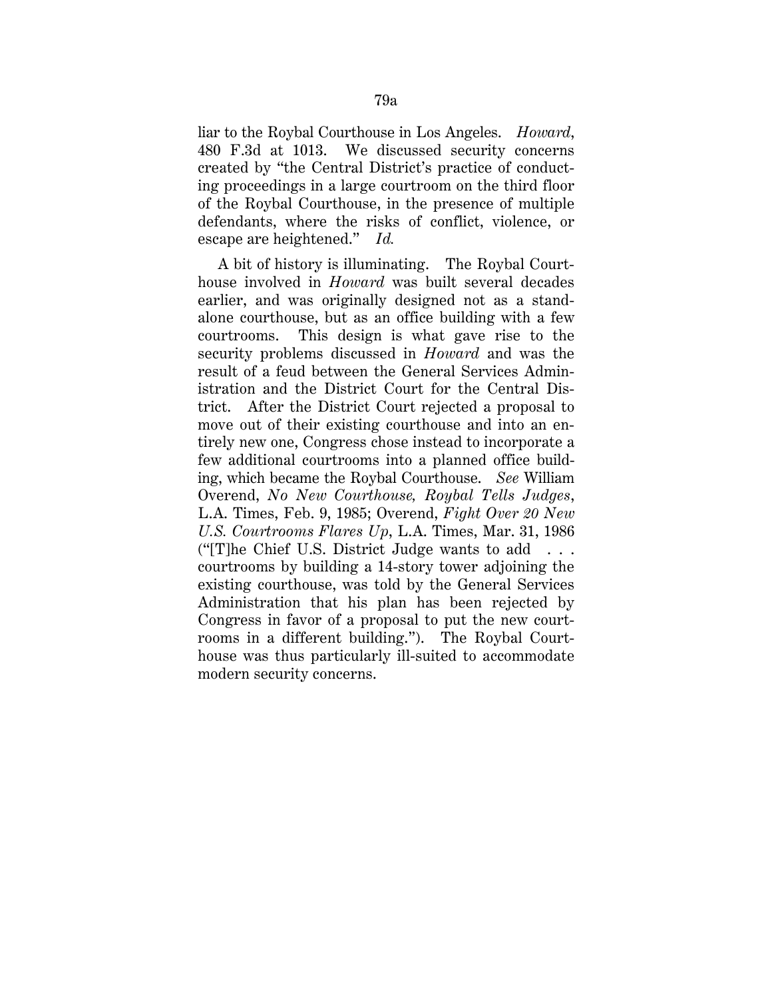liar to the Roybal Courthouse in Los Angeles. *Howard*, 480 F.3d at 1013. We discussed security concerns created by "the Central District's practice of conducting proceedings in a large courtroom on the third floor of the Roybal Courthouse, in the presence of multiple defendants, where the risks of conflict, violence, or escape are heightened." *Id.*

A bit of history is illuminating. The Roybal Courthouse involved in *Howard* was built several decades earlier, and was originally designed not as a standalone courthouse, but as an office building with a few courtrooms. This design is what gave rise to the security problems discussed in *Howard* and was the result of a feud between the General Services Administration and the District Court for the Central District. After the District Court rejected a proposal to move out of their existing courthouse and into an entirely new one, Congress chose instead to incorporate a few additional courtrooms into a planned office building, which became the Roybal Courthouse. *See* William Overend, *No New Courthouse, Roybal Tells Judges*, L.A. Times, Feb. 9, 1985; Overend, *Fight Over 20 New U.S. Courtrooms Flares Up*, L.A. Times, Mar. 31, 1986 ("IT] he Chief U.S. District Judge wants to add  $\ldots$ courtrooms by building a 14-story tower adjoining the existing courthouse, was told by the General Services Administration that his plan has been rejected by Congress in favor of a proposal to put the new courtrooms in a different building."). The Roybal Courthouse was thus particularly ill-suited to accommodate modern security concerns.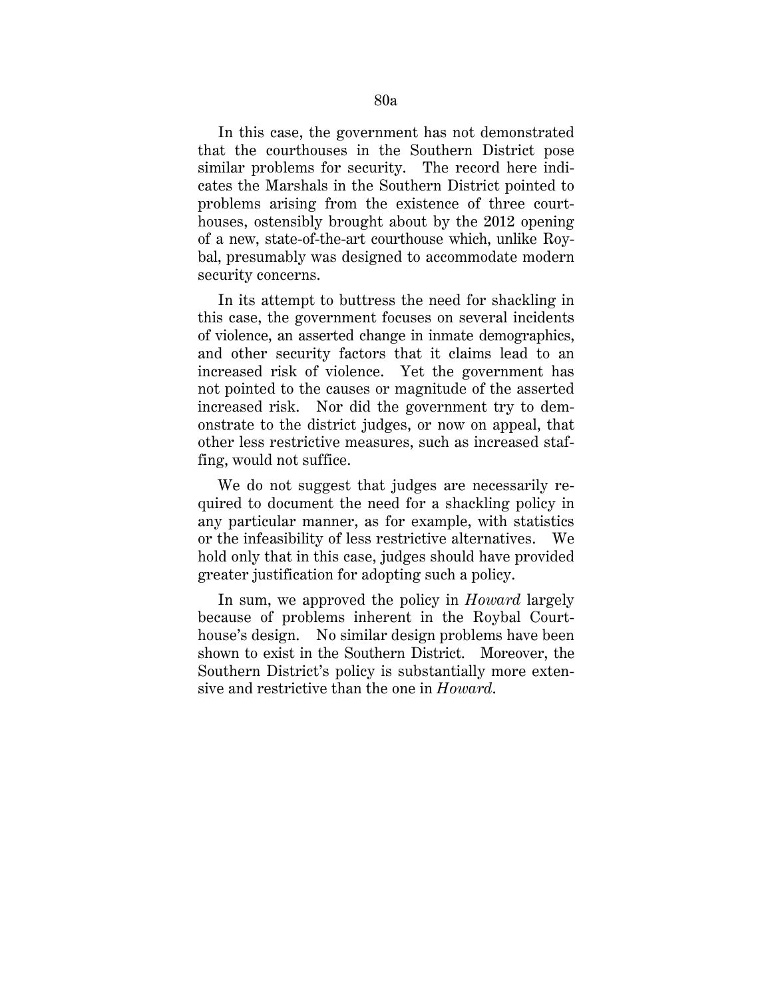In this case, the government has not demonstrated that the courthouses in the Southern District pose similar problems for security. The record here indicates the Marshals in the Southern District pointed to problems arising from the existence of three courthouses, ostensibly brought about by the 2012 opening of a new, state-of-the-art courthouse which, unlike Roybal, presumably was designed to accommodate modern security concerns.

In its attempt to buttress the need for shackling in this case, the government focuses on several incidents of violence, an asserted change in inmate demographics, and other security factors that it claims lead to an increased risk of violence. Yet the government has not pointed to the causes or magnitude of the asserted increased risk. Nor did the government try to demonstrate to the district judges, or now on appeal, that other less restrictive measures, such as increased staffing, would not suffice.

We do not suggest that judges are necessarily required to document the need for a shackling policy in any particular manner, as for example, with statistics or the infeasibility of less restrictive alternatives. We hold only that in this case, judges should have provided greater justification for adopting such a policy.

In sum, we approved the policy in *Howard* largely because of problems inherent in the Roybal Courthouse's design. No similar design problems have been shown to exist in the Southern District. Moreover, the Southern District's policy is substantially more extensive and restrictive than the one in *Howard*.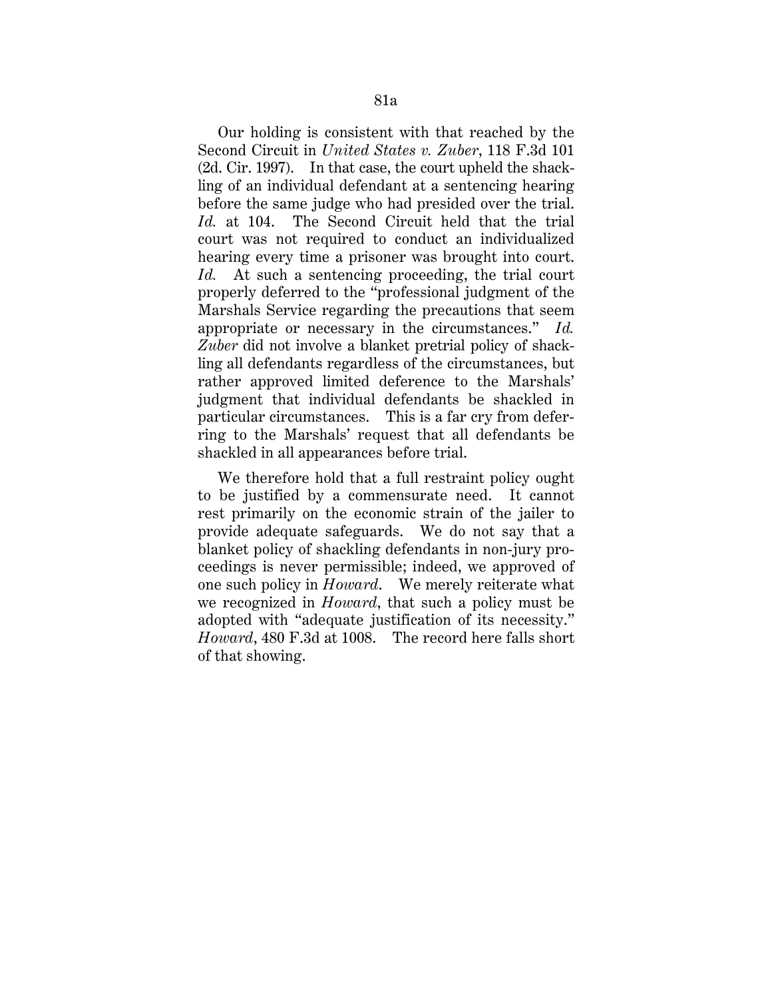Our holding is consistent with that reached by the Second Circuit in *United States v. Zuber*, 118 F.3d 101 (2d. Cir. 1997). In that case, the court upheld the shackling of an individual defendant at a sentencing hearing before the same judge who had presided over the trial. *Id.* at 104. The Second Circuit held that the trial court was not required to conduct an individualized hearing every time a prisoner was brought into court. *Id.* At such a sentencing proceeding, the trial court properly deferred to the "professional judgment of the Marshals Service regarding the precautions that seem appropriate or necessary in the circumstances." *Id. Zuber* did not involve a blanket pretrial policy of shackling all defendants regardless of the circumstances, but rather approved limited deference to the Marshals' judgment that individual defendants be shackled in particular circumstances. This is a far cry from deferring to the Marshals' request that all defendants be shackled in all appearances before trial.

We therefore hold that a full restraint policy ought to be justified by a commensurate need. It cannot rest primarily on the economic strain of the jailer to provide adequate safeguards. We do not say that a blanket policy of shackling defendants in non-jury proceedings is never permissible; indeed, we approved of one such policy in *Howard*. We merely reiterate what we recognized in *Howard*, that such a policy must be adopted with "adequate justification of its necessity." *Howard*, 480 F.3d at 1008. The record here falls short of that showing.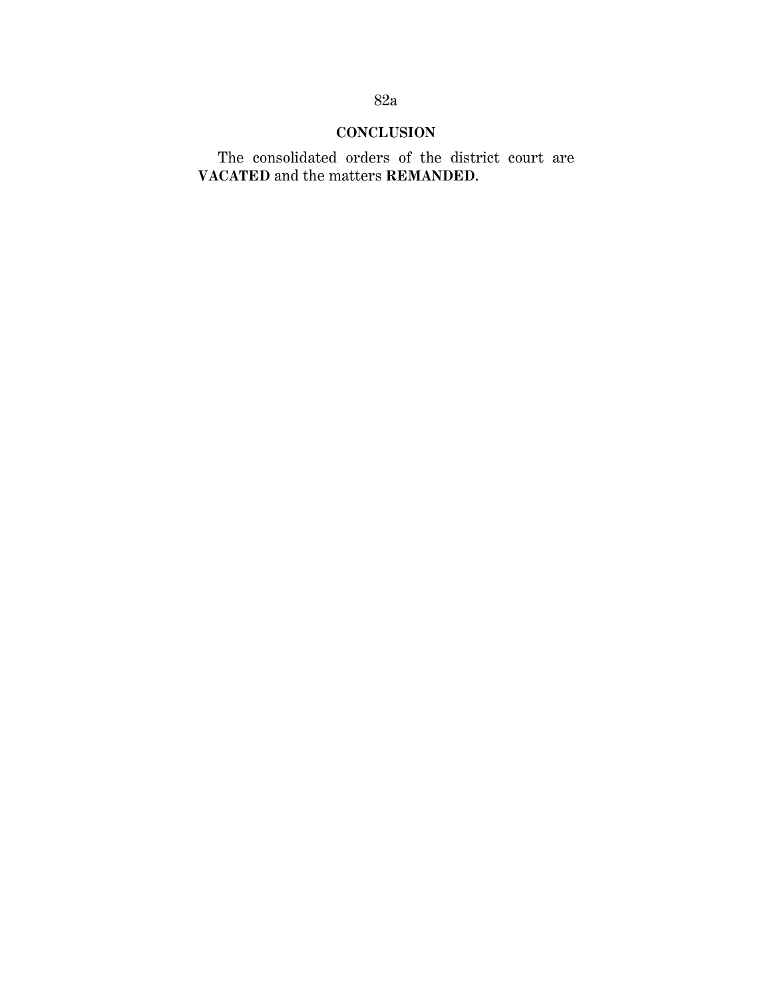## **CONCLUSION**

The consolidated orders of the district court are **VACATED** and the matters **REMANDED**.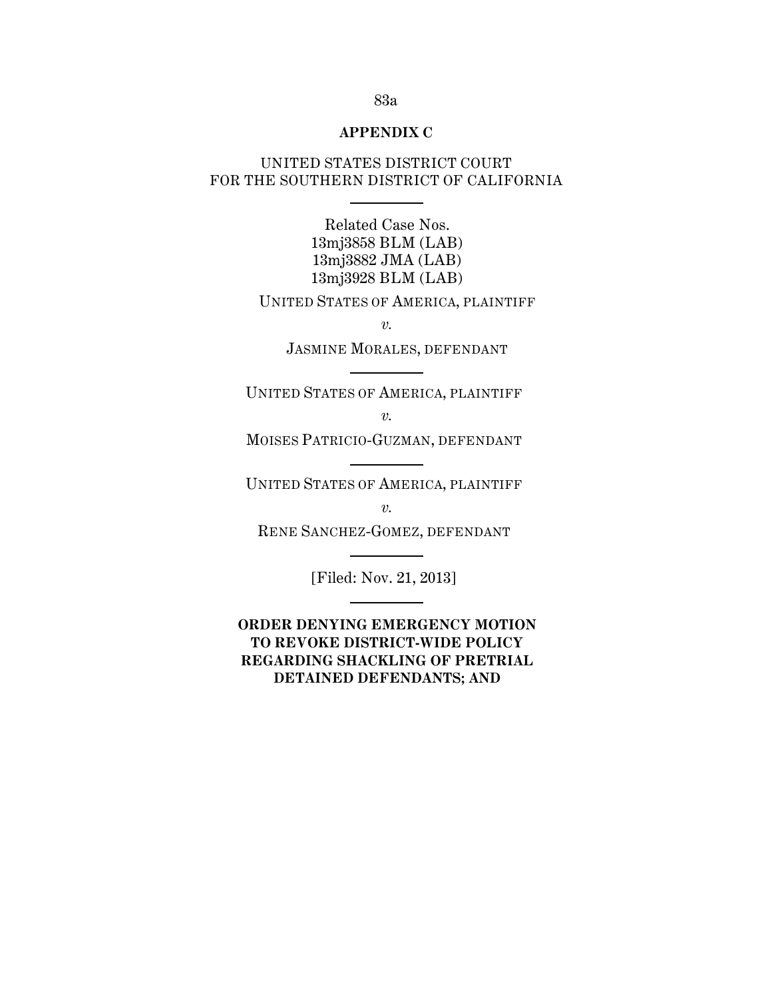#### **APPENDIX C**

## UNITED STATES DISTRICT COURT FOR THE SOUTHERN DISTRICT OF CALIFORNIA

Related Case Nos. 13mj3858 BLM (LAB) 13mj3882 JMA (LAB) 13mj3928 BLM (LAB)

UNITED STATES OF AMERICA, PLAINTIFF

*v.*

JASMINE MORALES, DEFENDANT

UNITED STATES OF AMERICA, PLAINTIFF

*v.*

MOISES PATRICIO-GUZMAN, DEFENDANT

UNITED STATES OF AMERICA, PLAINTIFF

*v.*

RENE SANCHEZ-GOMEZ, DEFENDANT

[Filed: Nov. 21, 2013]

**ORDER DENYING EMERGENCY MOTION TO REVOKE DISTRICT-WIDE POLICY REGARDING SHACKLING OF PRETRIAL DETAINED DEFENDANTS; AND**

### 83a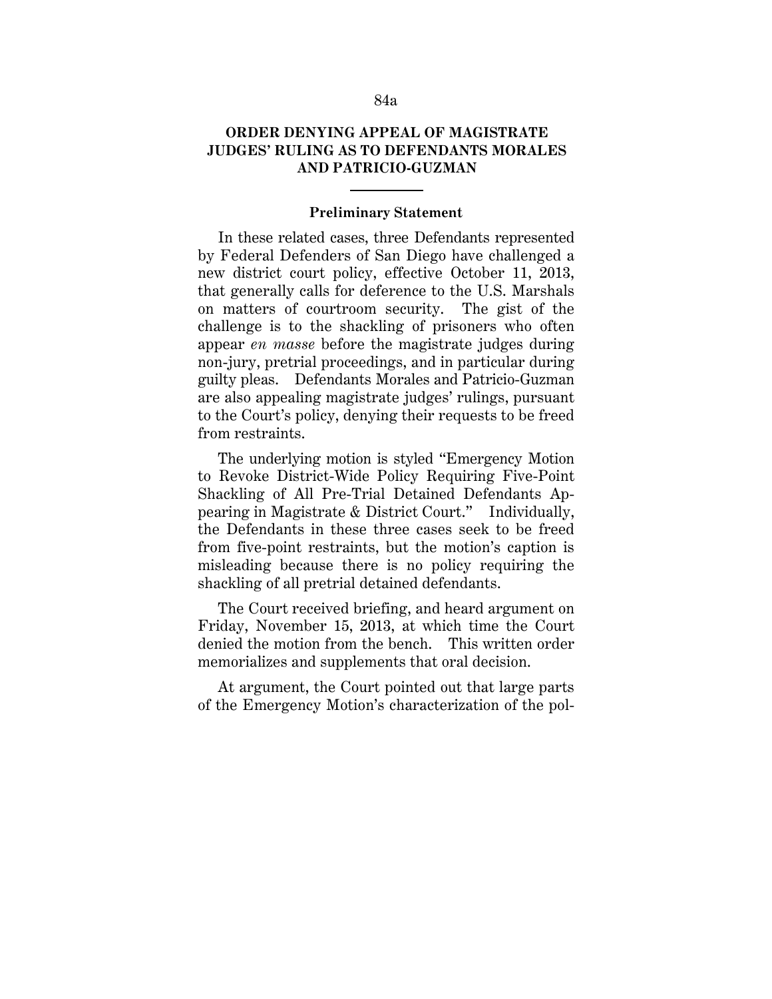## **ORDER DENYING APPEAL OF MAGISTRATE JUDGES' RULING AS TO DEFENDANTS MORALES AND PATRICIO-GUZMAN**

#### **Preliminary Statement**

In these related cases, three Defendants represented by Federal Defenders of San Diego have challenged a new district court policy, effective October 11, 2013, that generally calls for deference to the U.S. Marshals on matters of courtroom security. The gist of the challenge is to the shackling of prisoners who often appear *en masse* before the magistrate judges during non-jury, pretrial proceedings, and in particular during guilty pleas. Defendants Morales and Patricio-Guzman are also appealing magistrate judges' rulings, pursuant to the Court's policy, denying their requests to be freed from restraints.

The underlying motion is styled "Emergency Motion to Revoke District-Wide Policy Requiring Five-Point Shackling of All Pre-Trial Detained Defendants Appearing in Magistrate & District Court." Individually, the Defendants in these three cases seek to be freed from five-point restraints, but the motion's caption is misleading because there is no policy requiring the shackling of all pretrial detained defendants.

The Court received briefing, and heard argument on Friday, November 15, 2013, at which time the Court denied the motion from the bench. This written order memorializes and supplements that oral decision.

At argument, the Court pointed out that large parts of the Emergency Motion's characterization of the pol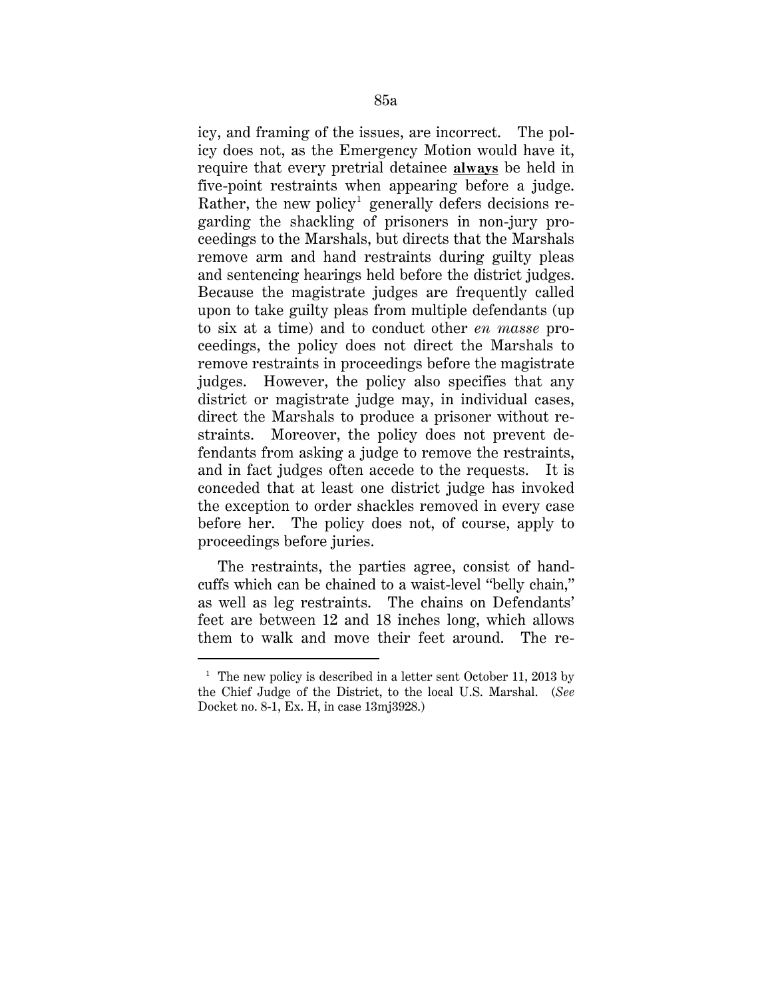icy, and framing of the issues, are incorrect. The policy does not, as the Emergency Motion would have it, require that every pretrial detainee **always** be held in five-point restraints when appearing before a judge. Rather, the new policy<sup>1</sup> generally defers decisions regarding the shackling of prisoners in non-jury proceedings to the Marshals, but directs that the Marshals remove arm and hand restraints during guilty pleas and sentencing hearings held before the district judges. Because the magistrate judges are frequently called upon to take guilty pleas from multiple defendants (up to six at a time) and to conduct other *en masse* proceedings, the policy does not direct the Marshals to remove restraints in proceedings before the magistrate judges. However, the policy also specifies that any district or magistrate judge may, in individual cases, direct the Marshals to produce a prisoner without restraints. Moreover, the policy does not prevent defendants from asking a judge to remove the restraints, and in fact judges often accede to the requests. It is conceded that at least one district judge has invoked the exception to order shackles removed in every case before her. The policy does not, of course, apply to proceedings before juries.

The restraints, the parties agree, consist of handcuffs which can be chained to a waist-level "belly chain," as well as leg restraints. The chains on Defendants' feet are between 12 and 18 inches long, which allows them to walk and move their feet around. The re-

-

<sup>&</sup>lt;sup>1</sup> The new policy is described in a letter sent October 11, 2013 by the Chief Judge of the District, to the local U.S. Marshal. (*See*  Docket no. 8-1, Ex. H, in case 13mj3928.)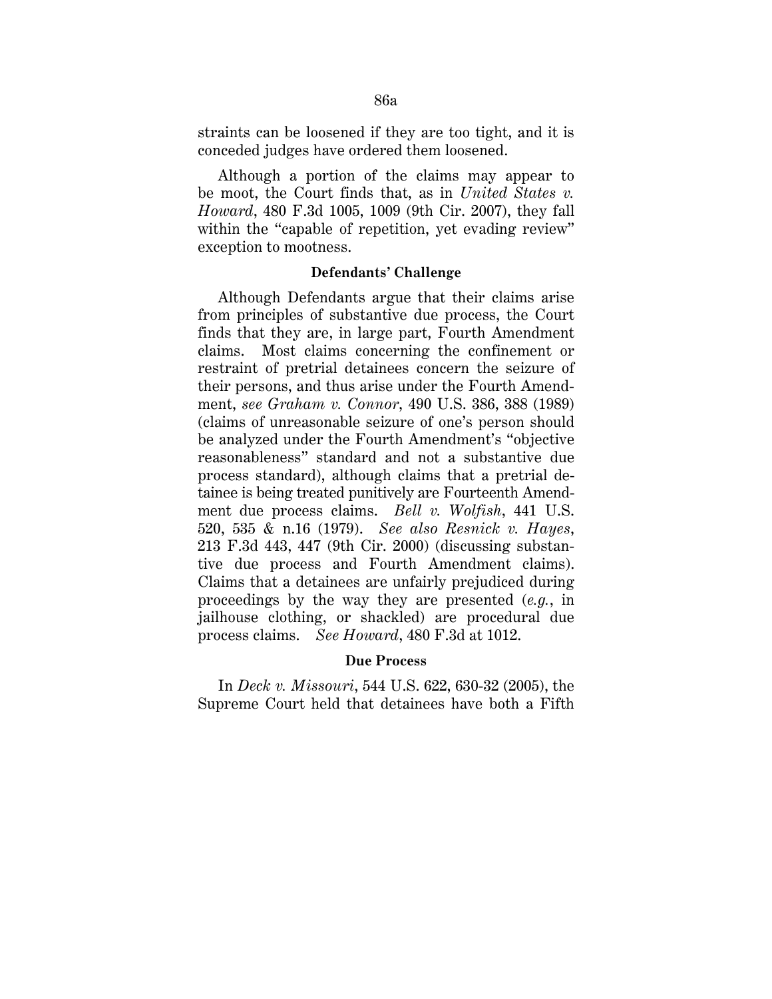straints can be loosened if they are too tight, and it is conceded judges have ordered them loosened.

Although a portion of the claims may appear to be moot, the Court finds that, as in *United States v. Howard*, 480 F.3d 1005, 1009 (9th Cir. 2007), they fall within the "capable of repetition, yet evading review" exception to mootness.

#### **Defendants' Challenge**

Although Defendants argue that their claims arise from principles of substantive due process, the Court finds that they are, in large part, Fourth Amendment claims. Most claims concerning the confinement or restraint of pretrial detainees concern the seizure of their persons, and thus arise under the Fourth Amendment, *see Graham v. Connor*, 490 U.S. 386, 388 (1989) (claims of unreasonable seizure of one's person should be analyzed under the Fourth Amendment's "objective reasonableness" standard and not a substantive due process standard), although claims that a pretrial detainee is being treated punitively are Fourteenth Amendment due process claims. *Bell v. Wolfish*, 441 U.S. 520, 535 & n.16 (1979). *See also Resnick v. Hayes*, 213 F.3d 443, 447 (9th Cir. 2000) (discussing substantive due process and Fourth Amendment claims). Claims that a detainees are unfairly prejudiced during proceedings by the way they are presented (*e.g.*, in jailhouse clothing, or shackled) are procedural due process claims. *See Howard*, 480 F.3d at 1012.

### **Due Process**

In *Deck v. Missouri*, 544 U.S. 622, 630-32 (2005), the Supreme Court held that detainees have both a Fifth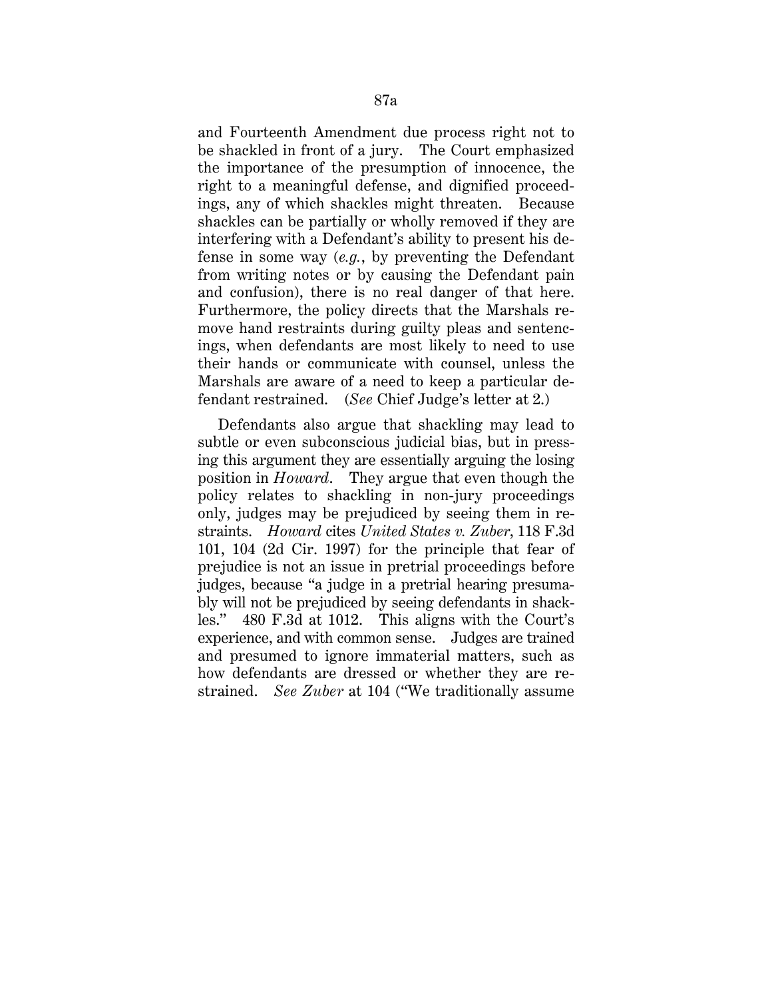and Fourteenth Amendment due process right not to be shackled in front of a jury. The Court emphasized the importance of the presumption of innocence, the right to a meaningful defense, and dignified proceedings, any of which shackles might threaten. Because shackles can be partially or wholly removed if they are interfering with a Defendant's ability to present his defense in some way (*e.g.*, by preventing the Defendant from writing notes or by causing the Defendant pain and confusion), there is no real danger of that here. Furthermore, the policy directs that the Marshals remove hand restraints during guilty pleas and sentencings, when defendants are most likely to need to use their hands or communicate with counsel, unless the Marshals are aware of a need to keep a particular defendant restrained. (*See* Chief Judge's letter at 2.)

Defendants also argue that shackling may lead to subtle or even subconscious judicial bias, but in pressing this argument they are essentially arguing the losing position in *Howard*. They argue that even though the policy relates to shackling in non-jury proceedings only, judges may be prejudiced by seeing them in restraints. *Howard* cites *United States v. Zuber*, 118 F.3d 101, 104 (2d Cir. 1997) for the principle that fear of prejudice is not an issue in pretrial proceedings before judges, because "a judge in a pretrial hearing presumably will not be prejudiced by seeing defendants in shackles." 480 F.3d at 1012. This aligns with the Court's experience, and with common sense. Judges are trained and presumed to ignore immaterial matters, such as how defendants are dressed or whether they are restrained. *See Zuber* at 104 ("We traditionally assume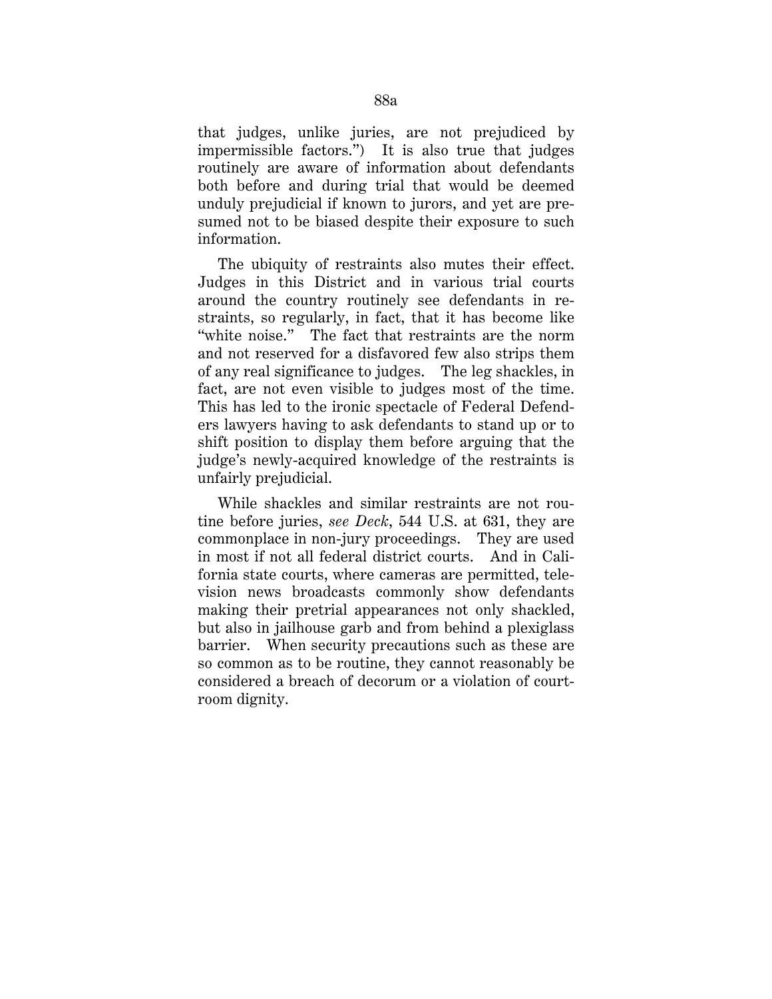that judges, unlike juries, are not prejudiced by impermissible factors.") It is also true that judges routinely are aware of information about defendants both before and during trial that would be deemed unduly prejudicial if known to jurors, and yet are presumed not to be biased despite their exposure to such information.

The ubiquity of restraints also mutes their effect. Judges in this District and in various trial courts around the country routinely see defendants in restraints, so regularly, in fact, that it has become like "white noise." The fact that restraints are the norm and not reserved for a disfavored few also strips them of any real significance to judges. The leg shackles, in fact, are not even visible to judges most of the time. This has led to the ironic spectacle of Federal Defenders lawyers having to ask defendants to stand up or to shift position to display them before arguing that the judge's newly-acquired knowledge of the restraints is unfairly prejudicial.

While shackles and similar restraints are not routine before juries, *see Deck*, 544 U.S. at 631, they are commonplace in non-jury proceedings. They are used in most if not all federal district courts. And in California state courts, where cameras are permitted, television news broadcasts commonly show defendants making their pretrial appearances not only shackled, but also in jailhouse garb and from behind a plexiglass barrier. When security precautions such as these are so common as to be routine, they cannot reasonably be considered a breach of decorum or a violation of courtroom dignity.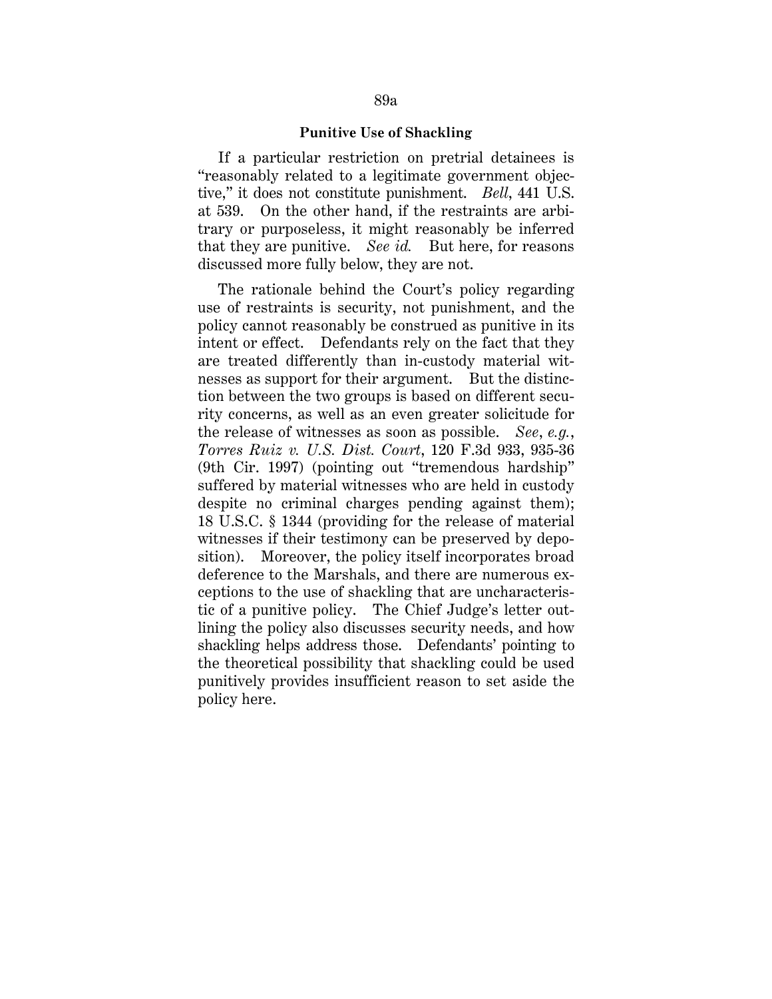#### **Punitive Use of Shackling**

If a particular restriction on pretrial detainees is "reasonably related to a legitimate government objective," it does not constitute punishment. *Bell*, 441 U.S. at 539. On the other hand, if the restraints are arbitrary or purposeless, it might reasonably be inferred that they are punitive. *See id.* But here, for reasons discussed more fully below, they are not.

The rationale behind the Court's policy regarding use of restraints is security, not punishment, and the policy cannot reasonably be construed as punitive in its intent or effect. Defendants rely on the fact that they are treated differently than in-custody material witnesses as support for their argument. But the distinction between the two groups is based on different security concerns, as well as an even greater solicitude for the release of witnesses as soon as possible. *See*, *e.g.*, *Torres Ruiz v. U.S. Dist. Court*, 120 F.3d 933, 935-36 (9th Cir. 1997) (pointing out "tremendous hardship" suffered by material witnesses who are held in custody despite no criminal charges pending against them); 18 U.S.C. § 1344 (providing for the release of material witnesses if their testimony can be preserved by deposition). Moreover, the policy itself incorporates broad deference to the Marshals, and there are numerous exceptions to the use of shackling that are uncharacteristic of a punitive policy. The Chief Judge's letter outlining the policy also discusses security needs, and how shackling helps address those. Defendants' pointing to the theoretical possibility that shackling could be used punitively provides insufficient reason to set aside the policy here.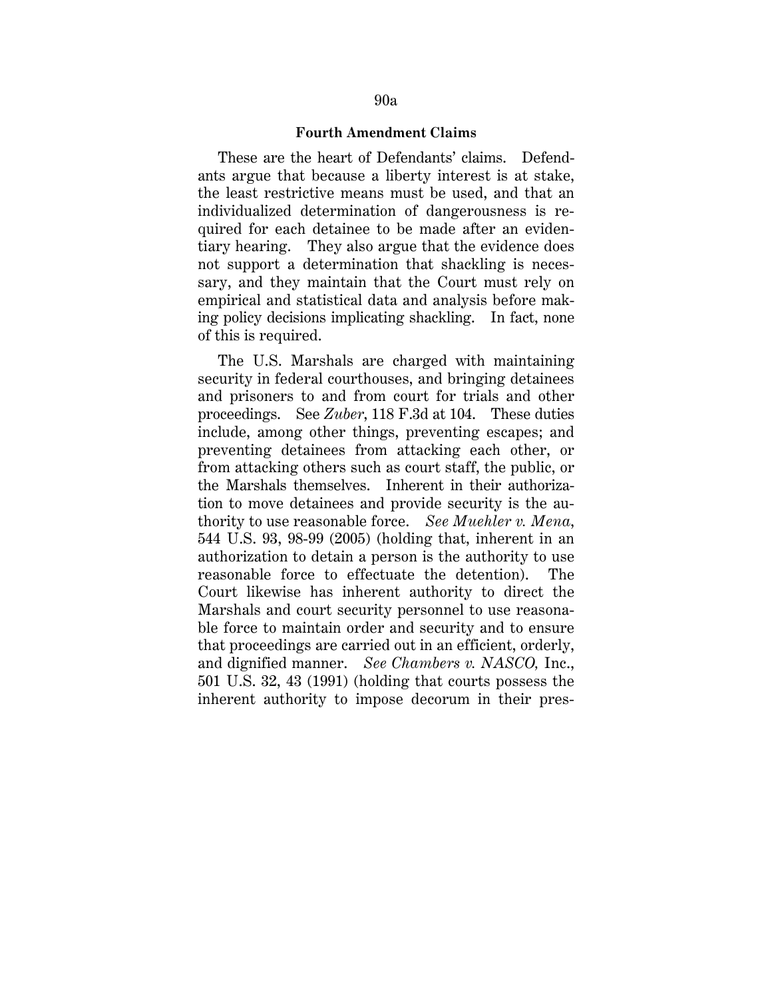#### **Fourth Amendment Claims**

These are the heart of Defendants' claims. Defendants argue that because a liberty interest is at stake, the least restrictive means must be used, and that an individualized determination of dangerousness is required for each detainee to be made after an evidentiary hearing. They also argue that the evidence does not support a determination that shackling is necessary, and they maintain that the Court must rely on empirical and statistical data and analysis before making policy decisions implicating shackling. In fact, none of this is required.

The U.S. Marshals are charged with maintaining security in federal courthouses, and bringing detainees and prisoners to and from court for trials and other proceedings. See *Zuber*, 118 F.3d at 104. These duties include, among other things, preventing escapes; and preventing detainees from attacking each other, or from attacking others such as court staff, the public, or the Marshals themselves. Inherent in their authorization to move detainees and provide security is the authority to use reasonable force. *See Muehler v. Mena*, 544 U.S. 93, 98-99 (2005) (holding that, inherent in an authorization to detain a person is the authority to use reasonable force to effectuate the detention). The Court likewise has inherent authority to direct the Marshals and court security personnel to use reasonable force to maintain order and security and to ensure that proceedings are carried out in an efficient, orderly, and dignified manner. *See Chambers v. NASCO,* Inc., 501 U.S. 32, 43 (1991) (holding that courts possess the inherent authority to impose decorum in their pres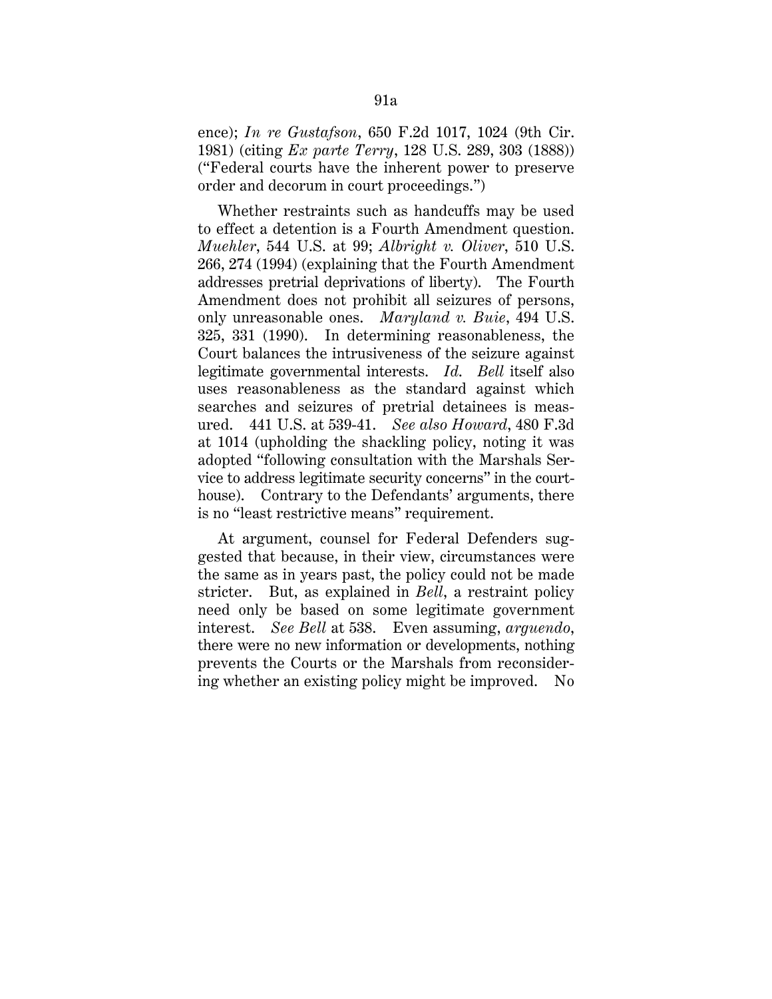ence); *In re Gustafson*, 650 F.2d 1017, 1024 (9th Cir. 1981) (citing *Ex parte Terry*, 128 U.S. 289, 303 (1888)) ("Federal courts have the inherent power to preserve order and decorum in court proceedings.")

Whether restraints such as handcuffs may be used to effect a detention is a Fourth Amendment question. *Muehler*, 544 U.S. at 99; *Albright v. Oliver*, 510 U.S. 266, 274 (1994) (explaining that the Fourth Amendment addresses pretrial deprivations of liberty). The Fourth Amendment does not prohibit all seizures of persons, only unreasonable ones. *Maryland v. Buie*, 494 U.S. 325, 331 (1990). In determining reasonableness, the Court balances the intrusiveness of the seizure against legitimate governmental interests. *Id*. *Bell* itself also uses reasonableness as the standard against which searches and seizures of pretrial detainees is measured. 441 U.S. at 539-41. *See also Howard*, 480 F.3d at 1014 (upholding the shackling policy, noting it was adopted "following consultation with the Marshals Service to address legitimate security concerns" in the courthouse). Contrary to the Defendants' arguments, there is no "least restrictive means" requirement.

At argument, counsel for Federal Defenders suggested that because, in their view, circumstances were the same as in years past, the policy could not be made stricter. But, as explained in *Bell*, a restraint policy need only be based on some legitimate government interest. *See Bell* at 538. Even assuming, *arguendo*, there were no new information or developments, nothing prevents the Courts or the Marshals from reconsidering whether an existing policy might be improved. No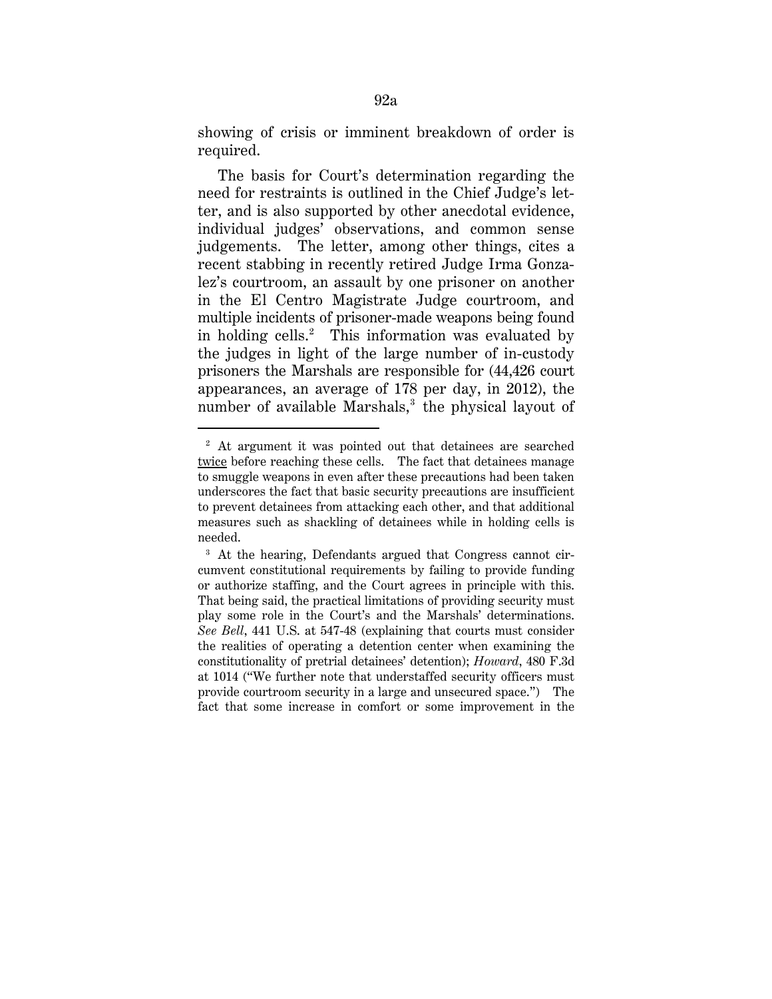showing of crisis or imminent breakdown of order is required.

The basis for Court's determination regarding the need for restraints is outlined in the Chief Judge's letter, and is also supported by other anecdotal evidence, individual judges' observations, and common sense judgements. The letter, among other things, cites a recent stabbing in recently retired Judge Irma Gonzalez's courtroom, an assault by one prisoner on another in the El Centro Magistrate Judge courtroom, and multiple incidents of prisoner-made weapons being found in holding cells.<sup>2</sup> This information was evaluated by the judges in light of the large number of in-custody prisoners the Marshals are responsible for (44,426 court appearances, an average of 178 per day, in 2012), the number of available Marshals, $3$  the physical layout of

<u>.</u>

<sup>&</sup>lt;sup>2</sup> At argument it was pointed out that detainees are searched twice before reaching these cells. The fact that detainees manage to smuggle weapons in even after these precautions had been taken underscores the fact that basic security precautions are insufficient to prevent detainees from attacking each other, and that additional measures such as shackling of detainees while in holding cells is needed.

<sup>&</sup>lt;sup>3</sup> At the hearing, Defendants argued that Congress cannot circumvent constitutional requirements by failing to provide funding or authorize staffing, and the Court agrees in principle with this. That being said, the practical limitations of providing security must play some role in the Court's and the Marshals' determinations. *See Bell*, 441 U.S. at 547-48 (explaining that courts must consider the realities of operating a detention center when examining the constitutionality of pretrial detainees' detention); *Howard*, 480 F.3d at 1014 ("We further note that understaffed security officers must provide courtroom security in a large and unsecured space.") The fact that some increase in comfort or some improvement in the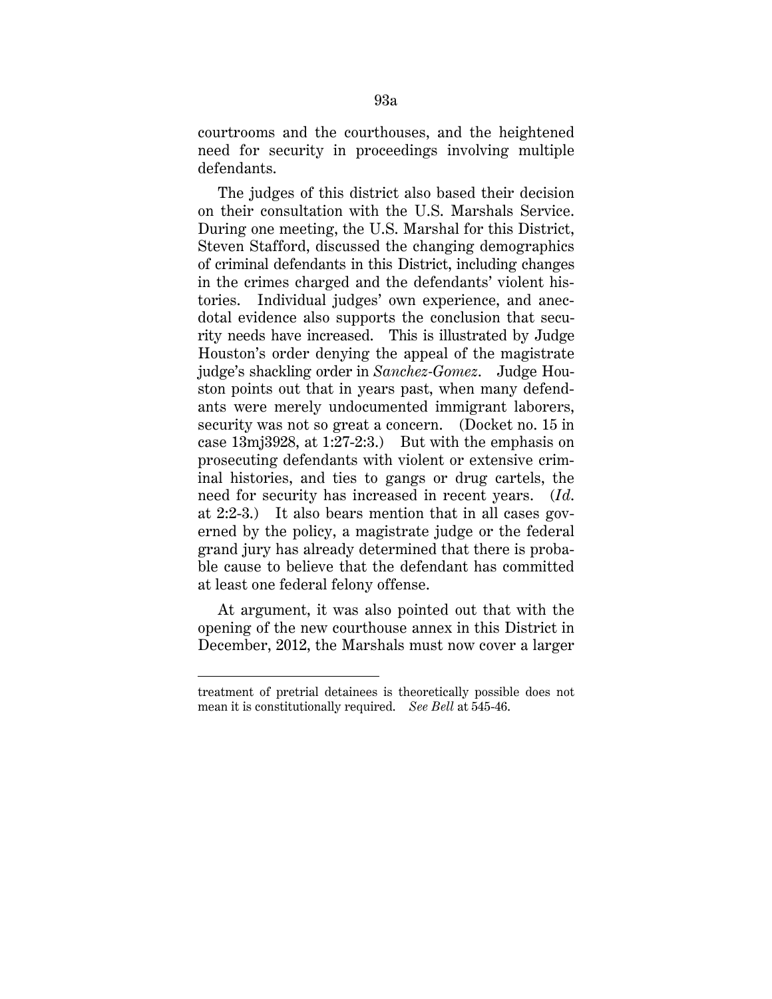courtrooms and the courthouses, and the heightened need for security in proceedings involving multiple defendants.

The judges of this district also based their decision on their consultation with the U.S. Marshals Service. During one meeting, the U.S. Marshal for this District, Steven Stafford, discussed the changing demographics of criminal defendants in this District, including changes in the crimes charged and the defendants' violent histories. Individual judges' own experience, and anecdotal evidence also supports the conclusion that security needs have increased. This is illustrated by Judge Houston's order denying the appeal of the magistrate judge's shackling order in *Sanchez-Gomez*. Judge Houston points out that in years past, when many defendants were merely undocumented immigrant laborers, security was not so great a concern. (Docket no. 15 in case 13mj3928, at 1:27-2:3.) But with the emphasis on prosecuting defendants with violent or extensive criminal histories, and ties to gangs or drug cartels, the need for security has increased in recent years. (*Id*. at 2:2-3.) It also bears mention that in all cases governed by the policy, a magistrate judge or the federal grand jury has already determined that there is probable cause to believe that the defendant has committed at least one federal felony offense.

At argument, it was also pointed out that with the opening of the new courthouse annex in this District in December, 2012, the Marshals must now cover a larger

<u>.</u>

treatment of pretrial detainees is theoretically possible does not mean it is constitutionally required. *See Bell* at 545-46.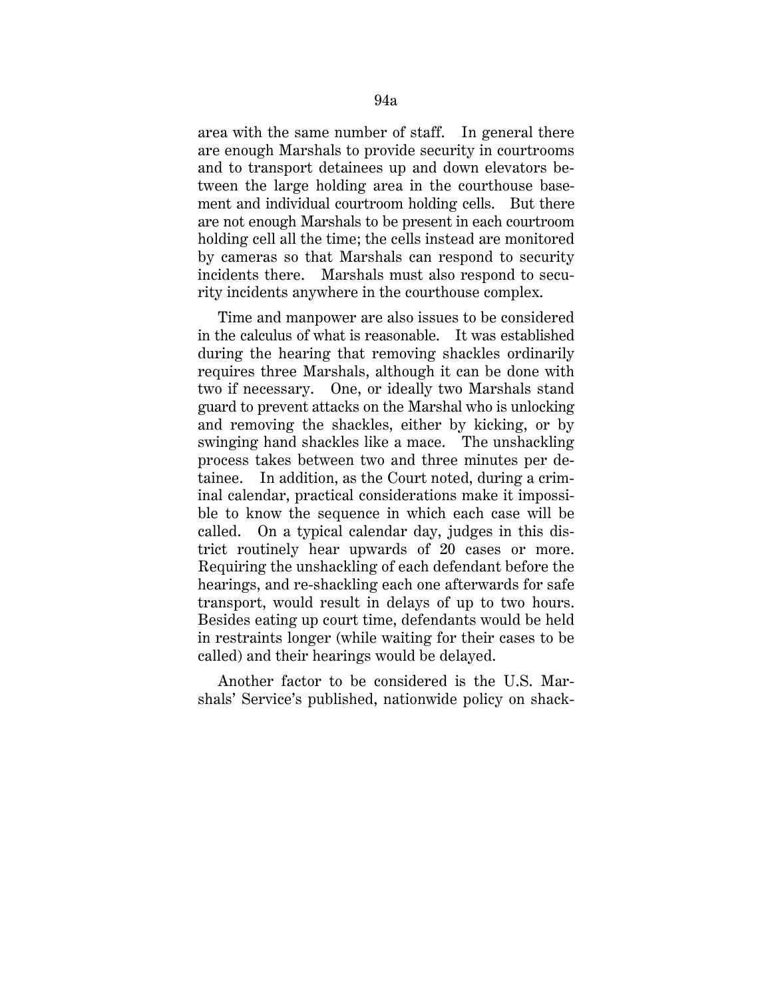area with the same number of staff. In general there are enough Marshals to provide security in courtrooms and to transport detainees up and down elevators between the large holding area in the courthouse basement and individual courtroom holding cells. But there are not enough Marshals to be present in each courtroom holding cell all the time; the cells instead are monitored by cameras so that Marshals can respond to security incidents there. Marshals must also respond to security incidents anywhere in the courthouse complex.

Time and manpower are also issues to be considered in the calculus of what is reasonable. It was established during the hearing that removing shackles ordinarily requires three Marshals, although it can be done with two if necessary. One, or ideally two Marshals stand guard to prevent attacks on the Marshal who is unlocking and removing the shackles, either by kicking, or by swinging hand shackles like a mace. The unshackling process takes between two and three minutes per detainee. In addition, as the Court noted, during a criminal calendar, practical considerations make it impossible to know the sequence in which each case will be called. On a typical calendar day, judges in this district routinely hear upwards of 20 cases or more. Requiring the unshackling of each defendant before the hearings, and re-shackling each one afterwards for safe transport, would result in delays of up to two hours. Besides eating up court time, defendants would be held in restraints longer (while waiting for their cases to be called) and their hearings would be delayed.

Another factor to be considered is the U.S. Marshals' Service's published, nationwide policy on shack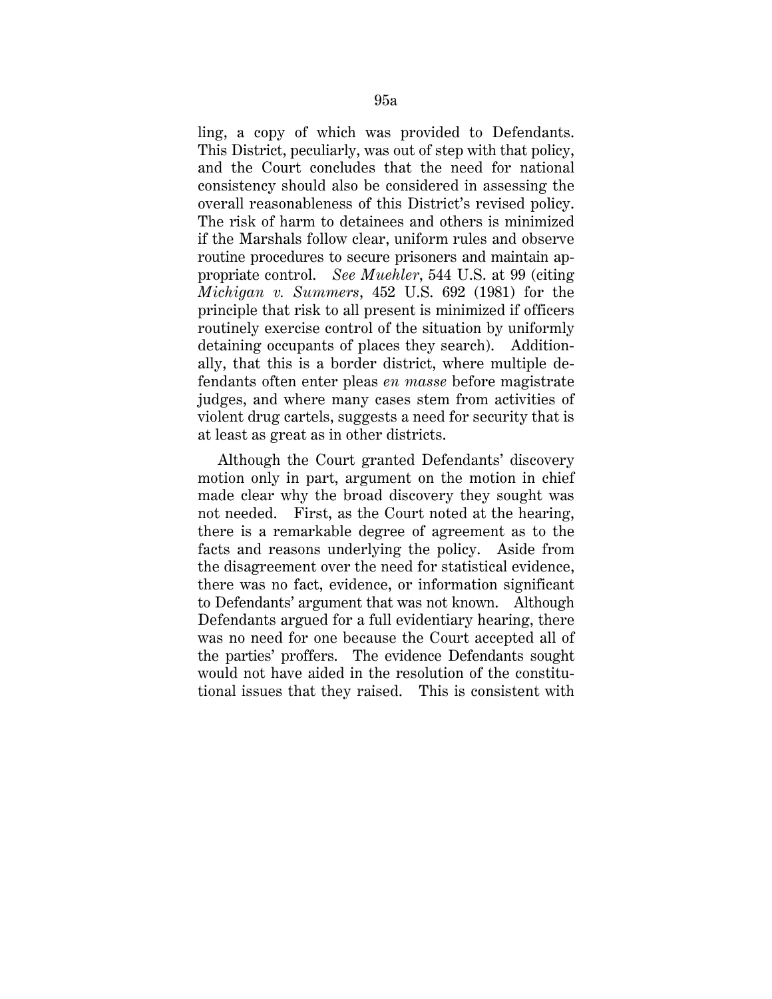ling, a copy of which was provided to Defendants. This District, peculiarly, was out of step with that policy, and the Court concludes that the need for national consistency should also be considered in assessing the overall reasonableness of this District's revised policy. The risk of harm to detainees and others is minimized if the Marshals follow clear, uniform rules and observe routine procedures to secure prisoners and maintain appropriate control. *See Muehler*, 544 U.S. at 99 (citing *Michigan v. Summers*, 452 U.S. 692 (1981) for the principle that risk to all present is minimized if officers routinely exercise control of the situation by uniformly detaining occupants of places they search). Additionally, that this is a border district, where multiple defendants often enter pleas *en masse* before magistrate judges, and where many cases stem from activities of violent drug cartels, suggests a need for security that is at least as great as in other districts.

Although the Court granted Defendants' discovery motion only in part, argument on the motion in chief made clear why the broad discovery they sought was not needed. First, as the Court noted at the hearing, there is a remarkable degree of agreement as to the facts and reasons underlying the policy. Aside from the disagreement over the need for statistical evidence, there was no fact, evidence, or information significant to Defendants' argument that was not known. Although Defendants argued for a full evidentiary hearing, there was no need for one because the Court accepted all of the parties' proffers. The evidence Defendants sought would not have aided in the resolution of the constitutional issues that they raised. This is consistent with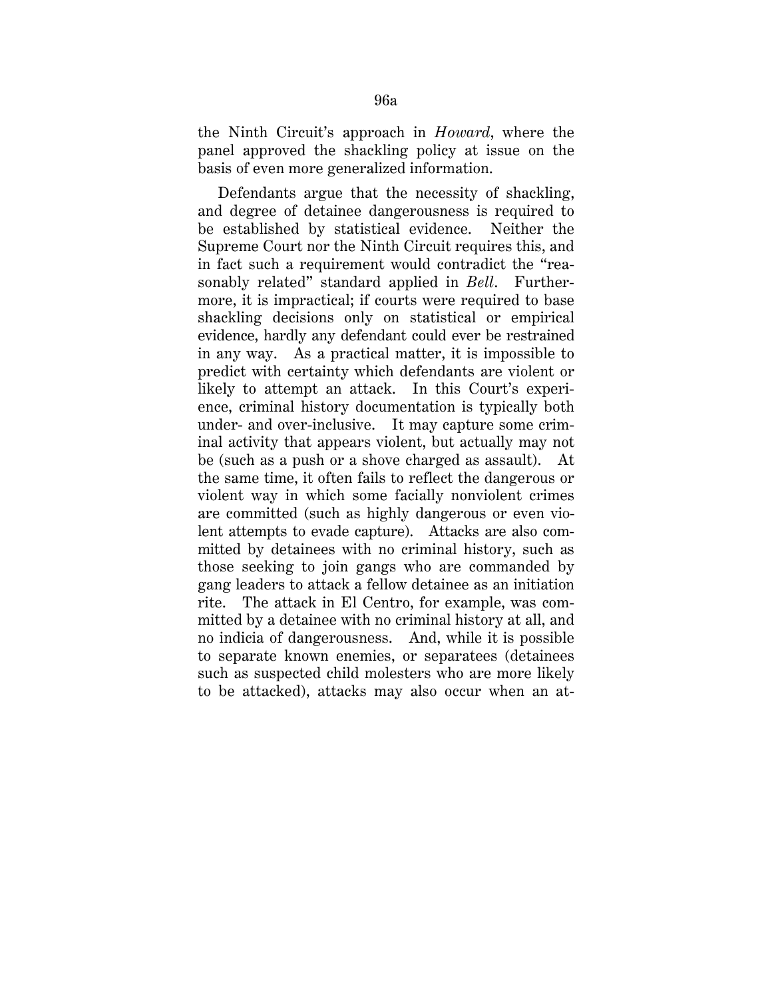the Ninth Circuit's approach in *Howard*, where the panel approved the shackling policy at issue on the basis of even more generalized information.

Defendants argue that the necessity of shackling, and degree of detainee dangerousness is required to be established by statistical evidence. Neither the Supreme Court nor the Ninth Circuit requires this, and in fact such a requirement would contradict the "reasonably related" standard applied in *Bell*. Furthermore, it is impractical; if courts were required to base shackling decisions only on statistical or empirical evidence, hardly any defendant could ever be restrained in any way. As a practical matter, it is impossible to predict with certainty which defendants are violent or likely to attempt an attack. In this Court's experience, criminal history documentation is typically both under- and over-inclusive. It may capture some criminal activity that appears violent, but actually may not be (such as a push or a shove charged as assault). At the same time, it often fails to reflect the dangerous or violent way in which some facially nonviolent crimes are committed (such as highly dangerous or even violent attempts to evade capture). Attacks are also committed by detainees with no criminal history, such as those seeking to join gangs who are commanded by gang leaders to attack a fellow detainee as an initiation rite. The attack in El Centro, for example, was committed by a detainee with no criminal history at all, and no indicia of dangerousness. And, while it is possible to separate known enemies, or separatees (detainees such as suspected child molesters who are more likely to be attacked), attacks may also occur when an at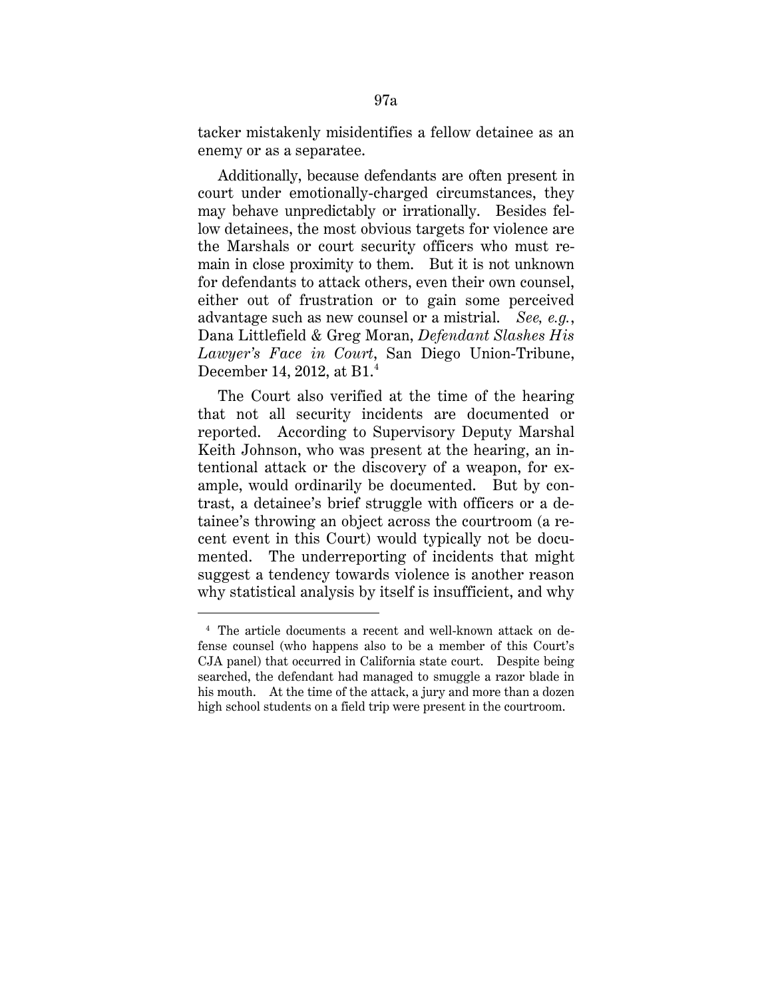tacker mistakenly misidentifies a fellow detainee as an enemy or as a separatee.

Additionally, because defendants are often present in court under emotionally-charged circumstances, they may behave unpredictably or irrationally. Besides fellow detainees, the most obvious targets for violence are the Marshals or court security officers who must remain in close proximity to them. But it is not unknown for defendants to attack others, even their own counsel, either out of frustration or to gain some perceived advantage such as new counsel or a mistrial. *See, e.g.*, Dana Littlefield & Greg Moran, *Defendant Slashes His Lawyer's Face in Court*, San Diego Union-Tribune, December 14, 2012, at B1.<sup>4</sup>

The Court also verified at the time of the hearing that not all security incidents are documented or reported. According to Supervisory Deputy Marshal Keith Johnson, who was present at the hearing, an intentional attack or the discovery of a weapon, for example, would ordinarily be documented. But by contrast, a detainee's brief struggle with officers or a detainee's throwing an object across the courtroom (a recent event in this Court) would typically not be documented. The underreporting of incidents that might suggest a tendency towards violence is another reason why statistical analysis by itself is insufficient, and why

<u>.</u>

<sup>4</sup> The article documents a recent and well-known attack on defense counsel (who happens also to be a member of this Court's CJA panel) that occurred in California state court. Despite being searched, the defendant had managed to smuggle a razor blade in his mouth. At the time of the attack, a jury and more than a dozen high school students on a field trip were present in the courtroom.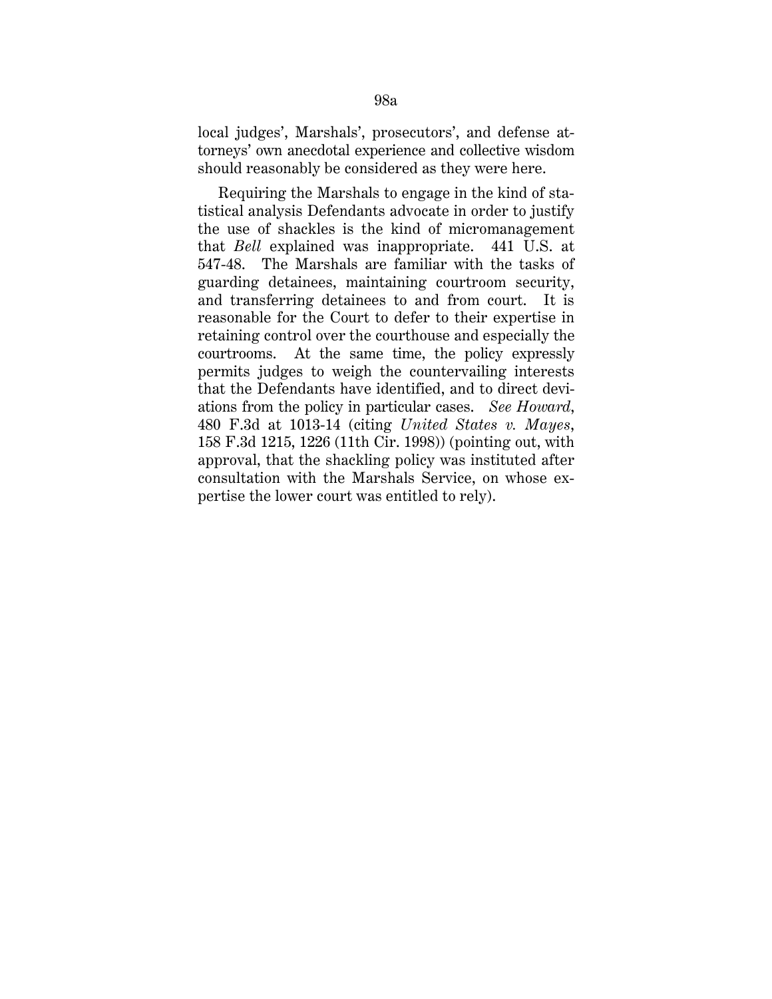local judges', Marshals', prosecutors', and defense attorneys' own anecdotal experience and collective wisdom should reasonably be considered as they were here.

Requiring the Marshals to engage in the kind of statistical analysis Defendants advocate in order to justify the use of shackles is the kind of micromanagement that *Bell* explained was inappropriate. 441 U.S. at 547-48. The Marshals are familiar with the tasks of guarding detainees, maintaining courtroom security, and transferring detainees to and from court. It is reasonable for the Court to defer to their expertise in retaining control over the courthouse and especially the courtrooms. At the same time, the policy expressly permits judges to weigh the countervailing interests that the Defendants have identified, and to direct deviations from the policy in particular cases. *See Howard*, 480 F.3d at 1013-14 (citing *United States v. Mayes*, 158 F.3d 1215, 1226 (11th Cir. 1998)) (pointing out, with approval, that the shackling policy was instituted after consultation with the Marshals Service, on whose expertise the lower court was entitled to rely).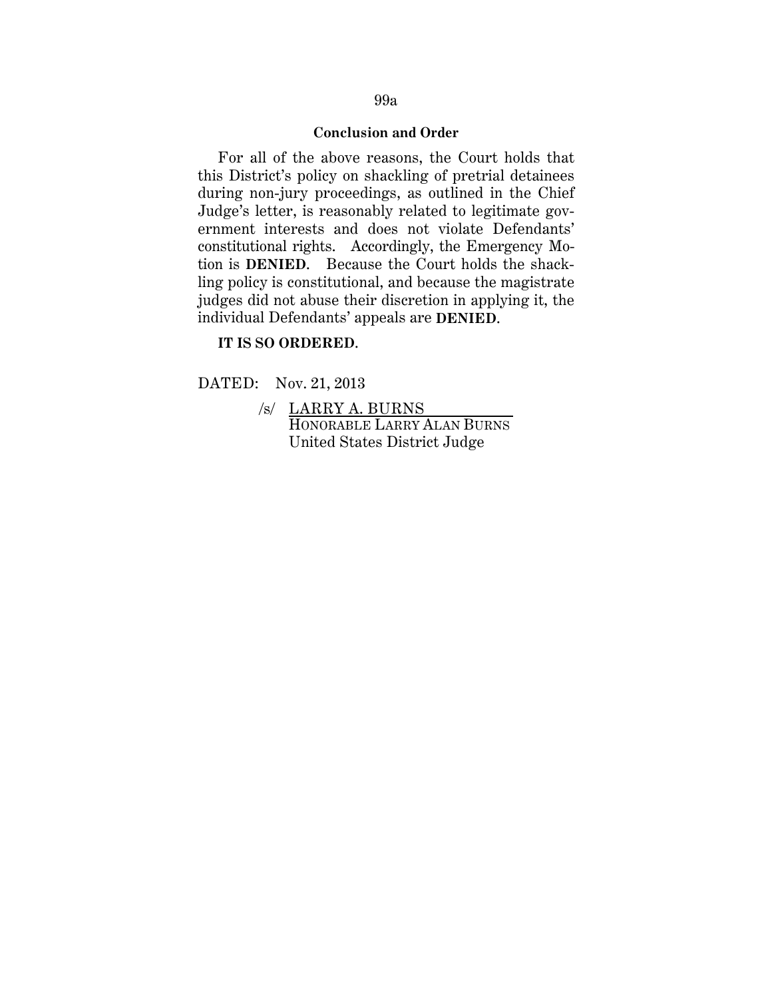### **Conclusion and Order**

For all of the above reasons, the Court holds that this District's policy on shackling of pretrial detainees during non-jury proceedings, as outlined in the Chief Judge's letter, is reasonably related to legitimate government interests and does not violate Defendants' constitutional rights. Accordingly, the Emergency Motion is **DENIED**. Because the Court holds the shackling policy is constitutional, and because the magistrate judges did not abuse their discretion in applying it, the individual Defendants' appeals are **DENIED**.

### **IT IS SO ORDERED**.

DATED: Nov. 21, 2013

 /s/ LARRY A. BURNS HONORABLE LARRY ALAN BURNS United States District Judge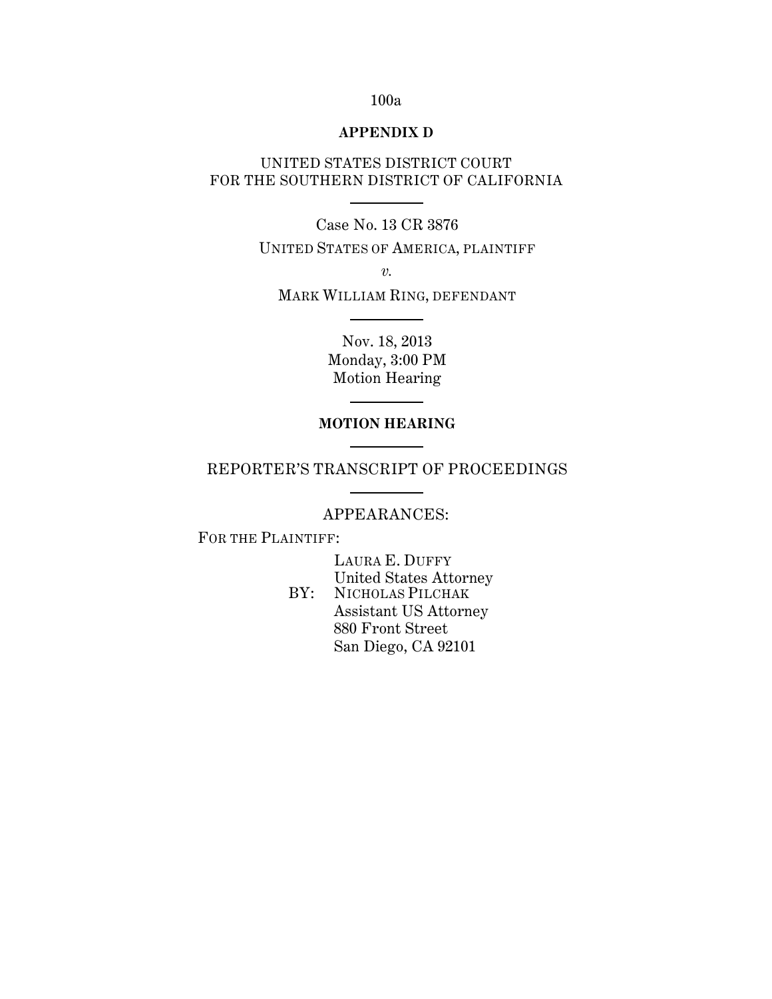## 100a

### **APPENDIX D**

## UNITED STATES DISTRICT COURT FOR THE SOUTHERN DISTRICT OF CALIFORNIA

Case No. 13 CR 3876

UNITED STATES OF AMERICA, PLAINTIFF

*v.*

MARK WILLIAM RING, DEFENDANT

Nov. 18, 2013 Monday, 3:00 PM Motion Hearing

## **MOTION HEARING**

REPORTER'S TRANSCRIPT OF PROCEEDINGS

## APPEARANCES:

FOR THE PLAINTIFF:

 LAURA E. DUFFY United States Attorney BY: NICHOLAS PILCHAK Assistant US Attorney 880 Front Street San Diego, CA 92101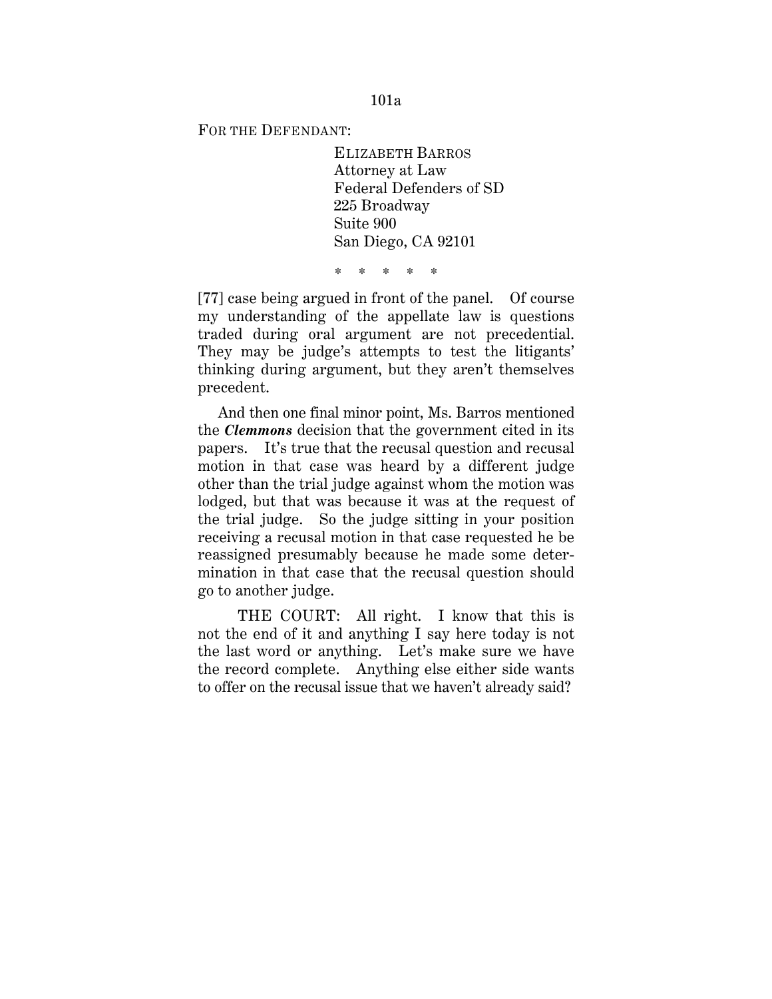FOR THE DEFENDANT:

 ELIZABETH BARROS Attorney at Law Federal Defenders of SD 225 Broadway Suite 900 San Diego, CA 92101

\* \* \* \* \*

[77] case being argued in front of the panel. Of course my understanding of the appellate law is questions traded during oral argument are not precedential. They may be judge's attempts to test the litigants' thinking during argument, but they aren't themselves precedent.

And then one final minor point, Ms. Barros mentioned the *Clemmons* decision that the government cited in its papers. It's true that the recusal question and recusal motion in that case was heard by a different judge other than the trial judge against whom the motion was lodged, but that was because it was at the request of the trial judge. So the judge sitting in your position receiving a recusal motion in that case requested he be reassigned presumably because he made some determination in that case that the recusal question should go to another judge.

THE COURT: All right. I know that this is not the end of it and anything I say here today is not the last word or anything. Let's make sure we have the record complete. Anything else either side wants to offer on the recusal issue that we haven't already said?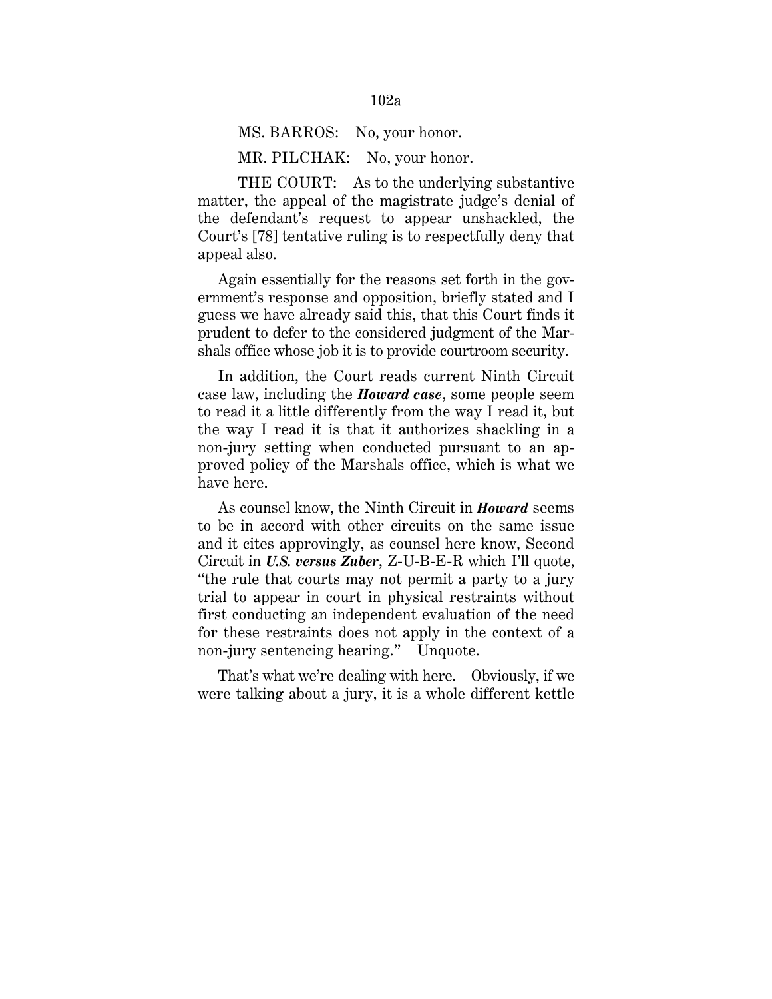# MS. BARROS: No, your honor.

MR. PILCHAK: No, your honor.

THE COURT: As to the underlying substantive matter, the appeal of the magistrate judge's denial of the defendant's request to appear unshackled, the Court's [78] tentative ruling is to respectfully deny that appeal also.

Again essentially for the reasons set forth in the government's response and opposition, briefly stated and I guess we have already said this, that this Court finds it prudent to defer to the considered judgment of the Marshals office whose job it is to provide courtroom security.

In addition, the Court reads current Ninth Circuit case law, including the *Howard case*, some people seem to read it a little differently from the way I read it, but the way I read it is that it authorizes shackling in a non-jury setting when conducted pursuant to an approved policy of the Marshals office, which is what we have here.

As counsel know, the Ninth Circuit in *Howard* seems to be in accord with other circuits on the same issue and it cites approvingly, as counsel here know, Second Circuit in *U.S. versus Zuber*, Z-U-B-E-R which I'll quote, "the rule that courts may not permit a party to a jury trial to appear in court in physical restraints without first conducting an independent evaluation of the need for these restraints does not apply in the context of a non-jury sentencing hearing." Unquote.

That's what we're dealing with here. Obviously, if we were talking about a jury, it is a whole different kettle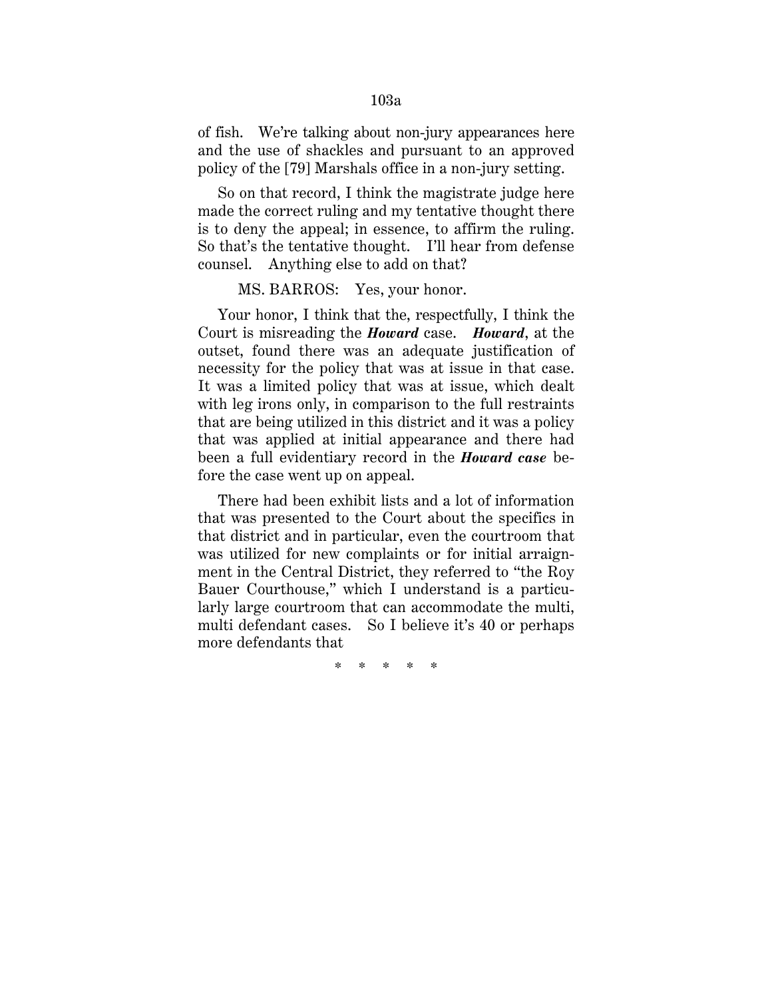of fish. We're talking about non-jury appearances here and the use of shackles and pursuant to an approved policy of the [79] Marshals office in a non-jury setting.

So on that record, I think the magistrate judge here made the correct ruling and my tentative thought there is to deny the appeal; in essence, to affirm the ruling. So that's the tentative thought. I'll hear from defense counsel. Anything else to add on that?

#### MS. BARROS: Yes, your honor.

Your honor, I think that the, respectfully, I think the Court is misreading the *Howard* case. *Howard*, at the outset, found there was an adequate justification of necessity for the policy that was at issue in that case. It was a limited policy that was at issue, which dealt with leg irons only, in comparison to the full restraints that are being utilized in this district and it was a policy that was applied at initial appearance and there had been a full evidentiary record in the *Howard case* before the case went up on appeal.

There had been exhibit lists and a lot of information that was presented to the Court about the specifics in that district and in particular, even the courtroom that was utilized for new complaints or for initial arraignment in the Central District, they referred to "the Roy Bauer Courthouse," which I understand is a particularly large courtroom that can accommodate the multi, multi defendant cases. So I believe it's 40 or perhaps more defendants that

\* \* \* \* \*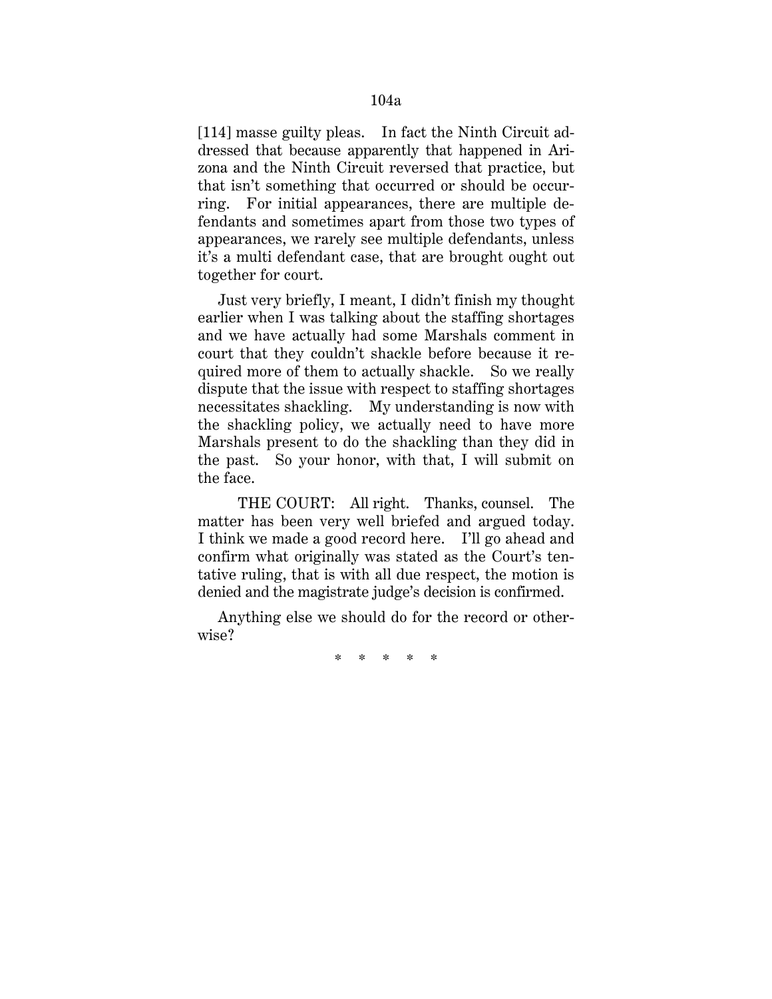[114] masse guilty pleas. In fact the Ninth Circuit addressed that because apparently that happened in Arizona and the Ninth Circuit reversed that practice, but that isn't something that occurred or should be occurring. For initial appearances, there are multiple defendants and sometimes apart from those two types of appearances, we rarely see multiple defendants, unless it's a multi defendant case, that are brought ought out together for court.

Just very briefly, I meant, I didn't finish my thought earlier when I was talking about the staffing shortages and we have actually had some Marshals comment in court that they couldn't shackle before because it required more of them to actually shackle. So we really dispute that the issue with respect to staffing shortages necessitates shackling. My understanding is now with the shackling policy, we actually need to have more Marshals present to do the shackling than they did in the past. So your honor, with that, I will submit on the face.

THE COURT: All right. Thanks, counsel. The matter has been very well briefed and argued today. I think we made a good record here. I'll go ahead and confirm what originally was stated as the Court's tentative ruling, that is with all due respect, the motion is denied and the magistrate judge's decision is confirmed.

Anything else we should do for the record or otherwise?

\* \* \* \* \*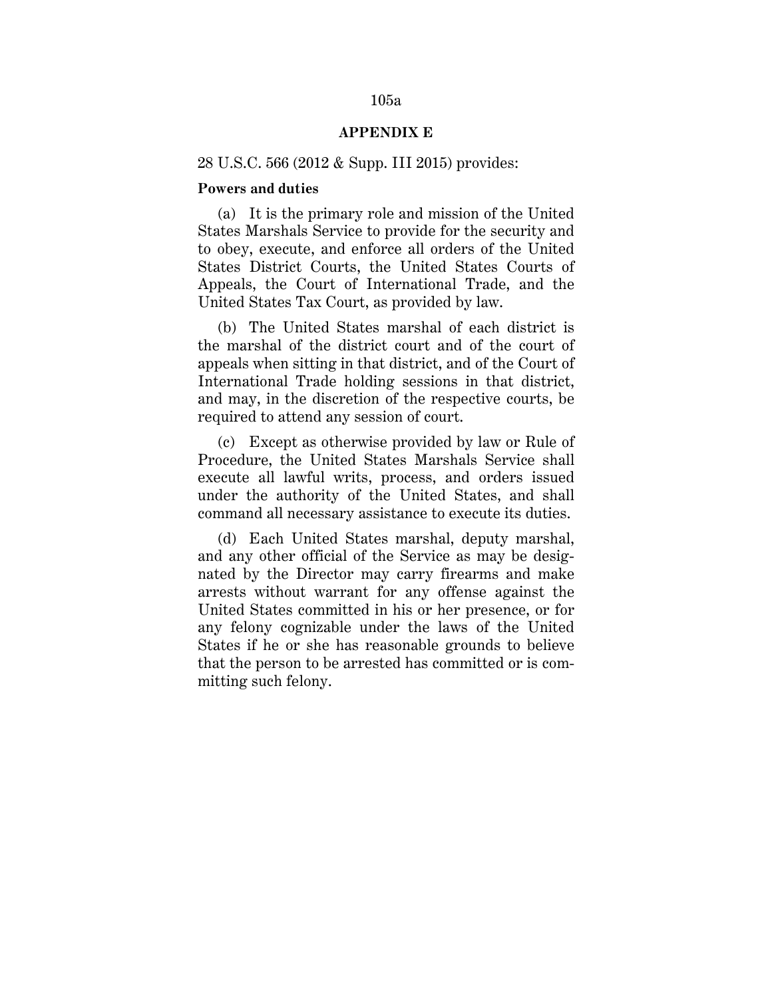## 105a

## **APPENDIX E**

## 28 U.S.C. 566 (2012 & Supp. III 2015) provides:

## **Powers and duties**

(a) It is the primary role and mission of the United States Marshals Service to provide for the security and to obey, execute, and enforce all orders of the United States District Courts, the United States Courts of Appeals, the Court of International Trade, and the United States Tax Court, as provided by law.

(b) The United States marshal of each district is the marshal of the district court and of the court of appeals when sitting in that district, and of the Court of International Trade holding sessions in that district, and may, in the discretion of the respective courts, be required to attend any session of court.

(c) Except as otherwise provided by law or Rule of Procedure, the United States Marshals Service shall execute all lawful writs, process, and orders issued under the authority of the United States, and shall command all necessary assistance to execute its duties.

(d) Each United States marshal, deputy marshal, and any other official of the Service as may be designated by the Director may carry firearms and make arrests without warrant for any offense against the United States committed in his or her presence, or for any felony cognizable under the laws of the United States if he or she has reasonable grounds to believe that the person to be arrested has committed or is committing such felony.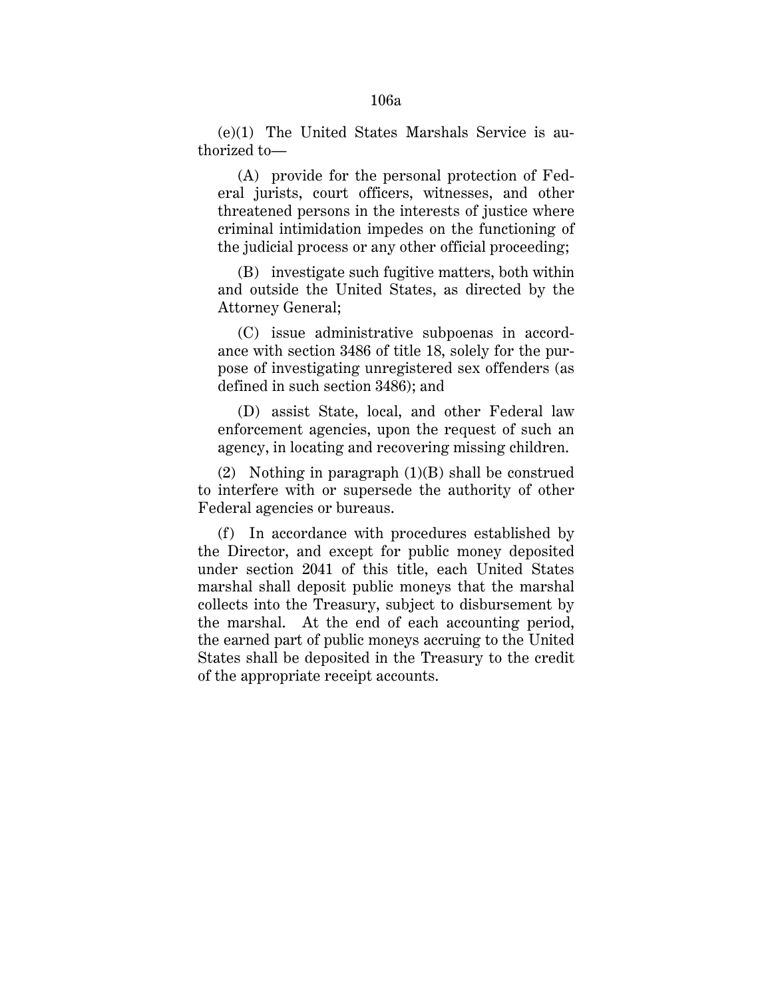(e)(1) The United States Marshals Service is authorized to—

(A) provide for the personal protection of Federal jurists, court officers, witnesses, and other threatened persons in the interests of justice where criminal intimidation impedes on the functioning of the judicial process or any other official proceeding;

(B) investigate such fugitive matters, both within and outside the United States, as directed by the Attorney General;

(C) issue administrative subpoenas in accordance with section 3486 of title 18, solely for the purpose of investigating unregistered sex offenders (as defined in such section 3486); and

(D) assist State, local, and other Federal law enforcement agencies, upon the request of such an agency, in locating and recovering missing children.

(2) Nothing in paragraph (1)(B) shall be construed to interfere with or supersede the authority of other Federal agencies or bureaus.

(f) In accordance with procedures established by the Director, and except for public money deposited under section 2041 of this title, each United States marshal shall deposit public moneys that the marshal collects into the Treasury, subject to disbursement by the marshal. At the end of each accounting period, the earned part of public moneys accruing to the United States shall be deposited in the Treasury to the credit of the appropriate receipt accounts.